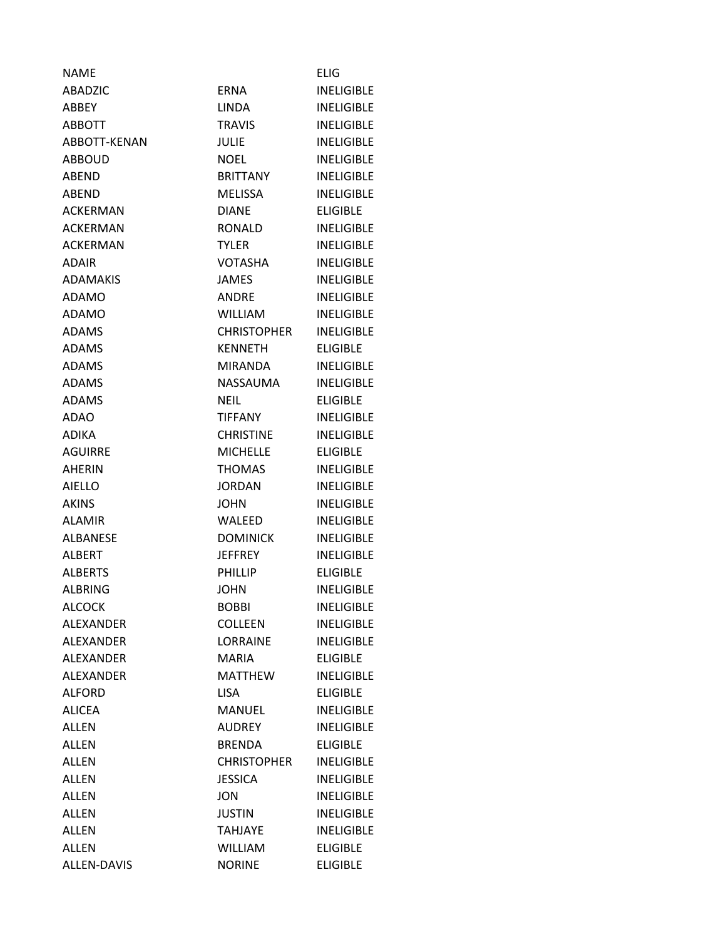| <b>NAME</b>      |                    | <b>ELIG</b>       |
|------------------|--------------------|-------------------|
| ABADZIC          | <b>ERNA</b>        | <b>INELIGIBLE</b> |
| ABBEY            | <b>LINDA</b>       | <b>INELIGIBLE</b> |
| <b>ABBOTT</b>    | <b>TRAVIS</b>      | <b>INELIGIBLE</b> |
| ABBOTT-KENAN     | JULIE              | <b>INELIGIBLE</b> |
| <b>ABBOUD</b>    | <b>NOEL</b>        | <b>INELIGIBLE</b> |
| ABEND            | <b>BRITTANY</b>    | <b>INELIGIBLE</b> |
| ABEND            | <b>MELISSA</b>     | <b>INELIGIBLE</b> |
| <b>ACKERMAN</b>  | <b>DIANE</b>       | <b>ELIGIBLE</b>   |
| <b>ACKERMAN</b>  | <b>RONALD</b>      | <b>INELIGIBLE</b> |
| <b>ACKERMAN</b>  | TYLER              | <b>INELIGIBLE</b> |
| <b>ADAIR</b>     | <b>VOTASHA</b>     | <b>INELIGIBLE</b> |
| <b>ADAMAKIS</b>  | <b>JAMES</b>       | <b>INELIGIBLE</b> |
| <b>ADAMO</b>     | <b>ANDRE</b>       | <b>INELIGIBLE</b> |
| ADAMO            | <b>WILLIAM</b>     | <b>INELIGIBLE</b> |
| <b>ADAMS</b>     | <b>CHRISTOPHER</b> | <b>INELIGIBLE</b> |
| <b>ADAMS</b>     | <b>KENNETH</b>     | <b>ELIGIBLE</b>   |
| <b>ADAMS</b>     | MIRANDA            | <b>INELIGIBLE</b> |
| <b>ADAMS</b>     | NASSAUMA           | <b>INELIGIBLE</b> |
| <b>ADAMS</b>     | <b>NEIL</b>        | <b>ELIGIBLE</b>   |
| ADAO             | TIFFANY            | <b>INELIGIBLE</b> |
| <b>ADIKA</b>     | <b>CHRISTINE</b>   | <b>INELIGIBLE</b> |
| <b>AGUIRRE</b>   | <b>MICHELLE</b>    | <b>ELIGIBLE</b>   |
| <b>AHERIN</b>    | <b>THOMAS</b>      | <b>INELIGIBLE</b> |
| <b>AIELLO</b>    | <b>JORDAN</b>      | <b>INELIGIBLE</b> |
| <b>AKINS</b>     | <b>JOHN</b>        | <b>INELIGIBLE</b> |
| <b>ALAMIR</b>    | <b>WALEED</b>      | <b>INELIGIBLE</b> |
| <b>ALBANESE</b>  | <b>DOMINICK</b>    | <b>INELIGIBLE</b> |
| <b>ALBERT</b>    | <b>JEFFREY</b>     | <b>INELIGIBLE</b> |
| <b>ALBERTS</b>   | <b>PHILLIP</b>     | <b>ELIGIBLE</b>   |
| <b>ALBRING</b>   | <b>JOHN</b>        | <b>INELIGIBLE</b> |
| <b>ALCOCK</b>    | <b>BOBBI</b>       | <b>INELIGIBLE</b> |
| <b>ALEXANDER</b> | <b>COLLEEN</b>     | <b>INELIGIBLE</b> |
| <b>ALEXANDER</b> | <b>LORRAINE</b>    | <b>INELIGIBLE</b> |
| <b>ALEXANDER</b> | <b>MARIA</b>       | <b>ELIGIBLE</b>   |
| <b>ALEXANDER</b> | <b>MATTHEW</b>     | <b>INELIGIBLE</b> |
| <b>ALFORD</b>    | <b>LISA</b>        | <b>ELIGIBLE</b>   |
| <b>ALICEA</b>    | MANUEL             | <b>INELIGIBLE</b> |
| <b>ALLEN</b>     | AUDREY             | <b>INELIGIBLE</b> |
| <b>ALLEN</b>     | <b>BRENDA</b>      | <b>ELIGIBLE</b>   |
| <b>ALLEN</b>     | <b>CHRISTOPHER</b> | <b>INELIGIBLE</b> |
| <b>ALLEN</b>     | <b>JESSICA</b>     | <b>INELIGIBLE</b> |
| <b>ALLEN</b>     | <b>JON</b>         | <b>INELIGIBLE</b> |
| <b>ALLEN</b>     | <b>JUSTIN</b>      | <b>INELIGIBLE</b> |
| <b>ALLEN</b>     | <b>TAHJAYE</b>     | <b>INELIGIBLE</b> |
| <b>ALLEN</b>     | <b>WILLIAM</b>     | <b>ELIGIBLE</b>   |
| ALLEN-DAVIS      | <b>NORINE</b>      | <b>ELIGIBLE</b>   |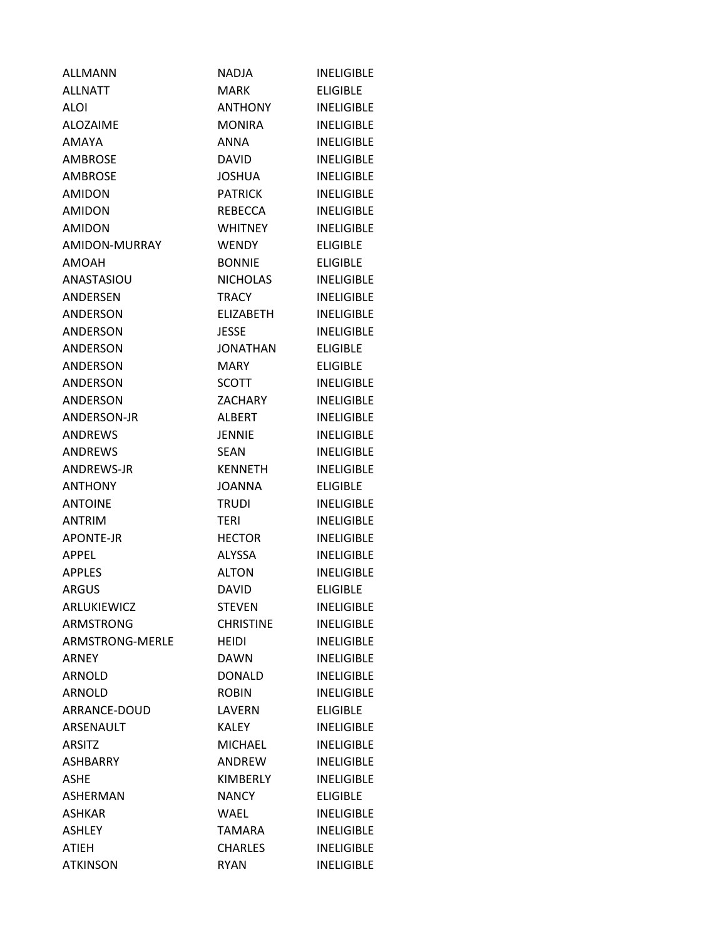| <b>ALLMANN</b>   | NADJA            | <b>INELIGIBLE</b> |
|------------------|------------------|-------------------|
| ALLNATT          | MARK             | <b>ELIGIBLE</b>   |
| ALOI             | <b>ANTHONY</b>   | <b>INELIGIBLE</b> |
| <b>ALOZAIME</b>  | <b>MONIRA</b>    | <b>INELIGIBLE</b> |
| <b>AMAYA</b>     | <b>ANNA</b>      | <b>INELIGIBLE</b> |
| <b>AMBROSE</b>   | DAVID.           | <b>INELIGIBLE</b> |
| <b>AMBROSE</b>   | <b>JOSHUA</b>    | <b>INELIGIBLE</b> |
| <b>AMIDON</b>    | <b>PATRICK</b>   | <b>INELIGIBLE</b> |
| <b>AMIDON</b>    | REBECCA          | <b>INELIGIBLE</b> |
| <b>AMIDON</b>    | <b>WHITNEY</b>   | <b>INELIGIBLE</b> |
| AMIDON-MURRAY    | WENDY            | <b>ELIGIBLE</b>   |
| AMOAH            | <b>BONNIE</b>    | <b>ELIGIBLE</b>   |
| ANASTASIOU       | NICHOLAS         | <b>INELIGIBLE</b> |
| ANDERSEN         | <b>TRACY</b>     | <b>INELIGIBLE</b> |
| ANDERSON         | <b>ELIZABETH</b> | <b>INELIGIBLE</b> |
| <b>ANDERSON</b>  | <b>JESSE</b>     | <b>INELIGIBLE</b> |
| <b>ANDERSON</b>  | <b>JONATHAN</b>  | <b>ELIGIBLE</b>   |
| <b>ANDERSON</b>  | MARY             | <b>ELIGIBLE</b>   |
| <b>ANDERSON</b>  | <b>SCOTT</b>     | <b>INELIGIBLE</b> |
| <b>ANDERSON</b>  | <b>ZACHARY</b>   | <b>INELIGIBLE</b> |
| ANDERSON-JR      | ALBERT           | <b>INELIGIBLE</b> |
| <b>ANDREWS</b>   | <b>JENNIE</b>    | <b>INELIGIBLE</b> |
| <b>ANDREWS</b>   | SEAN             | <b>INELIGIBLE</b> |
| ANDREWS-JR       | <b>KENNETH</b>   | <b>INELIGIBLE</b> |
| <b>ANTHONY</b>   | <b>JOANNA</b>    | <b>ELIGIBLE</b>   |
| <b>ANTOINE</b>   | <b>TRUDI</b>     | <b>INELIGIBLE</b> |
| ANTRIM           | <b>TERI</b>      | <b>INELIGIBLE</b> |
| <b>APONTE-JR</b> | <b>HECTOR</b>    | <b>INELIGIBLE</b> |
| <b>APPEL</b>     | <b>ALYSSA</b>    | <b>INELIGIBLE</b> |
| <b>APPLES</b>    | <b>ALTON</b>     | <b>INELIGIBLE</b> |
| <b>ARGUS</b>     | <b>DAVID</b>     | <b>ELIGIBLE</b>   |
| ARLUKIEWICZ      | <b>STEVEN</b>    | <b>INELIGIBLE</b> |
| <b>ARMSTRONG</b> | <b>CHRISTINE</b> | <b>INELIGIBLE</b> |
| ARMSTRONG-MERLE  | HEIDI            | <b>INELIGIBLE</b> |
| <b>ARNEY</b>     | DAWN             | <b>INELIGIBLE</b> |
| <b>ARNOLD</b>    | <b>DONALD</b>    | <b>INELIGIBLE</b> |
| <b>ARNOLD</b>    | <b>ROBIN</b>     | <b>INELIGIBLE</b> |
| ARRANCE-DOUD     | LAVERN           | <b>ELIGIBLE</b>   |
| ARSENAULT        | KALEY            | <b>INELIGIBLE</b> |
| <b>ARSITZ</b>    | <b>MICHAEL</b>   | <b>INELIGIBLE</b> |
| <b>ASHBARRY</b>  | ANDREW           | <b>INELIGIBLE</b> |
| <b>ASHE</b>      | KIMBERLY         | <b>INELIGIBLE</b> |
| ASHERMAN         | <b>NANCY</b>     | <b>ELIGIBLE</b>   |
| <b>ASHKAR</b>    | WAEL             | <b>INELIGIBLE</b> |
| <b>ASHLEY</b>    | TAMARA           | <b>INELIGIBLE</b> |
| <b>ATIEH</b>     | <b>CHARLES</b>   | <b>INELIGIBLE</b> |
| <b>ATKINSON</b>  | <b>RYAN</b>      | <b>INELIGIBLE</b> |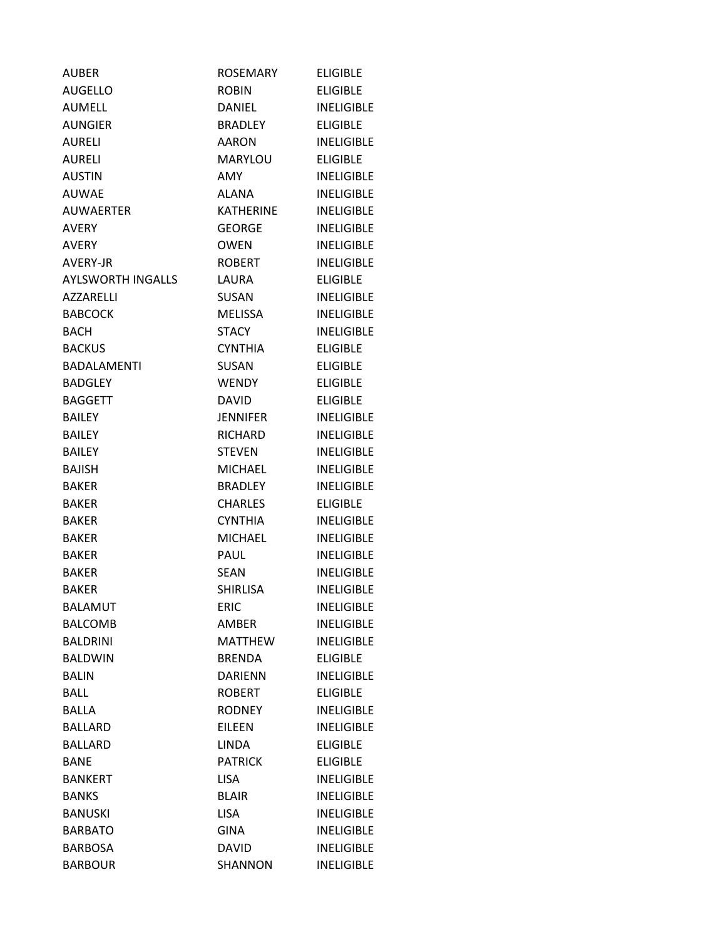| <b>AUBER</b>             | <b>ROSEMARY</b>  | <b>ELIGIBLE</b>   |
|--------------------------|------------------|-------------------|
| <b>AUGELLO</b>           | <b>ROBIN</b>     | <b>ELIGIBLE</b>   |
| <b>AUMELL</b>            | DANIEL           | <b>INELIGIBLE</b> |
| <b>AUNGIER</b>           | BRADLEY          | <b>ELIGIBLE</b>   |
| <b>AURELI</b>            | <b>AARON</b>     | <b>INELIGIBLE</b> |
| <b>AURELI</b>            | MARYLOU          | <b>ELIGIBLE</b>   |
| <b>AUSTIN</b>            | AMY              | <b>INELIGIBLE</b> |
| <b>AUWAE</b>             | ALANA            | <b>INELIGIBLE</b> |
| <b>AUWAERTER</b>         | <b>KATHERINE</b> | <b>INELIGIBLE</b> |
| <b>AVERY</b>             | <b>GEORGE</b>    | <b>INELIGIBLE</b> |
| AVERY                    | <b>OWEN</b>      | <b>INELIGIBLE</b> |
| AVERY-JR                 | <b>ROBERT</b>    | <b>INELIGIBLE</b> |
| <b>AYLSWORTH INGALLS</b> | LAURA            | <b>ELIGIBLE</b>   |
| <b>AZZARELLI</b>         | <b>SUSAN</b>     | <b>INELIGIBLE</b> |
| <b>BABCOCK</b>           | <b>MELISSA</b>   | <b>INELIGIBLE</b> |
| <b>BACH</b>              | <b>STACY</b>     | <b>INELIGIBLE</b> |
| <b>BACKUS</b>            | <b>CYNTHIA</b>   | <b>ELIGIBLE</b>   |
| <b>BADALAMENTI</b>       | <b>SUSAN</b>     | <b>ELIGIBLE</b>   |
| <b>BADGLEY</b>           | WENDY            | <b>ELIGIBLE</b>   |
| <b>BAGGETT</b>           | <b>DAVID</b>     | <b>ELIGIBLE</b>   |
| <b>BAILEY</b>            | <b>JENNIFER</b>  | <b>INELIGIBLE</b> |
| <b>BAILEY</b>            | <b>RICHARD</b>   | <b>INELIGIBLE</b> |
| <b>BAILEY</b>            | <b>STEVEN</b>    | <b>INELIGIBLE</b> |
| <b>BAJISH</b>            | <b>MICHAEL</b>   | <b>INELIGIBLE</b> |
| <b>BAKER</b>             | <b>BRADLEY</b>   | <b>INELIGIBLE</b> |
| BAKER                    | <b>CHARLES</b>   | <b>ELIGIBLE</b>   |
| <b>BAKER</b>             | <b>CYNTHIA</b>   | <b>INELIGIBLE</b> |
| <b>BAKER</b>             | <b>MICHAEL</b>   | <b>INELIGIBLE</b> |
| <b>BAKER</b>             | <b>PAUL</b>      | <b>INELIGIBLE</b> |
| <b>BAKER</b>             | <b>SEAN</b>      | <b>INELIGIBLE</b> |
| <b>BAKER</b>             | <b>SHIRLISA</b>  | <b>INELIGIBLE</b> |
| <b>BALAMUT</b>           | <b>ERIC</b>      | <b>INELIGIBLE</b> |
| <b>BALCOMB</b>           | AMBER            | <b>INELIGIBLE</b> |
| <b>BALDRINI</b>          | <b>MATTHEW</b>   | <b>INELIGIBLE</b> |
| <b>BALDWIN</b>           | <b>BRENDA</b>    | <b>ELIGIBLE</b>   |
| <b>BALIN</b>             | <b>DARIENN</b>   | <b>INELIGIBLE</b> |
| <b>BALL</b>              | <b>ROBERT</b>    | <b>ELIGIBLE</b>   |
| <b>BALLA</b>             | <b>RODNEY</b>    | <b>INELIGIBLE</b> |
| <b>BALLARD</b>           | <b>EILEEN</b>    | <b>INELIGIBLE</b> |
| <b>BALLARD</b>           | <b>LINDA</b>     | <b>ELIGIBLE</b>   |
| <b>BANE</b>              | <b>PATRICK</b>   | <b>ELIGIBLE</b>   |
| <b>BANKERT</b>           | <b>LISA</b>      | <b>INELIGIBLE</b> |
| <b>BANKS</b>             | <b>BLAIR</b>     | <b>INELIGIBLE</b> |
| <b>BANUSKI</b>           | <b>LISA</b>      | <b>INELIGIBLE</b> |
| <b>BARBATO</b>           | <b>GINA</b>      | <b>INELIGIBLE</b> |
| <b>BARBOSA</b>           | <b>DAVID</b>     | <b>INELIGIBLE</b> |
| <b>BARBOUR</b>           | SHANNON          | <b>INELIGIBLE</b> |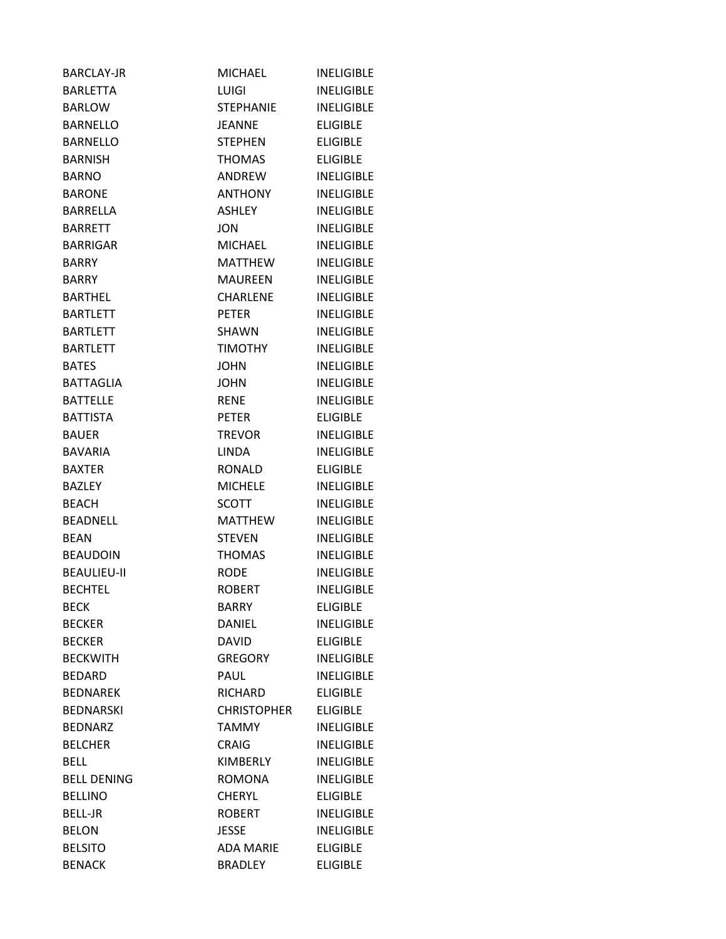| <b>BARCLAY-JR</b>  | <b>MICHAEL</b>     | <b>INELIGIBLE</b> |
|--------------------|--------------------|-------------------|
| <b>BARLETTA</b>    | <b>LUIGI</b>       | <b>INELIGIBLE</b> |
| <b>BARLOW</b>      | <b>STEPHANIE</b>   | <b>INELIGIBLE</b> |
| <b>BARNELLO</b>    | <b>JEANNE</b>      | <b>ELIGIBLE</b>   |
| <b>BARNELLO</b>    | STEPHEN            | <b>ELIGIBLE</b>   |
| <b>BARNISH</b>     | <b>THOMAS</b>      | <b>ELIGIBLE</b>   |
| <b>BARNO</b>       | ANDREW             | <b>INELIGIBLE</b> |
| <b>BARONE</b>      | <b>ANTHONY</b>     | <b>INELIGIBLE</b> |
| BARRELLA           | <b>ASHLEY</b>      | <b>INELIGIBLE</b> |
| <b>BARRETT</b>     | <b>JON</b>         | <b>INELIGIBLE</b> |
| <b>BARRIGAR</b>    | <b>MICHAEL</b>     | <b>INELIGIBLE</b> |
| <b>BARRY</b>       | MATTHEW            | <b>INELIGIBLE</b> |
| <b>BARRY</b>       | <b>MAUREEN</b>     | <b>INELIGIBLE</b> |
| <b>BARTHEL</b>     | <b>CHARLENE</b>    | <b>INELIGIBLE</b> |
| <b>BARTLETT</b>    | <b>PETER</b>       | <b>INELIGIBLE</b> |
| <b>BARTLETT</b>    | SHAWN              | <b>INELIGIBLE</b> |
| <b>BARTLETT</b>    | <b>TIMOTHY</b>     | <b>INELIGIBLE</b> |
| <b>BATES</b>       | <b>JOHN</b>        | <b>INELIGIBLE</b> |
| <b>BATTAGLIA</b>   | <b>JOHN</b>        | <b>INELIGIBLE</b> |
| <b>BATTELLE</b>    | <b>RENE</b>        | <b>INELIGIBLE</b> |
| <b>BATTISTA</b>    | <b>PETER</b>       | <b>ELIGIBLE</b>   |
| <b>BAUER</b>       | <b>TREVOR</b>      | <b>INELIGIBLE</b> |
| <b>BAVARIA</b>     | LINDA              | <b>INELIGIBLE</b> |
| <b>BAXTER</b>      | <b>RONALD</b>      | <b>ELIGIBLE</b>   |
| <b>BAZLEY</b>      | <b>MICHELE</b>     | <b>INELIGIBLE</b> |
| <b>BEACH</b>       | SCOTT              | <b>INELIGIBLE</b> |
| <b>BEADNELL</b>    | <b>MATTHEW</b>     | <b>INELIGIBLE</b> |
| <b>BEAN</b>        | <b>STEVEN</b>      | <b>INELIGIBLE</b> |
| <b>BEAUDOIN</b>    | <b>THOMAS</b>      | <b>INELIGIBLE</b> |
| <b>BEAULIEU-II</b> | <b>RODE</b>        | <b>INELIGIBLE</b> |
| <b>BECHTEL</b>     | <b>ROBERT</b>      | <b>INELIGIBLE</b> |
| <b>BECK</b>        | <b>BARRY</b>       | <b>ELIGIBLE</b>   |
| <b>BECKER</b>      | <b>DANIEL</b>      | <b>INELIGIBLE</b> |
| <b>BECKER</b>      | <b>DAVID</b>       | <b>ELIGIBLE</b>   |
| <b>BECKWITH</b>    | <b>GREGORY</b>     | <b>INELIGIBLE</b> |
| <b>BEDARD</b>      | PAUL               | <b>INELIGIBLE</b> |
| <b>BEDNAREK</b>    | RICHARD            | <b>ELIGIBLE</b>   |
| <b>BEDNARSKI</b>   | <b>CHRISTOPHER</b> | <b>ELIGIBLE</b>   |
| <b>BEDNARZ</b>     | <b>TAMMY</b>       | <b>INELIGIBLE</b> |
| <b>BELCHER</b>     | <b>CRAIG</b>       | <b>INELIGIBLE</b> |
| <b>BELL</b>        | KIMBERLY           | <b>INELIGIBLE</b> |
| <b>BELL DENING</b> | <b>ROMONA</b>      | <b>INELIGIBLE</b> |
| <b>BELLINO</b>     | <b>CHERYL</b>      | <b>ELIGIBLE</b>   |
| <b>BELL-JR</b>     | <b>ROBERT</b>      | <b>INELIGIBLE</b> |
| <b>BELON</b>       | <b>JESSE</b>       | <b>INELIGIBLE</b> |
| <b>BELSITO</b>     | <b>ADA MARIE</b>   | <b>ELIGIBLE</b>   |
| <b>BENACK</b>      | <b>BRADLEY</b>     | <b>ELIGIBLE</b>   |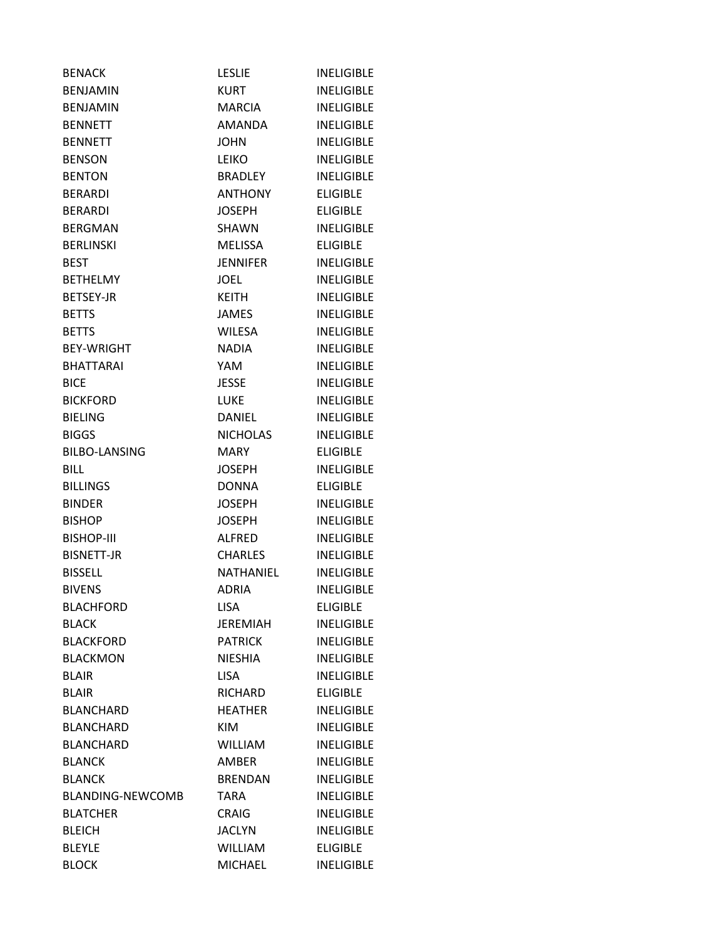| <b>BENACK</b>           | <b>LESLIE</b>   | <b>INELIGIBLE</b> |
|-------------------------|-----------------|-------------------|
| <b>BENJAMIN</b>         | <b>KURT</b>     | <b>INFLIGIBLE</b> |
| <b>BENJAMIN</b>         | MARCIA          | <b>INELIGIBLE</b> |
| <b>BENNETT</b>          | <b>AMANDA</b>   | <b>INELIGIBLE</b> |
| <b>BENNETT</b>          | <b>JOHN</b>     | <b>INELIGIBLE</b> |
| <b>BENSON</b>           | LEIKO           | <b>INELIGIBLE</b> |
| <b>BENTON</b>           | BRADLEY         | <b>INELIGIBLE</b> |
| <b>BERARDI</b>          | <b>ANTHONY</b>  | <b>ELIGIBLE</b>   |
| <b>BERARDI</b>          | <b>JOSEPH</b>   | <b>ELIGIBLE</b>   |
| <b>BERGMAN</b>          | SHAWN           | <b>INELIGIBLE</b> |
| <b>BERLINSKI</b>        | <b>MELISSA</b>  | <b>ELIGIBLE</b>   |
| <b>BEST</b>             | <b>JENNIFER</b> | <b>INELIGIBLE</b> |
| <b>BETHELMY</b>         | <b>JOEL</b>     | <b>INELIGIBLE</b> |
| <b>BETSEY-JR</b>        | <b>KEITH</b>    | <b>INELIGIBLE</b> |
| <b>BETTS</b>            | <b>JAMES</b>    | <b>INELIGIBLE</b> |
| <b>BETTS</b>            | <b>WILESA</b>   | <b>INFLIGIBLE</b> |
| <b>BEY-WRIGHT</b>       | <b>NADIA</b>    | <b>INELIGIBLE</b> |
| <b>BHATTARAI</b>        | YAM             | <b>INELIGIBLE</b> |
| <b>BICE</b>             | <b>JESSE</b>    | <b>INELIGIBLE</b> |
| <b>BICKFORD</b>         | <b>LUKE</b>     | <b>INELIGIBLE</b> |
| <b>BIELING</b>          | <b>DANIEL</b>   | <b>INELIGIBLE</b> |
| <b>BIGGS</b>            | <b>NICHOLAS</b> | <b>INELIGIBLE</b> |
| <b>BILBO-LANSING</b>    | MARY            | <b>ELIGIBLE</b>   |
| <b>BILL</b>             | JOSEPH          | <b>INELIGIBLE</b> |
| <b>BILLINGS</b>         | <b>DONNA</b>    | <b>ELIGIBLE</b>   |
| <b>BINDER</b>           | <b>JOSEPH</b>   | <b>INELIGIBLE</b> |
| <b>BISHOP</b>           | <b>JOSEPH</b>   | <b>INELIGIBLE</b> |
| <b>BISHOP-III</b>       | <b>ALFRED</b>   | <b>INELIGIBLE</b> |
| <b>BISNETT-JR</b>       | <b>CHARLES</b>  | <b>INELIGIBLE</b> |
| <b>BISSELL</b>          | NATHANIEL       | <b>INELIGIBLE</b> |
| <b>BIVENS</b>           | <b>ADRIA</b>    | <b>INELIGIBLE</b> |
| <b>BLACHFORD</b>        | <b>LISA</b>     | <b>ELIGIBLE</b>   |
| <b>BLACK</b>            | <b>JEREMIAH</b> | <b>INELIGIBLE</b> |
| <b>BLACKFORD</b>        | <b>PATRICK</b>  | <b>INELIGIBLE</b> |
| <b>BLACKMON</b>         | <b>NIESHIA</b>  | <b>INELIGIBLE</b> |
| <b>BLAIR</b>            | <b>LISA</b>     | <b>INELIGIBLE</b> |
| <b>BLAIR</b>            | <b>RICHARD</b>  | <b>ELIGIBLE</b>   |
| <b>BLANCHARD</b>        | <b>HEATHER</b>  | <b>INELIGIBLE</b> |
| <b>BLANCHARD</b>        | <b>KIM</b>      | <b>INELIGIBLE</b> |
| <b>BLANCHARD</b>        | <b>WILLIAM</b>  | <b>INELIGIBLE</b> |
| <b>BLANCK</b>           | <b>AMBER</b>    | <b>INELIGIBLE</b> |
| <b>BLANCK</b>           | <b>BRENDAN</b>  | <b>INELIGIBLE</b> |
| <b>BLANDING-NEWCOMB</b> | TARA            | <b>INELIGIBLE</b> |
| <b>BLATCHER</b>         | <b>CRAIG</b>    | <b>INELIGIBLE</b> |
| <b>BLEICH</b>           | <b>JACLYN</b>   | <b>INELIGIBLE</b> |
| <b>BLEYLE</b>           | <b>WILLIAM</b>  | <b>ELIGIBLE</b>   |
| <b>BLOCK</b>            | <b>MICHAEL</b>  | <b>INELIGIBLE</b> |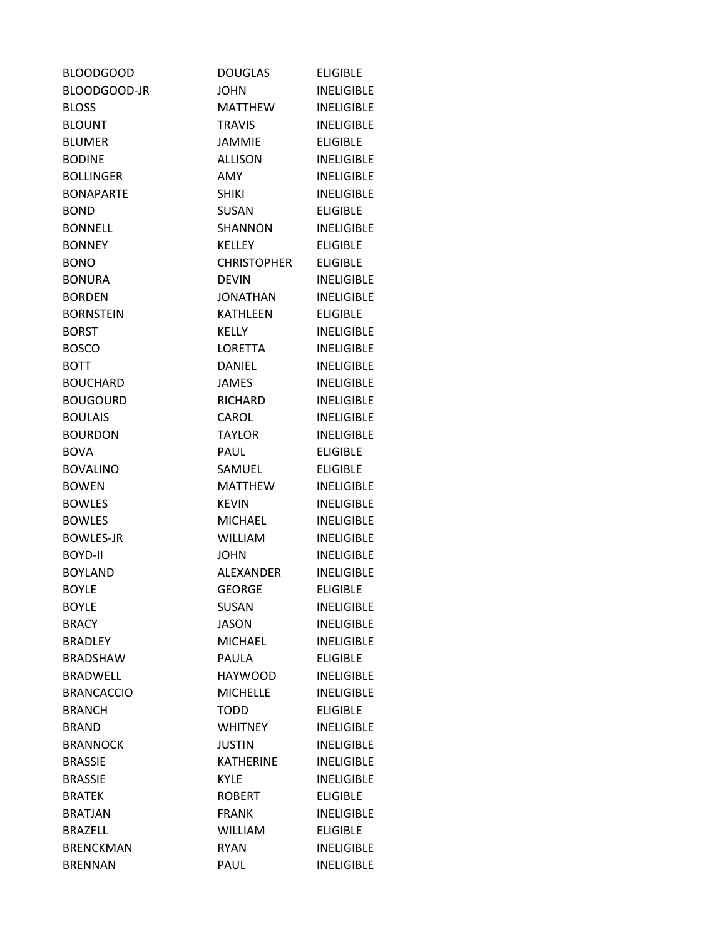| <b>BLOODGOOD</b>  | <b>DOUGLAS</b>  | <b>ELIGIBLE</b>   |
|-------------------|-----------------|-------------------|
| BLOODGOOD-JR      | <b>JOHN</b>     | <b>INELIGIBLE</b> |
| <b>BLOSS</b>      | MATTHEW         | <b>INELIGIBLE</b> |
| <b>BLOUNT</b>     | <b>TRAVIS</b>   | <b>INELIGIBLE</b> |
| <b>BLUMER</b>     | <b>JAMMIE</b>   | <b>ELIGIBLE</b>   |
| <b>BODINE</b>     | <b>ALLISON</b>  | <b>INELIGIBLE</b> |
| <b>BOLLINGER</b>  | <b>AMY</b>      | <b>INELIGIBLE</b> |
| <b>BONAPARTE</b>  | <b>SHIKI</b>    | <b>INELIGIBLE</b> |
| <b>BOND</b>       | SUSAN           | <b>ELIGIBLE</b>   |
| <b>BONNELL</b>    | SHANNON         | <b>INELIGIBLE</b> |
| <b>BONNEY</b>     | <b>KELLEY</b>   | <b>ELIGIBLE</b>   |
| <b>BONO</b>       | CHRISTOPHER     | <b>ELIGIBLE</b>   |
| <b>BONURA</b>     | <b>DEVIN</b>    | <b>INELIGIBLE</b> |
| <b>BORDEN</b>     | JONATHAN        | <b>INELIGIBLE</b> |
| <b>BORNSTEIN</b>  | KATHLEEN        | <b>ELIGIBLE</b>   |
| <b>BORST</b>      | <b>KELLY</b>    | <b>INELIGIBLE</b> |
| <b>BOSCO</b>      | LORETTA         | <b>INELIGIBLE</b> |
| <b>BOTT</b>       | DANIEL          | <b>INELIGIBLE</b> |
| <b>BOUCHARD</b>   | <b>JAMES</b>    | <b>INELIGIBLE</b> |
| <b>BOUGOURD</b>   | RICHARD         | <b>INELIGIBLE</b> |
| <b>BOULAIS</b>    | CAROL           | <b>INELIGIBLE</b> |
| <b>BOURDON</b>    | <b>TAYLOR</b>   | <b>INELIGIBLE</b> |
| <b>BOVA</b>       | <b>PAUL</b>     | <b>ELIGIBLE</b>   |
| <b>BOVALINO</b>   | SAMUEL          | <b>ELIGIBLE</b>   |
| <b>BOWEN</b>      | <b>MATTHEW</b>  | <b>INELIGIBLE</b> |
| <b>BOWLES</b>     | <b>KEVIN</b>    | <b>INELIGIBLE</b> |
| <b>BOWLES</b>     | <b>MICHAEL</b>  | <b>INELIGIBLE</b> |
| <b>BOWLES-JR</b>  | <b>WILLIAM</b>  | <b>INELIGIBLE</b> |
| <b>BOYD-II</b>    | <b>JOHN</b>     | <b>INELIGIBLE</b> |
| <b>BOYLAND</b>    | ALEXANDER       | <b>INELIGIBLE</b> |
| <b>BOYLE</b>      | <b>GEORGE</b>   | <b>ELIGIBLE</b>   |
| <b>BOYLE</b>      | <b>SUSAN</b>    | <b>INELIGIBLE</b> |
| <b>BRACY</b>      | <b>JASON</b>    | <b>INELIGIBLE</b> |
| <b>BRADLEY</b>    | <b>MICHAEL</b>  | <b>INELIGIBLE</b> |
| <b>BRADSHAW</b>   | <b>PAULA</b>    | <b>ELIGIBLE</b>   |
| <b>BRADWELL</b>   | <b>HAYWOOD</b>  | <b>INELIGIBLE</b> |
| <b>BRANCACCIO</b> | <b>MICHELLE</b> | <b>INELIGIBLE</b> |
| <b>BRANCH</b>     | <b>TODD</b>     | <b>ELIGIBLE</b>   |
| <b>BRAND</b>      | <b>WHITNEY</b>  | <b>INELIGIBLE</b> |
| <b>BRANNOCK</b>   | <b>JUSTIN</b>   | <b>INELIGIBLE</b> |
| <b>BRASSIE</b>    | KATHERINE       | <b>INELIGIBLE</b> |
| <b>BRASSIE</b>    | <b>KYLE</b>     | <b>INELIGIBLE</b> |
| <b>BRATEK</b>     | <b>ROBERT</b>   | <b>ELIGIBLE</b>   |
| <b>BRATJAN</b>    | <b>FRANK</b>    | <b>INELIGIBLE</b> |
| <b>BRAZELL</b>    | <b>WILLIAM</b>  | <b>ELIGIBLE</b>   |
| <b>BRENCKMAN</b>  | <b>RYAN</b>     | <b>INELIGIBLE</b> |
| <b>BRENNAN</b>    | PAUL            | <b>INELIGIBLE</b> |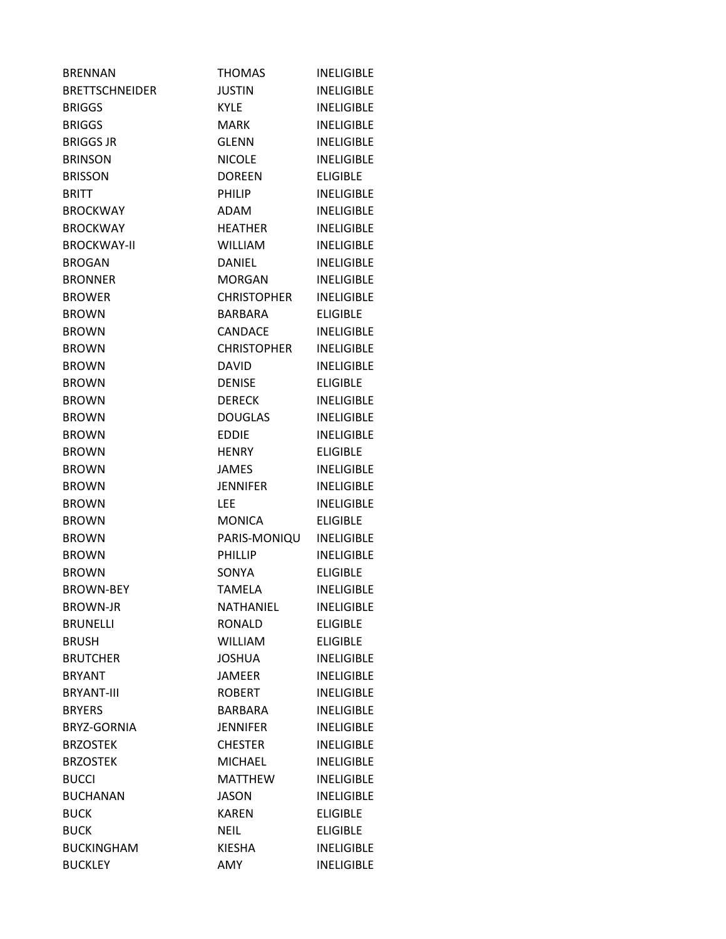| <b>BRENNAN</b>        | <b>THOMAS</b>      | <b>INELIGIBLE</b> |
|-----------------------|--------------------|-------------------|
| <b>BRETTSCHNEIDER</b> | <b>JUSTIN</b>      | <b>INELIGIBLE</b> |
| <b>BRIGGS</b>         | <b>KYLE</b>        | <b>INELIGIBLE</b> |
| <b>BRIGGS</b>         | <b>MARK</b>        | <b>INELIGIBLE</b> |
| <b>BRIGGS JR</b>      | <b>GLENN</b>       | <b>INELIGIBLE</b> |
| <b>BRINSON</b>        | <b>NICOLE</b>      | <b>INELIGIBLE</b> |
| <b>BRISSON</b>        | <b>DOREEN</b>      | <b>ELIGIBLE</b>   |
| <b>BRITT</b>          | <b>PHILIP</b>      | <b>INELIGIBLE</b> |
| <b>BROCKWAY</b>       | ADAM               | <b>INELIGIBLE</b> |
| <b>BROCKWAY</b>       | <b>HEATHER</b>     | <b>INELIGIBLE</b> |
| <b>BROCKWAY-II</b>    | <b>WILLIAM</b>     | <b>INELIGIBLE</b> |
| <b>BROGAN</b>         | <b>DANIEL</b>      | <b>INELIGIBLE</b> |
| <b>BRONNER</b>        | <b>MORGAN</b>      | <b>INELIGIBLE</b> |
| <b>BROWER</b>         | <b>CHRISTOPHER</b> | <b>INELIGIBLE</b> |
| <b>BROWN</b>          | <b>BARBARA</b>     | <b>ELIGIBLE</b>   |
| <b>BROWN</b>          | CANDACE            | <b>INELIGIBLE</b> |
| <b>BROWN</b>          | <b>CHRISTOPHER</b> | <b>INELIGIBLE</b> |
| <b>BROWN</b>          | <b>DAVID</b>       | <b>INELIGIBLE</b> |
| <b>BROWN</b>          | <b>DENISE</b>      | <b>ELIGIBLE</b>   |
| <b>BROWN</b>          | <b>DERECK</b>      | <b>INELIGIBLE</b> |
| <b>BROWN</b>          | DOUGLAS            | <b>INELIGIBLE</b> |
| <b>BROWN</b>          | <b>EDDIE</b>       | <b>INELIGIBLE</b> |
| <b>BROWN</b>          | <b>HENRY</b>       | <b>ELIGIBLE</b>   |
| <b>BROWN</b>          | <b>JAMES</b>       | <b>INELIGIBLE</b> |
| <b>BROWN</b>          | <b>JENNIFER</b>    | <b>INELIGIBLE</b> |
| <b>BROWN</b>          | <b>LEE</b>         | <b>INELIGIBLE</b> |
| <b>BROWN</b>          | <b>MONICA</b>      | <b>ELIGIBLE</b>   |
| <b>BROWN</b>          | PARIS-MONIQU       | <b>INELIGIBLE</b> |
| <b>BROWN</b>          | <b>PHILLIP</b>     | <b>INELIGIBLE</b> |
| <b>BROWN</b>          | SONYA              | <b>ELIGIBLE</b>   |
| <b>BROWN-BEY</b>      | <b>TAMELA</b>      | <b>INELIGIBLE</b> |
| <b>BROWN-JR</b>       | NATHANIEL          | <b>INELIGIBLE</b> |
| <b>BRUNELLI</b>       | <b>RONALD</b>      | <b>ELIGIBLE</b>   |
| <b>BRUSH</b>          | WILLIAM            | <b>ELIGIBLE</b>   |
| <b>BRUTCHER</b>       | <b>JOSHUA</b>      | <b>INELIGIBLE</b> |
| <b>BRYANT</b>         | <b>JAMEER</b>      | <b>INELIGIBLE</b> |
| <b>BRYANT-III</b>     | <b>ROBERT</b>      | <b>INELIGIBLE</b> |
| <b>BRYERS</b>         | BARBARA            | <b>INELIGIBLE</b> |
| BRYZ-GORNIA           | <b>JENNIFER</b>    | <b>INELIGIBLE</b> |
| <b>BRZOSTEK</b>       | <b>CHESTER</b>     | <b>INELIGIBLE</b> |
| <b>BRZOSTEK</b>       | <b>MICHAEL</b>     | <b>INELIGIBLE</b> |
| <b>BUCCI</b>          | <b>MATTHEW</b>     | <b>INELIGIBLE</b> |
| <b>BUCHANAN</b>       | <b>JASON</b>       | <b>INELIGIBLE</b> |
| <b>BUCK</b>           | <b>KAREN</b>       | <b>ELIGIBLE</b>   |
| <b>BUCK</b>           | <b>NEIL</b>        | <b>ELIGIBLE</b>   |
| <b>BUCKINGHAM</b>     | <b>KIESHA</b>      | <b>INELIGIBLE</b> |
| <b>BUCKLEY</b>        | AMY                | <b>INELIGIBLE</b> |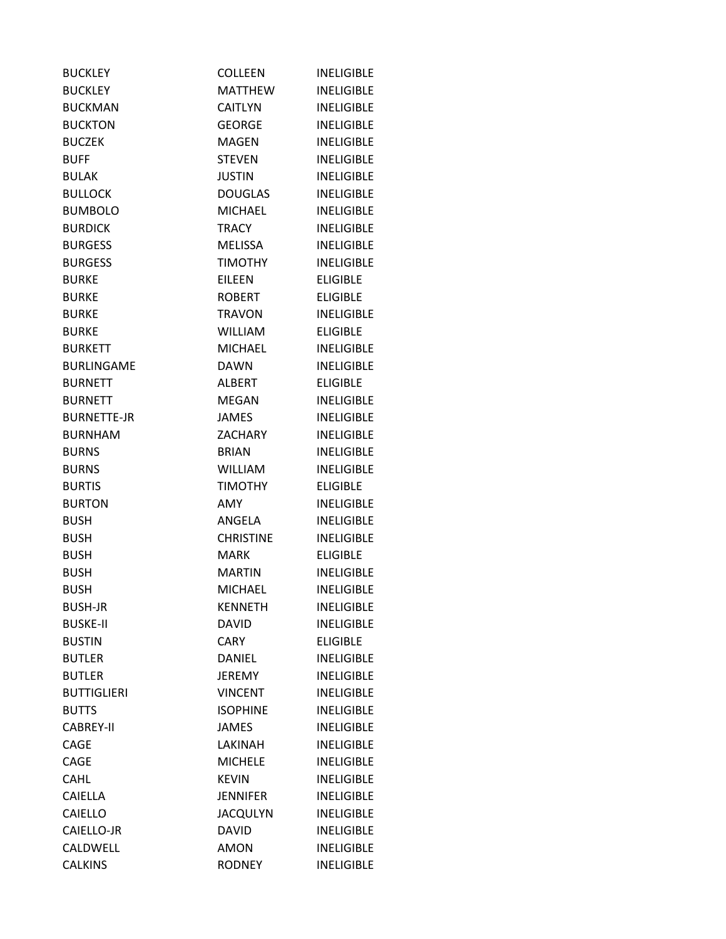| <b>BUCKLEY</b>     | <b>COLLEEN</b>   | <b>INELIGIBLE</b> |
|--------------------|------------------|-------------------|
| <b>BUCKLEY</b>     | <b>MATTHEW</b>   | <b>INELIGIBLE</b> |
| <b>BUCKMAN</b>     | <b>CAITLYN</b>   | <b>INELIGIBLE</b> |
| <b>BUCKTON</b>     | <b>GEORGE</b>    | <b>INELIGIBLE</b> |
| <b>BUCZEK</b>      | <b>MAGEN</b>     | <b>INELIGIBLE</b> |
| <b>BUFF</b>        | <b>STEVEN</b>    | <b>INELIGIBLE</b> |
| <b>BULAK</b>       | <b>JUSTIN</b>    | <b>INELIGIBLE</b> |
| <b>BULLOCK</b>     | <b>DOUGLAS</b>   | <b>INELIGIBLE</b> |
| <b>BUMBOLO</b>     | <b>MICHAEL</b>   | <b>INELIGIBLE</b> |
| <b>BURDICK</b>     | <b>TRACY</b>     | <b>INELIGIBLE</b> |
| <b>BURGESS</b>     | MELISSA          | <b>INELIGIBLE</b> |
| <b>BURGESS</b>     | TIMOTHY          | <b>INELIGIBLE</b> |
| <b>BURKE</b>       | <b>EILEEN</b>    | <b>ELIGIBLE</b>   |
| <b>BURKE</b>       | ROBERT           | <b>ELIGIBLE</b>   |
| <b>BURKE</b>       | <b>TRAVON</b>    | <b>INELIGIBLE</b> |
| <b>BURKE</b>       | <b>WILLIAM</b>   | <b>ELIGIBLE</b>   |
| <b>BURKETT</b>     | <b>MICHAEL</b>   | <b>INELIGIBLE</b> |
| <b>BURLINGAME</b>  | <b>DAWN</b>      | <b>INELIGIBLE</b> |
| <b>BURNETT</b>     | <b>ALBERT</b>    | <b>ELIGIBLE</b>   |
| <b>BURNETT</b>     | <b>MEGAN</b>     | <b>INELIGIBLE</b> |
| <b>BURNETTE-JR</b> | <b>JAMES</b>     | <b>INELIGIBLE</b> |
| <b>BURNHAM</b>     | ZACHARY          | <b>INELIGIBLE</b> |
| <b>BURNS</b>       | <b>BRIAN</b>     | <b>INELIGIBLE</b> |
| <b>BURNS</b>       | WILLIAM          | <b>INELIGIBLE</b> |
| <b>BURTIS</b>      | <b>TIMOTHY</b>   | <b>ELIGIBLE</b>   |
| <b>BURTON</b>      | <b>AMY</b>       | <b>INELIGIBLE</b> |
| <b>BUSH</b>        | ANGELA           | <b>INELIGIBLE</b> |
| <b>BUSH</b>        | <b>CHRISTINE</b> | <b>INELIGIBLE</b> |
| <b>BUSH</b>        | <b>MARK</b>      | <b>ELIGIBLE</b>   |
| <b>BUSH</b>        | MARTIN           | <b>INELIGIBLE</b> |
| <b>BUSH</b>        | MICHAEL          | <b>INELIGIBLE</b> |
| <b>BUSH-JR</b>     | <b>KENNETH</b>   | <b>INELIGIBLE</b> |
| <b>BUSKE-II</b>    | <b>DAVID</b>     | <b>INELIGIBLE</b> |
| <b>BUSTIN</b>      | <b>CARY</b>      | <b>ELIGIBLE</b>   |
| <b>BUTLER</b>      | <b>DANIEL</b>    | <b>INELIGIBLE</b> |
| <b>BUTLER</b>      | <b>JEREMY</b>    | <b>INELIGIBLE</b> |
| <b>BUTTIGLIERI</b> | <b>VINCENT</b>   | <b>INELIGIBLE</b> |
| <b>BUTTS</b>       | <b>ISOPHINE</b>  | <b>INELIGIBLE</b> |
| <b>CABREY-II</b>   | <b>JAMES</b>     | <b>INELIGIBLE</b> |
| CAGE               | LAKINAH          | <b>INELIGIBLE</b> |
| CAGE               | <b>MICHELE</b>   | <b>INELIGIBLE</b> |
| <b>CAHL</b>        | <b>KEVIN</b>     | <b>INELIGIBLE</b> |
| CAIELLA            | <b>JENNIFER</b>  | <b>INELIGIBLE</b> |
| CAIELLO            | <b>JACQULYN</b>  | <b>INELIGIBLE</b> |
| CAIELLO-JR         | <b>DAVID</b>     | <b>INELIGIBLE</b> |
| CALDWELL           | <b>AMON</b>      | <b>INELIGIBLE</b> |
| <b>CALKINS</b>     | <b>RODNEY</b>    | <b>INELIGIBLE</b> |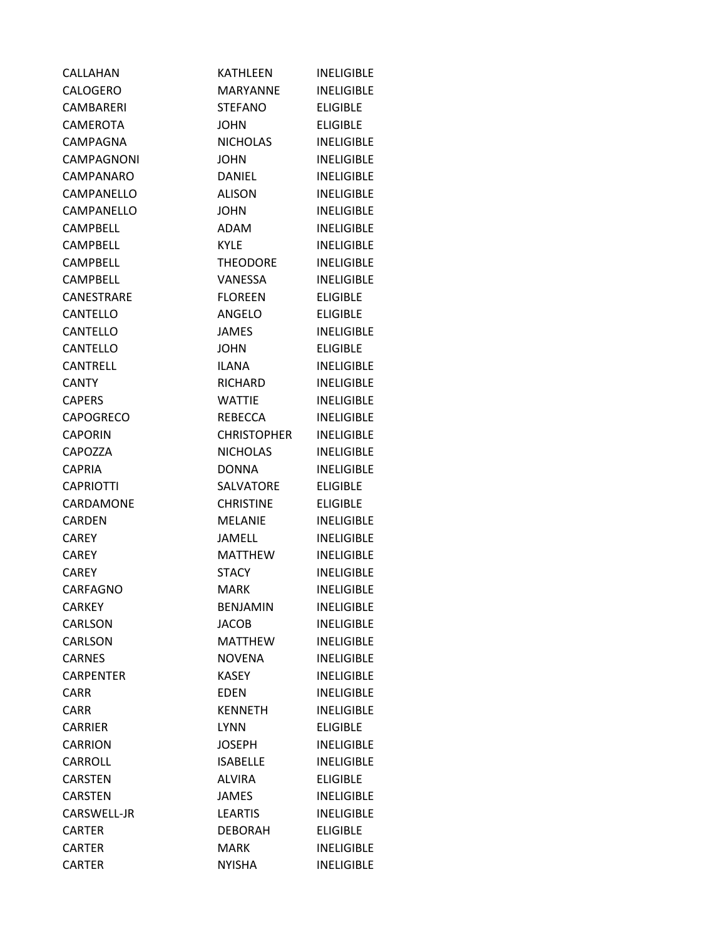| CALLAHAN         | <b>KATHLEEN</b>    | <b>INELIGIBLE</b> |
|------------------|--------------------|-------------------|
| CALOGERO         | MARYANNE           | <b>INELIGIBLE</b> |
| CAMBARERI        | <b>STEFANO</b>     | <b>ELIGIBLE</b>   |
| CAMEROTA         | <b>JOHN</b>        | <b>ELIGIBLE</b>   |
| CAMPAGNA         | <b>NICHOLAS</b>    | <b>INELIGIBLE</b> |
| CAMPAGNONI       | <b>JOHN</b>        | <b>INELIGIBLE</b> |
| CAMPANARO        | DANIEL             | <b>INELIGIBLE</b> |
| CAMPANELLO       | <b>ALISON</b>      | <b>INELIGIBLE</b> |
| CAMPANELLO       | <b>JOHN</b>        | <b>INELIGIBLE</b> |
| CAMPBELL         | ADAM               | <b>INELIGIBLE</b> |
| <b>CAMPBELL</b>  | <b>KYLE</b>        | <b>INELIGIBLE</b> |
| <b>CAMPBELL</b>  | <b>THEODORE</b>    | <b>INELIGIBLE</b> |
| CAMPBELL         | VANESSA            | <b>INELIGIBLE</b> |
| CANESTRARE       | <b>FLOREEN</b>     | <b>ELIGIBLE</b>   |
| CANTELLO         | ANGELO             | <b>ELIGIBLE</b>   |
| <b>CANTELLO</b>  | JAMES              | <b>INELIGIBLE</b> |
| CANTELLO         | <b>JOHN</b>        | <b>ELIGIBLE</b>   |
| <b>CANTRELL</b>  | ILANA              | <b>INELIGIBLE</b> |
| <b>CANTY</b>     | RICHARD            | <b>INELIGIBLE</b> |
| <b>CAPERS</b>    | WATTIE             | <b>INELIGIBLE</b> |
| <b>CAPOGRECO</b> | REBECCA            | <b>INELIGIBLE</b> |
| <b>CAPORIN</b>   | <b>CHRISTOPHER</b> | <b>INELIGIBLE</b> |
| CAPOZZA          | NICHOLAS           | <b>INELIGIBLE</b> |
| <b>CAPRIA</b>    | DONNA              | <b>INELIGIBLE</b> |
| <b>CAPRIOTTI</b> | SALVATORE          | <b>ELIGIBLE</b>   |
| CARDAMONE        | <b>CHRISTINE</b>   | <b>ELIGIBLE</b>   |
| <b>CARDEN</b>    | <b>MELANIE</b>     | <b>INELIGIBLE</b> |
| <b>CAREY</b>     | <b>JAMELL</b>      | <b>INELIGIBLE</b> |
| <b>CAREY</b>     | <b>MATTHEW</b>     | <b>INELIGIBLE</b> |
| <b>CAREY</b>     | <b>STACY</b>       | <b>INELIGIBLE</b> |
| CARFAGNO         | <b>MARK</b>        | <b>INELIGIBLE</b> |
| <b>CARKEY</b>    | <b>BENJAMIN</b>    | <b>INELIGIBLE</b> |
| CARLSON          | JACOB              | <b>INELIGIBLE</b> |
| CARLSON          | <b>MATTHEW</b>     | <b>INELIGIBLE</b> |
| <b>CARNES</b>    | <b>NOVENA</b>      | <b>INELIGIBLE</b> |
| <b>CARPENTER</b> | <b>KASEY</b>       | <b>INELIGIBLE</b> |
| <b>CARR</b>      | <b>EDEN</b>        | <b>INELIGIBLE</b> |
| <b>CARR</b>      | <b>KENNETH</b>     | <b>INELIGIBLE</b> |
| <b>CARRIER</b>   | <b>LYNN</b>        | <b>ELIGIBLE</b>   |
| <b>CARRION</b>   | <b>JOSEPH</b>      | <b>INELIGIBLE</b> |
| CARROLL          | <b>ISABELLE</b>    | <b>INELIGIBLE</b> |
| <b>CARSTEN</b>   | <b>ALVIRA</b>      | <b>ELIGIBLE</b>   |
| <b>CARSTEN</b>   | JAMES              | <b>INELIGIBLE</b> |
| CARSWELL-JR      | <b>LEARTIS</b>     | <b>INELIGIBLE</b> |
| <b>CARTER</b>    | <b>DEBORAH</b>     | <b>ELIGIBLE</b>   |
| <b>CARTER</b>    | <b>MARK</b>        | <b>INELIGIBLE</b> |
| <b>CARTER</b>    | <b>NYISHA</b>      | <b>INELIGIBLE</b> |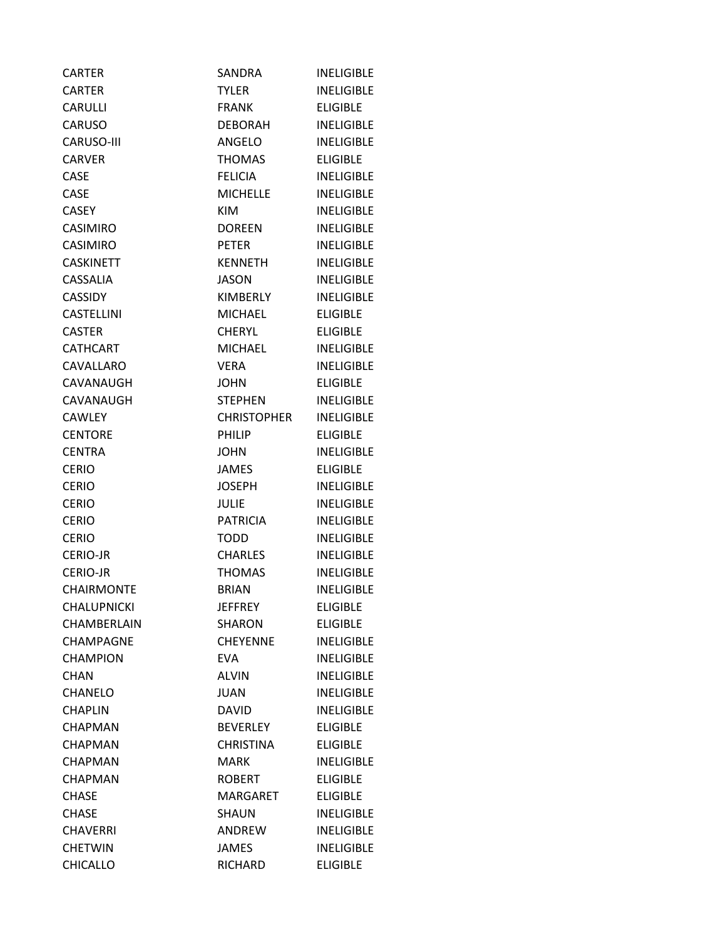| <b>CARTER</b>      | SANDRA             | <b>INELIGIBLE</b> |
|--------------------|--------------------|-------------------|
| CARTER             | TYLER              | <b>INELIGIBLE</b> |
| <b>CARULLI</b>     | <b>FRANK</b>       | <b>ELIGIBLE</b>   |
| <b>CARUSO</b>      | <b>DEBORAH</b>     | <b>INELIGIBLE</b> |
| <b>CARUSO-III</b>  | ANGELO             | <b>INELIGIBLE</b> |
| <b>CARVER</b>      | <b>THOMAS</b>      | <b>ELIGIBLE</b>   |
| <b>CASE</b>        | <b>FELICIA</b>     | <b>INELIGIBLE</b> |
| CASE               | <b>MICHELLE</b>    | <b>INELIGIBLE</b> |
| CASEY              | KIM                | <b>INELIGIBLE</b> |
| <b>CASIMIRO</b>    | <b>DOREEN</b>      | <b>INELIGIBLE</b> |
| <b>CASIMIRO</b>    | <b>PETER</b>       | <b>INELIGIBLE</b> |
| <b>CASKINETT</b>   | <b>KENNETH</b>     | <b>INELIGIBLE</b> |
| CASSALIA           | <b>JASON</b>       | <b>INELIGIBLE</b> |
| <b>CASSIDY</b>     | KIMBERLY           | <b>INELIGIBLE</b> |
| <b>CASTELLINI</b>  | <b>MICHAEL</b>     | <b>ELIGIBLE</b>   |
| <b>CASTER</b>      | <b>CHERYL</b>      | <b>ELIGIBLE</b>   |
| <b>CATHCART</b>    | <b>MICHAEL</b>     | <b>INELIGIBLE</b> |
| CAVALLARO          | <b>VERA</b>        | <b>INELIGIBLE</b> |
| CAVANAUGH          | <b>JOHN</b>        | <b>ELIGIBLE</b>   |
| CAVANAUGH          | <b>STEPHEN</b>     | <b>INELIGIBLE</b> |
| <b>CAWLEY</b>      | <b>CHRISTOPHER</b> | <b>INELIGIBLE</b> |
| <b>CENTORE</b>     | <b>PHILIP</b>      | <b>ELIGIBLE</b>   |
| <b>CENTRA</b>      | <b>JOHN</b>        | <b>INELIGIBLE</b> |
| <b>CERIO</b>       | <b>JAMES</b>       | <b>ELIGIBLE</b>   |
| <b>CERIO</b>       | <b>JOSEPH</b>      | <b>INELIGIBLE</b> |
| <b>CERIO</b>       | <b>JULIE</b>       | <b>INELIGIBLE</b> |
| <b>CERIO</b>       | <b>PATRICIA</b>    | <b>INELIGIBLE</b> |
| <b>CERIO</b>       | <b>TODD</b>        | <b>INELIGIBLE</b> |
| <b>CERIO-JR</b>    | <b>CHARLES</b>     | <b>INELIGIBLE</b> |
| <b>CERIO-JR</b>    | <b>THOMAS</b>      | <b>INELIGIBLE</b> |
| <b>CHAIRMONTE</b>  | <b>BRIAN</b>       | <b>INELIGIBLE</b> |
| <b>CHALUPNICKI</b> | JEFFREY            | <b>ELIGIBLE</b>   |
| CHAMBERLAIN        | <b>SHARON</b>      | <b>ELIGIBLE</b>   |
| CHAMPAGNE          | <b>CHEYENNE</b>    | <b>INELIGIBLE</b> |
| <b>CHAMPION</b>    | <b>EVA</b>         | <b>INELIGIBLE</b> |
| <b>CHAN</b>        | ALVIN              | <b>INELIGIBLE</b> |
| CHANELO            | JUAN               | <b>INELIGIBLE</b> |
| CHAPLIN            | <b>DAVID</b>       | <b>INELIGIBLE</b> |
| CHAPMAN            | <b>BEVERLEY</b>    | <b>ELIGIBLE</b>   |
| CHAPMAN            | <b>CHRISTINA</b>   | <b>ELIGIBLE</b>   |
| <b>CHAPMAN</b>     | <b>MARK</b>        | <b>INELIGIBLE</b> |
| <b>CHAPMAN</b>     | <b>ROBERT</b>      | <b>ELIGIBLE</b>   |
| <b>CHASE</b>       | MARGARET           | <b>ELIGIBLE</b>   |
| <b>CHASE</b>       | SHAUN              | <b>INELIGIBLE</b> |
| <b>CHAVERRI</b>    | ANDREW             | <b>INELIGIBLE</b> |
| <b>CHETWIN</b>     | JAMES              | <b>INELIGIBLE</b> |
| <b>CHICALLO</b>    | RICHARD            | <b>ELIGIBLE</b>   |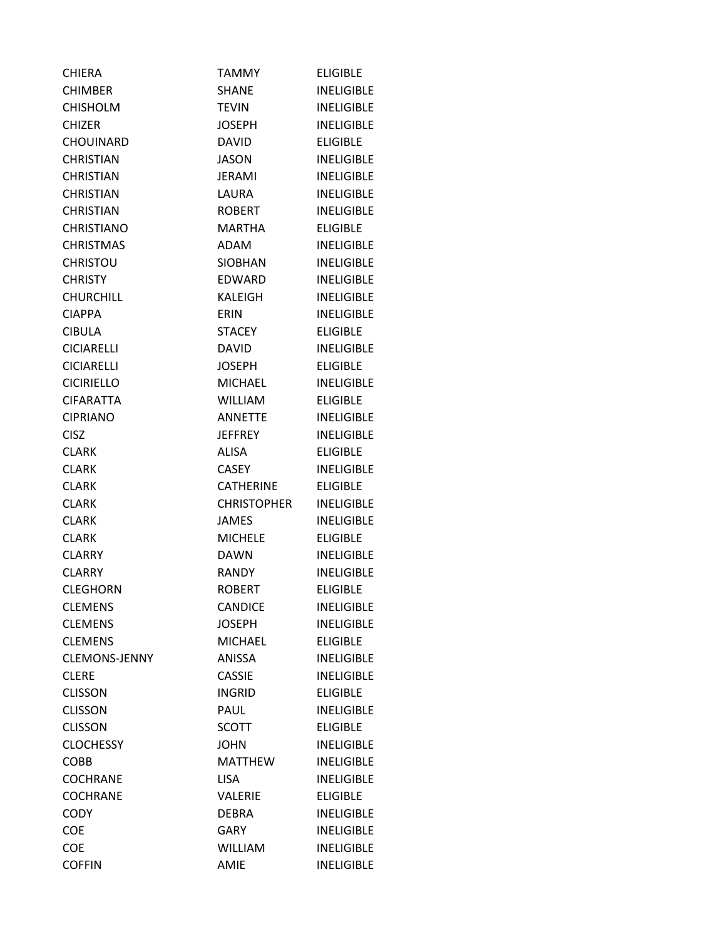| <b>CHIERA</b>        | TAMMY                  | <b>ELIGIBLE</b>   |
|----------------------|------------------------|-------------------|
| CHIMBER              | SHANE                  | <b>INELIGIBLE</b> |
| <b>CHISHOLM</b>      | <b>TEVIN</b>           | <b>INELIGIBLE</b> |
| <b>CHIZER</b>        | <b>JOSEPH</b>          | <b>INELIGIBLE</b> |
| <b>CHOUINARD</b>     | <b>DAVID</b>           | <b>ELIGIBLE</b>   |
| <b>CHRISTIAN</b>     | <b>JASON</b>           | <b>INELIGIBLE</b> |
| <b>CHRISTIAN</b>     | JERAMI                 | <b>INELIGIBLE</b> |
| <b>CHRISTIAN</b>     | LAURA                  | <b>INELIGIBLE</b> |
| <b>CHRISTIAN</b>     | <b>ROBERT</b>          | <b>INELIGIBLE</b> |
| <b>CHRISTIANO</b>    | <b>MARTHA</b>          | <b>ELIGIBLE</b>   |
| <b>CHRISTMAS</b>     | ADAM                   | <b>INELIGIBLE</b> |
| <b>CHRISTOU</b>      | <b>SIOBHAN</b>         | <b>INELIGIBLE</b> |
| <b>CHRISTY</b>       | EDWARD                 | <b>INELIGIBLE</b> |
| <b>CHURCHILL</b>     | <b>KALEIGH</b>         | <b>INELIGIBLE</b> |
| <b>CIAPPA</b>        | ERIN                   | <b>INELIGIBLE</b> |
| <b>CIBULA</b>        | <b>STACEY</b>          | <b>ELIGIBLE</b>   |
| <b>CICIARELLI</b>    | <b>DAVID</b>           | <b>INELIGIBLE</b> |
| <b>CICIARELLI</b>    | <b>JOSEPH</b>          | <b>ELIGIBLE</b>   |
| <b>CICIRIELLO</b>    | <b>MICHAEL</b>         | <b>INELIGIBLE</b> |
| <b>CIFARATTA</b>     | WILLIAM                | <b>ELIGIBLE</b>   |
| <b>CIPRIANO</b>      | <b>ANNETTE</b>         | <b>INELIGIBLE</b> |
| <b>CISZ</b>          | <b>JEFFREY</b>         | <b>INELIGIBLE</b> |
| <b>CLARK</b>         | ALISA                  | <b>ELIGIBLE</b>   |
| <b>CLARK</b>         | CASEY                  | <b>INELIGIBLE</b> |
| <b>CLARK</b>         | <b>CATHERINE</b>       | ELIGIBLE          |
| <b>CLARK</b>         | <b>CHRISTOPHER</b>     | <b>INELIGIBLE</b> |
| <b>CLARK</b>         | <b>JAMES</b>           | <b>INELIGIBLE</b> |
| <b>CLARK</b>         | <b>MICHELE</b>         | <b>ELIGIBLE</b>   |
| <b>CLARRY</b>        | <b>DAWN</b>            | <b>INELIGIBLE</b> |
| CLARRY               | <b>RANDY</b>           | <b>INELIGIBLE</b> |
| <b>CLEGHORN</b>      | <b>ROBERT</b>          | <b>ELIGIBLE</b>   |
| <b>CLEMENS</b>       | <b>CANDICE</b>         | <b>INELIGIBLE</b> |
| <b>CLEMENS</b>       | <b>JOSEPH</b>          | <b>INELIGIBLE</b> |
| <b>CLEMENS</b>       | <b>MICHAEL</b>         | <b>ELIGIBLE</b>   |
| <b>CLEMONS-JENNY</b> | ANISSA                 | <b>INELIGIBLE</b> |
| <b>CLERE</b>         | <b>CASSIE</b>          | <b>INELIGIBLE</b> |
| <b>CLISSON</b>       | <b>INGRID</b>          | <b>ELIGIBLE</b>   |
| <b>CLISSON</b>       | PAUL                   | <b>INELIGIBLE</b> |
| <b>CLISSON</b>       | <b>SCOTT</b>           | <b>ELIGIBLE</b>   |
| <b>CLOCHESSY</b>     | <b>JOHN</b>            | <b>INELIGIBLE</b> |
| <b>COBB</b>          | <b>MATTHEW</b>         | <b>INELIGIBLE</b> |
| <b>COCHRANE</b>      | <b>LISA</b>            | <b>INELIGIBLE</b> |
| <b>COCHRANE</b>      | <b>VALERIE</b>         | <b>ELIGIBLE</b>   |
| <b>CODY</b>          | <b>DEBRA</b>           | <b>INELIGIBLE</b> |
| COE                  | <b>GARY</b>            | <b>INELIGIBLE</b> |
| <b>COE</b>           | <b>WILLIAM</b><br>AMIE | <b>INELIGIBLE</b> |
| <b>COFFIN</b>        |                        | <b>INELIGIBLE</b> |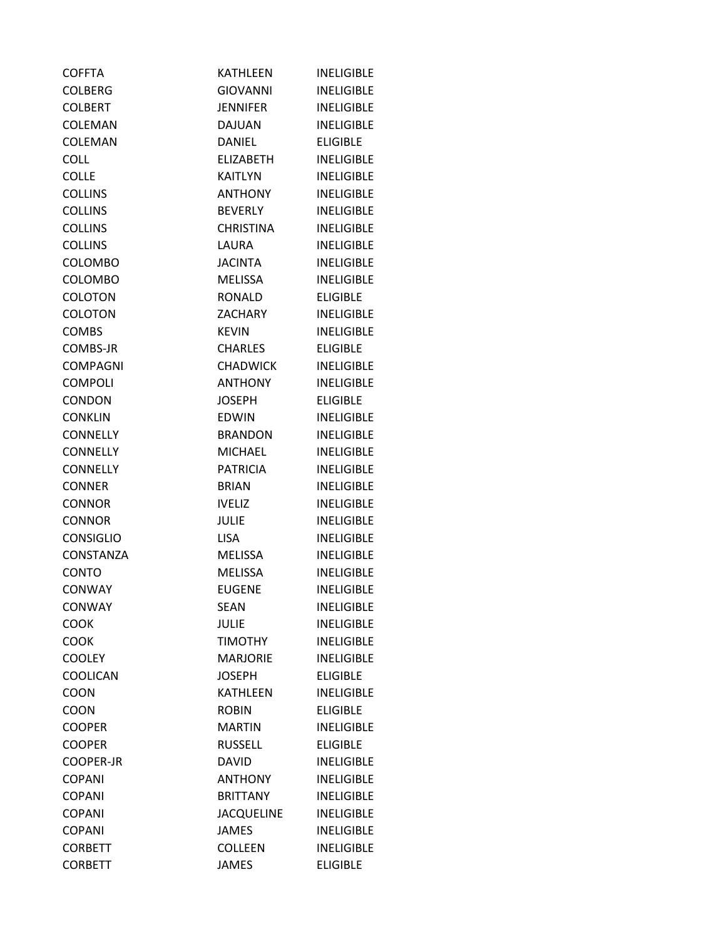| <b>COFFTA</b>    | <b>KATHLEEN</b>   | <b>INELIGIBLE</b> |
|------------------|-------------------|-------------------|
| <b>COLBERG</b>   | <b>GIOVANNI</b>   | <b>INFLIGIBLE</b> |
| <b>COLBERT</b>   | <b>JENNIFER</b>   | <b>INELIGIBLE</b> |
| COLEMAN          | <b>DAJUAN</b>     | <b>INELIGIBLE</b> |
| COLEMAN          | <b>DANIEL</b>     | <b>ELIGIBLE</b>   |
| <b>COLL</b>      | <b>ELIZABETH</b>  | <b>INELIGIBLE</b> |
| <b>COLLE</b>     | <b>KAITLYN</b>    | <b>INELIGIBLE</b> |
| <b>COLLINS</b>   | <b>ANTHONY</b>    | <b>INELIGIBLE</b> |
| <b>COLLINS</b>   | <b>BEVERLY</b>    | <b>INELIGIBLE</b> |
| <b>COLLINS</b>   | <b>CHRISTINA</b>  | <b>INELIGIBLE</b> |
| <b>COLLINS</b>   | LAURA             | <b>INELIGIBLE</b> |
| <b>COLOMBO</b>   | <b>JACINTA</b>    | <b>INELIGIBLE</b> |
| <b>COLOMBO</b>   | <b>MELISSA</b>    | <b>INELIGIBLE</b> |
| <b>COLOTON</b>   | <b>RONALD</b>     | <b>ELIGIBLE</b>   |
| <b>COLOTON</b>   | <b>ZACHARY</b>    | <b>INELIGIBLE</b> |
| <b>COMBS</b>     | <b>KEVIN</b>      | <b>INELIGIBLE</b> |
| COMBS-JR         | <b>CHARLES</b>    | <b>ELIGIBLE</b>   |
| <b>COMPAGNI</b>  | <b>CHADWICK</b>   | <b>INELIGIBLE</b> |
| <b>COMPOLI</b>   | <b>ANTHONY</b>    | <b>INELIGIBLE</b> |
| <b>CONDON</b>    | <b>JOSEPH</b>     | <b>ELIGIBLE</b>   |
| <b>CONKLIN</b>   | <b>EDWIN</b>      | <b>INELIGIBLE</b> |
| <b>CONNELLY</b>  | <b>BRANDON</b>    | <b>INELIGIBLE</b> |
| <b>CONNELLY</b>  | <b>MICHAEL</b>    | <b>INELIGIBLE</b> |
| <b>CONNELLY</b>  | <b>PATRICIA</b>   | <b>INELIGIBLE</b> |
| <b>CONNER</b>    | <b>BRIAN</b>      | <b>INELIGIBLE</b> |
| <b>CONNOR</b>    | <b>IVELIZ</b>     | <b>INELIGIBLE</b> |
| <b>CONNOR</b>    | <b>JULIE</b>      | <b>INELIGIBLE</b> |
| <b>CONSIGLIO</b> | <b>LISA</b>       | <b>INELIGIBLE</b> |
| CONSTANZA        | <b>MELISSA</b>    | <b>INELIGIBLE</b> |
| <b>CONTO</b>     | <b>MELISSA</b>    | <b>INELIGIBLE</b> |
| <b>CONWAY</b>    | <b>EUGENE</b>     | <b>INELIGIBLE</b> |
| <b>CONWAY</b>    | <b>SEAN</b>       | <b>INELIGIBLE</b> |
| <b>COOK</b>      | <b>JULIE</b>      | <b>INELIGIBLE</b> |
| <b>COOK</b>      | <b>TIMOTHY</b>    | <b>INELIGIBLE</b> |
| <b>COOLEY</b>    | <b>MARJORIE</b>   | <b>INELIGIBLE</b> |
| COOLICAN         | <b>JOSEPH</b>     | <b>ELIGIBLE</b>   |
| <b>COON</b>      | <b>KATHLEEN</b>   | <b>INELIGIBLE</b> |
| COON             | <b>ROBIN</b>      | <b>ELIGIBLE</b>   |
| <b>COOPER</b>    | <b>MARTIN</b>     | <b>INELIGIBLE</b> |
| <b>COOPER</b>    | <b>RUSSELL</b>    | <b>ELIGIBLE</b>   |
| <b>COOPER-JR</b> | <b>DAVID</b>      | <b>INELIGIBLE</b> |
| <b>COPANI</b>    | ANTHONY           | <b>INELIGIBLE</b> |
| <b>COPANI</b>    | <b>BRITTANY</b>   | <b>INELIGIBLE</b> |
| <b>COPANI</b>    | <b>JACQUELINE</b> | <b>INELIGIBLE</b> |
| <b>COPANI</b>    | <b>JAMES</b>      | <b>INELIGIBLE</b> |
| <b>CORBETT</b>   | <b>COLLEEN</b>    | <b>INELIGIBLE</b> |
| <b>CORBETT</b>   | <b>JAMES</b>      | <b>ELIGIBLE</b>   |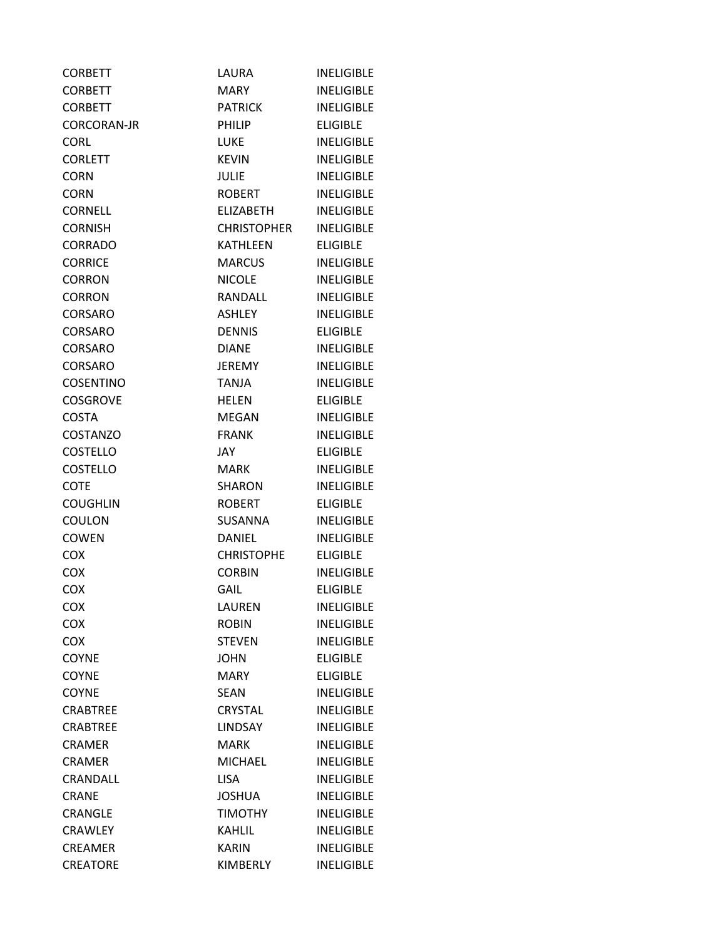| <b>CORBETT</b>     | LAURA              | <b>INELIGIBLE</b> |
|--------------------|--------------------|-------------------|
| <b>CORBETT</b>     | MARY.              | <b>INELIGIBLE</b> |
| <b>CORBETT</b>     | <b>PATRICK</b>     | <b>INELIGIBLE</b> |
| <b>CORCORAN-JR</b> | PHILIP             | <b>ELIGIBLE</b>   |
| <b>CORL</b>        | LUKE               | <b>INELIGIBLE</b> |
| <b>CORLETT</b>     | <b>KEVIN</b>       | <b>INELIGIBLE</b> |
| <b>CORN</b>        | JULIE              | <b>INELIGIBLE</b> |
| <b>CORN</b>        | <b>ROBERT</b>      | <b>INELIGIBLE</b> |
| <b>CORNELL</b>     | ELIZABETH          | <b>INELIGIBLE</b> |
| <b>CORNISH</b>     | <b>CHRISTOPHER</b> | <b>INELIGIBLE</b> |
| <b>CORRADO</b>     | KATHLEEN           | <b>ELIGIBLE</b>   |
| <b>CORRICE</b>     | MARCUS             | <b>INELIGIBLE</b> |
| <b>CORRON</b>      | <b>NICOLE</b>      | <b>INELIGIBLE</b> |
| <b>CORRON</b>      | RANDALL            | <b>INELIGIBLE</b> |
| CORSARO            | <b>ASHLEY</b>      | <b>INELIGIBLE</b> |
| <b>CORSARO</b>     | <b>DENNIS</b>      | <b>ELIGIBLE</b>   |
| <b>CORSARO</b>     | <b>DIANE</b>       | <b>INELIGIBLE</b> |
| CORSARO            | <b>JEREMY</b>      | <b>INELIGIBLE</b> |
| <b>COSENTINO</b>   | <b>TANJA</b>       | <b>INELIGIBLE</b> |
| <b>COSGROVE</b>    | <b>HELEN</b>       | <b>ELIGIBLE</b>   |
| <b>COSTA</b>       | MEGAN              | <b>INELIGIBLE</b> |
| <b>COSTANZO</b>    | <b>FRANK</b>       | <b>INELIGIBLE</b> |
| <b>COSTELLO</b>    | JAY.               | <b>ELIGIBLE</b>   |
| <b>COSTELLO</b>    | <b>MARK</b>        | <b>INELIGIBLE</b> |
| <b>COTE</b>        | <b>SHARON</b>      | <b>INELIGIBLE</b> |
| <b>COUGHLIN</b>    | <b>ROBERT</b>      | <b>ELIGIBLE</b>   |
| COULON             | <b>SUSANNA</b>     | <b>INELIGIBLE</b> |
| COWEN              | <b>DANIEL</b>      | <b>INELIGIBLE</b> |
| COX                | <b>CHRISTOPHE</b>  | <b>ELIGIBLE</b>   |
| <b>COX</b>         | <b>CORBIN</b>      | <b>INELIGIBLE</b> |
| COX                | GAIL               | <b>ELIGIBLE</b>   |
| COX                | LAUREN             | <b>INELIGIBLE</b> |
| <b>COX</b>         | <b>ROBIN</b>       | <b>INELIGIBLE</b> |
| <b>COX</b>         | <b>STEVEN</b>      | <b>INELIGIBLE</b> |
| <b>COYNE</b>       | <b>JOHN</b>        | <b>ELIGIBLE</b>   |
| <b>COYNE</b>       | <b>MARY</b>        | <b>ELIGIBLE</b>   |
| <b>COYNE</b>       | SEAN               | <b>INELIGIBLE</b> |
| <b>CRABTREE</b>    | <b>CRYSTAL</b>     | <b>INELIGIBLE</b> |
| <b>CRABTREE</b>    | <b>LINDSAY</b>     | <b>INELIGIBLE</b> |
| <b>CRAMER</b>      | <b>MARK</b>        | <b>INELIGIBLE</b> |
| <b>CRAMER</b>      | <b>MICHAEL</b>     | <b>INELIGIBLE</b> |
| CRANDALL           | <b>LISA</b>        | <b>INELIGIBLE</b> |
| <b>CRANE</b>       | <b>JOSHUA</b>      | <b>INELIGIBLE</b> |
| CRANGLE            | <b>TIMOTHY</b>     | <b>INELIGIBLE</b> |
| CRAWLEY            | KAHLIL             | <b>INELIGIBLE</b> |
| CREAMER            | <b>KARIN</b>       | <b>INELIGIBLE</b> |
| <b>CREATORE</b>    | KIMBERLY           | <b>INELIGIBLE</b> |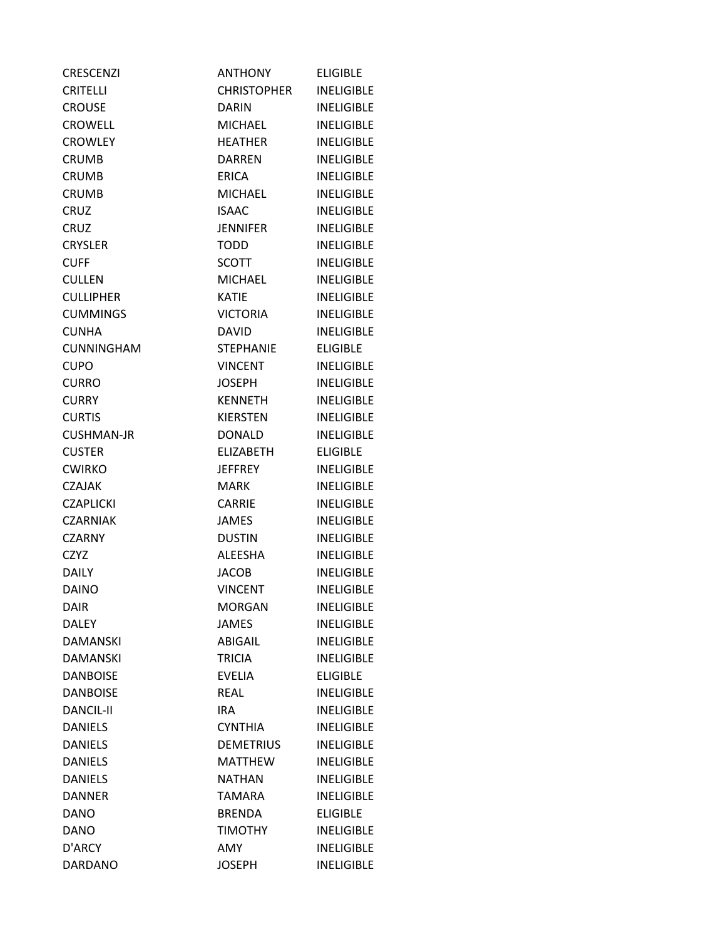| <b>CRESCENZI</b>  | <b>ANTHONY</b>     | <b>ELIGIBLE</b>   |
|-------------------|--------------------|-------------------|
| <b>CRITELLI</b>   | <b>CHRISTOPHER</b> | <b>INELIGIBLE</b> |
| <b>CROUSE</b>     | <b>DARIN</b>       | <b>INELIGIBLE</b> |
| <b>CROWELL</b>    | <b>MICHAEL</b>     | <b>INELIGIBLE</b> |
| <b>CROWLEY</b>    | <b>HEATHER</b>     | <b>INELIGIBLE</b> |
| <b>CRUMB</b>      | DARREN             | <b>INELIGIBLE</b> |
| <b>CRUMB</b>      | <b>ERICA</b>       | <b>INELIGIBLE</b> |
| <b>CRUMB</b>      | <b>MICHAEL</b>     | <b>INELIGIBLE</b> |
| <b>CRUZ</b>       | <b>ISAAC</b>       | <b>INELIGIBLE</b> |
| <b>CRUZ</b>       | <b>JENNIFER</b>    | <b>INELIGIBLE</b> |
| <b>CRYSLER</b>    | <b>TODD</b>        | <b>INELIGIBLE</b> |
| <b>CUFF</b>       | <b>SCOTT</b>       | <b>INELIGIBLE</b> |
| <b>CULLEN</b>     | MICHAEL            | <b>INELIGIBLE</b> |
| <b>CULLIPHER</b>  | <b>KATIE</b>       | <b>INELIGIBLE</b> |
| <b>CUMMINGS</b>   | <b>VICTORIA</b>    | <b>INELIGIBLE</b> |
| <b>CUNHA</b>      | <b>DAVID</b>       | <b>INELIGIBLE</b> |
| <b>CUNNINGHAM</b> | <b>STEPHANIE</b>   | <b>ELIGIBLE</b>   |
| <b>CUPO</b>       | <b>VINCENT</b>     | <b>INELIGIBLE</b> |
| <b>CURRO</b>      | <b>JOSEPH</b>      | <b>INELIGIBLE</b> |
| <b>CURRY</b>      | <b>KENNETH</b>     | <b>INELIGIBLE</b> |
| <b>CURTIS</b>     | <b>KIERSTEN</b>    | <b>INELIGIBLE</b> |
| <b>CUSHMAN-JR</b> | <b>DONALD</b>      | <b>INELIGIBLE</b> |
| <b>CUSTER</b>     | <b>ELIZABETH</b>   | <b>ELIGIBLE</b>   |
| <b>CWIRKO</b>     | <b>JEFFREY</b>     | <b>INELIGIBLE</b> |
| <b>CZAJAK</b>     | MARK.              | <b>INELIGIBLE</b> |
| <b>CZAPLICKI</b>  | <b>CARRIE</b>      | <b>INELIGIBLE</b> |
| <b>CZARNIAK</b>   | <b>JAMES</b>       | <b>INELIGIBLE</b> |
| <b>CZARNY</b>     | <b>DUSTIN</b>      | <b>INELIGIBLE</b> |
| <b>CZYZ</b>       | ALEESHA            | <b>INELIGIBLE</b> |
| <b>DAILY</b>      | <b>JACOB</b>       | <b>INELIGIBLE</b> |
| <b>DAINO</b>      | <b>VINCENT</b>     | <b>INELIGIBLE</b> |
| <b>DAIR</b>       | <b>MORGAN</b>      | <b>INELIGIBLE</b> |
| <b>DALEY</b>      | <b>JAMES</b>       | <b>INELIGIBLE</b> |
| <b>DAMANSKI</b>   | ABIGAIL            | <b>INELIGIBLE</b> |
| <b>DAMANSKI</b>   | <b>TRICIA</b>      | <b>INELIGIBLE</b> |
| <b>DANBOISE</b>   | <b>EVELIA</b>      | <b>ELIGIBLE</b>   |
| <b>DANBOISE</b>   | <b>REAL</b>        | <b>INELIGIBLE</b> |
| <b>DANCIL-II</b>  | <b>IRA</b>         | <b>INELIGIBLE</b> |
| <b>DANIELS</b>    | <b>CYNTHIA</b>     | <b>INELIGIBLE</b> |
| <b>DANIELS</b>    | <b>DEMETRIUS</b>   | <b>INELIGIBLE</b> |
| <b>DANIELS</b>    | <b>MATTHEW</b>     | <b>INELIGIBLE</b> |
| <b>DANIELS</b>    | <b>NATHAN</b>      | <b>INELIGIBLE</b> |
| <b>DANNER</b>     | TAMARA             | <b>INELIGIBLE</b> |
| <b>DANO</b>       | <b>BRENDA</b>      | <b>ELIGIBLE</b>   |
| <b>DANO</b>       | <b>TIMOTHY</b>     | <b>INELIGIBLE</b> |
| D'ARCY            | AMY                | <b>INELIGIBLE</b> |
| <b>DARDANO</b>    | <b>JOSEPH</b>      | <b>INELIGIBLE</b> |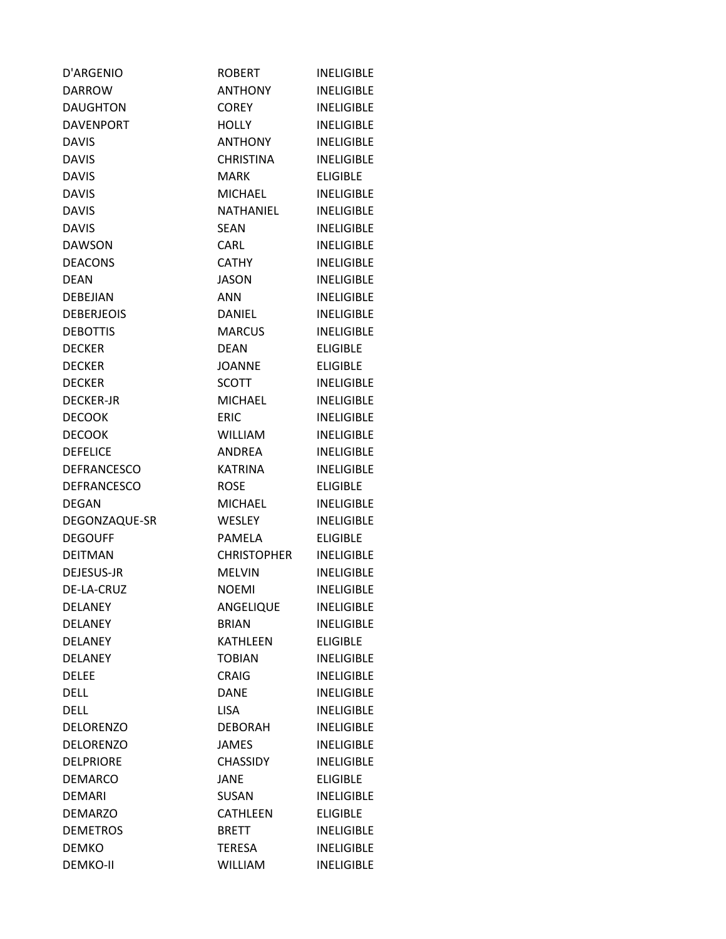| D'ARGENIO          | <b>ROBERT</b>      | <b>INELIGIBLE</b> |
|--------------------|--------------------|-------------------|
| <b>DARROW</b>      | <b>ANTHONY</b>     | <b>INELIGIBLE</b> |
| <b>DAUGHTON</b>    | <b>COREY</b>       | <b>INELIGIBLE</b> |
| <b>DAVENPORT</b>   | <b>HOLLY</b>       | <b>INELIGIBLE</b> |
| <b>DAVIS</b>       | <b>ANTHONY</b>     | <b>INELIGIBLE</b> |
| <b>DAVIS</b>       | <b>CHRISTINA</b>   | <b>INELIGIBLE</b> |
| <b>DAVIS</b>       | <b>MARK</b>        | <b>ELIGIBLE</b>   |
| <b>DAVIS</b>       | <b>MICHAEL</b>     | <b>INELIGIBLE</b> |
| <b>DAVIS</b>       | NATHANIEL          | <b>INELIGIBLE</b> |
| <b>DAVIS</b>       | <b>SEAN</b>        | <b>INELIGIBLE</b> |
| <b>DAWSON</b>      | <b>CARL</b>        | <b>INELIGIBLE</b> |
| <b>DEACONS</b>     | <b>CATHY</b>       | <b>INELIGIBLE</b> |
| <b>DEAN</b>        | <b>JASON</b>       | <b>INELIGIBLE</b> |
| <b>DEBEJIAN</b>    | <b>ANN</b>         | <b>INELIGIBLE</b> |
| <b>DEBERJEOIS</b>  | <b>DANIEL</b>      | <b>INELIGIBLE</b> |
| <b>DEBOTTIS</b>    | <b>MARCUS</b>      | <b>INELIGIBLE</b> |
| <b>DECKER</b>      | <b>DEAN</b>        | <b>ELIGIBLE</b>   |
| <b>DECKER</b>      | <b>JOANNE</b>      | <b>ELIGIBLE</b>   |
| <b>DECKER</b>      | <b>SCOTT</b>       | <b>INELIGIBLE</b> |
| <b>DECKER-JR</b>   | <b>MICHAEL</b>     | <b>INELIGIBLE</b> |
| <b>DECOOK</b>      | <b>ERIC</b>        | <b>INELIGIBLE</b> |
| <b>DECOOK</b>      | WILLIAM            | <b>INELIGIBLE</b> |
| <b>DEFELICE</b>    | <b>ANDREA</b>      | <b>INELIGIBLE</b> |
| <b>DEFRANCESCO</b> | KATRINA            | <b>INELIGIBLE</b> |
| <b>DEFRANCESCO</b> | <b>ROSE</b>        | <b>ELIGIBLE</b>   |
| <b>DEGAN</b>       | <b>MICHAEL</b>     | <b>INELIGIBLE</b> |
| DEGONZAQUE-SR      | WESLEY             | <b>INELIGIBLE</b> |
| <b>DEGOUFF</b>     | PAMELA             | <b>ELIGIBLE</b>   |
| <b>DEITMAN</b>     | <b>CHRISTOPHER</b> | <b>INELIGIBLE</b> |
| DEJESUS-JR         | <b>MELVIN</b>      | <b>INELIGIBLE</b> |
| DE-LA-CRUZ         | <b>NOEMI</b>       | <b>INELIGIBLE</b> |
| <b>DELANEY</b>     | ANGELIQUE          | <b>INELIGIBLE</b> |
| <b>DELANEY</b>     | <b>BRIAN</b>       | <b>INELIGIBLE</b> |
| <b>DELANEY</b>     | <b>KATHLEEN</b>    | <b>ELIGIBLE</b>   |
| <b>DELANEY</b>     | <b>TOBIAN</b>      | <b>INELIGIBLE</b> |
| <b>DELEE</b>       | <b>CRAIG</b>       | <b>INELIGIBLE</b> |
| <b>DELL</b>        | DANE               | <b>INELIGIBLE</b> |
| <b>DELL</b>        | <b>LISA</b>        | <b>INELIGIBLE</b> |
| <b>DELORENZO</b>   | <b>DEBORAH</b>     | <b>INELIGIBLE</b> |
| <b>DELORENZO</b>   | <b>JAMES</b>       | <b>INELIGIBLE</b> |
| <b>DELPRIORE</b>   | <b>CHASSIDY</b>    | <b>INELIGIBLE</b> |
| <b>DEMARCO</b>     | <b>JANE</b>        | <b>ELIGIBLE</b>   |
| <b>DEMARI</b>      | SUSAN              | <b>INELIGIBLE</b> |
| <b>DEMARZO</b>     | <b>CATHLEEN</b>    | <b>ELIGIBLE</b>   |
| <b>DEMETROS</b>    | <b>BRETT</b>       | <b>INELIGIBLE</b> |
| <b>DEMKO</b>       | <b>TERESA</b>      | <b>INELIGIBLE</b> |
| <b>DEMKO-II</b>    | WILLIAM            | <b>INELIGIBLE</b> |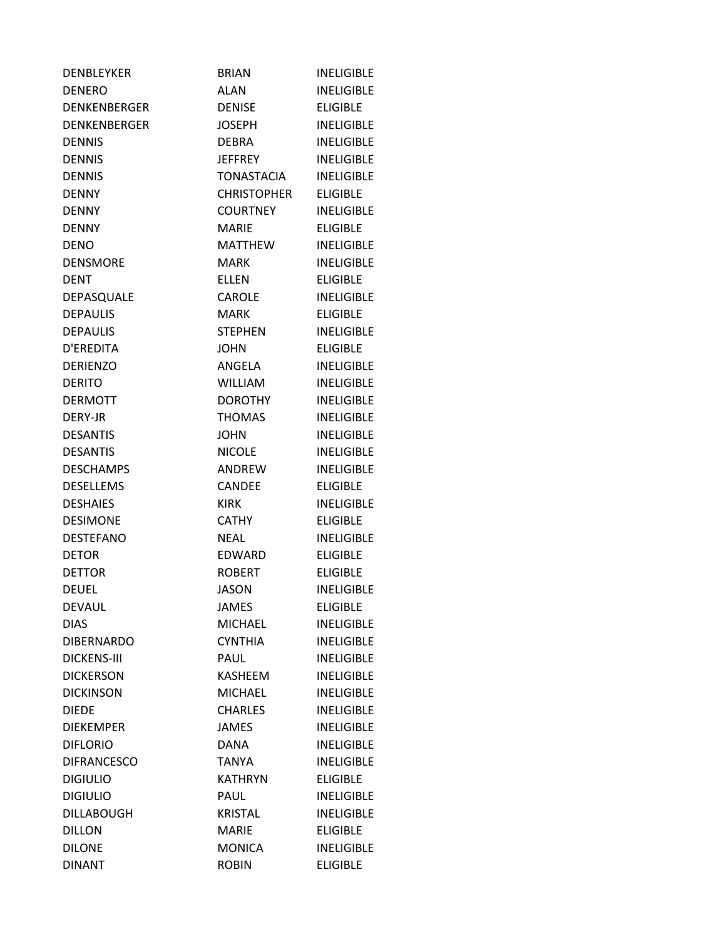| <b>DENBLEYKER</b>   | <b>BRIAN</b>       | <b>INELIGIBLE</b> |
|---------------------|--------------------|-------------------|
| <b>DENERO</b>       | ALAN               | <b>INELIGIBLE</b> |
| <b>DENKENBERGER</b> | <b>DENISE</b>      | <b>ELIGIBLE</b>   |
| <b>DENKENBERGER</b> | <b>JOSEPH</b>      | <b>INELIGIBLE</b> |
| <b>DENNIS</b>       | <b>DEBRA</b>       | <b>INELIGIBLE</b> |
| <b>DENNIS</b>       | JEFFREY            | <b>INELIGIBLE</b> |
| <b>DENNIS</b>       | TONASTACIA         | <b>INELIGIBLE</b> |
| <b>DENNY</b>        | <b>CHRISTOPHER</b> | <b>ELIGIBLE</b>   |
| <b>DENNY</b>        | <b>COURTNEY</b>    | <b>INELIGIBLE</b> |
| <b>DENNY</b>        | <b>MARIE</b>       | <b>ELIGIBLE</b>   |
| <b>DENO</b>         | MATTHEW            | <b>INELIGIBLE</b> |
| <b>DENSMORE</b>     | <b>MARK</b>        | <b>INELIGIBLE</b> |
| <b>DENT</b>         | ELLEN              | <b>ELIGIBLE</b>   |
| DEPASQUALE          | <b>CAROLE</b>      | <b>INELIGIBLE</b> |
| <b>DEPAULIS</b>     | <b>MARK</b>        | <b>ELIGIBLE</b>   |
| <b>DEPAULIS</b>     | <b>STEPHEN</b>     | <b>INELIGIBLE</b> |
| D'EREDITA           | <b>JOHN</b>        | <b>ELIGIBLE</b>   |
| <b>DERIENZO</b>     | ANGELA             | <b>INELIGIBLE</b> |
| <b>DERITO</b>       | <b>WILLIAM</b>     | <b>INELIGIBLE</b> |
| <b>DERMOTT</b>      | <b>DOROTHY</b>     | <b>INELIGIBLE</b> |
| DERY-JR             | <b>THOMAS</b>      | <b>INELIGIBLE</b> |
| <b>DESANTIS</b>     | <b>JOHN</b>        | <b>INELIGIBLE</b> |
| <b>DESANTIS</b>     | <b>NICOLE</b>      | <b>INELIGIBLE</b> |
| <b>DESCHAMPS</b>    | ANDREW             | <b>INELIGIBLE</b> |
| <b>DESELLEMS</b>    | <b>CANDEE</b>      | <b>ELIGIBLE</b>   |
| <b>DESHAIES</b>     | <b>KIRK</b>        | <b>INELIGIBLE</b> |
| <b>DESIMONE</b>     | <b>CATHY</b>       | <b>ELIGIBLE</b>   |
| <b>DESTEFANO</b>    | <b>NEAL</b>        | <b>INELIGIBLE</b> |
| <b>DETOR</b>        | <b>EDWARD</b>      | <b>ELIGIBLE</b>   |
| <b>DETTOR</b>       | <b>ROBERT</b>      | <b>ELIGIBLE</b>   |
| <b>DEUEL</b>        | <b>JASON</b>       | <b>INELIGIBLE</b> |
| <b>DEVAUL</b>       | <b>JAMES</b>       | <b>ELIGIBLE</b>   |
| <b>DIAS</b>         | <b>MICHAEL</b>     | <b>INELIGIBLE</b> |
| <b>DIBERNARDO</b>   | <b>CYNTHIA</b>     | <b>INELIGIBLE</b> |
| <b>DICKENS-III</b>  | PAUL               | <b>INELIGIBLE</b> |
| <b>DICKERSON</b>    | <b>KASHEEM</b>     | <b>INELIGIBLE</b> |
| <b>DICKINSON</b>    | <b>MICHAEL</b>     | <b>INELIGIBLE</b> |
| <b>DIEDE</b>        | <b>CHARLES</b>     | <b>INELIGIBLE</b> |
| <b>DIEKEMPER</b>    | <b>JAMES</b>       | <b>INELIGIBLE</b> |
| <b>DIFLORIO</b>     | <b>DANA</b>        | <b>INELIGIBLE</b> |
| <b>DIFRANCESCO</b>  | <b>TANYA</b>       | <b>INELIGIBLE</b> |
| <b>DIGIULIO</b>     | <b>KATHRYN</b>     | <b>ELIGIBLE</b>   |
| <b>DIGIULIO</b>     | PAUL               | <b>INELIGIBLE</b> |
| <b>DILLABOUGH</b>   | <b>KRISTAL</b>     | <b>INELIGIBLE</b> |
| <b>DILLON</b>       | <b>MARIE</b>       | <b>ELIGIBLE</b>   |
| <b>DILONE</b>       | <b>MONICA</b>      | <b>INELIGIBLE</b> |
| <b>DINANT</b>       | <b>ROBIN</b>       | <b>ELIGIBLE</b>   |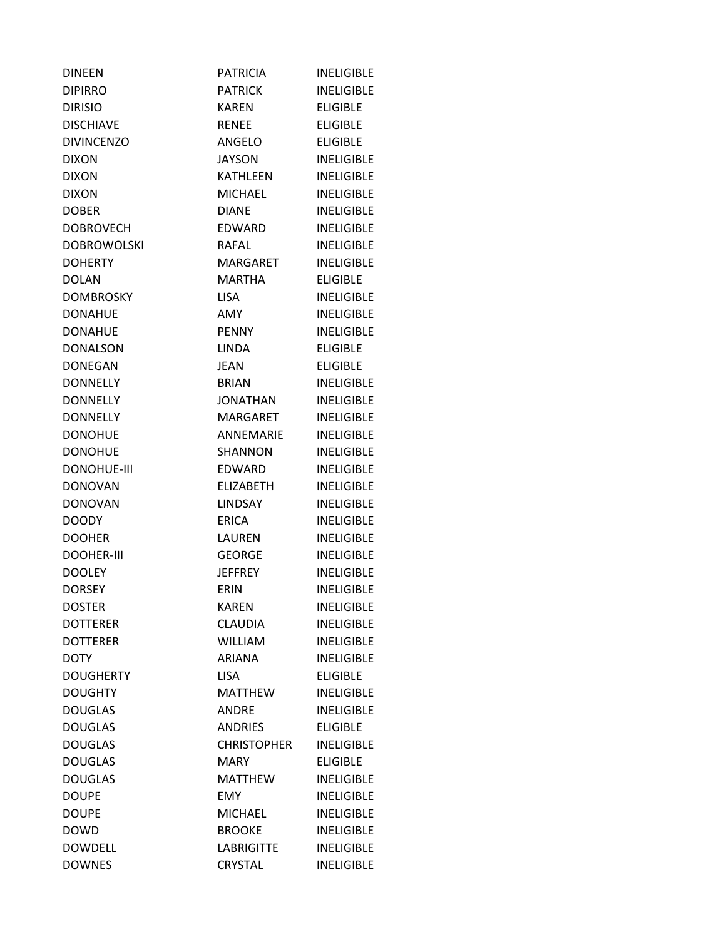| <b>DINEEN</b>      | <b>PATRICIA</b>    | <b>INELIGIBLE</b> |
|--------------------|--------------------|-------------------|
| <b>DIPIRRO</b>     | PATRICK            | <b>INELIGIBLE</b> |
| <b>DIRISIO</b>     | <b>KAREN</b>       | <b>ELIGIBLE</b>   |
| <b>DISCHIAVE</b>   | <b>RENEE</b>       | <b>ELIGIBLE</b>   |
| <b>DIVINCENZO</b>  | ANGELO             | <b>ELIGIBLE</b>   |
| <b>DIXON</b>       | <b>JAYSON</b>      | <b>INELIGIBLE</b> |
| <b>DIXON</b>       | <b>KATHLEEN</b>    | <b>INELIGIBLE</b> |
| <b>DIXON</b>       | <b>MICHAEL</b>     | <b>INELIGIBLE</b> |
| <b>DOBER</b>       | <b>DIANE</b>       | <b>INELIGIBLE</b> |
| <b>DOBROVECH</b>   | EDWARD             | <b>INELIGIBLE</b> |
| <b>DOBROWOLSKI</b> | <b>RAFAL</b>       | <b>INELIGIBLE</b> |
| <b>DOHERTY</b>     | MARGARET           | <b>INELIGIBLE</b> |
| <b>DOLAN</b>       | <b>MARTHA</b>      | <b>ELIGIBLE</b>   |
| <b>DOMBROSKY</b>   | <b>LISA</b>        | <b>INELIGIBLE</b> |
| <b>DONAHUE</b>     | <b>AMY</b>         | <b>INELIGIBLE</b> |
| <b>DONAHUE</b>     | <b>PENNY</b>       | <b>INELIGIBLE</b> |
| <b>DONALSON</b>    | <b>LINDA</b>       | <b>ELIGIBLE</b>   |
| <b>DONEGAN</b>     | <b>JEAN</b>        | <b>ELIGIBLE</b>   |
| <b>DONNELLY</b>    | <b>BRIAN</b>       | <b>INELIGIBLE</b> |
| <b>DONNELLY</b>    | <b>JONATHAN</b>    | <b>INELIGIBLE</b> |
| <b>DONNELLY</b>    | MARGARET           | <b>INELIGIBLE</b> |
| <b>DONOHUE</b>     | <b>ANNEMARIE</b>   | <b>INELIGIBLE</b> |
| <b>DONOHUE</b>     | <b>SHANNON</b>     | <b>INELIGIBLE</b> |
| <b>DONOHUE-III</b> | EDWARD             | <b>INELIGIBLE</b> |
| <b>DONOVAN</b>     | ELIZABETH          | <b>INELIGIBLE</b> |
| <b>DONOVAN</b>     | <b>LINDSAY</b>     | <b>INELIGIBLE</b> |
| <b>DOODY</b>       | <b>ERICA</b>       | <b>INELIGIBLE</b> |
| <b>DOOHER</b>      | LAUREN             | <b>INELIGIBLE</b> |
| <b>DOOHER-III</b>  | <b>GEORGE</b>      | <b>INELIGIBLE</b> |
| <b>DOOLEY</b>      | <b>JEFFREY</b>     | <b>INELIGIBLE</b> |
| <b>DORSEY</b>      | ERIN               | <b>INELIGIBLE</b> |
| <b>DOSTER</b>      | <b>KAREN</b>       | <b>INELIGIBLE</b> |
| <b>DOTTERER</b>    | <b>CLAUDIA</b>     | <b>INELIGIBLE</b> |
| <b>DOTTERER</b>    | <b>WILLIAM</b>     | <b>INELIGIBLE</b> |
| <b>DOTY</b>        | <b>ARIANA</b>      | <b>INELIGIBLE</b> |
| <b>DOUGHERTY</b>   | <b>LISA</b>        | <b>ELIGIBLE</b>   |
| <b>DOUGHTY</b>     | <b>MATTHEW</b>     | <b>INELIGIBLE</b> |
| <b>DOUGLAS</b>     | <b>ANDRE</b>       | <b>INELIGIBLE</b> |
| <b>DOUGLAS</b>     | <b>ANDRIES</b>     | <b>ELIGIBLE</b>   |
| <b>DOUGLAS</b>     | <b>CHRISTOPHER</b> | <b>INELIGIBLE</b> |
| <b>DOUGLAS</b>     | <b>MARY</b>        | <b>ELIGIBLE</b>   |
| <b>DOUGLAS</b>     | <b>MATTHEW</b>     | <b>INELIGIBLE</b> |
| <b>DOUPE</b>       | <b>EMY</b>         | <b>INELIGIBLE</b> |
| <b>DOUPE</b>       | <b>MICHAEL</b>     | <b>INELIGIBLE</b> |
| <b>DOWD</b>        | <b>BROOKE</b>      | <b>INELIGIBLE</b> |
| <b>DOWDELL</b>     | <b>LABRIGITTE</b>  | <b>INELIGIBLE</b> |
| <b>DOWNES</b>      | CRYSTAL            | <b>INELIGIBLE</b> |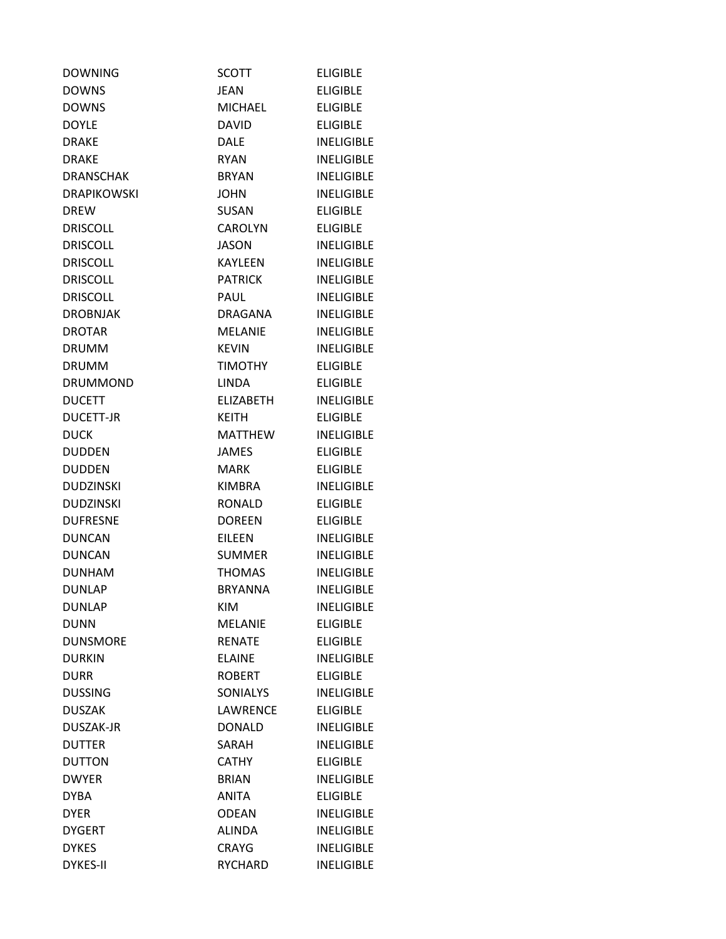| <b>DOWNING</b>     | <b>SCOTT</b>     | <b>ELIGIBLE</b>   |
|--------------------|------------------|-------------------|
| <b>DOWNS</b>       | <b>JEAN</b>      | <b>ELIGIBLE</b>   |
| <b>DOWNS</b>       | <b>MICHAEL</b>   | <b>ELIGIBLE</b>   |
| <b>DOYLE</b>       | <b>DAVID</b>     | <b>ELIGIBLE</b>   |
| <b>DRAKE</b>       | <b>DALE</b>      | <b>INELIGIBLE</b> |
| <b>DRAKE</b>       | <b>RYAN</b>      | <b>INELIGIBLE</b> |
| <b>DRANSCHAK</b>   | <b>BRYAN</b>     | <b>INELIGIBLE</b> |
| <b>DRAPIKOWSKI</b> | <b>JOHN</b>      | <b>INELIGIBLE</b> |
| <b>DREW</b>        | <b>SUSAN</b>     | <b>ELIGIBLE</b>   |
| <b>DRISCOLL</b>    | <b>CAROLYN</b>   | <b>ELIGIBLE</b>   |
| <b>DRISCOLL</b>    | <b>JASON</b>     | <b>INELIGIBLE</b> |
| <b>DRISCOLL</b>    | KAYLEEN          | <b>INELIGIBLE</b> |
| <b>DRISCOLL</b>    | <b>PATRICK</b>   | <b>INELIGIBLE</b> |
| <b>DRISCOLL</b>    | PAUL             | <b>INELIGIBLE</b> |
| <b>DROBNJAK</b>    | DRAGANA          | <b>INELIGIBLE</b> |
| <b>DROTAR</b>      | <b>MELANIE</b>   | <b>INELIGIBLE</b> |
| <b>DRUMM</b>       | <b>KEVIN</b>     | <b>INELIGIBLE</b> |
| <b>DRUMM</b>       | <b>TIMOTHY</b>   | <b>ELIGIBLE</b>   |
| <b>DRUMMOND</b>    | <b>LINDA</b>     | <b>ELIGIBLE</b>   |
| <b>DUCETT</b>      | <b>ELIZABETH</b> | <b>INELIGIBLE</b> |
| <b>DUCETT-JR</b>   | <b>KEITH</b>     | <b>ELIGIBLE</b>   |
| <b>DUCK</b>        | <b>MATTHEW</b>   | <b>INELIGIBLE</b> |
| <b>DUDDEN</b>      | <b>JAMES</b>     | <b>ELIGIBLE</b>   |
| <b>DUDDEN</b>      | MARK             | <b>ELIGIBLE</b>   |
| <b>DUDZINSKI</b>   | <b>KIMBRA</b>    | <b>INELIGIBLE</b> |
| <b>DUDZINSKI</b>   | <b>RONALD</b>    | <b>ELIGIBLE</b>   |
| <b>DUFRESNE</b>    | <b>DOREEN</b>    | <b>ELIGIBLE</b>   |
| <b>DUNCAN</b>      | EILEEN           | <b>INELIGIBLE</b> |
| <b>DUNCAN</b>      | <b>SUMMER</b>    | <b>INELIGIBLE</b> |
| <b>DUNHAM</b>      | <b>THOMAS</b>    | <b>INELIGIBLE</b> |
| <b>DUNLAP</b>      | <b>BRYANNA</b>   | <b>INELIGIBLE</b> |
| <b>DUNLAP</b>      | <b>KIM</b>       | <b>INELIGIBLE</b> |
| <b>DUNN</b>        | <b>MELANIE</b>   | <b>ELIGIBLE</b>   |
| <b>DUNSMORE</b>    | <b>RENATE</b>    | <b>ELIGIBLE</b>   |
| <b>DURKIN</b>      | <b>ELAINE</b>    | <b>INELIGIBLE</b> |
| <b>DURR</b>        | <b>ROBERT</b>    | <b>ELIGIBLE</b>   |
| <b>DUSSING</b>     | <b>SONIALYS</b>  | <b>INELIGIBLE</b> |
| <b>DUSZAK</b>      | <b>LAWRENCE</b>  | <b>ELIGIBLE</b>   |
| DUSZAK-JR          | <b>DONALD</b>    | <b>INELIGIBLE</b> |
| <b>DUTTER</b>      | SARAH            | <b>INELIGIBLE</b> |
| <b>DUTTON</b>      | <b>CATHY</b>     | <b>ELIGIBLE</b>   |
| <b>DWYER</b>       | <b>BRIAN</b>     | <b>INELIGIBLE</b> |
| <b>DYBA</b>        | <b>ANITA</b>     | <b>ELIGIBLE</b>   |
| <b>DYER</b>        | <b>ODEAN</b>     | <b>INELIGIBLE</b> |
| <b>DYGERT</b>      | <b>ALINDA</b>    | <b>INELIGIBLE</b> |
| <b>DYKES</b>       | <b>CRAYG</b>     | <b>INELIGIBLE</b> |
| <b>DYKES-II</b>    | <b>RYCHARD</b>   | <b>INELIGIBLE</b> |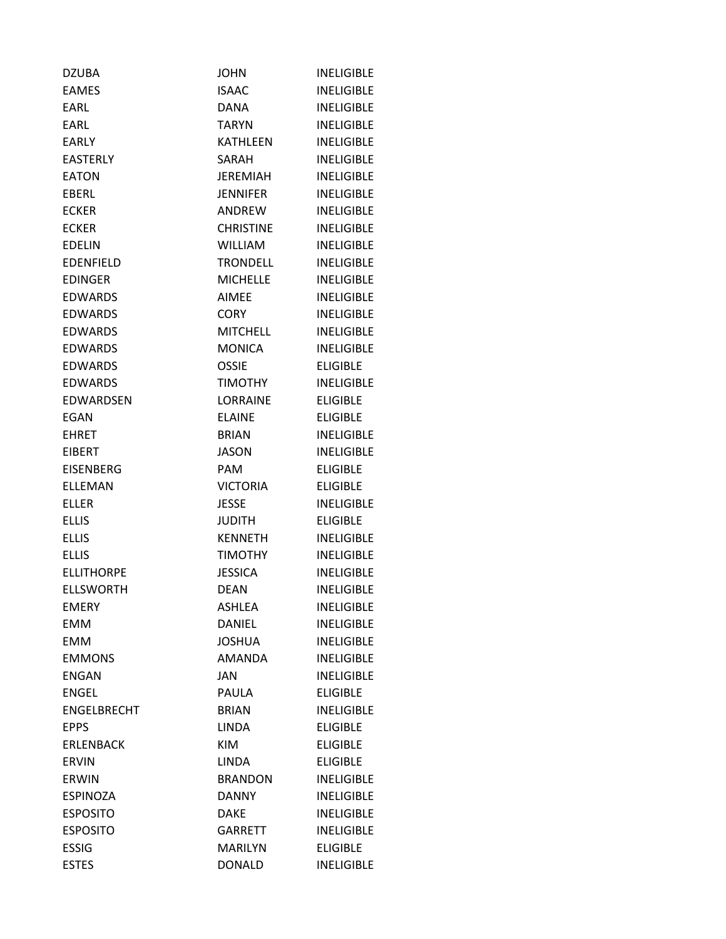| <b>DZUBA</b>       | <b>JOHN</b>      | <b>INELIGIBLE</b> |
|--------------------|------------------|-------------------|
| <b>EAMES</b>       | <b>ISAAC</b>     | <b>INELIGIBLE</b> |
| <b>FARL</b>        | <b>DANA</b>      | <b>INELIGIBLE</b> |
| EARL               | <b>TARYN</b>     | <b>INELIGIBLE</b> |
| <b>EARLY</b>       | <b>KATHLEEN</b>  | <b>INELIGIBLE</b> |
| <b>EASTERLY</b>    | SARAH            | <b>INELIGIBLE</b> |
| <b>EATON</b>       | <b>JEREMIAH</b>  | <b>INELIGIBLE</b> |
| <b>FBFRL</b>       | <b>JENNIFER</b>  | <b>INELIGIBLE</b> |
| <b>ECKER</b>       | ANDREW           | <b>INELIGIBLE</b> |
| <b>ECKER</b>       | <b>CHRISTINE</b> | <b>INELIGIBLE</b> |
| <b>EDELIN</b>      | <b>WILLIAM</b>   | <b>INELIGIBLE</b> |
| <b>EDENFIELD</b>   | <b>TRONDELL</b>  | <b>INELIGIBLE</b> |
| <b>EDINGER</b>     | <b>MICHELLE</b>  | <b>INELIGIBLE</b> |
| <b>EDWARDS</b>     | <b>AIMEE</b>     | <b>INELIGIBLE</b> |
| <b>EDWARDS</b>     | CORY             | <b>INELIGIBLE</b> |
| <b>EDWARDS</b>     | <b>MITCHELL</b>  | <b>INELIGIBLE</b> |
| <b>EDWARDS</b>     | <b>MONICA</b>    | <b>INELIGIBLE</b> |
| <b>EDWARDS</b>     | <b>OSSIE</b>     | <b>ELIGIBLE</b>   |
| <b>FDWARDS</b>     | <b>TIMOTHY</b>   | <b>INELIGIBLE</b> |
| EDWARDSEN          | <b>LORRAINE</b>  | <b>ELIGIBLE</b>   |
| EGAN               | <b>ELAINE</b>    | <b>ELIGIBLE</b>   |
| <b>EHRET</b>       | <b>BRIAN</b>     | <b>INELIGIBLE</b> |
| <b>EIBERT</b>      | <b>JASON</b>     | <b>INELIGIBLE</b> |
| <b>EISENBERG</b>   | <b>PAM</b>       | <b>ELIGIBLE</b>   |
| <b>ELLEMAN</b>     | <b>VICTORIA</b>  | <b>ELIGIBLE</b>   |
| <b>ELLER</b>       | <b>JESSE</b>     | <b>INELIGIBLE</b> |
| <b>ELLIS</b>       | <b>JUDITH</b>    | <b>ELIGIBLE</b>   |
| <b>ELLIS</b>       | <b>KENNETH</b>   | <b>INELIGIBLE</b> |
| <b>ELLIS</b>       | <b>TIMOTHY</b>   | <b>INELIGIBLE</b> |
| <b>ELLITHORPE</b>  | <b>JESSICA</b>   | <b>INELIGIBLE</b> |
| <b>ELLSWORTH</b>   | <b>DEAN</b>      | <b>INELIGIBLE</b> |
| <b>EMERY</b>       | <b>ASHLEA</b>    | <b>INELIGIBLE</b> |
| <b>EMM</b>         | DANIEL           | <b>INELIGIBLE</b> |
| <b>EMM</b>         | <b>JOSHUA</b>    | <b>INELIGIBLE</b> |
| <b>EMMONS</b>      | <b>AMANDA</b>    | <b>INELIGIBLE</b> |
| <b>ENGAN</b>       | <b>JAN</b>       | <b>INELIGIBLE</b> |
| <b>ENGEL</b>       | PAULA            | <b>ELIGIBLE</b>   |
| <b>ENGELBRECHT</b> | <b>BRIAN</b>     | <b>INELIGIBLE</b> |
| <b>EPPS</b>        | <b>LINDA</b>     | <b>ELIGIBLE</b>   |
| <b>ERLENBACK</b>   | <b>KIM</b>       | <b>ELIGIBLE</b>   |
| <b>ERVIN</b>       | <b>LINDA</b>     | <b>ELIGIBLE</b>   |
| <b>ERWIN</b>       | <b>BRANDON</b>   | <b>INELIGIBLE</b> |
| <b>ESPINOZA</b>    | <b>DANNY</b>     | <b>INELIGIBLE</b> |
| <b>ESPOSITO</b>    | <b>DAKE</b>      | <b>INELIGIBLE</b> |
| <b>ESPOSITO</b>    | <b>GARRETT</b>   | <b>INELIGIBLE</b> |
| <b>ESSIG</b>       | <b>MARILYN</b>   | <b>ELIGIBLE</b>   |
| <b>ESTES</b>       | <b>DONALD</b>    | <b>INELIGIBLE</b> |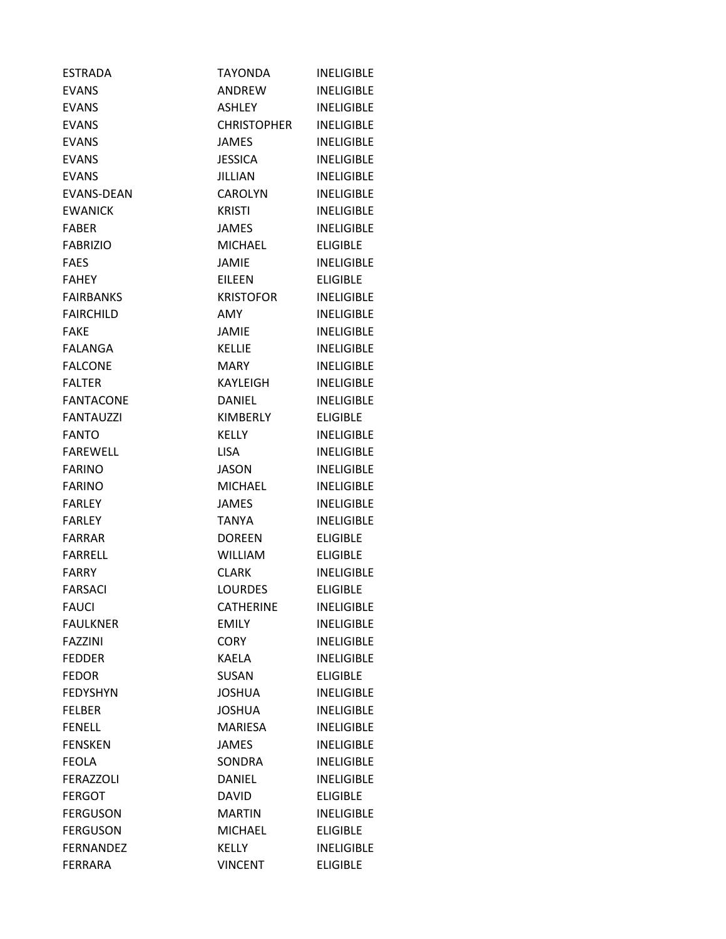| <b>ESTRADA</b>    | <b>TAYONDA</b>     | <b>INELIGIBLE</b> |
|-------------------|--------------------|-------------------|
| <b>EVANS</b>      | ANDREW             | <b>INELIGIBLE</b> |
| <b>EVANS</b>      | <b>ASHLEY</b>      | <b>INELIGIBLE</b> |
| <b>EVANS</b>      | <b>CHRISTOPHER</b> | <b>INELIGIBLE</b> |
| <b>EVANS</b>      | JAMES              | <b>INELIGIBLE</b> |
| <b>EVANS</b>      | <b>JESSICA</b>     | <b>INELIGIBLE</b> |
| <b>EVANS</b>      | <b>JILLIAN</b>     | <b>INELIGIBLE</b> |
| <b>EVANS-DEAN</b> | <b>CAROLYN</b>     | <b>INELIGIBLE</b> |
| <b>EWANICK</b>    | <b>KRISTI</b>      | <b>INELIGIBLE</b> |
| <b>FABER</b>      | JAMES              | <b>INELIGIBLE</b> |
| <b>FABRIZIO</b>   | <b>MICHAEL</b>     | <b>ELIGIBLE</b>   |
| <b>FAES</b>       | <b>JAMIE</b>       | <b>INELIGIBLE</b> |
| <b>FAHEY</b>      | <b>EILEEN</b>      | <b>ELIGIBLE</b>   |
| <b>FAIRBANKS</b>  | <b>KRISTOFOR</b>   | <b>INELIGIBLE</b> |
| <b>FAIRCHILD</b>  | <b>AMY</b>         | <b>INELIGIBLE</b> |
| <b>FAKE</b>       | JAMIE              | <b>INELIGIBLE</b> |
| <b>FALANGA</b>    | <b>KELLIE</b>      | <b>INELIGIBLE</b> |
| <b>FALCONE</b>    | MARY               | <b>INELIGIBLE</b> |
| <b>FALTER</b>     | KAYLEIGH           | <b>INELIGIBLE</b> |
| <b>FANTACONE</b>  | DANIEL             | <b>INELIGIBLE</b> |
| <b>FANTAUZZI</b>  | <b>KIMBERLY</b>    | <b>ELIGIBLE</b>   |
| <b>FANTO</b>      | KELLY              | <b>INELIGIBLE</b> |
| <b>FAREWELL</b>   | <b>LISA</b>        | <b>INELIGIBLE</b> |
| <b>FARINO</b>     | <b>JASON</b>       | <b>INELIGIBLE</b> |
| <b>FARINO</b>     | <b>MICHAEL</b>     | <b>INELIGIBLE</b> |
| <b>FARLEY</b>     | <b>JAMES</b>       | <b>INELIGIBLE</b> |
| <b>FARLEY</b>     | <b>TANYA</b>       | <b>INELIGIBLE</b> |
| <b>FARRAR</b>     | <b>DOREEN</b>      | <b>ELIGIBLE</b>   |
| <b>FARRELL</b>    | <b>WILLIAM</b>     | <b>ELIGIBLE</b>   |
| <b>FARRY</b>      | CLARK              | <b>INELIGIBLE</b> |
| FARSACI           | LOURDES            | <b>ELIGIBLE</b>   |
| <b>FAUCI</b>      | <b>CATHERINE</b>   | <b>INELIGIBLE</b> |
| <b>FAULKNER</b>   | <b>EMILY</b>       | <b>INELIGIBLE</b> |
| <b>FAZZINI</b>    | <b>CORY</b>        | <b>INELIGIBLE</b> |
| <b>FEDDER</b>     | <b>KAELA</b>       | <b>INELIGIBLE</b> |
| <b>FEDOR</b>      | <b>SUSAN</b>       | <b>ELIGIBLE</b>   |
| <b>FEDYSHYN</b>   | <b>JOSHUA</b>      | <b>INELIGIBLE</b> |
| <b>FELBER</b>     | <b>JOSHUA</b>      | <b>INELIGIBLE</b> |
| <b>FENELL</b>     | <b>MARIESA</b>     | <b>INELIGIBLE</b> |
| <b>FENSKEN</b>    | <b>JAMES</b>       | <b>INELIGIBLE</b> |
| <b>FEOLA</b>      | SONDRA             | <b>INELIGIBLE</b> |
| <b>FERAZZOLI</b>  | <b>DANIEL</b>      | <b>INELIGIBLE</b> |
| <b>FERGOT</b>     | <b>DAVID</b>       | <b>ELIGIBLE</b>   |
| <b>FERGUSON</b>   | <b>MARTIN</b>      | <b>INELIGIBLE</b> |
| <b>FERGUSON</b>   | MICHAEL            | <b>ELIGIBLE</b>   |
| <b>FERNANDEZ</b>  | <b>KELLY</b>       | <b>INELIGIBLE</b> |
| <b>FERRARA</b>    | <b>VINCENT</b>     | <b>ELIGIBLE</b>   |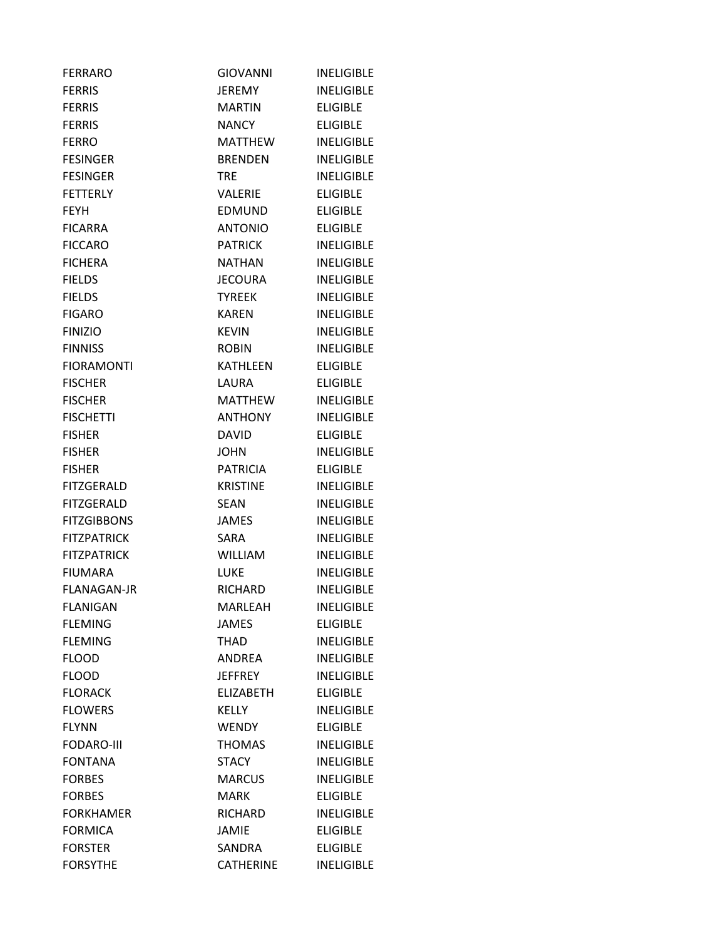| <b>FERRARO</b>     | <b>GIOVANNI</b>  | <b>INELIGIBLE</b> |
|--------------------|------------------|-------------------|
| <b>FERRIS</b>      | JEREMY           | <b>INELIGIBLE</b> |
| <b>FERRIS</b>      | <b>MARTIN</b>    | <b>ELIGIBLE</b>   |
| <b>FERRIS</b>      | <b>NANCY</b>     | <b>ELIGIBLE</b>   |
| <b>FERRO</b>       | <b>MATTHEW</b>   | <b>INELIGIBLE</b> |
| <b>FESINGER</b>    | <b>BRENDEN</b>   | <b>INELIGIBLE</b> |
| <b>FESINGER</b>    | <b>TRE</b>       | <b>INELIGIBLE</b> |
| <b>FETTERLY</b>    | VALERIE          | <b>ELIGIBLE</b>   |
| <b>FEYH</b>        | <b>EDMUND</b>    | <b>ELIGIBLE</b>   |
| <b>FICARRA</b>     | <b>ANTONIO</b>   | <b>ELIGIBLE</b>   |
| <b>FICCARO</b>     | <b>PATRICK</b>   | <b>INELIGIBLE</b> |
| <b>FICHERA</b>     | <b>NATHAN</b>    | <b>INELIGIBLE</b> |
| <b>FIELDS</b>      | JECOURA          | <b>INELIGIBLE</b> |
| <b>FIELDS</b>      | <b>TYREEK</b>    | <b>INELIGIBLE</b> |
| <b>FIGARO</b>      | <b>KAREN</b>     | <b>INELIGIBLE</b> |
| <b>FINIZIO</b>     | <b>KEVIN</b>     | <b>INELIGIBLE</b> |
| <b>FINNISS</b>     | <b>ROBIN</b>     | <b>INELIGIBLE</b> |
| <b>FIORAMONTI</b>  | KATHLEEN         | <b>ELIGIBLE</b>   |
| <b>FISCHER</b>     | LAURA            | <b>ELIGIBLE</b>   |
| <b>FISCHER</b>     | <b>MATTHEW</b>   | <b>INELIGIBLE</b> |
| <b>FISCHETTI</b>   | <b>ANTHONY</b>   | <b>INELIGIBLE</b> |
| <b>FISHER</b>      | <b>DAVID</b>     | <b>ELIGIBLE</b>   |
| <b>FISHER</b>      | <b>JOHN</b>      | <b>INELIGIBLE</b> |
| <b>FISHER</b>      | PATRICIA         | <b>ELIGIBLE</b>   |
| <b>FITZGERALD</b>  | <b>KRISTINE</b>  | <b>INELIGIBLE</b> |
| <b>FITZGERALD</b>  | <b>SEAN</b>      | <b>INELIGIBLE</b> |
| <b>FITZGIBBONS</b> | <b>JAMES</b>     | <b>INELIGIBLE</b> |
| <b>FITZPATRICK</b> | SARA             | <b>INELIGIBLE</b> |
| <b>FITZPATRICK</b> | WILLIAM          | <b>INELIGIBLE</b> |
| <b>FIUMARA</b>     | <b>LUKE</b>      | <b>INELIGIBLE</b> |
| <b>FLANAGAN-JR</b> | RICHARD          | <b>INELIGIBLE</b> |
| <b>FLANIGAN</b>    | MARLEAH          | <b>INELIGIBLE</b> |
| <b>FLEMING</b>     | <b>JAMES</b>     | <b>ELIGIBLE</b>   |
| <b>FLEMING</b>     | THAD             | <b>INELIGIBLE</b> |
| <b>FLOOD</b>       | ANDREA           | <b>INELIGIBLE</b> |
| <b>FLOOD</b>       | <b>JEFFREY</b>   | <b>INELIGIBLE</b> |
| <b>FLORACK</b>     | <b>ELIZABETH</b> | <b>ELIGIBLE</b>   |
| <b>FLOWERS</b>     | KELLY            | <b>INELIGIBLE</b> |
| <b>FLYNN</b>       | <b>WENDY</b>     | <b>ELIGIBLE</b>   |
| <b>FODARO-III</b>  | <b>THOMAS</b>    | <b>INELIGIBLE</b> |
| <b>FONTANA</b>     | <b>STACY</b>     | <b>INELIGIBLE</b> |
| <b>FORBES</b>      | <b>MARCUS</b>    | <b>INELIGIBLE</b> |
| <b>FORBES</b>      | <b>MARK</b>      | <b>ELIGIBLE</b>   |
| <b>FORKHAMER</b>   | <b>RICHARD</b>   | <b>INELIGIBLE</b> |
| <b>FORMICA</b>     | <b>JAMIE</b>     | <b>ELIGIBLE</b>   |
| <b>FORSTER</b>     | SANDRA           | <b>ELIGIBLE</b>   |
| <b>FORSYTHE</b>    | <b>CATHERINE</b> | <b>INELIGIBLE</b> |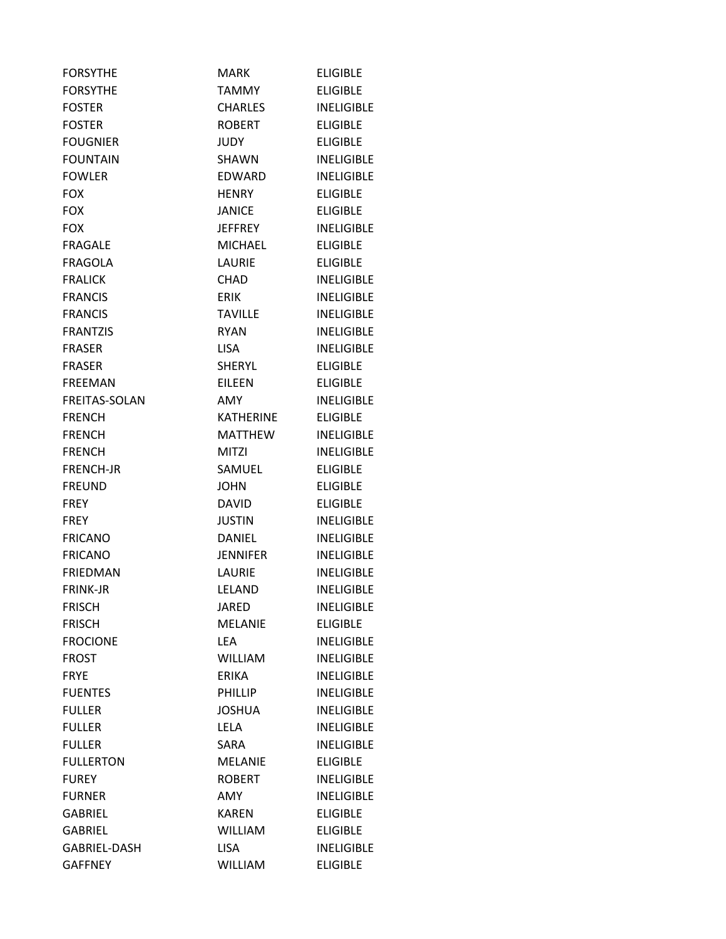| <b>FORSYTHE</b>      | <b>MARK</b>      | <b>ELIGIBLE</b>   |
|----------------------|------------------|-------------------|
| <b>FORSYTHE</b>      | TAMMY            | <b>ELIGIBLE</b>   |
| <b>FOSTER</b>        | <b>CHARLES</b>   | <b>INELIGIBLE</b> |
| <b>FOSTER</b>        | <b>ROBERT</b>    | <b>ELIGIBLE</b>   |
| <b>FOUGNIER</b>      | JUDY             | <b>ELIGIBLE</b>   |
| <b>FOUNTAIN</b>      | SHAWN            | <b>INELIGIBLE</b> |
| <b>FOWLER</b>        | <b>EDWARD</b>    | <b>INELIGIBLE</b> |
| <b>FOX</b>           | <b>HENRY</b>     | <b>ELIGIBLE</b>   |
| <b>FOX</b>           | <b>JANICE</b>    | <b>ELIGIBLE</b>   |
| <b>FOX</b>           | <b>JEFFREY</b>   | <b>INELIGIBLE</b> |
| <b>FRAGALE</b>       | <b>MICHAEL</b>   | <b>ELIGIBLE</b>   |
| <b>FRAGOLA</b>       | <b>LAURIE</b>    | <b>ELIGIBLE</b>   |
| <b>FRALICK</b>       | CHAD.            | <b>INELIGIBLE</b> |
| <b>FRANCIS</b>       | <b>ERIK</b>      | <b>INELIGIBLE</b> |
| <b>FRANCIS</b>       | <b>TAVILLE</b>   | <b>INELIGIBLE</b> |
| <b>FRANTZIS</b>      | <b>RYAN</b>      | <b>INELIGIBLE</b> |
| <b>FRASER</b>        | <b>LISA</b>      | <b>INELIGIBLE</b> |
| <b>FRASER</b>        | <b>SHERYL</b>    | <b>ELIGIBLE</b>   |
| <b>FREEMAN</b>       | EILEEN           | <b>ELIGIBLE</b>   |
| <b>FREITAS-SOLAN</b> | AMY              | <b>INELIGIBLE</b> |
| <b>FRENCH</b>        | <b>KATHERINE</b> | <b>ELIGIBLE</b>   |
| <b>FRENCH</b>        | <b>MATTHEW</b>   | <b>INELIGIBLE</b> |
| <b>FRENCH</b>        | <b>MITZI</b>     | <b>INELIGIBLE</b> |
| <b>FRENCH-JR</b>     | SAMUEL           | <b>ELIGIBLE</b>   |
| <b>FREUND</b>        | <b>JOHN</b>      | <b>ELIGIBLE</b>   |
| <b>FREY</b>          | <b>DAVID</b>     | <b>ELIGIBLE</b>   |
| <b>FREY</b>          | <b>JUSTIN</b>    | <b>INELIGIBLE</b> |
| <b>FRICANO</b>       | <b>DANIEL</b>    | <b>INELIGIBLE</b> |
| <b>FRICANO</b>       | <b>JENNIFER</b>  | <b>INELIGIBLE</b> |
| <b>FRIEDMAN</b>      | LAURIE           | <b>INELIGIBLE</b> |
| <b>FRINK-JR</b>      | LELAND           | <b>INELIGIBLE</b> |
| <b>FRISCH</b>        | <b>JARED</b>     | <b>INELIGIBLE</b> |
| <b>FRISCH</b>        | <b>MELANIE</b>   | <b>ELIGIBLE</b>   |
| <b>FROCIONE</b>      | <b>LEA</b>       | <b>INELIGIBLE</b> |
| <b>FROST</b>         | <b>WILLIAM</b>   | <b>INELIGIBLE</b> |
| <b>FRYE</b>          | <b>ERIKA</b>     | <b>INELIGIBLE</b> |
| <b>FUENTES</b>       | <b>PHILLIP</b>   | <b>INELIGIBLE</b> |
| <b>FULLER</b>        | <b>JOSHUA</b>    | <b>INELIGIBLE</b> |
| <b>FULLER</b>        | <b>LELA</b>      | <b>INELIGIBLE</b> |
| <b>FULLER</b>        | SARA             | <b>INELIGIBLE</b> |
| <b>FULLERTON</b>     | <b>MELANIE</b>   | <b>ELIGIBLE</b>   |
| <b>FUREY</b>         | <b>ROBERT</b>    | <b>INELIGIBLE</b> |
| <b>FURNER</b>        | <b>AMY</b>       | <b>INELIGIBLE</b> |
| <b>GABRIEL</b>       | KAREN            | <b>ELIGIBLE</b>   |
| <b>GABRIEL</b>       | <b>WILLIAM</b>   | <b>ELIGIBLE</b>   |
| GABRIEL-DASH         | <b>LISA</b>      | <b>INELIGIBLE</b> |
| <b>GAFFNEY</b>       | <b>WILLIAM</b>   | <b>ELIGIBLE</b>   |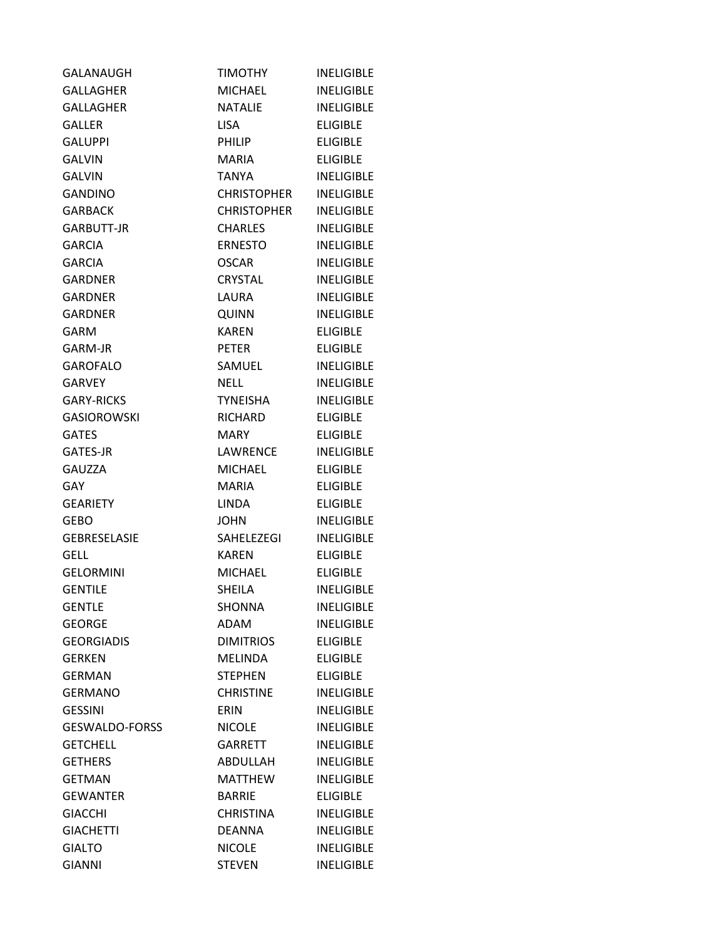| <b>GALANAUGH</b>      | <b>TIMOTHY</b>     | <b>INELIGIBLE</b> |
|-----------------------|--------------------|-------------------|
| <b>GALLAGHER</b>      | <b>MICHAEL</b>     | <b>INELIGIBLE</b> |
| <b>GALLAGHER</b>      | <b>NATALIE</b>     | <b>INELIGIBLE</b> |
| <b>GALLER</b>         | LISA.              | <b>ELIGIBLE</b>   |
| <b>GALUPPI</b>        | PHILIP             | <b>ELIGIBLE</b>   |
| <b>GALVIN</b>         | <b>MARIA</b>       | <b>ELIGIBLE</b>   |
| <b>GALVIN</b>         | <b>TANYA</b>       | <b>INELIGIBLE</b> |
| <b>GANDINO</b>        | <b>CHRISTOPHER</b> | <b>INELIGIBLE</b> |
| <b>GARBACK</b>        | <b>CHRISTOPHER</b> | <b>INELIGIBLE</b> |
| <b>GARBUTT-JR</b>     | <b>CHARLES</b>     | <b>INELIGIBLE</b> |
| <b>GARCIA</b>         | ERNESTO            | <b>INELIGIBLE</b> |
| <b>GARCIA</b>         | <b>OSCAR</b>       | <b>INELIGIBLE</b> |
| <b>GARDNER</b>        | CRYSTAL            | <b>INELIGIBLE</b> |
| <b>GARDNER</b>        | LAURA              | <b>INELIGIBLE</b> |
| <b>GARDNER</b>        | <b>QUINN</b>       | <b>INELIGIBLE</b> |
| GARM                  | <b>KAREN</b>       | <b>ELIGIBLE</b>   |
| GARM-JR               | <b>PETER</b>       | <b>ELIGIBLE</b>   |
| <b>GAROFALO</b>       | SAMUEL             | <b>INELIGIBLE</b> |
| <b>GARVEY</b>         | <b>NELL</b>        | <b>INELIGIBLE</b> |
| <b>GARY-RICKS</b>     | TYNEISHA           | <b>INELIGIBLE</b> |
| <b>GASIOROWSKI</b>    | RICHARD            | <b>ELIGIBLE</b>   |
| <b>GATES</b>          | MARY               | <b>ELIGIBLE</b>   |
| <b>GATES-JR</b>       | LAWRENCE           | <b>INELIGIBLE</b> |
| <b>GAUZZA</b>         | <b>MICHAEL</b>     | <b>ELIGIBLE</b>   |
| <b>GAY</b>            | <b>MARIA</b>       | <b>ELIGIBLE</b>   |
| <b>GEARIETY</b>       | LINDA              | <b>ELIGIBLE</b>   |
| <b>GEBO</b>           | <b>JOHN</b>        | <b>INELIGIBLE</b> |
| <b>GEBRESELASIE</b>   | SAHELEZEGI         | <b>INELIGIBLE</b> |
| <b>GELL</b>           | <b>KAREN</b>       | <b>ELIGIBLE</b>   |
| <b>GELORMINI</b>      | <b>MICHAEL</b>     | <b>ELIGIBLE</b>   |
| <b>GENTILE</b>        | <b>SHEILA</b>      | <b>INELIGIBLE</b> |
| <b>GENTLE</b>         | <b>SHONNA</b>      | <b>INELIGIBLE</b> |
| <b>GEORGE</b>         | ADAM               | <b>INELIGIBLE</b> |
| <b>GEORGIADIS</b>     | <b>DIMITRIOS</b>   | <b>ELIGIBLE</b>   |
| <b>GERKEN</b>         | MELINDA            | <b>ELIGIBLE</b>   |
| <b>GERMAN</b>         | <b>STEPHEN</b>     | <b>ELIGIBLE</b>   |
| <b>GERMANO</b>        | <b>CHRISTINE</b>   | <b>INELIGIBLE</b> |
| <b>GESSINI</b>        | ERIN               | <b>INELIGIBLE</b> |
| <b>GESWALDO-FORSS</b> | <b>NICOLE</b>      | <b>INELIGIBLE</b> |
| <b>GETCHELL</b>       | GARRETT            | <b>INELIGIBLE</b> |
| <b>GETHERS</b>        | ABDULLAH           | <b>INELIGIBLE</b> |
| <b>GETMAN</b>         | <b>MATTHEW</b>     | <b>INELIGIBLE</b> |
| <b>GEWANTER</b>       | <b>BARRIE</b>      | <b>ELIGIBLE</b>   |
| <b>GIACCHI</b>        | <b>CHRISTINA</b>   | <b>INELIGIBLE</b> |
| <b>GIACHETTI</b>      | <b>DEANNA</b>      | <b>INELIGIBLE</b> |
| <b>GIALTO</b>         | <b>NICOLE</b>      | <b>INELIGIBLE</b> |
| <b>GIANNI</b>         | <b>STEVEN</b>      | <b>INELIGIBLE</b> |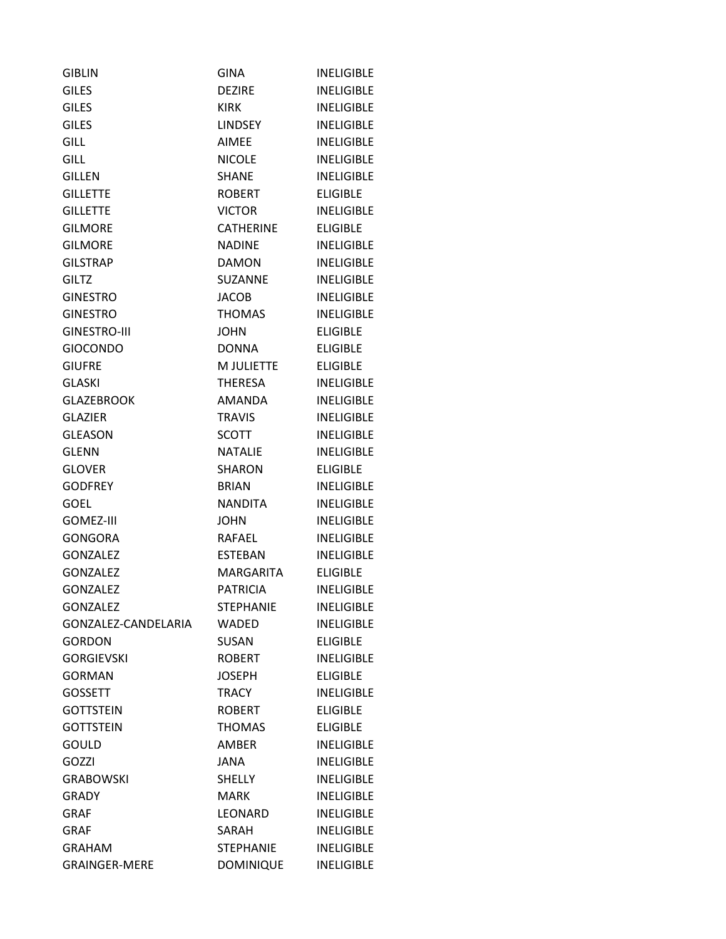| <b>GIBLIN</b>        | <b>GINA</b>      | <b>INELIGIBLE</b> |
|----------------------|------------------|-------------------|
| <b>GILES</b>         | <b>DEZIRE</b>    | <b>INELIGIBLE</b> |
| <b>GILES</b>         | <b>KIRK</b>      | <b>INELIGIBLE</b> |
| <b>GILES</b>         | <b>LINDSEY</b>   | <b>INELIGIBLE</b> |
| <b>GILL</b>          | <b>AIMEE</b>     | <b>INELIGIBLE</b> |
| <b>GILL</b>          | <b>NICOLE</b>    | <b>INELIGIBLE</b> |
| <b>GILLEN</b>        | <b>SHANE</b>     | <b>INELIGIBLE</b> |
| <b>GILLETTE</b>      | <b>ROBERT</b>    | <b>ELIGIBLE</b>   |
| <b>GILLETTE</b>      | <b>VICTOR</b>    | <b>INELIGIBLE</b> |
| <b>GILMORE</b>       | <b>CATHERINE</b> | <b>ELIGIBLE</b>   |
| <b>GILMORE</b>       | <b>NADINE</b>    | <b>INELIGIBLE</b> |
| <b>GILSTRAP</b>      | <b>DAMON</b>     | <b>INELIGIBLE</b> |
| <b>GILTZ</b>         | <b>SUZANNE</b>   | <b>INELIGIBLE</b> |
| <b>GINESTRO</b>      | <b>JACOB</b>     | <b>INELIGIBLE</b> |
| <b>GINESTRO</b>      | <b>THOMAS</b>    | <b>INELIGIBLE</b> |
| <b>GINESTRO-III</b>  | <b>JOHN</b>      | <b>ELIGIBLE</b>   |
| <b>GIOCONDO</b>      | <b>DONNA</b>     | <b>ELIGIBLE</b>   |
| <b>GIUFRE</b>        | M JULIETTE       | <b>ELIGIBLE</b>   |
| <b>GLASKI</b>        | THERESA          | <b>INELIGIBLE</b> |
| <b>GLAZEBROOK</b>    | AMANDA           | <b>INELIGIBLE</b> |
| <b>GLAZIER</b>       | <b>TRAVIS</b>    | <b>INELIGIBLE</b> |
| <b>GLEASON</b>       | <b>SCOTT</b>     | <b>INELIGIBLE</b> |
| <b>GLENN</b>         | <b>NATALIE</b>   | <b>INELIGIBLE</b> |
| <b>GLOVER</b>        | <b>SHARON</b>    | <b>ELIGIBLE</b>   |
| <b>GODFREY</b>       | <b>BRIAN</b>     | <b>INELIGIBLE</b> |
| <b>GOEL</b>          | <b>NANDITA</b>   | <b>INELIGIBLE</b> |
| <b>GOMEZ-III</b>     | <b>JOHN</b>      | <b>INELIGIBLE</b> |
| <b>GONGORA</b>       | RAFAEL           | <b>INELIGIBLE</b> |
| <b>GONZALEZ</b>      | <b>ESTEBAN</b>   | <b>INELIGIBLE</b> |
| <b>GONZALEZ</b>      | <b>MARGARITA</b> | <b>ELIGIBLE</b>   |
| <b>GONZALEZ</b>      | <b>PATRICIA</b>  | <b>INELIGIBLE</b> |
| <b>GONZALEZ</b>      | <b>STEPHANIE</b> | <b>INELIGIBLE</b> |
| GONZALEZ-CANDELARIA  | WADED            | <b>INELIGIBLE</b> |
| <b>GORDON</b>        | <b>SUSAN</b>     | <b>ELIGIBLE</b>   |
| <b>GORGIEVSKI</b>    | <b>ROBERT</b>    | <b>INELIGIBLE</b> |
| <b>GORMAN</b>        | <b>JOSEPH</b>    | <b>ELIGIBLE</b>   |
| <b>GOSSETT</b>       | TRACY            | <b>INELIGIBLE</b> |
| <b>GOTTSTEIN</b>     | <b>ROBERT</b>    | <b>ELIGIBLE</b>   |
| <b>GOTTSTEIN</b>     | <b>THOMAS</b>    | <b>ELIGIBLE</b>   |
| GOULD                | AMBER            | <b>INELIGIBLE</b> |
| GOZZI                | <b>JANA</b>      | <b>INELIGIBLE</b> |
| <b>GRABOWSKI</b>     | <b>SHELLY</b>    | <b>INELIGIBLE</b> |
| <b>GRADY</b>         | <b>MARK</b>      | <b>INELIGIBLE</b> |
| <b>GRAF</b>          | LEONARD          | <b>INELIGIBLE</b> |
| <b>GRAF</b>          | SARAH            | <b>INELIGIBLE</b> |
| <b>GRAHAM</b>        | <b>STEPHANIE</b> | <b>INELIGIBLE</b> |
| <b>GRAINGER-MERE</b> | <b>DOMINIQUE</b> | <b>INELIGIBLE</b> |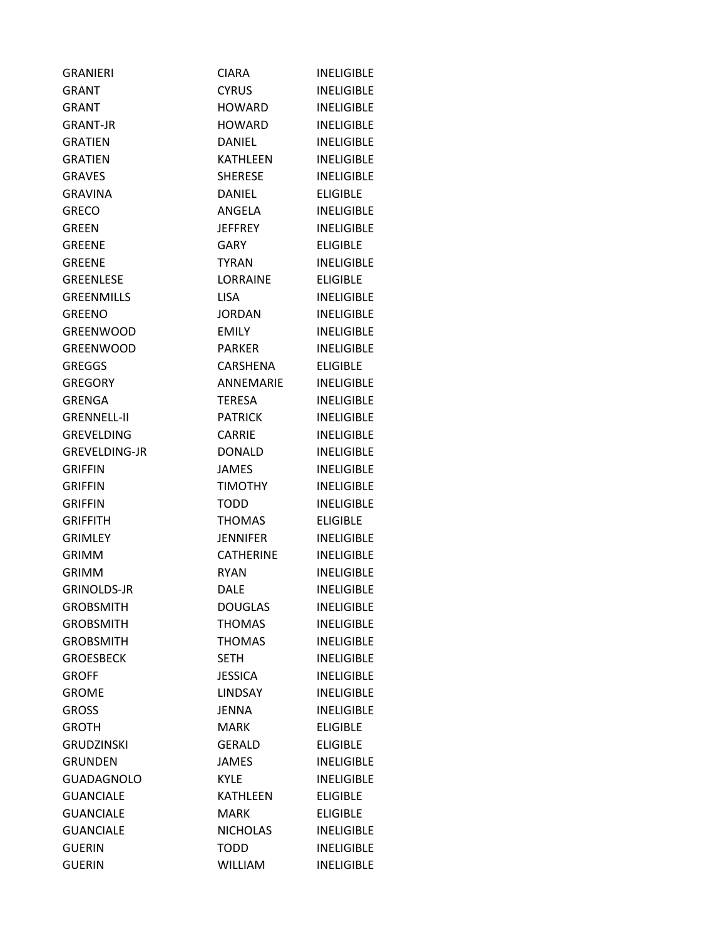| <b>GRANIERI</b>      | <b>CIARA</b>     | <b>INELIGIBLE</b> |
|----------------------|------------------|-------------------|
| GRANT                | <b>CYRUS</b>     | <b>INELIGIBLE</b> |
| <b>GRANT</b>         | <b>HOWARD</b>    | <b>INELIGIBLE</b> |
| <b>GRANT-JR</b>      | <b>HOWARD</b>    | <b>INELIGIBLE</b> |
| <b>GRATIEN</b>       | <b>DANIEL</b>    | <b>INELIGIBLE</b> |
| <b>GRATIEN</b>       | <b>KATHLEEN</b>  | <b>INELIGIBLE</b> |
| <b>GRAVES</b>        | <b>SHERESE</b>   | <b>INELIGIBLE</b> |
| <b>GRAVINA</b>       | DANIEL           | <b>ELIGIBLE</b>   |
| <b>GRECO</b>         | ANGELA           | <b>INELIGIBLE</b> |
| <b>GREEN</b>         | <b>JEFFREY</b>   | <b>INELIGIBLE</b> |
| <b>GREENE</b>        | GARY             | <b>ELIGIBLE</b>   |
| <b>GREENE</b>        | <b>TYRAN</b>     | <b>INELIGIBLE</b> |
| <b>GREENLESE</b>     | LORRAINE         | <b>ELIGIBLE</b>   |
| <b>GREENMILLS</b>    | <b>LISA</b>      | <b>INELIGIBLE</b> |
| <b>GREENO</b>        | <b>JORDAN</b>    | <b>INELIGIBLE</b> |
| <b>GREENWOOD</b>     | <b>EMILY</b>     | <b>INELIGIBLE</b> |
| <b>GREENWOOD</b>     | <b>PARKER</b>    | <b>INELIGIBLE</b> |
| <b>GREGGS</b>        | CARSHENA         | <b>ELIGIBLE</b>   |
| <b>GREGORY</b>       | <b>ANNEMARIE</b> | <b>INELIGIBLE</b> |
| <b>GRENGA</b>        | <b>TERESA</b>    | <b>INELIGIBLE</b> |
| <b>GRENNELL-II</b>   | <b>PATRICK</b>   | <b>INELIGIBLE</b> |
| <b>GREVELDING</b>    | <b>CARRIE</b>    | <b>INELIGIBLE</b> |
| <b>GREVELDING-JR</b> | <b>DONALD</b>    | <b>INELIGIBLE</b> |
| <b>GRIFFIN</b>       | <b>JAMES</b>     | <b>INELIGIBLE</b> |
| <b>GRIFFIN</b>       | <b>TIMOTHY</b>   | <b>INELIGIBLE</b> |
| GRIFFIN              | <b>TODD</b>      | <b>INELIGIBLE</b> |
| <b>GRIFFITH</b>      | <b>THOMAS</b>    | <b>ELIGIBLE</b>   |
| <b>GRIMLEY</b>       | <b>JENNIFER</b>  | <b>INELIGIBLE</b> |
| <b>GRIMM</b>         | <b>CATHERINE</b> | <b>INELIGIBLE</b> |
| <b>GRIMM</b>         | RYAN             | <b>INELIGIBLE</b> |
| <b>GRINOLDS-JR</b>   | <b>DALE</b>      | <b>INELIGIBLE</b> |
| <b>GROBSMITH</b>     | <b>DOUGLAS</b>   | <b>INELIGIBLE</b> |
| <b>GROBSMITH</b>     | <b>THOMAS</b>    | <b>INELIGIBLE</b> |
| <b>GROBSMITH</b>     | <b>THOMAS</b>    | <b>INELIGIBLE</b> |
| <b>GROESBECK</b>     | <b>SETH</b>      | <b>INELIGIBLE</b> |
| <b>GROFF</b>         | <b>JESSICA</b>   | <b>INELIGIBLE</b> |
| <b>GROME</b>         | <b>LINDSAY</b>   | <b>INELIGIBLE</b> |
| <b>GROSS</b>         | <b>JENNA</b>     | <b>INELIGIBLE</b> |
| <b>GROTH</b>         | <b>MARK</b>      | <b>ELIGIBLE</b>   |
| <b>GRUDZINSKI</b>    | <b>GERALD</b>    | <b>ELIGIBLE</b>   |
| <b>GRUNDEN</b>       | <b>JAMES</b>     | <b>INELIGIBLE</b> |
| <b>GUADAGNOLO</b>    | <b>KYLE</b>      | <b>INELIGIBLE</b> |
| <b>GUANCIALE</b>     | <b>KATHLEEN</b>  | <b>ELIGIBLE</b>   |
| <b>GUANCIALE</b>     | <b>MARK</b>      | <b>ELIGIBLE</b>   |
| <b>GUANCIALE</b>     | <b>NICHOLAS</b>  | <b>INELIGIBLE</b> |
| <b>GUERIN</b>        | <b>TODD</b>      | <b>INELIGIBLE</b> |
| <b>GUERIN</b>        | <b>WILLIAM</b>   | <b>INELIGIBLE</b> |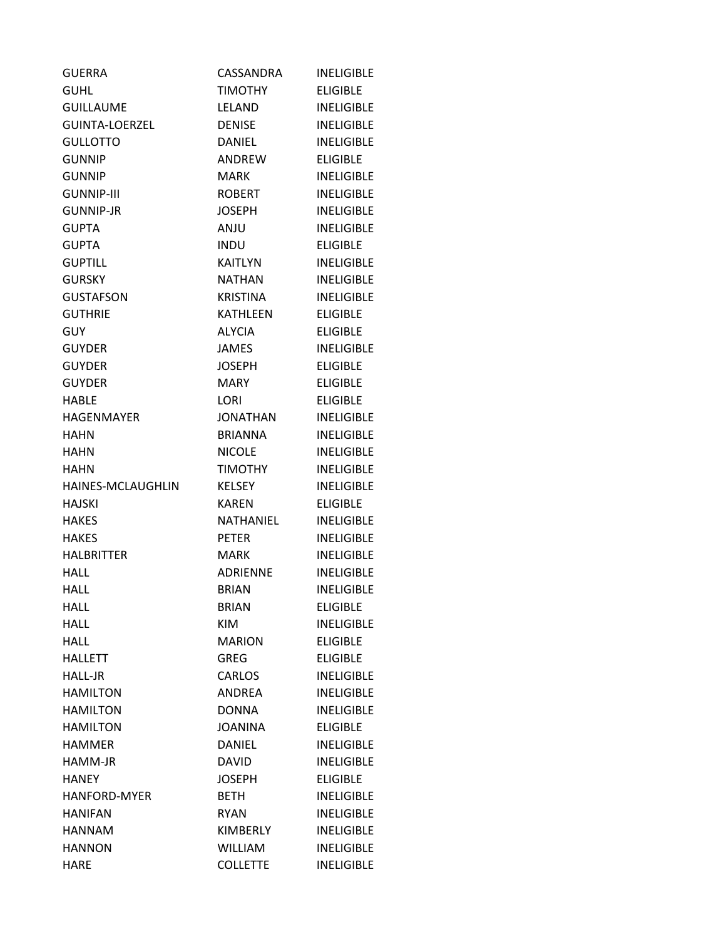| <b>GUERRA</b>         | CASSANDRA       | <b>INELIGIBLE</b> |
|-----------------------|-----------------|-------------------|
| <b>GUHL</b>           | <b>TIMOTHY</b>  | <b>ELIGIBLE</b>   |
| <b>GUILLAUME</b>      | <b>LELAND</b>   | <b>INELIGIBLE</b> |
| <b>GUINTA-LOERZEL</b> | <b>DENISE</b>   | <b>INELIGIBLE</b> |
| <b>GULLOTTO</b>       | <b>DANIEL</b>   | <b>INELIGIBLE</b> |
| <b>GUNNIP</b>         | ANDREW          | <b>ELIGIBLE</b>   |
| <b>GUNNIP</b>         | <b>MARK</b>     | <b>INELIGIBLE</b> |
| <b>GUNNIP-III</b>     | <b>ROBERT</b>   | <b>INELIGIBLE</b> |
| <b>GUNNIP-JR</b>      | <b>JOSEPH</b>   | <b>INELIGIBLE</b> |
| <b>GUPTA</b>          | <b>ANJU</b>     | <b>INELIGIBLE</b> |
| <b>GUPTA</b>          | <b>INDU</b>     | <b>ELIGIBLE</b>   |
| <b>GUPTILL</b>        | KAITLYN         | <b>INELIGIBLE</b> |
| <b>GURSKY</b>         | NATHAN          | <b>INELIGIBLE</b> |
| <b>GUSTAFSON</b>      | <b>KRISTINA</b> | <b>INELIGIBLE</b> |
| <b>GUTHRIE</b>        | <b>KATHLEEN</b> | <b>ELIGIBLE</b>   |
| <b>GUY</b>            | <b>ALYCIA</b>   | <b>ELIGIBLE</b>   |
| <b>GUYDER</b>         | <b>JAMES</b>    | <b>INELIGIBLE</b> |
| <b>GUYDER</b>         | <b>JOSEPH</b>   | <b>ELIGIBLE</b>   |
| <b>GUYDER</b>         | <b>MARY</b>     | <b>ELIGIBLE</b>   |
| <b>HABLE</b>          | LORI            | <b>ELIGIBLE</b>   |
| HAGENMAYER            | JONATHAN        | <b>INELIGIBLE</b> |
| <b>HAHN</b>           | <b>BRIANNA</b>  | <b>INELIGIBLE</b> |
| <b>HAHN</b>           | <b>NICOLE</b>   | <b>INELIGIBLE</b> |
| HAHN                  | <b>TIMOTHY</b>  | <b>INELIGIBLE</b> |
| HAINES-MCLAUGHLIN     | <b>KELSEY</b>   | <b>INELIGIBLE</b> |
| <b>HAJSKI</b>         | <b>KAREN</b>    | <b>ELIGIBLE</b>   |
| <b>HAKES</b>          | NATHANIEL       | <b>INELIGIBLE</b> |
| <b>HAKES</b>          | <b>PETER</b>    | <b>INELIGIBLE</b> |
| <b>HALBRITTER</b>     | <b>MARK</b>     | <b>INELIGIBLE</b> |
| <b>HALL</b>           | <b>ADRIENNE</b> | <b>INELIGIBLE</b> |
| <b>HALL</b>           | <b>BRIAN</b>    | <b>INELIGIBLE</b> |
| <b>HALL</b>           | <b>BRIAN</b>    | <b>ELIGIBLE</b>   |
| <b>HALL</b>           | <b>KIM</b>      | <b>INELIGIBLE</b> |
| <b>HALL</b>           | <b>MARION</b>   | <b>ELIGIBLE</b>   |
| <b>HALLETT</b>        | <b>GREG</b>     | <b>ELIGIBLE</b>   |
| <b>HALL-JR</b>        | <b>CARLOS</b>   | <b>INELIGIBLE</b> |
| <b>HAMILTON</b>       | ANDREA          | <b>INELIGIBLE</b> |
| <b>HAMILTON</b>       | <b>DONNA</b>    | <b>INELIGIBLE</b> |
| <b>HAMILTON</b>       | <b>JOANINA</b>  | <b>ELIGIBLE</b>   |
| <b>HAMMER</b>         | <b>DANIEL</b>   | <b>INELIGIBLE</b> |
| HAMM-JR               | <b>DAVID</b>    | <b>INELIGIBLE</b> |
| <b>HANEY</b>          | <b>JOSEPH</b>   | <b>ELIGIBLE</b>   |
| <b>HANFORD-MYER</b>   | <b>BETH</b>     | <b>INELIGIBLE</b> |
| <b>HANIFAN</b>        | <b>RYAN</b>     | <b>INELIGIBLE</b> |
| <b>HANNAM</b>         | KIMBERLY        | <b>INELIGIBLE</b> |
| <b>HANNON</b>         | <b>WILLIAM</b>  | <b>INELIGIBLE</b> |
| HARE                  | <b>COLLETTE</b> | <b>INELIGIBLE</b> |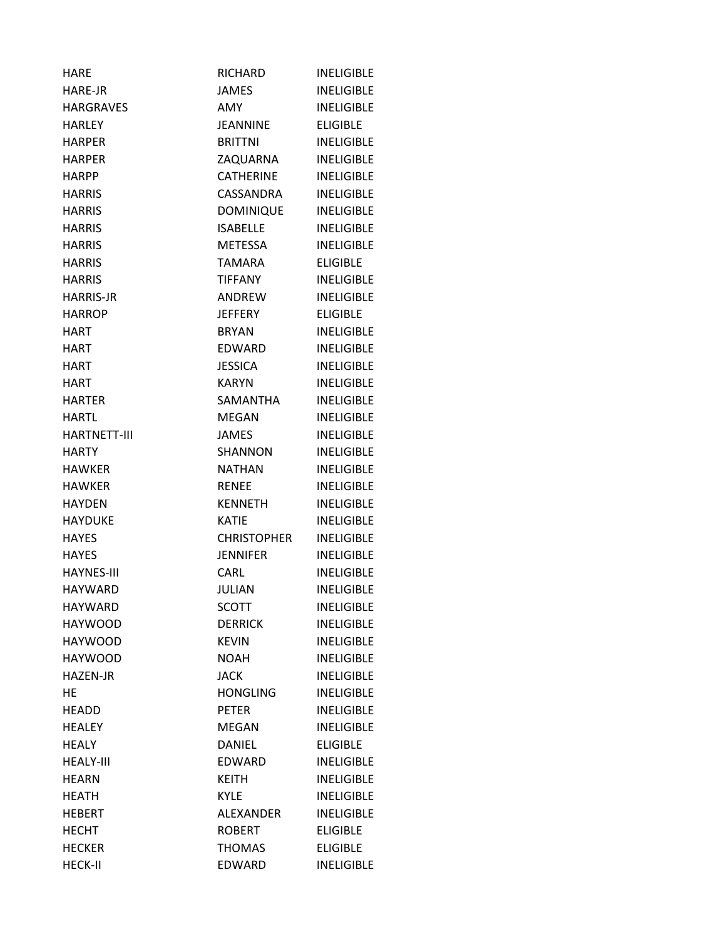| HARE                | RICHARD          | <b>INELIGIBLE</b> |
|---------------------|------------------|-------------------|
| <b>HARE-JR</b>      | JAMES            | <b>INELIGIBLE</b> |
| <b>HARGRAVES</b>    | <b>AMY</b>       | <b>INELIGIBLE</b> |
| <b>HARLEY</b>       | <b>JEANNINE</b>  | <b>ELIGIBLE</b>   |
| <b>HARPER</b>       | <b>BRITTNI</b>   | <b>INELIGIBLE</b> |
| <b>HARPER</b>       | ZAQUARNA         | <b>INELIGIBLE</b> |
| <b>HARPP</b>        | <b>CATHERINE</b> | <b>INELIGIBLE</b> |
| <b>HARRIS</b>       | CASSANDRA        | <b>INELIGIBLE</b> |
| <b>HARRIS</b>       | <b>DOMINIQUE</b> | <b>INELIGIBLE</b> |
| <b>HARRIS</b>       | <b>ISABELLE</b>  | <b>INELIGIBLE</b> |
| <b>HARRIS</b>       | METESSA          | <b>INELIGIBLE</b> |
| <b>HARRIS</b>       | TAMARA           | <b>ELIGIBLE</b>   |
| <b>HARRIS</b>       | <b>TIFFANY</b>   | <b>INELIGIBLE</b> |
| <b>HARRIS-JR</b>    | <b>ANDREW</b>    | <b>INELIGIBLE</b> |
| <b>HARROP</b>       | <b>JEFFERY</b>   | <b>ELIGIBLE</b>   |
| <b>HART</b>         | <b>BRYAN</b>     | <b>INFLIGIBLE</b> |
| <b>HART</b>         | EDWARD           | <b>INELIGIBLE</b> |
| <b>HART</b>         | <b>JESSICA</b>   | <b>INELIGIBLE</b> |
| <b>HART</b>         | <b>KARYN</b>     | <b>INELIGIBLE</b> |
| <b>HARTER</b>       | SAMANTHA         | <b>INELIGIBLE</b> |
| <b>HARTL</b>        | MEGAN            | <b>INELIGIBLE</b> |
| <b>HARTNETT-III</b> | <b>JAMES</b>     | <b>INELIGIBLE</b> |
| <b>HARTY</b>        | <b>SHANNON</b>   | <b>INELIGIBLE</b> |
| <b>HAWKER</b>       | <b>NATHAN</b>    | <b>INELIGIBLE</b> |
| <b>HAWKER</b>       | <b>RENEE</b>     | INELIGIBLE        |
| <b>HAYDEN</b>       | <b>KENNETH</b>   | <b>INELIGIBLE</b> |
| <b>HAYDUKE</b>      | <b>KATIE</b>     | <b>INELIGIBLE</b> |
| <b>HAYES</b>        | CHRISTOPHER      | <b>INELIGIBLE</b> |
| <b>HAYES</b>        | <b>JENNIFER</b>  | <b>INELIGIBLE</b> |
| <b>HAYNES-III</b>   | <b>CARL</b>      | <b>INELIGIBLE</b> |
| <b>HAYWARD</b>      | <b>JULIAN</b>    | <b>INELIGIBLE</b> |
| <b>HAYWARD</b>      | <b>SCOTT</b>     | <b>INELIGIBLE</b> |
| <b>HAYWOOD</b>      | <b>DERRICK</b>   | <b>INELIGIBLE</b> |
| <b>HAYWOOD</b>      | <b>KEVIN</b>     | <b>INELIGIBLE</b> |
| <b>HAYWOOD</b>      | <b>NOAH</b>      | <b>INELIGIBLE</b> |
| HAZEN-JR            | <b>JACK</b>      | <b>INELIGIBLE</b> |
| HE                  | <b>HONGLING</b>  | <b>INELIGIBLE</b> |
| <b>HEADD</b>        | <b>PETER</b>     | <b>INELIGIBLE</b> |
| <b>HEALEY</b>       | <b>MEGAN</b>     | <b>INELIGIBLE</b> |
| <b>HEALY</b>        | <b>DANIEL</b>    | <b>ELIGIBLE</b>   |
| <b>HEALY-III</b>    | <b>EDWARD</b>    | <b>INELIGIBLE</b> |
| <b>HEARN</b>        | <b>KEITH</b>     | <b>INELIGIBLE</b> |
| <b>HEATH</b>        | <b>KYLE</b>      | <b>INELIGIBLE</b> |
| <b>HEBERT</b>       | ALEXANDER        | <b>INELIGIBLE</b> |
| <b>HECHT</b>        | <b>ROBERT</b>    | <b>ELIGIBLE</b>   |
| <b>HECKER</b>       | <b>THOMAS</b>    | <b>ELIGIBLE</b>   |
| <b>HECK-II</b>      | EDWARD           | <b>INELIGIBLE</b> |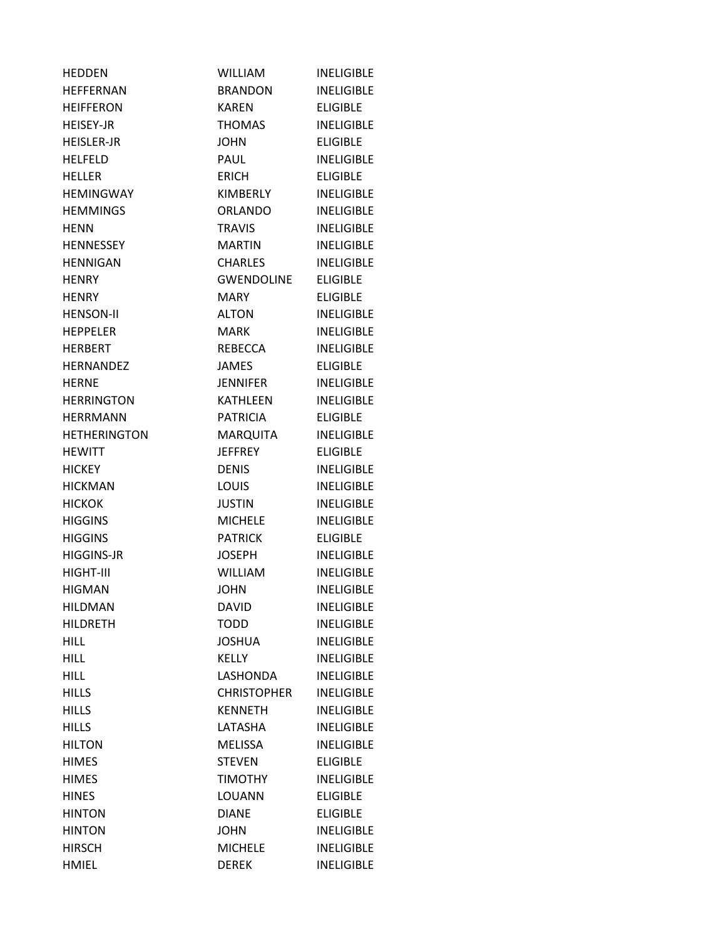| HEDDEN              | <b>WILLIAM</b>     | <b>INELIGIBLE</b> |
|---------------------|--------------------|-------------------|
| <b>HEFFERNAN</b>    | <b>BRANDON</b>     | <b>INELIGIBLE</b> |
| <b>HEIFFERON</b>    | <b>KAREN</b>       | <b>ELIGIBLE</b>   |
| <b>HEISEY-JR</b>    | THOMAS             | <b>INELIGIBLE</b> |
| <b>HEISLER-JR</b>   | <b>JOHN</b>        | <b>ELIGIBLE</b>   |
| <b>HELFELD</b>      | PAUL               | <b>INELIGIBLE</b> |
| <b>HELLER</b>       | <b>ERICH</b>       | <b>ELIGIBLE</b>   |
| <b>HEMINGWAY</b>    | KIMBERLY           | <b>INELIGIBLE</b> |
| <b>HEMMINGS</b>     | <b>ORLANDO</b>     | <b>INELIGIBLE</b> |
| <b>HENN</b>         | <b>TRAVIS</b>      | <b>INELIGIBLE</b> |
| <b>HENNESSEY</b>    | <b>MARTIN</b>      | <b>INELIGIBLE</b> |
| <b>HENNIGAN</b>     | CHARLES            | <b>INELIGIBLE</b> |
| <b>HENRY</b>        | <b>GWENDOLINE</b>  | <b>ELIGIBLE</b>   |
| <b>HENRY</b>        | MARY.              | <b>ELIGIBLE</b>   |
| <b>HENSON-II</b>    | <b>ALTON</b>       | <b>INELIGIBLE</b> |
| <b>HEPPELER</b>     | <b>MARK</b>        | <b>INELIGIBLE</b> |
| HERBERT             | REBECCA            | <b>INELIGIBLE</b> |
| <b>HERNANDEZ</b>    | JAMES              | <b>ELIGIBLE</b>   |
| <b>HERNE</b>        | JENNIFER           | <b>INELIGIBLE</b> |
| <b>HERRINGTON</b>   | <b>KATHLEEN</b>    | <b>INELIGIBLE</b> |
| <b>HERRMANN</b>     | <b>PATRICIA</b>    | <b>ELIGIBLE</b>   |
| <b>HETHERINGTON</b> | MARQUITA           | <b>INELIGIBLE</b> |
| <b>HEWITT</b>       | <b>JEFFREY</b>     | <b>ELIGIBLE</b>   |
| <b>HICKEY</b>       | <b>DENIS</b>       | <b>INELIGIBLE</b> |
| <b>HICKMAN</b>      | <b>LOUIS</b>       | <b>INELIGIBLE</b> |
| <b>HICKOK</b>       | <b>JUSTIN</b>      | <b>INELIGIBLE</b> |
| <b>HIGGINS</b>      | <b>MICHELE</b>     | <b>INELIGIBLE</b> |
| <b>HIGGINS</b>      | <b>PATRICK</b>     | <b>ELIGIBLE</b>   |
| <b>HIGGINS-JR</b>   | <b>JOSEPH</b>      | <b>INELIGIBLE</b> |
| HIGHT-III           | <b>WILLIAM</b>     | <b>INELIGIBLE</b> |
| <b>HIGMAN</b>       | <b>JOHN</b>        | <b>INELIGIBLE</b> |
| <b>HILDMAN</b>      | <b>DAVID</b>       | <b>INELIGIBLE</b> |
| <b>HILDRETH</b>     | <b>TODD</b>        | <b>INELIGIBLE</b> |
| <b>HILL</b>         | <b>JOSHUA</b>      | <b>INELIGIBLE</b> |
| <b>HILL</b>         | <b>KELLY</b>       | <b>INELIGIBLE</b> |
| <b>HILL</b>         | LASHONDA           | <b>INELIGIBLE</b> |
| <b>HILLS</b>        | <b>CHRISTOPHER</b> | <b>INELIGIBLE</b> |
| <b>HILLS</b>        | <b>KENNETH</b>     | <b>INELIGIBLE</b> |
| <b>HILLS</b>        | LATASHA            | <b>INELIGIBLE</b> |
| <b>HILTON</b>       | <b>MELISSA</b>     | <b>INELIGIBLE</b> |
| <b>HIMES</b>        | <b>STEVEN</b>      | <b>ELIGIBLE</b>   |
| <b>HIMES</b>        | <b>TIMOTHY</b>     | <b>INELIGIBLE</b> |
| <b>HINES</b>        | LOUANN             | <b>ELIGIBLE</b>   |
| <b>HINTON</b>       | <b>DIANE</b>       | <b>ELIGIBLE</b>   |
| <b>HINTON</b>       | <b>JOHN</b>        | <b>INELIGIBLE</b> |
| <b>HIRSCH</b>       | <b>MICHELE</b>     | <b>INELIGIBLE</b> |
| <b>HMIEL</b>        | <b>DEREK</b>       | <b>INELIGIBLE</b> |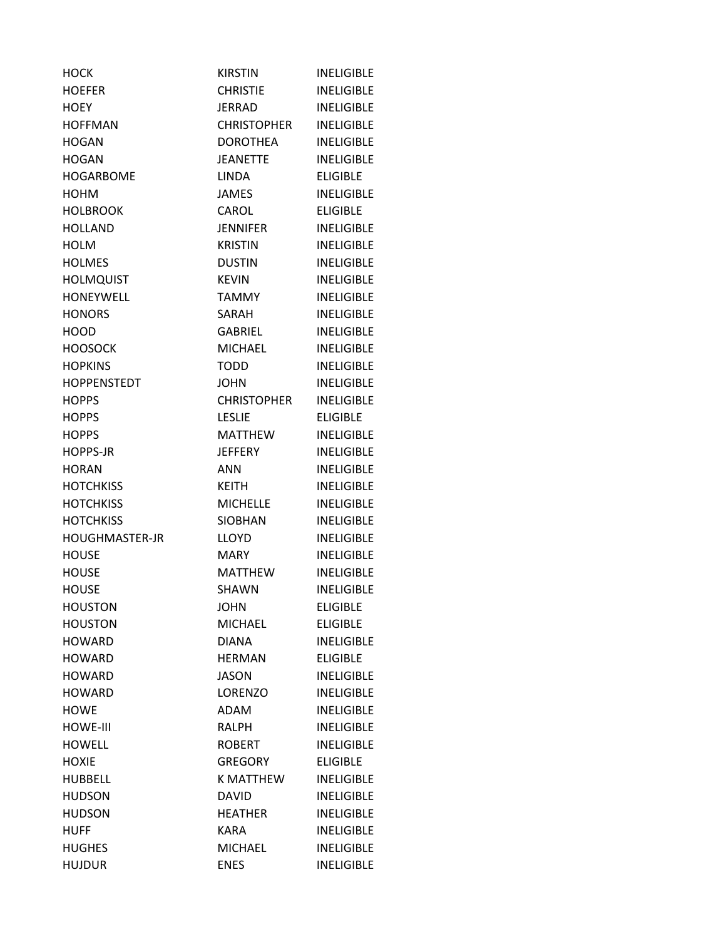| <b>HOCK</b>        | <b>KIRSTIN</b>     | <b>INELIGIBLE</b> |
|--------------------|--------------------|-------------------|
| <b>HOEFER</b>      | <b>CHRISTIE</b>    | <b>INELIGIBLE</b> |
| <b>HOEY</b>        | <b>JERRAD</b>      | <b>INELIGIBLE</b> |
| <b>HOFFMAN</b>     | <b>CHRISTOPHER</b> | <b>INELIGIBLE</b> |
| <b>HOGAN</b>       | <b>DOROTHEA</b>    | <b>INELIGIBLE</b> |
| <b>HOGAN</b>       | <b>JEANETTE</b>    | <b>INELIGIBLE</b> |
| <b>HOGARBOME</b>   | <b>LINDA</b>       | <b>ELIGIBLE</b>   |
| <b>HOHM</b>        | <b>JAMES</b>       | <b>INELIGIBLE</b> |
| <b>HOLBROOK</b>    | CAROL              | <b>ELIGIBLE</b>   |
| <b>HOLLAND</b>     | <b>JENNIFER</b>    | <b>INELIGIBLE</b> |
| <b>HOLM</b>        | <b>KRISTIN</b>     | <b>INELIGIBLE</b> |
| <b>HOLMES</b>      | <b>DUSTIN</b>      | <b>INELIGIBLE</b> |
| <b>HOLMQUIST</b>   | <b>KEVIN</b>       | <b>INELIGIBLE</b> |
| <b>HONEYWELL</b>   | <b>TAMMY</b>       | <b>INELIGIBLE</b> |
| <b>HONORS</b>      | <b>SARAH</b>       | <b>INELIGIBLE</b> |
| <b>HOOD</b>        | GABRIEL            | <b>INELIGIBLE</b> |
| <b>HOOSOCK</b>     | <b>MICHAEL</b>     | <b>INELIGIBLE</b> |
| <b>HOPKINS</b>     | <b>TODD</b>        | <b>INELIGIBLE</b> |
| <b>HOPPENSTEDT</b> | <b>JOHN</b>        | <b>INELIGIBLE</b> |
| <b>HOPPS</b>       | <b>CHRISTOPHER</b> | <b>INELIGIBLE</b> |
| <b>HOPPS</b>       | <b>LESLIE</b>      | <b>ELIGIBLE</b>   |
| <b>HOPPS</b>       | <b>MATTHEW</b>     | <b>INELIGIBLE</b> |
| <b>HOPPS-JR</b>    | <b>JEFFERY</b>     | <b>INELIGIBLE</b> |
| <b>HORAN</b>       | <b>ANN</b>         | <b>INELIGIBLE</b> |
| <b>HOTCHKISS</b>   | <b>KEITH</b>       | <b>INELIGIBLE</b> |
| <b>HOTCHKISS</b>   | <b>MICHELLE</b>    | <b>INELIGIBLE</b> |
| <b>HOTCHKISS</b>   | <b>SIOBHAN</b>     | <b>INELIGIBLE</b> |
| HOUGHMASTER-JR     | <b>LLOYD</b>       | <b>INELIGIBLE</b> |
| <b>HOUSE</b>       | <b>MARY</b>        | <b>INELIGIBLE</b> |
| <b>HOUSE</b>       | <b>MATTHEW</b>     | <b>INELIGIBLE</b> |
| <b>HOUSE</b>       | SHAWN              | <b>INELIGIBLE</b> |
| <b>HOUSTON</b>     | <b>JOHN</b>        | <b>ELIGIBLE</b>   |
| <b>HOUSTON</b>     | <b>MICHAEL</b>     | <b>ELIGIBLE</b>   |
| <b>HOWARD</b>      | <b>DIANA</b>       | <b>INELIGIBLE</b> |
| <b>HOWARD</b>      | <b>HERMAN</b>      | <b>ELIGIBLE</b>   |
| <b>HOWARD</b>      | <b>JASON</b>       | <b>INELIGIBLE</b> |
| <b>HOWARD</b>      | LORENZO            | <b>INELIGIBLE</b> |
| <b>HOWE</b>        | ADAM               | <b>INELIGIBLE</b> |
| <b>HOWE-III</b>    | <b>RALPH</b>       | <b>INELIGIBLE</b> |
| <b>HOWELL</b>      | <b>ROBERT</b>      | <b>INELIGIBLE</b> |
| <b>HOXIE</b>       | <b>GREGORY</b>     | <b>ELIGIBLE</b>   |
| <b>HUBBELL</b>     | K MATTHEW          | <b>INELIGIBLE</b> |
| <b>HUDSON</b>      | <b>DAVID</b>       | <b>INELIGIBLE</b> |
| <b>HUDSON</b>      | <b>HEATHER</b>     | <b>INELIGIBLE</b> |
| <b>HUFF</b>        | <b>KARA</b>        | <b>INELIGIBLE</b> |
| <b>HUGHES</b>      | <b>MICHAEL</b>     | <b>INELIGIBLE</b> |
| <b>HUJDUR</b>      | <b>ENES</b>        | <b>INELIGIBLE</b> |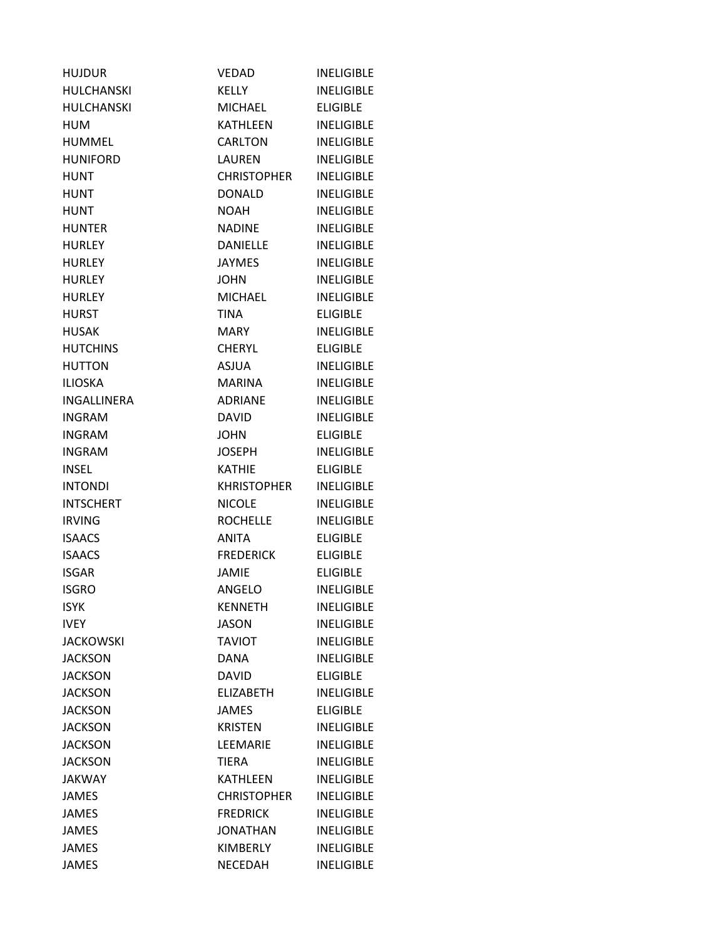| <b>HUJDUR</b>      | VEDAD              | <b>INELIGIBLE</b> |
|--------------------|--------------------|-------------------|
| <b>HULCHANSKI</b>  | <b>KELLY</b>       | <b>INFLIGIBLE</b> |
| <b>HULCHANSKI</b>  | <b>MICHAEL</b>     | <b>ELIGIBLE</b>   |
| <b>HUM</b>         | KATHLEEN           | <b>INELIGIBLE</b> |
| <b>HUMMEL</b>      | CARLTON            | <b>INELIGIBLE</b> |
| <b>HUNIFORD</b>    | LAUREN             | <b>INELIGIBLE</b> |
| <b>HUNT</b>        | CHRISTOPHER        | <b>INELIGIBLE</b> |
| <b>HUNT</b>        | <b>DONALD</b>      | <b>INELIGIBLE</b> |
| <b>HUNT</b>        | <b>NOAH</b>        | <b>INELIGIBLE</b> |
| <b>HUNTER</b>      | <b>NADINE</b>      | <b>INELIGIBLE</b> |
| <b>HURLEY</b>      | <b>DANIELLE</b>    | <b>INELIGIBLE</b> |
| <b>HURLEY</b>      | <b>JAYMES</b>      | <b>INELIGIBLE</b> |
| <b>HURLEY</b>      | <b>JOHN</b>        | <b>INELIGIBLE</b> |
| <b>HURLEY</b>      | <b>MICHAEL</b>     | <b>INELIGIBLE</b> |
| <b>HURST</b>       | <b>TINA</b>        | <b>ELIGIBLE</b>   |
| <b>HUSAK</b>       | MARY               | <b>INELIGIBLE</b> |
| <b>HUTCHINS</b>    | <b>CHERYL</b>      | <b>ELIGIBLE</b>   |
| <b>HUTTON</b>      | ASJUA              | <b>INELIGIBLE</b> |
| <b>ILIOSKA</b>     | <b>MARINA</b>      | <b>INELIGIBLE</b> |
| <b>INGALLINERA</b> | <b>ADRIANE</b>     | <b>INELIGIBLE</b> |
| <b>INGRAM</b>      | <b>DAVID</b>       | <b>INELIGIBLE</b> |
| <b>INGRAM</b>      | <b>JOHN</b>        | <b>ELIGIBLE</b>   |
| <b>INGRAM</b>      | <b>JOSEPH</b>      | <b>INELIGIBLE</b> |
| <b>INSEL</b>       | <b>KATHIE</b>      | <b>ELIGIBLE</b>   |
| <b>INTONDI</b>     | <b>KHRISTOPHER</b> | <b>INELIGIBLE</b> |
| <b>INTSCHERT</b>   | <b>NICOLE</b>      | <b>INELIGIBLE</b> |
| <b>IRVING</b>      | <b>ROCHELLE</b>    | <b>INELIGIBLE</b> |
| <b>ISAACS</b>      | <b>ANITA</b>       | <b>ELIGIBLE</b>   |
| <b>ISAACS</b>      | <b>FREDERICK</b>   | <b>ELIGIBLE</b>   |
| <b>ISGAR</b>       | <b>JAMIE</b>       | <b>ELIGIBLE</b>   |
| <b>ISGRO</b>       | <b>ANGELO</b>      | <b>INELIGIBLE</b> |
| <b>ISYK</b>        | <b>KENNETH</b>     | <b>INELIGIBLE</b> |
| <b>IVEY</b>        | <b>JASON</b>       | <b>INELIGIBLE</b> |
| <b>JACKOWSKI</b>   | <b>TAVIOT</b>      | <b>INELIGIBLE</b> |
| <b>JACKSON</b>     | <b>DANA</b>        | <b>INELIGIBLE</b> |
| <b>JACKSON</b>     | <b>DAVID</b>       | <b>ELIGIBLE</b>   |
| <b>JACKSON</b>     | <b>ELIZABETH</b>   | <b>INELIGIBLE</b> |
| <b>JACKSON</b>     | <b>JAMES</b>       | <b>ELIGIBLE</b>   |
| <b>JACKSON</b>     | <b>KRISTEN</b>     | <b>INELIGIBLE</b> |
| <b>JACKSON</b>     | LEEMARIE           | <b>INELIGIBLE</b> |
| <b>JACKSON</b>     | <b>TIERA</b>       | <b>INELIGIBLE</b> |
| <b>JAKWAY</b>      | <b>KATHLEEN</b>    | <b>INELIGIBLE</b> |
| <b>JAMES</b>       | <b>CHRISTOPHER</b> | <b>INELIGIBLE</b> |
| JAMES              | <b>FREDRICK</b>    | <b>INELIGIBLE</b> |
| <b>JAMES</b>       | <b>JONATHAN</b>    | <b>INELIGIBLE</b> |
| <b>JAMES</b>       | KIMBERLY           | <b>INELIGIBLE</b> |
| <b>JAMES</b>       | NECEDAH            | <b>INELIGIBLE</b> |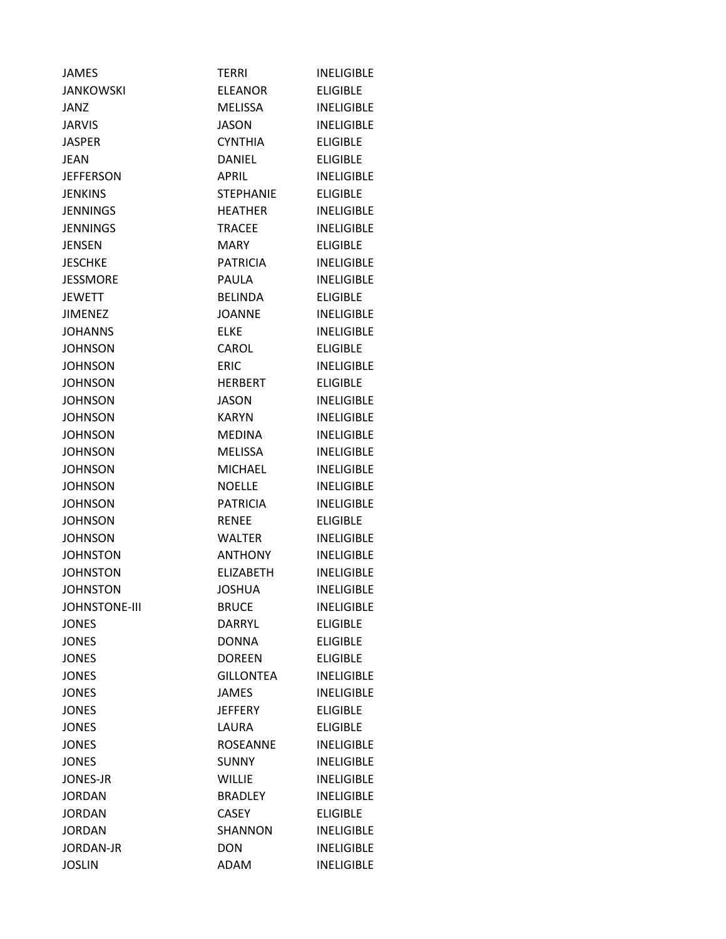| <b>JAMES</b>         | <b>TERRI</b>     | <b>INELIGIBLE</b> |
|----------------------|------------------|-------------------|
| <b>JANKOWSKI</b>     | ELEANOR          | <b>ELIGIBLE</b>   |
| JANZ                 | MELISSA          | <b>INELIGIBLE</b> |
| <b>JARVIS</b>        | <b>JASON</b>     | <b>INELIGIBLE</b> |
| <b>JASPER</b>        | <b>CYNTHIA</b>   | <b>ELIGIBLE</b>   |
| JEAN                 | DANIEL           | <b>ELIGIBLE</b>   |
| <b>JEFFERSON</b>     | <b>APRIL</b>     | <b>INELIGIBLE</b> |
| <b>JENKINS</b>       | <b>STEPHANIE</b> | <b>ELIGIBLE</b>   |
| <b>JENNINGS</b>      | <b>HEATHER</b>   | <b>INELIGIBLE</b> |
| <b>JENNINGS</b>      | <b>TRACEE</b>    | <b>INELIGIBLE</b> |
| <b>JENSEN</b>        | MARY             | <b>ELIGIBLE</b>   |
| <b>JESCHKE</b>       | <b>PATRICIA</b>  | <b>INELIGIBLE</b> |
| <b>JESSMORE</b>      | <b>PAULA</b>     | <b>INELIGIBLE</b> |
| <b>JEWETT</b>        | <b>BELINDA</b>   | <b>ELIGIBLE</b>   |
| <b>JIMENEZ</b>       | <b>JOANNE</b>    | <b>INELIGIBLE</b> |
| JOHANNS              | <b>ELKE</b>      | <b>INELIGIBLE</b> |
| <b>JOHNSON</b>       | CAROL            | <b>ELIGIBLE</b>   |
| <b>JOHNSON</b>       | <b>ERIC</b>      | <b>INELIGIBLE</b> |
| <b>JOHNSON</b>       | <b>HERBERT</b>   | <b>ELIGIBLE</b>   |
| <b>JOHNSON</b>       | JASON            | <b>INELIGIBLE</b> |
| <b>JOHNSON</b>       | <b>KARYN</b>     | <b>INELIGIBLE</b> |
| <b>JOHNSON</b>       | <b>MEDINA</b>    | <b>INELIGIBLE</b> |
| <b>JOHNSON</b>       | <b>MELISSA</b>   | <b>INELIGIBLE</b> |
| <b>JOHNSON</b>       | <b>MICHAEL</b>   | <b>INELIGIBLE</b> |
| <b>JOHNSON</b>       | <b>NOELLE</b>    | <b>INELIGIBLE</b> |
| <b>JOHNSON</b>       | <b>PATRICIA</b>  | <b>INELIGIBLE</b> |
| <b>JOHNSON</b>       | <b>RENEE</b>     | <b>ELIGIBLE</b>   |
| <b>JOHNSON</b>       | <b>WALTER</b>    | <b>INELIGIBLE</b> |
| <b>JOHNSTON</b>      | <b>ANTHONY</b>   | <b>INELIGIBLE</b> |
| <b>JOHNSTON</b>      | <b>ELIZABETH</b> | <b>INELIGIBLE</b> |
| <b>JOHNSTON</b>      | JOSHUA           | <b>INELIGIBLE</b> |
| <b>JOHNSTONE-III</b> | <b>BRUCE</b>     | <b>INELIGIBLE</b> |
| <b>JONES</b>         | <b>DARRYL</b>    | <b>ELIGIBLE</b>   |
| <b>JONES</b>         | <b>DONNA</b>     | <b>ELIGIBLE</b>   |
| <b>JONES</b>         | <b>DOREEN</b>    | <b>ELIGIBLE</b>   |
| <b>JONES</b>         | <b>GILLONTEA</b> | <b>INELIGIBLE</b> |
| <b>JONES</b>         | <b>JAMES</b>     | <b>INELIGIBLE</b> |
| <b>JONES</b>         | <b>JEFFERY</b>   | <b>ELIGIBLE</b>   |
| <b>JONES</b>         | <b>LAURA</b>     | <b>ELIGIBLE</b>   |
| <b>JONES</b>         | <b>ROSEANNE</b>  | <b>INELIGIBLE</b> |
| <b>JONES</b>         | <b>SUNNY</b>     | <b>INELIGIBLE</b> |
| <b>JONES-JR</b>      | <b>WILLIE</b>    | <b>INELIGIBLE</b> |
| <b>JORDAN</b>        | <b>BRADLEY</b>   | <b>INELIGIBLE</b> |
| <b>JORDAN</b>        | <b>CASEY</b>     | <b>ELIGIBLE</b>   |
| <b>JORDAN</b>        | <b>SHANNON</b>   | <b>INELIGIBLE</b> |
| <b>JORDAN-JR</b>     | <b>DON</b>       | <b>INELIGIBLE</b> |
| <b>JOSLIN</b>        | <b>ADAM</b>      | <b>INELIGIBLE</b> |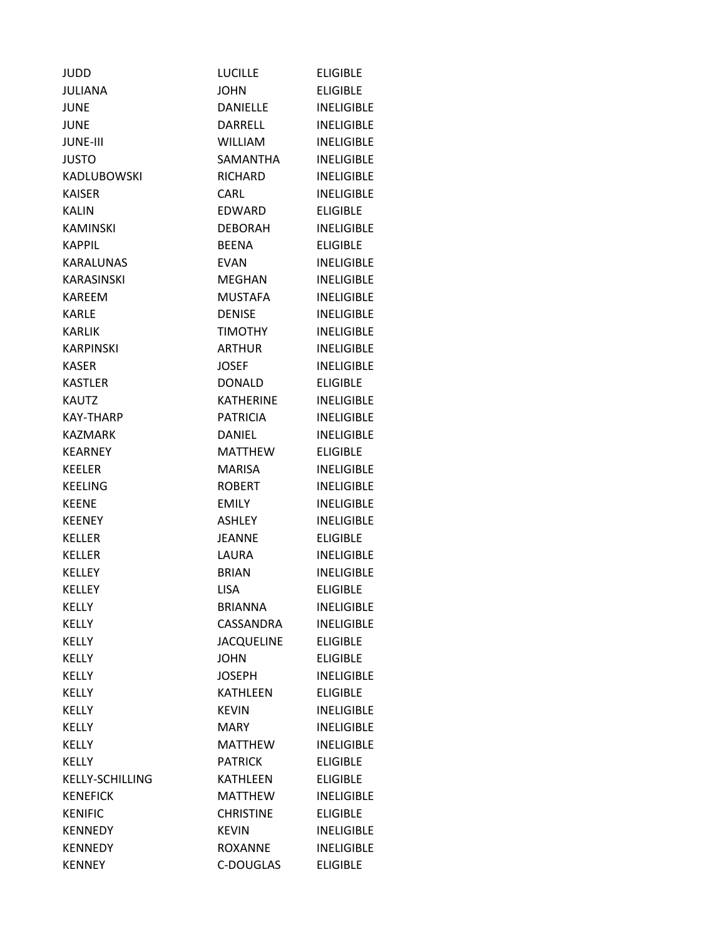| <b>JUDD</b>       | <b>LUCILLE</b>    | <b>ELIGIBLE</b>   |
|-------------------|-------------------|-------------------|
| <b>JULIANA</b>    | <b>JOHN</b>       | <b>ELIGIBLE</b>   |
| <b>JUNE</b>       | <b>DANIELLE</b>   | <b>INELIGIBLE</b> |
| <b>JUNE</b>       | DARRELL           | <b>INELIGIBLE</b> |
| <b>JUNE-III</b>   | <b>WILLIAM</b>    | <b>INELIGIBLE</b> |
| <b>JUSTO</b>      | SAMANTHA          | <b>INELIGIBLE</b> |
| KADLUBOWSKI       | RICHARD           | <b>INELIGIBLE</b> |
| <b>KAISER</b>     | <b>CARL</b>       | <b>INELIGIBLE</b> |
| <b>KALIN</b>      | EDWARD            | <b>ELIGIBLE</b>   |
| <b>KAMINSKI</b>   | <b>DEBORAH</b>    | <b>INELIGIBLE</b> |
| KAPPIL            | <b>BEENA</b>      | <b>ELIGIBLE</b>   |
| <b>KARALUNAS</b>  | <b>EVAN</b>       | <b>INELIGIBLE</b> |
| <b>KARASINSKI</b> | MEGHAN            | <b>INELIGIBLE</b> |
| <b>KAREEM</b>     | <b>MUSTAFA</b>    | <b>INELIGIBLE</b> |
| <b>KARLE</b>      | <b>DENISE</b>     | <b>INELIGIBLE</b> |
| <b>KARLIK</b>     | <b>TIMOTHY</b>    | <b>INELIGIBLE</b> |
| <b>KARPINSKI</b>  | <b>ARTHUR</b>     | <b>INELIGIBLE</b> |
| <b>KASER</b>      | JOSEF             | <b>INELIGIBLE</b> |
| <b>KASTLER</b>    | <b>DONALD</b>     | <b>ELIGIBLE</b>   |
| <b>KAUTZ</b>      | <b>KATHERINE</b>  | <b>INELIGIBLE</b> |
| <b>KAY-THARP</b>  | <b>PATRICIA</b>   | <b>INELIGIBLE</b> |
| <b>KAZMARK</b>    | DANIEL            | <b>INELIGIBLE</b> |
| <b>KEARNEY</b>    | <b>MATTHEW</b>    | <b>ELIGIBLE</b>   |
| <b>KEELER</b>     | <b>MARISA</b>     | <b>INELIGIBLE</b> |
| <b>KEELING</b>    | <b>ROBERT</b>     | <b>INELIGIBLE</b> |
| <b>KEENE</b>      | <b>EMILY</b>      | <b>INELIGIBLE</b> |
| <b>KEENEY</b>     | <b>ASHLEY</b>     | <b>INELIGIBLE</b> |
| <b>KELLER</b>     | <b>JEANNE</b>     | <b>ELIGIBLE</b>   |
| <b>KELLER</b>     | LAURA             | <b>INELIGIBLE</b> |
| <b>KELLEY</b>     | <b>BRIAN</b>      | <b>INELIGIBLE</b> |
| KELLEY            | <b>LISA</b>       | <b>ELIGIBLE</b>   |
| <b>KELLY</b>      | <b>BRIANNA</b>    | <b>INELIGIBLE</b> |
| <b>KELLY</b>      | CASSANDRA         | <b>INELIGIBLE</b> |
| <b>KELLY</b>      | <b>JACQUELINE</b> | <b>ELIGIBLE</b>   |
| <b>KELLY</b>      | <b>JOHN</b>       | <b>ELIGIBLE</b>   |
| <b>KELLY</b>      | <b>JOSEPH</b>     | <b>INELIGIBLE</b> |
| <b>KELLY</b>      | <b>KATHLEEN</b>   | <b>ELIGIBLE</b>   |
| <b>KELLY</b>      | <b>KEVIN</b>      | <b>INELIGIBLE</b> |
| <b>KELLY</b>      | <b>MARY</b>       | <b>INELIGIBLE</b> |
| <b>KELLY</b>      | <b>MATTHEW</b>    | <b>INELIGIBLE</b> |
| <b>KELLY</b>      | <b>PATRICK</b>    | <b>ELIGIBLE</b>   |
| KELLY-SCHILLING   | <b>KATHLEEN</b>   | <b>ELIGIBLE</b>   |
| <b>KENEFICK</b>   | <b>MATTHEW</b>    | <b>INELIGIBLE</b> |
| <b>KENIFIC</b>    | <b>CHRISTINE</b>  | <b>ELIGIBLE</b>   |
| <b>KENNEDY</b>    | <b>KEVIN</b>      | <b>INELIGIBLE</b> |
| <b>KENNEDY</b>    | <b>ROXANNE</b>    | <b>INELIGIBLE</b> |
| <b>KENNEY</b>     | C-DOUGLAS         | <b>ELIGIBLE</b>   |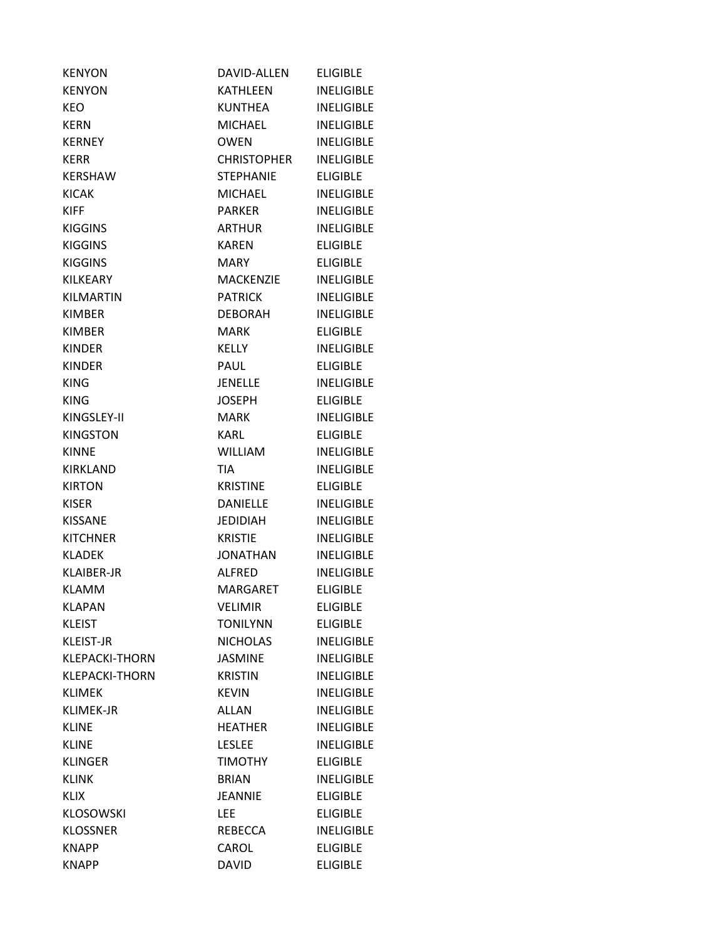| <b>KENYON</b>         | DAVID-ALLEN        | <b>ELIGIBLE</b>   |
|-----------------------|--------------------|-------------------|
| <b>KENYON</b>         | KATHLFFN           | <b>INELIGIBLE</b> |
| <b>KEO</b>            | KUNTHEA            | <b>INELIGIBLE</b> |
| KERN                  | <b>MICHAEL</b>     | <b>INELIGIBLE</b> |
| <b>KERNEY</b>         | <b>OWEN</b>        | <b>INELIGIBLE</b> |
| <b>KERR</b>           | <b>CHRISTOPHER</b> | <b>INELIGIBLE</b> |
| <b>KERSHAW</b>        | STEPHANIE          | <b>ELIGIBLE</b>   |
| <b>KICAK</b>          | <b>MICHAEL</b>     | <b>INELIGIBLE</b> |
| <b>KIFF</b>           | <b>PARKER</b>      | <b>INELIGIBLE</b> |
| <b>KIGGINS</b>        | <b>ARTHUR</b>      | <b>INELIGIBLE</b> |
| <b>KIGGINS</b>        | <b>KAREN</b>       | <b>ELIGIBLE</b>   |
| <b>KIGGINS</b>        | <b>MARY</b>        | <b>ELIGIBLE</b>   |
| KILKEARY              | <b>MACKENZIE</b>   | <b>INELIGIBLE</b> |
| <b>KILMARTIN</b>      | <b>PATRICK</b>     | <b>INELIGIBLE</b> |
| <b>KIMBER</b>         | <b>DEBORAH</b>     | <b>INELIGIBLE</b> |
| KIMBER                | <b>MARK</b>        | <b>ELIGIBLE</b>   |
| <b>KINDER</b>         | KELLY              | <b>INELIGIBLE</b> |
| <b>KINDER</b>         | <b>PAUL</b>        | <b>ELIGIBLE</b>   |
| <b>KING</b>           | <b>JENELLE</b>     | <b>INELIGIBLE</b> |
| <b>KING</b>           | <b>JOSEPH</b>      | <b>ELIGIBLE</b>   |
| KINGSLEY-II           | MARK               | <b>INELIGIBLE</b> |
| <b>KINGSTON</b>       | <b>KARL</b>        | <b>ELIGIBLE</b>   |
| <b>KINNE</b>          | <b>WILLIAM</b>     | <b>INELIGIBLE</b> |
| <b>KIRKLAND</b>       | <b>TIA</b>         | <b>INELIGIBLE</b> |
| <b>KIRTON</b>         | <b>KRISTINE</b>    | <b>ELIGIBLE</b>   |
| <b>KISER</b>          | <b>DANIELLE</b>    | <b>INELIGIBLE</b> |
| <b>KISSANE</b>        | <b>JEDIDIAH</b>    | <b>INELIGIBLE</b> |
| <b>KITCHNER</b>       | <b>KRISTIE</b>     | <b>INELIGIBLE</b> |
| <b>KLADEK</b>         | <b>JONATHAN</b>    | <b>INELIGIBLE</b> |
| KLAIBER-JR            | <b>ALFRED</b>      | <b>INELIGIBLE</b> |
| <b>KLAMM</b>          | <b>MARGARET</b>    | <b>ELIGIBLE</b>   |
| <b>KLAPAN</b>         | <b>VELIMIR</b>     | <b>ELIGIBLE</b>   |
| <b>KLEIST</b>         | <b>TONILYNN</b>    | <b>ELIGIBLE</b>   |
| <b>KLEIST-JR</b>      | <b>NICHOLAS</b>    | <b>INELIGIBLE</b> |
| <b>KLEPACKI-THORN</b> | <b>JASMINE</b>     | <b>INELIGIBLE</b> |
| <b>KLEPACKI-THORN</b> | <b>KRISTIN</b>     | <b>INELIGIBLE</b> |
| <b>KLIMEK</b>         | <b>KEVIN</b>       | <b>INELIGIBLE</b> |
| <b>KLIMEK-JR</b>      | <b>ALLAN</b>       | <b>INELIGIBLE</b> |
| <b>KLINE</b>          | <b>HEATHER</b>     | <b>INELIGIBLE</b> |
| <b>KLINE</b>          | <b>LESLEE</b>      | <b>INELIGIBLE</b> |
| <b>KLINGER</b>        | <b>TIMOTHY</b>     | <b>ELIGIBLE</b>   |
| <b>KLINK</b>          | <b>BRIAN</b>       | <b>INELIGIBLE</b> |
| <b>KLIX</b>           | <b>JEANNIE</b>     | <b>ELIGIBLE</b>   |
| <b>KLOSOWSKI</b>      | <b>LEE</b>         | <b>ELIGIBLE</b>   |
| <b>KLOSSNER</b>       | REBECCA            | <b>INELIGIBLE</b> |
| <b>KNAPP</b>          | CAROL              | <b>ELIGIBLE</b>   |
| <b>KNAPP</b>          | <b>DAVID</b>       | <b>ELIGIBLE</b>   |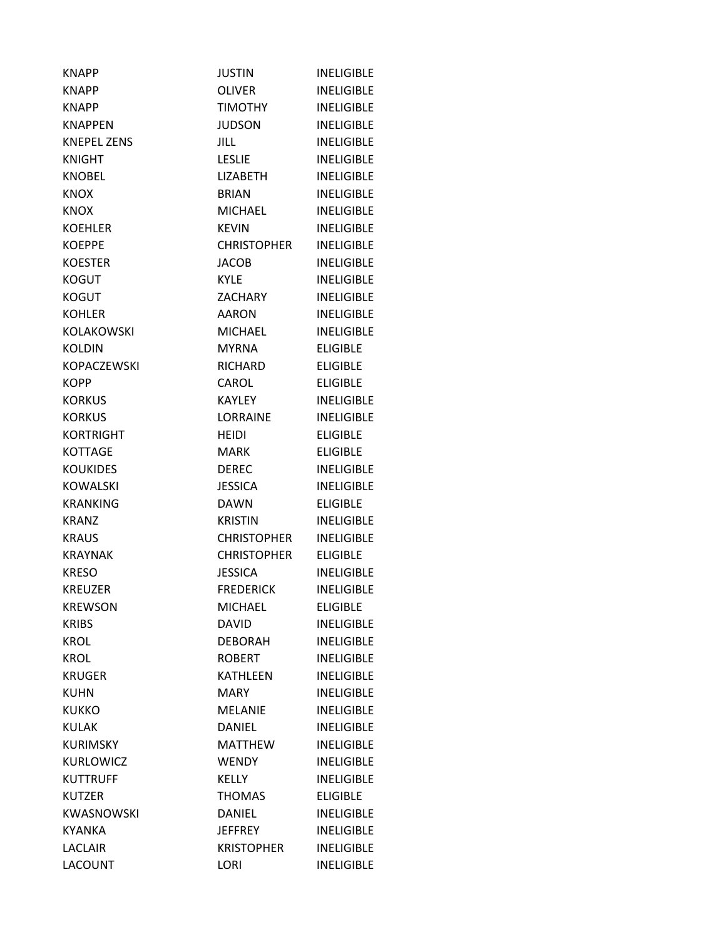| <b>KNAPP</b>       | <b>JUSTIN</b>      | <b>INELIGIBLE</b> |
|--------------------|--------------------|-------------------|
| <b>KNAPP</b>       | <b>OLIVER</b>      | <b>INFLIGIBLE</b> |
| <b>KNAPP</b>       | <b>TIMOTHY</b>     | <b>INELIGIBLE</b> |
| <b>KNAPPEN</b>     | <b>JUDSON</b>      | <b>INELIGIBLE</b> |
| <b>KNEPEL ZENS</b> | JILL.              | <b>INELIGIBLE</b> |
| <b>KNIGHT</b>      | <b>LESLIE</b>      | <b>INELIGIBLE</b> |
| <b>KNOBEL</b>      | <b>LIZABETH</b>    | <b>INELIGIBLE</b> |
| <b>KNOX</b>        | <b>BRIAN</b>       | <b>INELIGIBLE</b> |
| <b>KNOX</b>        | <b>MICHAEL</b>     | <b>INELIGIBLE</b> |
| <b>KOEHLER</b>     | <b>KEVIN</b>       | <b>INELIGIBLE</b> |
| <b>KOEPPE</b>      | <b>CHRISTOPHER</b> | <b>INELIGIBLE</b> |
| <b>KOESTER</b>     | <b>JACOB</b>       | <b>INELIGIBLE</b> |
| <b>KOGUT</b>       | <b>KYLE</b>        | <b>INELIGIBLE</b> |
| <b>KOGUT</b>       | ZACHARY            | <b>INELIGIBLE</b> |
| <b>KOHLER</b>      | <b>AARON</b>       | <b>INELIGIBLE</b> |
| <b>KOLAKOWSKI</b>  | <b>MICHAEL</b>     | <b>INELIGIBLE</b> |
| <b>KOLDIN</b>      | <b>MYRNA</b>       | <b>ELIGIBLE</b>   |
| <b>KOPACZEWSKI</b> | <b>RICHARD</b>     | <b>ELIGIBLE</b>   |
| <b>KOPP</b>        | CAROL              | <b>ELIGIBLE</b>   |
| <b>KORKUS</b>      | KAYLEY             | <b>INELIGIBLE</b> |
| <b>KORKUS</b>      | LORRAINE           | <b>INELIGIBLE</b> |
| <b>KORTRIGHT</b>   | <b>HEIDI</b>       | <b>ELIGIBLE</b>   |
| <b>KOTTAGE</b>     | <b>MARK</b>        | <b>ELIGIBLE</b>   |
| <b>KOUKIDES</b>    | <b>DEREC</b>       | <b>INELIGIBLE</b> |
| <b>KOWALSKI</b>    | <b>JESSICA</b>     | <b>INELIGIBLE</b> |
| <b>KRANKING</b>    | <b>DAWN</b>        | <b>ELIGIBLE</b>   |
| <b>KRANZ</b>       | <b>KRISTIN</b>     | <b>INELIGIBLE</b> |
| <b>KRAUS</b>       | <b>CHRISTOPHER</b> | <b>INELIGIBLE</b> |
| <b>KRAYNAK</b>     | <b>CHRISTOPHER</b> | <b>ELIGIBLE</b>   |
| <b>KRESO</b>       | <b>JESSICA</b>     | <b>INELIGIBLE</b> |
| <b>KREUZER</b>     | <b>FREDERICK</b>   | <b>INELIGIBLE</b> |
| <b>KREWSON</b>     | <b>MICHAEL</b>     | <b>ELIGIBLE</b>   |
| <b>KRIBS</b>       | <b>DAVID</b>       | <b>INELIGIBLE</b> |
| <b>KROL</b>        | <b>DEBORAH</b>     | <b>INELIGIBLE</b> |
| <b>KROL</b>        | <b>ROBERT</b>      | <b>INELIGIBLE</b> |
| <b>KRUGER</b>      | KATHLEEN           | <b>INELIGIBLE</b> |
| <b>KUHN</b>        | MARY               | <b>INELIGIBLE</b> |
| <b>KUKKO</b>       | <b>MELANIE</b>     | <b>INELIGIBLE</b> |
| <b>KULAK</b>       | <b>DANIEL</b>      | <b>INELIGIBLE</b> |
| <b>KURIMSKY</b>    | <b>MATTHEW</b>     | <b>INELIGIBLE</b> |
| KURLOWICZ          | <b>WENDY</b>       | <b>INELIGIBLE</b> |
| <b>KUTTRUFF</b>    | <b>KELLY</b>       | <b>INELIGIBLE</b> |
| <b>KUTZER</b>      | <b>THOMAS</b>      | <b>ELIGIBLE</b>   |
| <b>KWASNOWSKI</b>  | <b>DANIEL</b>      | <b>INELIGIBLE</b> |
| <b>KYANKA</b>      | <b>JEFFREY</b>     | <b>INELIGIBLE</b> |
| <b>LACLAIR</b>     | <b>KRISTOPHER</b>  | <b>INELIGIBLE</b> |
| <b>LACOUNT</b>     | LORI               | <b>INELIGIBLE</b> |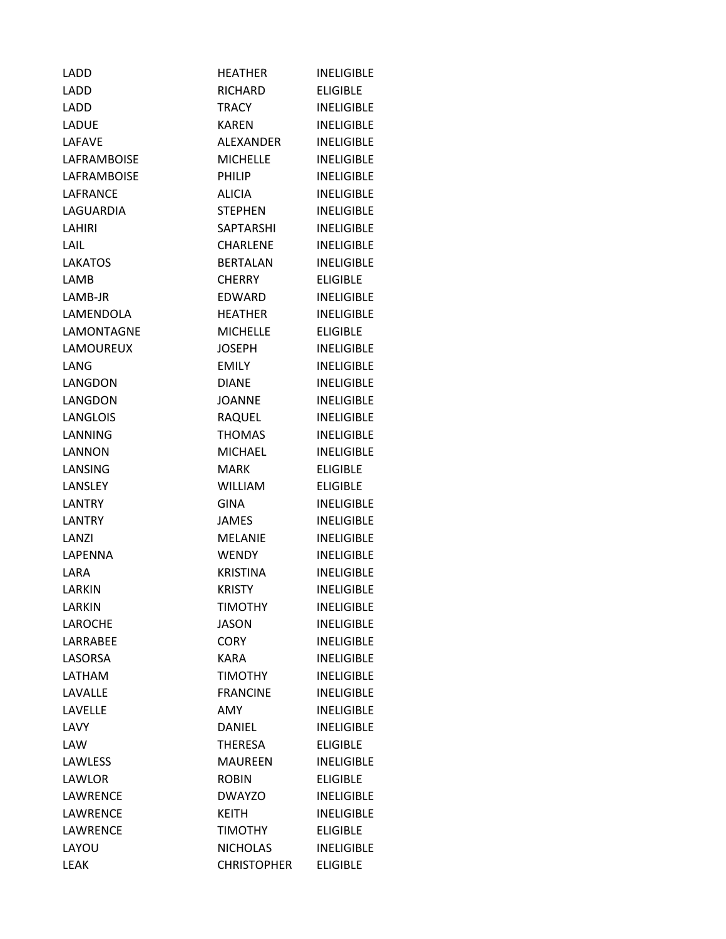| LADD           | <b>HEATHER</b>     | <b>INELIGIBLE</b> |
|----------------|--------------------|-------------------|
| LADD           | <b>RICHARD</b>     | <b>ELIGIBLE</b>   |
| LADD           | <b>TRACY</b>       | <b>INELIGIBLE</b> |
| LADUE          | <b>KAREN</b>       | <b>INELIGIBLE</b> |
| <b>LAFAVE</b>  | <b>ALEXANDER</b>   | <b>INELIGIBLE</b> |
| LAFRAMBOISE    | <b>MICHELLE</b>    | <b>INELIGIBLE</b> |
| LAFRAMBOISE    | <b>PHILIP</b>      | <b>INELIGIBLE</b> |
| LAFRANCE       | <b>ALICIA</b>      | <b>INELIGIBLE</b> |
| LAGUARDIA      | <b>STEPHEN</b>     | <b>INELIGIBLE</b> |
| LAHIRI         | <b>SAPTARSHI</b>   | <b>INELIGIBLE</b> |
| LAIL           | <b>CHARLENE</b>    | <b>INELIGIBLE</b> |
| <b>LAKATOS</b> | <b>BERTALAN</b>    | <b>INELIGIBLE</b> |
| LAMB           | <b>CHERRY</b>      | <b>ELIGIBLE</b>   |
| LAMB-JR        | EDWARD             | <b>INELIGIBLE</b> |
| LAMENDOLA      | <b>HEATHER</b>     | <b>INELIGIBLE</b> |
| LAMONTAGNE     | <b>MICHELLE</b>    | <b>ELIGIBLE</b>   |
| LAMOUREUX      | <b>JOSEPH</b>      | <b>INELIGIBLE</b> |
| LANG           | <b>EMILY</b>       | <b>INELIGIBLE</b> |
| LANGDON        | <b>DIANE</b>       | <b>INELIGIBLE</b> |
| LANGDON        | <b>JOANNE</b>      | <b>INELIGIBLE</b> |
| LANGLOIS       | RAQUEL             | <b>INELIGIBLE</b> |
| LANNING        | <b>THOMAS</b>      | <b>INELIGIBLE</b> |
| LANNON         | <b>MICHAEL</b>     | <b>INELIGIBLE</b> |
| LANSING        | <b>MARK</b>        | <b>ELIGIBLE</b>   |
| LANSLEY        | <b>WILLIAM</b>     | <b>ELIGIBLE</b>   |
| <b>LANTRY</b>  | <b>GINA</b>        | <b>INELIGIBLE</b> |
| <b>LANTRY</b>  | <b>JAMES</b>       | <b>INELIGIBLE</b> |
| LANZI          | <b>MELANIE</b>     | <b>INELIGIBLE</b> |
| LAPENNA        | <b>WENDY</b>       | <b>INELIGIBLE</b> |
| LARA           | <b>KRISTINA</b>    | <b>INELIGIBLE</b> |
| <b>LARKIN</b>  | <b>KRISTY</b>      | <b>INELIGIBLE</b> |
| <b>LARKIN</b>  | <b>TIMOTHY</b>     | <b>INELIGIBLE</b> |
| <b>LAROCHE</b> | <b>JASON</b>       | <b>INELIGIBLE</b> |
| LARRABEE       | <b>CORY</b>        | <b>INELIGIBLE</b> |
| LASORSA        | <b>KARA</b>        | <b>INELIGIBLE</b> |
| LATHAM         | <b>TIMOTHY</b>     | <b>INELIGIBLE</b> |
| LAVALLE        | <b>FRANCINE</b>    | <b>INELIGIBLE</b> |
| LAVELLE        | AMY                | <b>INELIGIBLE</b> |
| LAVY           | <b>DANIEL</b>      | <b>INELIGIBLE</b> |
| LAW            | <b>THERESA</b>     | <b>ELIGIBLE</b>   |
| LAWLESS        | <b>MAUREEN</b>     | <b>INELIGIBLE</b> |
| LAWLOR         | <b>ROBIN</b>       | <b>ELIGIBLE</b>   |
| LAWRENCE       | <b>DWAYZO</b>      | <b>INELIGIBLE</b> |
| LAWRENCE       | <b>KEITH</b>       | <b>INELIGIBLE</b> |
| LAWRENCE       | <b>TIMOTHY</b>     | <b>ELIGIBLE</b>   |
| LAYOU          | <b>NICHOLAS</b>    | <b>INELIGIBLE</b> |
| <b>LEAK</b>    | <b>CHRISTOPHER</b> | <b>ELIGIBLE</b>   |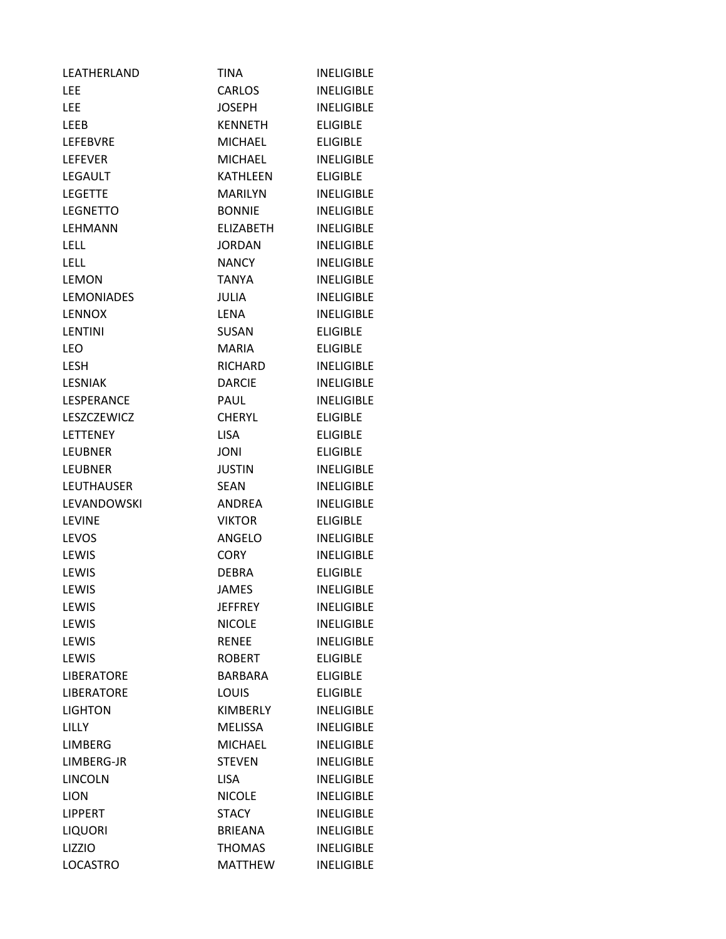| LEATHERLAND       | TINA             | <b>INELIGIBLE</b> |
|-------------------|------------------|-------------------|
| LEE               | <b>CARLOS</b>    | <b>INELIGIBLE</b> |
| <b>LEE</b>        | <b>JOSEPH</b>    | <b>INELIGIBLE</b> |
| LEEB              | <b>KENNETH</b>   | <b>ELIGIBLE</b>   |
| <b>LEFEBVRE</b>   | <b>MICHAEL</b>   | <b>ELIGIBLE</b>   |
| <b>LEFEVER</b>    | <b>MICHAEL</b>   | <b>INELIGIBLE</b> |
| LEGAULT           | <b>KATHLEEN</b>  | <b>ELIGIBLE</b>   |
| <b>LEGETTE</b>    | <b>MARILYN</b>   | <b>INELIGIBLE</b> |
| <b>LEGNETTO</b>   | <b>BONNIE</b>    | <b>INELIGIBLE</b> |
| LEHMANN           | <b>ELIZABETH</b> | <b>INELIGIBLE</b> |
| <b>LELL</b>       | <b>JORDAN</b>    | <b>INELIGIBLE</b> |
| <b>LELL</b>       | <b>NANCY</b>     | <b>INELIGIBLE</b> |
| <b>LEMON</b>      | TANYA            | <b>INELIGIBLE</b> |
| <b>LEMONIADES</b> | <b>JULIA</b>     | <b>INELIGIBLE</b> |
| <b>LENNOX</b>     | <b>LENA</b>      | <b>INELIGIBLE</b> |
| LENTINI           | <b>SUSAN</b>     | <b>ELIGIBLE</b>   |
| <b>LEO</b>        | <b>MARIA</b>     | <b>ELIGIBLE</b>   |
| <b>LESH</b>       | <b>RICHARD</b>   | <b>INELIGIBLE</b> |
| <b>LESNIAK</b>    | <b>DARCIE</b>    | <b>INELIGIBLE</b> |
| LESPERANCE        | <b>PAUL</b>      | <b>INELIGIBLE</b> |
| LESZCZEWICZ       | <b>CHERYL</b>    | <b>ELIGIBLE</b>   |
| <b>LETTENEY</b>   | <b>LISA</b>      | <b>ELIGIBLE</b>   |
| <b>LEUBNER</b>    | <b>JONI</b>      | <b>ELIGIBLE</b>   |
| <b>LEUBNER</b>    | <b>JUSTIN</b>    | <b>INELIGIBLE</b> |
| <b>LEUTHAUSER</b> | SEAN             | <b>INELIGIBLE</b> |
| LEVANDOWSKI       | <b>ANDREA</b>    | <b>INELIGIBLE</b> |
| <b>LEVINE</b>     | <b>VIKTOR</b>    | <b>ELIGIBLE</b>   |
| LEVOS             | ANGELO           | <b>INELIGIBLE</b> |
| LEWIS             | <b>CORY</b>      | <b>INELIGIBLE</b> |
| LEWIS             | <b>DEBRA</b>     | <b>ELIGIBLE</b>   |
| LEWIS             | <b>JAMES</b>     | <b>INELIGIBLE</b> |
| LEWIS             | <b>JEFFREY</b>   | <b>INELIGIBLE</b> |
| LEWIS             | <b>NICOLE</b>    | <b>INELIGIBLE</b> |
| LEWIS             | <b>RENEE</b>     | <b>INELIGIBLE</b> |
| LEWIS             | <b>ROBERT</b>    | <b>ELIGIBLE</b>   |
| LIBERATORE        | <b>BARBARA</b>   | <b>ELIGIBLE</b>   |
| <b>LIBERATORE</b> | <b>LOUIS</b>     | <b>ELIGIBLE</b>   |
| <b>LIGHTON</b>    | KIMBERLY         | <b>INELIGIBLE</b> |
| <b>LILLY</b>      | <b>MELISSA</b>   | <b>INELIGIBLE</b> |
| <b>LIMBERG</b>    | <b>MICHAEL</b>   | <b>INELIGIBLE</b> |
| LIMBERG-JR        | <b>STEVEN</b>    | <b>INELIGIBLE</b> |
| LINCOLN           | <b>LISA</b>      | <b>INELIGIBLE</b> |
| <b>LION</b>       | <b>NICOLE</b>    | <b>INELIGIBLE</b> |
| <b>LIPPERT</b>    | <b>STACY</b>     | <b>INELIGIBLE</b> |
| <b>LIQUORI</b>    | <b>BRIEANA</b>   | <b>INELIGIBLE</b> |
| LIZZIO            | <b>THOMAS</b>    | <b>INELIGIBLE</b> |
| <b>LOCASTRO</b>   | <b>MATTHEW</b>   | <b>INELIGIBLE</b> |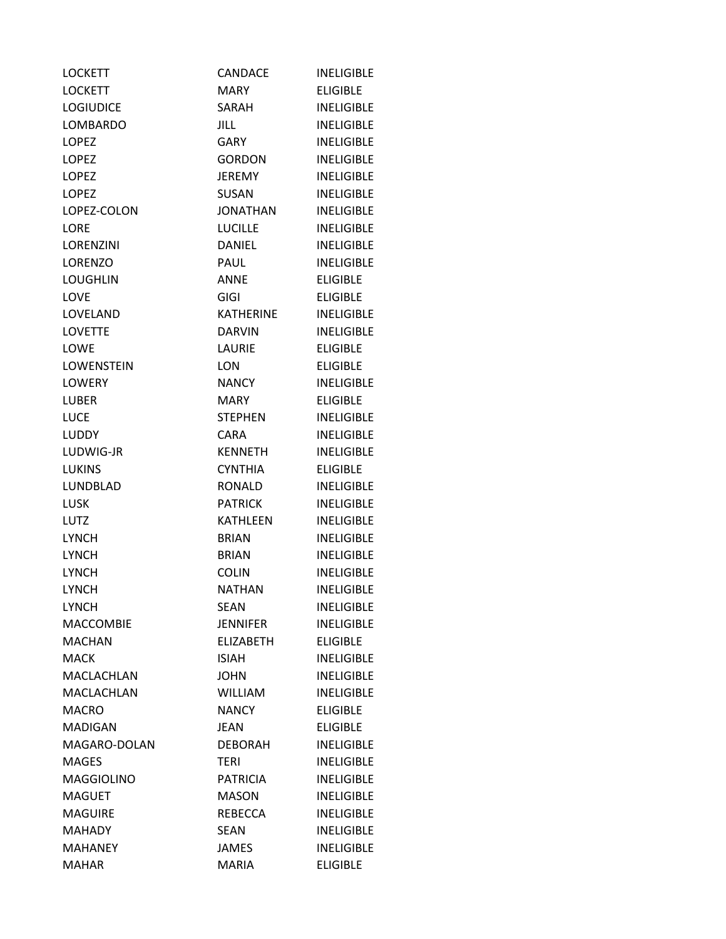| <b>LOCKETT</b>    | <b>CANDACE</b>   | <b>INELIGIBLE</b> |
|-------------------|------------------|-------------------|
| <b>LOCKETT</b>    | MARY             | <b>FLIGIBLE</b>   |
| <b>LOGIUDICE</b>  | SARAH            | <b>INELIGIBLE</b> |
| <b>LOMBARDO</b>   | <b>JILL</b>      | <b>INELIGIBLE</b> |
| <b>LOPEZ</b>      | <b>GARY</b>      | <b>INELIGIBLE</b> |
| <b>LOPEZ</b>      | <b>GORDON</b>    | <b>INELIGIBLE</b> |
| <b>LOPEZ</b>      | <b>JEREMY</b>    | <b>INELIGIBLE</b> |
| <b>LOPEZ</b>      | <b>SUSAN</b>     | <b>INELIGIBLE</b> |
| LOPEZ-COLON       | <b>JONATHAN</b>  | <b>INELIGIBLE</b> |
| <b>LORE</b>       | <b>LUCILLE</b>   | <b>INELIGIBLE</b> |
| LORENZINI         | <b>DANIEL</b>    | <b>INELIGIBLE</b> |
| <b>LORENZO</b>    | PAUL             | <b>INELIGIBLE</b> |
| <b>LOUGHLIN</b>   | ANNE             | <b>ELIGIBLE</b>   |
| LOVE              | <b>GIGI</b>      | <b>ELIGIBLE</b>   |
| LOVELAND          | KATHERINE        | <b>INELIGIBLE</b> |
| <b>LOVETTE</b>    | <b>DARVIN</b>    | <b>INELIGIBLE</b> |
| LOWE              | LAURIE           | <b>ELIGIBLE</b>   |
| <b>LOWENSTEIN</b> | LON              | <b>ELIGIBLE</b>   |
| <b>LOWERY</b>     | <b>NANCY</b>     | <b>INELIGIBLE</b> |
| <b>LUBER</b>      | <b>MARY</b>      | <b>ELIGIBLE</b>   |
| <b>LUCE</b>       | <b>STEPHEN</b>   | <b>INELIGIBLE</b> |
| <b>LUDDY</b>      | <b>CARA</b>      | <b>INELIGIBLE</b> |
| LUDWIG-JR         | <b>KENNETH</b>   | <b>INELIGIBLE</b> |
| <b>LUKINS</b>     | <b>CYNTHIA</b>   | <b>ELIGIBLE</b>   |
| LUNDBLAD          | RONALD           | <b>INELIGIBLE</b> |
| <b>LUSK</b>       | <b>PATRICK</b>   | <b>INELIGIBLE</b> |
| <b>LUTZ</b>       | <b>KATHLEEN</b>  | <b>INELIGIBLE</b> |
| <b>LYNCH</b>      | BRIAN            | <b>INELIGIBLE</b> |
| <b>LYNCH</b>      | <b>BRIAN</b>     | <b>INELIGIBLE</b> |
| <b>LYNCH</b>      | <b>COLIN</b>     | <b>INELIGIBLE</b> |
| <b>LYNCH</b>      | <b>NATHAN</b>    | <b>INELIGIBLE</b> |
| <b>LYNCH</b>      | <b>SEAN</b>      | <b>INELIGIBLE</b> |
| MACCOMBIE         | <b>JENNIFER</b>  | <b>INELIGIBLE</b> |
| <b>MACHAN</b>     | <b>ELIZABETH</b> | <b>ELIGIBLE</b>   |
| <b>MACK</b>       | ISIAH            | <b>INELIGIBLE</b> |
| MACLACHLAN        | <b>JOHN</b>      | <b>INELIGIBLE</b> |
| MACLACHLAN        | <b>WILLIAM</b>   | <b>INELIGIBLE</b> |
| <b>MACRO</b>      | <b>NANCY</b>     | <b>ELIGIBLE</b>   |
| <b>MADIGAN</b>    | <b>JEAN</b>      | <b>ELIGIBLE</b>   |
| MAGARO-DOLAN      | <b>DEBORAH</b>   | <b>INELIGIBLE</b> |
| <b>MAGES</b>      | <b>TERI</b>      | <b>INELIGIBLE</b> |
| <b>MAGGIOLINO</b> | <b>PATRICIA</b>  | <b>INELIGIBLE</b> |
| <b>MAGUET</b>     | <b>MASON</b>     | <b>INELIGIBLE</b> |
| <b>MAGUIRE</b>    | REBECCA          | <b>INELIGIBLE</b> |
| <b>MAHADY</b>     | <b>SEAN</b>      | <b>INELIGIBLE</b> |
| <b>MAHANEY</b>    | <b>JAMES</b>     | <b>INELIGIBLE</b> |
| <b>MAHAR</b>      | <b>MARIA</b>     | <b>ELIGIBLE</b>   |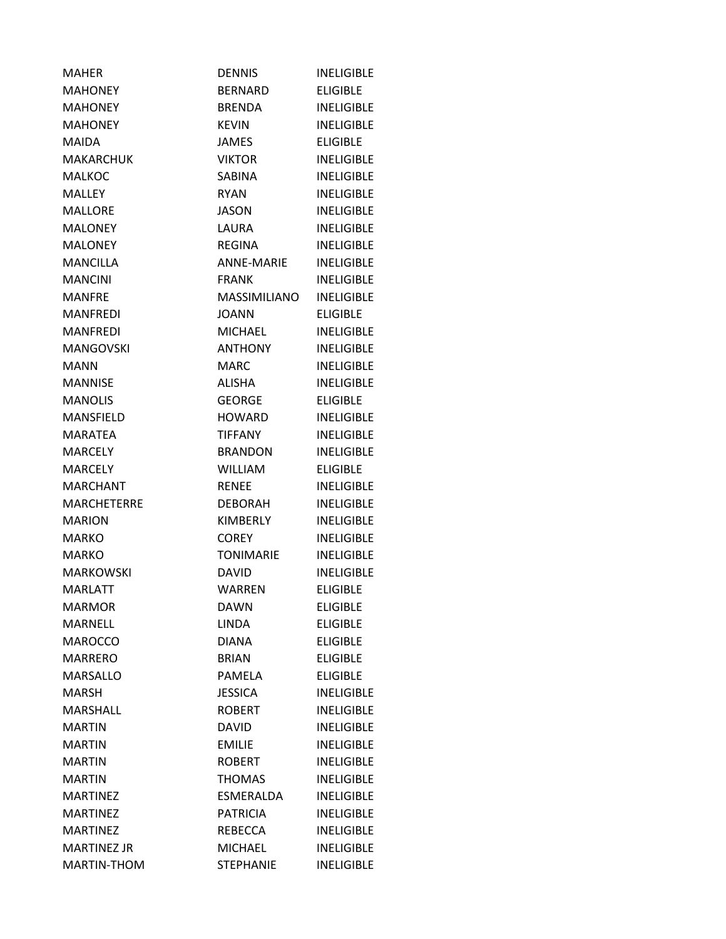| MAHER              | <b>DENNIS</b>     | <b>INELIGIBLE</b> |
|--------------------|-------------------|-------------------|
| <b>MAHONEY</b>     | BERNARD           | <b>ELIGIBLE</b>   |
| <b>MAHONEY</b>     | <b>BRENDA</b>     | <b>INELIGIBLE</b> |
| <b>MAHONEY</b>     | <b>KEVIN</b>      | <b>INELIGIBLE</b> |
| MAIDA              | <b>JAMES</b>      | <b>ELIGIBLE</b>   |
| <b>MAKARCHUK</b>   | <b>VIKTOR</b>     | <b>INELIGIBLE</b> |
| <b>MALKOC</b>      | <b>SABINA</b>     | <b>INELIGIBLE</b> |
| <b>MALLEY</b>      | <b>RYAN</b>       | <b>INELIGIBLE</b> |
| <b>MALLORE</b>     | <b>JASON</b>      | <b>INELIGIBLE</b> |
| <b>MALONEY</b>     | LAURA             | <b>INELIGIBLE</b> |
| <b>MALONEY</b>     | <b>REGINA</b>     | <b>INELIGIBLE</b> |
| <b>MANCILLA</b>    | <b>ANNE-MARIE</b> | <b>INELIGIBLE</b> |
| <b>MANCINI</b>     | <b>FRANK</b>      | <b>INELIGIBLE</b> |
| <b>MANFRE</b>      | MASSIMILIANO      | <b>INELIGIBLE</b> |
| <b>MANFREDI</b>    | <b>JOANN</b>      | <b>ELIGIBLE</b>   |
| MANFREDI           | <b>MICHAEL</b>    | <b>INELIGIBLE</b> |
| <b>MANGOVSKI</b>   | <b>ANTHONY</b>    | <b>INELIGIBLE</b> |
| <b>MANN</b>        | <b>MARC</b>       | <b>INELIGIBLE</b> |
| <b>MANNISE</b>     | ALISHA            | <b>INELIGIBLE</b> |
| <b>MANOLIS</b>     | <b>GEORGE</b>     | <b>ELIGIBLE</b>   |
| MANSFIELD          | <b>HOWARD</b>     | <b>INELIGIBLE</b> |
| <b>MARATEA</b>     | <b>TIFFANY</b>    | <b>INELIGIBLE</b> |
| <b>MARCELY</b>     | <b>BRANDON</b>    | <b>INELIGIBLE</b> |
| <b>MARCELY</b>     | <b>WILLIAM</b>    | <b>ELIGIBLE</b>   |
| <b>MARCHANT</b>    | <b>RENEE</b>      | <b>INELIGIBLE</b> |
| <b>MARCHETERRE</b> | DEBORAH           | <b>INELIGIBLE</b> |
| <b>MARION</b>      | <b>KIMBERLY</b>   | <b>INELIGIBLE</b> |
| <b>MARKO</b>       | <b>COREY</b>      | <b>INELIGIBLE</b> |
| <b>MARKO</b>       | <b>TONIMARIE</b>  | <b>INELIGIBLE</b> |
| <b>MARKOWSKI</b>   | <b>DAVID</b>      | <b>INELIGIBLE</b> |
| <b>MARLATT</b>     | <b>WARREN</b>     | <b>ELIGIBLE</b>   |
| <b>MARMOR</b>      | <b>DAWN</b>       | <b>ELIGIBLE</b>   |
| <b>MARNELL</b>     | <b>LINDA</b>      | <b>ELIGIBLE</b>   |
| <b>MAROCCO</b>     | <b>DIANA</b>      | <b>ELIGIBLE</b>   |
| <b>MARRERO</b>     | <b>BRIAN</b>      | <b>ELIGIBLE</b>   |
| <b>MARSALLO</b>    | <b>PAMELA</b>     | <b>ELIGIBLE</b>   |
| <b>MARSH</b>       | <b>JESSICA</b>    | <b>INELIGIBLE</b> |
| <b>MARSHALL</b>    | <b>ROBERT</b>     | <b>INELIGIBLE</b> |
| <b>MARTIN</b>      | <b>DAVID</b>      | <b>INELIGIBLE</b> |
| <b>MARTIN</b>      | <b>EMILIE</b>     | <b>INELIGIBLE</b> |
| <b>MARTIN</b>      | <b>ROBERT</b>     | <b>INELIGIBLE</b> |
| <b>MARTIN</b>      | <b>THOMAS</b>     | <b>INELIGIBLE</b> |
| <b>MARTINEZ</b>    | ESMERALDA         | <b>INELIGIBLE</b> |
| <b>MARTINEZ</b>    | <b>PATRICIA</b>   | <b>INELIGIBLE</b> |
| <b>MARTINEZ</b>    | REBECCA           | <b>INELIGIBLE</b> |
| <b>MARTINEZ JR</b> | <b>MICHAEL</b>    | <b>INELIGIBLE</b> |
| MARTIN-THOM        | <b>STEPHANIE</b>  | <b>INELIGIBLE</b> |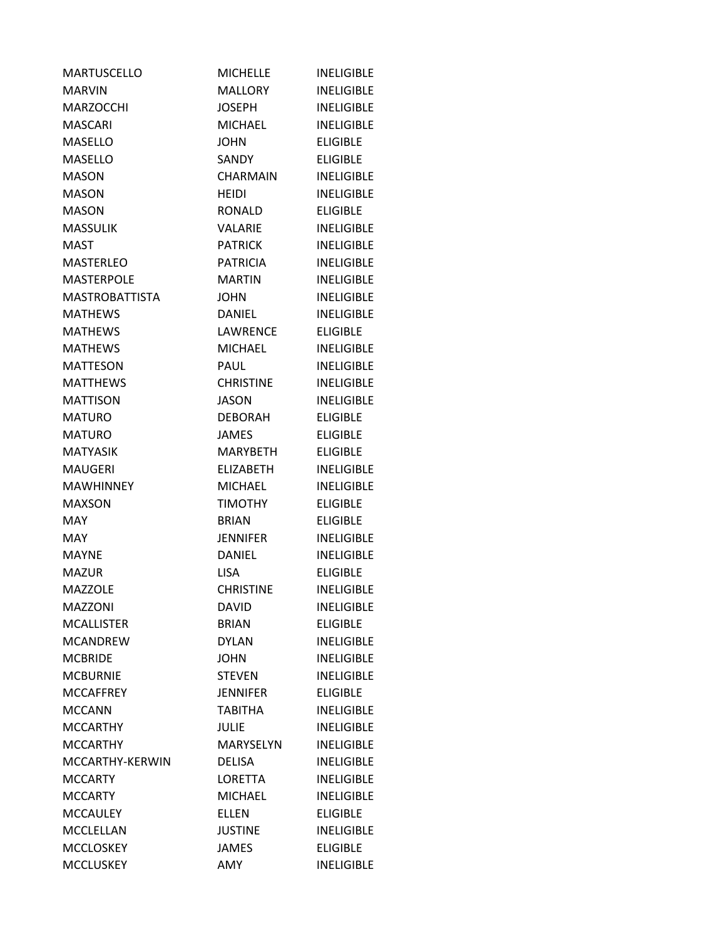| <b>MARTUSCELLO</b>    | <b>MICHELLE</b>  | <b>INELIGIBLE</b> |
|-----------------------|------------------|-------------------|
| <b>MARVIN</b>         | <b>MALLORY</b>   | <b>INELIGIBLE</b> |
| <b>MARZOCCHI</b>      | <b>JOSEPH</b>    | <b>INELIGIBLE</b> |
| <b>MASCARI</b>        | <b>MICHAEL</b>   | <b>INELIGIBLE</b> |
| <b>MASELLO</b>        | <b>JOHN</b>      | <b>ELIGIBLE</b>   |
| <b>MASELLO</b>        | SANDY            | <b>ELIGIBLE</b>   |
| <b>MASON</b>          | CHARMAIN         | <b>INELIGIBLE</b> |
| <b>MASON</b>          | <b>HEIDI</b>     | <b>INELIGIBLE</b> |
| <b>MASON</b>          | RONALD           | <b>ELIGIBLE</b>   |
| <b>MASSULIK</b>       | VALARIE          | <b>INELIGIBLE</b> |
| <b>MAST</b>           | <b>PATRICK</b>   | <b>INELIGIBLE</b> |
| <b>MASTERLEO</b>      | <b>PATRICIA</b>  | <b>INELIGIBLE</b> |
| <b>MASTERPOLE</b>     | <b>MARTIN</b>    | <b>INELIGIBLE</b> |
| <b>MASTROBATTISTA</b> | <b>JOHN</b>      | <b>INELIGIBLE</b> |
| <b>MATHEWS</b>        | <b>DANIEL</b>    | <b>INELIGIBLE</b> |
| <b>MATHEWS</b>        | LAWRENCE         | <b>ELIGIBLE</b>   |
| <b>MATHEWS</b>        | MICHAEL          | <b>INELIGIBLE</b> |
| <b>MATTESON</b>       | <b>PAUL</b>      | <b>INELIGIBLE</b> |
| <b>MATTHEWS</b>       | <b>CHRISTINE</b> | <b>INELIGIBLE</b> |
| <b>MATTISON</b>       | JASON            | <b>INELIGIBLE</b> |
| <b>MATURO</b>         | DEBORAH          | <b>ELIGIBLE</b>   |
| <b>MATURO</b>         | <b>JAMES</b>     | <b>ELIGIBLE</b>   |
| <b>MATYASIK</b>       | MARYBETH         | <b>ELIGIBLE</b>   |
| <b>MAUGERI</b>        | ELIZABETH        | <b>INELIGIBLE</b> |
| <b>MAWHINNEY</b>      | <b>MICHAEL</b>   | <b>INELIGIBLE</b> |
| <b>MAXSON</b>         | <b>TIMOTHY</b>   | <b>ELIGIBLE</b>   |
| <b>MAY</b>            | <b>BRIAN</b>     | <b>ELIGIBLE</b>   |
| <b>MAY</b>            | <b>JENNIFER</b>  | <b>INELIGIBLE</b> |
| <b>MAYNE</b>          | <b>DANIEL</b>    | <b>INELIGIBLE</b> |
| <b>MAZUR</b>          | <b>LISA</b>      | <b>ELIGIBLE</b>   |
| <b>MAZZOLE</b>        | <b>CHRISTINE</b> | <b>INELIGIBLE</b> |
| <b>MAZZONI</b>        | <b>DAVID</b>     | <b>INELIGIBLE</b> |
| <b>MCALLISTER</b>     | <b>BRIAN</b>     | <b>ELIGIBLE</b>   |
| <b>MCANDREW</b>       | <b>DYLAN</b>     | <b>INELIGIBLE</b> |
| <b>MCBRIDE</b>        | <b>JOHN</b>      | <b>INELIGIBLE</b> |
| <b>MCBURNIE</b>       | <b>STEVEN</b>    | <b>INELIGIBLE</b> |
| <b>MCCAFFREY</b>      | <b>JENNIFER</b>  | <b>ELIGIBLE</b>   |
| <b>MCCANN</b>         | <b>TABITHA</b>   | <b>INELIGIBLE</b> |
| <b>MCCARTHY</b>       | <b>JULIE</b>     | <b>INELIGIBLE</b> |
| <b>MCCARTHY</b>       | MARYSELYN        | <b>INELIGIBLE</b> |
| MCCARTHY-KERWIN       | <b>DELISA</b>    | <b>INELIGIBLE</b> |
| <b>MCCARTY</b>        | LORETTA          | <b>INELIGIBLE</b> |
| <b>MCCARTY</b>        | <b>MICHAEL</b>   | <b>INELIGIBLE</b> |
| <b>MCCAULEY</b>       | <b>ELLEN</b>     | <b>ELIGIBLE</b>   |
| MCCLELLAN             | <b>JUSTINE</b>   | <b>INELIGIBLE</b> |
| <b>MCCLOSKEY</b>      | <b>JAMES</b>     | <b>ELIGIBLE</b>   |
| <b>MCCLUSKEY</b>      | AMY              | <b>INELIGIBLE</b> |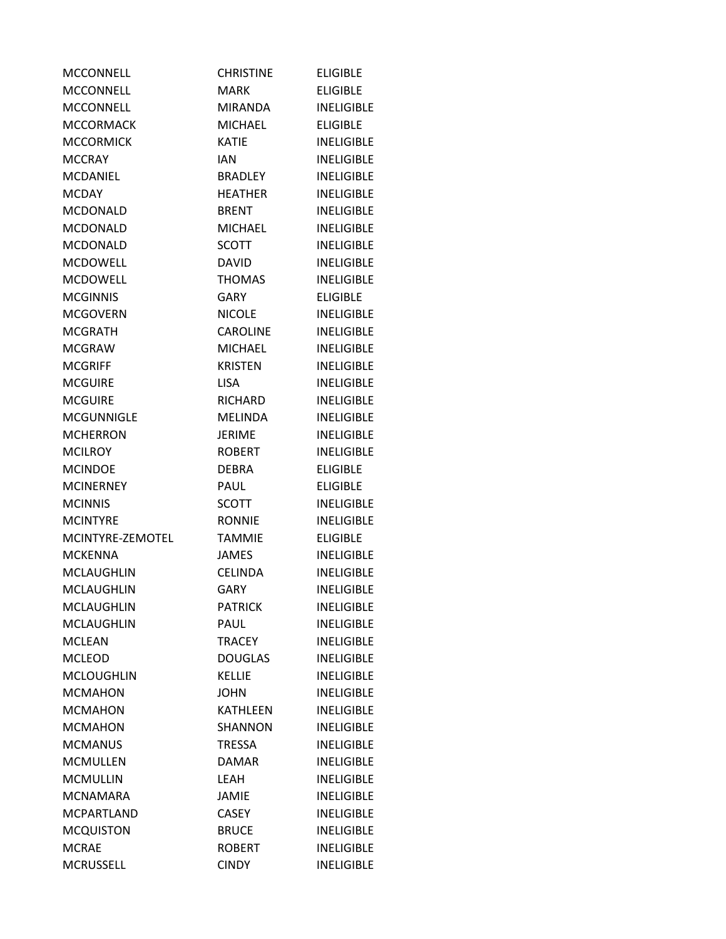| MCCONNELL         | <b>CHRISTINE</b> | <b>ELIGIBLE</b>   |
|-------------------|------------------|-------------------|
| <b>MCCONNELL</b>  | MARK             | <b>ELIGIBLE</b>   |
| <b>MCCONNELL</b>  | <b>MIRANDA</b>   | <b>INELIGIBLE</b> |
| <b>MCCORMACK</b>  | <b>MICHAEL</b>   | <b>ELIGIBLE</b>   |
| <b>MCCORMICK</b>  | <b>KATIE</b>     | <b>INELIGIBLE</b> |
| <b>MCCRAY</b>     | <b>IAN</b>       | <b>INELIGIBLE</b> |
| <b>MCDANIEL</b>   | <b>BRADLEY</b>   | <b>INELIGIBLE</b> |
| <b>MCDAY</b>      | <b>HEATHER</b>   | <b>INELIGIBLE</b> |
| <b>MCDONALD</b>   | <b>BRENT</b>     | <b>INELIGIBLE</b> |
| <b>MCDONALD</b>   | <b>MICHAEL</b>   | <b>INELIGIBLE</b> |
| <b>MCDONALD</b>   | SCOTT            | <b>INELIGIBLE</b> |
| <b>MCDOWELL</b>   | <b>DAVID</b>     | <b>INELIGIBLE</b> |
| <b>MCDOWELL</b>   | <b>THOMAS</b>    | <b>INELIGIBLE</b> |
| <b>MCGINNIS</b>   | GARY             | <b>ELIGIBLE</b>   |
| <b>MCGOVERN</b>   | <b>NICOLE</b>    | <b>INELIGIBLE</b> |
| <b>MCGRATH</b>    | <b>CAROLINE</b>  | <b>INFLIGIBLE</b> |
| <b>MCGRAW</b>     | <b>MICHAEL</b>   | <b>INELIGIBLE</b> |
| <b>MCGRIFF</b>    | <b>KRISTEN</b>   | <b>INELIGIBLE</b> |
| <b>MCGUIRE</b>    | <b>LISA</b>      | <b>INELIGIBLE</b> |
| <b>MCGUIRE</b>    | RICHARD          | <b>INELIGIBLE</b> |
| <b>MCGUNNIGLE</b> | <b>MELINDA</b>   | <b>INELIGIBLE</b> |
| <b>MCHERRON</b>   | <b>JERIME</b>    | <b>INELIGIBLE</b> |
| <b>MCILROY</b>    | <b>ROBERT</b>    | <b>INELIGIBLE</b> |
| <b>MCINDOE</b>    | <b>DEBRA</b>     | <b>ELIGIBLE</b>   |
| <b>MCINERNEY</b>  | PAUL             | <b>ELIGIBLE</b>   |
| <b>MCINNIS</b>    | <b>SCOTT</b>     | <b>INELIGIBLE</b> |
| <b>MCINTYRE</b>   | <b>RONNIE</b>    | <b>INELIGIBLE</b> |
| MCINTYRE-ZEMOTEL  | <b>TAMMIE</b>    | <b>ELIGIBLE</b>   |
| <b>MCKENNA</b>    | <b>JAMES</b>     | <b>INELIGIBLE</b> |
| <b>MCLAUGHLIN</b> | <b>CELINDA</b>   | <b>INELIGIBLE</b> |
| MCLAUGHLIN        | <b>GARY</b>      | <b>INELIGIBLE</b> |
| <b>MCLAUGHLIN</b> | <b>PATRICK</b>   | <b>INELIGIBLE</b> |
| <b>MCLAUGHLIN</b> | PAUL             | <b>INELIGIBLE</b> |
| <b>MCLEAN</b>     | <b>TRACEY</b>    | <b>INELIGIBLE</b> |
| <b>MCLEOD</b>     | <b>DOUGLAS</b>   | <b>INELIGIBLE</b> |
| <b>MCLOUGHLIN</b> | <b>KELLIE</b>    | <b>INELIGIBLE</b> |
| <b>MCMAHON</b>    | <b>JOHN</b>      | <b>INELIGIBLE</b> |
| <b>MCMAHON</b>    | <b>KATHLEEN</b>  | <b>INELIGIBLE</b> |
| <b>MCMAHON</b>    | <b>SHANNON</b>   | <b>INELIGIBLE</b> |
| <b>MCMANUS</b>    | <b>TRESSA</b>    | <b>INELIGIBLE</b> |
| <b>MCMULLEN</b>   | <b>DAMAR</b>     | <b>INELIGIBLE</b> |
| <b>MCMULLIN</b>   | <b>LEAH</b>      | <b>INELIGIBLE</b> |
| <b>MCNAMARA</b>   | <b>JAMIE</b>     | <b>INELIGIBLE</b> |
| <b>MCPARTLAND</b> | <b>CASEY</b>     | <b>INELIGIBLE</b> |
| <b>MCQUISTON</b>  | <b>BRUCE</b>     | <b>INELIGIBLE</b> |
| <b>MCRAE</b>      | <b>ROBERT</b>    | <b>INELIGIBLE</b> |
| <b>MCRUSSELL</b>  | <b>CINDY</b>     | <b>INELIGIBLE</b> |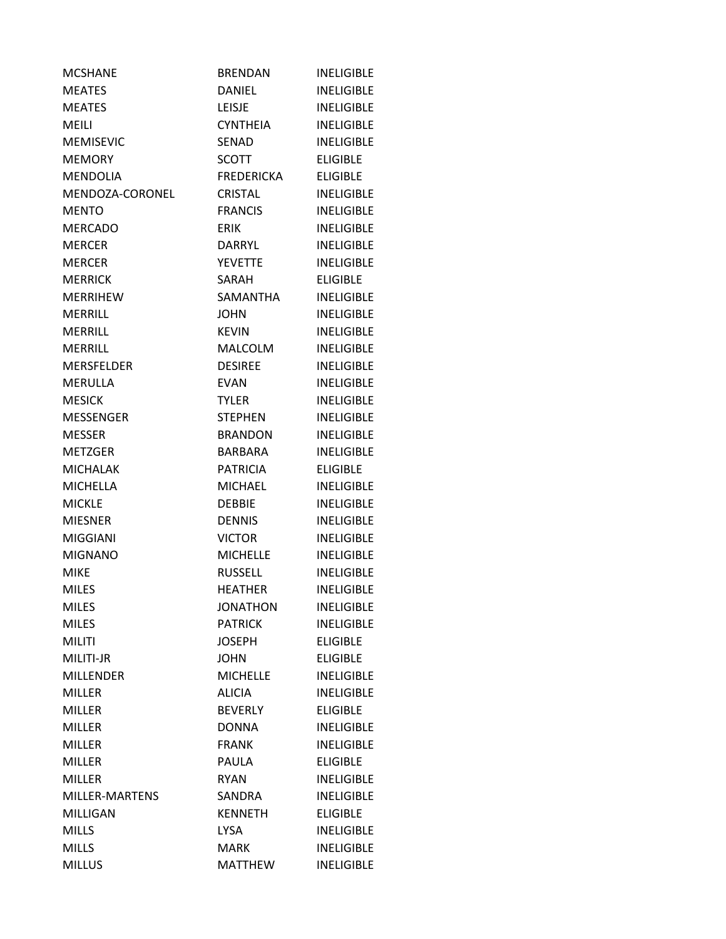| <b>MCSHANE</b>    | <b>BRENDAN</b>    | <b>INELIGIBLE</b> |
|-------------------|-------------------|-------------------|
| <b>MEATES</b>     | <b>DANIEL</b>     | <b>INELIGIBLE</b> |
| <b>MEATES</b>     | <b>LEISJE</b>     | <b>INELIGIBLE</b> |
| MEILI             | <b>CYNTHEIA</b>   | <b>INELIGIBLE</b> |
| <b>MEMISEVIC</b>  | <b>SENAD</b>      | <b>INELIGIBLE</b> |
| <b>MEMORY</b>     | <b>SCOTT</b>      | <b>ELIGIBLE</b>   |
| <b>MENDOLIA</b>   | <b>FREDERICKA</b> | <b>ELIGIBLE</b>   |
| MENDOZA-CORONEL   | <b>CRISTAL</b>    | <b>INELIGIBLE</b> |
| <b>MENTO</b>      | <b>FRANCIS</b>    | <b>INELIGIBLE</b> |
| <b>MERCADO</b>    | <b>ERIK</b>       | <b>INELIGIBLE</b> |
| <b>MERCER</b>     | DARRYL            | <b>INELIGIBLE</b> |
| <b>MERCER</b>     | <b>YEVETTE</b>    | <b>INELIGIBLE</b> |
| <b>MERRICK</b>    | SARAH             | <b>ELIGIBLE</b>   |
| <b>MERRIHEW</b>   | SAMANTHA          | <b>INELIGIBLE</b> |
| <b>MERRILL</b>    | <b>JOHN</b>       | <b>INELIGIBLE</b> |
| MERRILL           | <b>KEVIN</b>      | <b>INELIGIBLE</b> |
| MERRILL           | <b>MALCOLM</b>    | <b>INELIGIBLE</b> |
| <b>MERSFELDER</b> | <b>DESIREE</b>    | <b>INELIGIBLE</b> |
| <b>MERULLA</b>    | <b>EVAN</b>       | <b>INELIGIBLE</b> |
| <b>MESICK</b>     | <b>TYLER</b>      | <b>INELIGIBLE</b> |
| <b>MESSENGER</b>  | <b>STEPHEN</b>    | <b>INELIGIBLE</b> |
| <b>MESSER</b>     | <b>BRANDON</b>    | <b>INELIGIBLE</b> |
| <b>METZGER</b>    | BARBARA           | <b>INELIGIBLE</b> |
| <b>MICHALAK</b>   | <b>PATRICIA</b>   | <b>ELIGIBLE</b>   |
| <b>MICHELLA</b>   | <b>MICHAEL</b>    | <b>INELIGIBLE</b> |
| <b>MICKLE</b>     | <b>DEBBIE</b>     | <b>INELIGIBLE</b> |
| <b>MIESNER</b>    | <b>DENNIS</b>     | <b>INELIGIBLE</b> |
| <b>MIGGIANI</b>   | <b>VICTOR</b>     | <b>INELIGIBLE</b> |
| <b>MIGNANO</b>    | <b>MICHELLE</b>   | <b>INELIGIBLE</b> |
| <b>MIKE</b>       | <b>RUSSELL</b>    | <b>INELIGIBLE</b> |
| <b>MILES</b>      | <b>HEATHER</b>    | <b>INELIGIBLE</b> |
| <b>MILES</b>      | <b>JONATHON</b>   | <b>INELIGIBLE</b> |
| <b>MILES</b>      | <b>PATRICK</b>    | <b>INELIGIBLE</b> |
| <b>MILITI</b>     | <b>JOSEPH</b>     | <b>ELIGIBLE</b>   |
| MILITI-JR         | <b>JOHN</b>       | <b>ELIGIBLE</b>   |
| <b>MILLENDER</b>  | <b>MICHELLE</b>   | <b>INELIGIBLE</b> |
| <b>MILLER</b>     | <b>ALICIA</b>     | <b>INELIGIBLE</b> |
| <b>MILLER</b>     | <b>BEVERLY</b>    | <b>ELIGIBLE</b>   |
| <b>MILLER</b>     | <b>DONNA</b>      | <b>INELIGIBLE</b> |
| <b>MILLER</b>     | <b>FRANK</b>      | <b>INELIGIBLE</b> |
| <b>MILLER</b>     | <b>PAULA</b>      | <b>ELIGIBLE</b>   |
| MILLER            | <b>RYAN</b>       | <b>INELIGIBLE</b> |
| MILLER-MARTENS    | SANDRA            | <b>INELIGIBLE</b> |
| MILLIGAN          | <b>KENNETH</b>    | <b>ELIGIBLE</b>   |
| <b>MILLS</b>      | <b>LYSA</b>       | <b>INELIGIBLE</b> |
| <b>MILLS</b>      | <b>MARK</b>       | <b>INELIGIBLE</b> |
| <b>MILLUS</b>     | <b>MATTHEW</b>    | <b>INELIGIBLE</b> |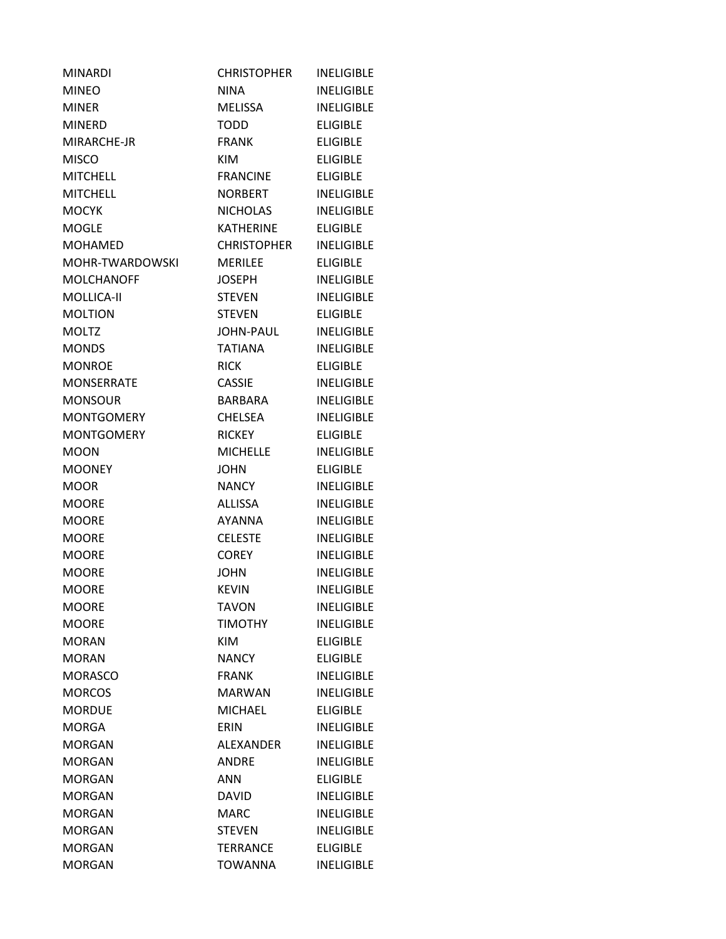| <b>MINARDI</b>    | <b>CHRISTOPHER</b> | <b>INELIGIBLE</b> |
|-------------------|--------------------|-------------------|
| <b>MINEO</b>      | <b>NINA</b>        | <b>INELIGIBLE</b> |
| <b>MINER</b>      | <b>MELISSA</b>     | <b>INELIGIBLE</b> |
| <b>MINERD</b>     | TODD               | <b>ELIGIBLE</b>   |
| MIRARCHE-JR       | <b>FRANK</b>       | <b>ELIGIBLE</b>   |
| <b>MISCO</b>      | <b>KIM</b>         | <b>ELIGIBLE</b>   |
| <b>MITCHELL</b>   | <b>FRANCINE</b>    | <b>ELIGIBLE</b>   |
| <b>MITCHELL</b>   | NORBERT            | <b>INELIGIBLE</b> |
| <b>MOCYK</b>      | NICHOLAS           | <b>INELIGIBLE</b> |
| <b>MOGLE</b>      | <b>KATHERINE</b>   | <b>ELIGIBLE</b>   |
| <b>MOHAMED</b>    | CHRISTOPHER        | <b>INELIGIBLE</b> |
| MOHR-TWARDOWSKI   | <b>MERILEE</b>     | <b>ELIGIBLE</b>   |
| <b>MOLCHANOFF</b> | <b>JOSEPH</b>      | <b>INELIGIBLE</b> |
| MOLLICA-II        | <b>STEVEN</b>      | <b>INELIGIBLE</b> |
| <b>MOLTION</b>    | <b>STEVEN</b>      | <b>ELIGIBLE</b>   |
| <b>MOLTZ</b>      | JOHN-PAUL          | <b>INELIGIBLE</b> |
| <b>MONDS</b>      | <b>TATIANA</b>     | <b>INELIGIBLE</b> |
| <b>MONROE</b>     | <b>RICK</b>        | <b>ELIGIBLE</b>   |
| <b>MONSERRATE</b> | <b>CASSIE</b>      | <b>INELIGIBLE</b> |
| <b>MONSOUR</b>    | BARBARA            | <b>INELIGIBLE</b> |
| <b>MONTGOMERY</b> | <b>CHELSEA</b>     | <b>INELIGIBLE</b> |
| <b>MONTGOMERY</b> | <b>RICKEY</b>      | <b>ELIGIBLE</b>   |
| <b>MOON</b>       | <b>MICHELLE</b>    | <b>INELIGIBLE</b> |
| <b>MOONEY</b>     | <b>JOHN</b>        | <b>ELIGIBLE</b>   |
| <b>MOOR</b>       | <b>NANCY</b>       | <b>INELIGIBLE</b> |
| <b>MOORE</b>      | <b>ALLISSA</b>     | <b>INELIGIBLE</b> |
| <b>MOORE</b>      | <b>AYANNA</b>      | <b>INELIGIBLE</b> |
| <b>MOORE</b>      | <b>CELESTE</b>     | <b>INELIGIBLE</b> |
| <b>MOORE</b>      | <b>COREY</b>       | <b>INELIGIBLE</b> |
| <b>MOORE</b>      | <b>JOHN</b>        | <b>INELIGIBLE</b> |
| <b>MOORE</b>      | <b>KEVIN</b>       | <b>INELIGIBLE</b> |
| <b>MOORE</b>      | <b>TAVON</b>       | <b>INELIGIBLE</b> |
| <b>MOORE</b>      | <b>TIMOTHY</b>     | <b>INELIGIBLE</b> |
| <b>MORAN</b>      | <b>KIM</b>         | <b>ELIGIBLE</b>   |
| <b>MORAN</b>      | <b>NANCY</b>       | <b>ELIGIBLE</b>   |
| <b>MORASCO</b>    | <b>FRANK</b>       | <b>INELIGIBLE</b> |
| <b>MORCOS</b>     | <b>MARWAN</b>      | <b>INELIGIBLE</b> |
| <b>MORDUE</b>     | <b>MICHAEL</b>     | <b>ELIGIBLE</b>   |
| <b>MORGA</b>      | ERIN               | <b>INELIGIBLE</b> |
| <b>MORGAN</b>     | <b>ALEXANDER</b>   | <b>INELIGIBLE</b> |
| <b>MORGAN</b>     | <b>ANDRE</b>       | <b>INELIGIBLE</b> |
| <b>MORGAN</b>     | <b>ANN</b>         | <b>ELIGIBLE</b>   |
| <b>MORGAN</b>     | <b>DAVID</b>       | <b>INELIGIBLE</b> |
| <b>MORGAN</b>     | <b>MARC</b>        | <b>INELIGIBLE</b> |
| <b>MORGAN</b>     | <b>STEVEN</b>      | <b>INELIGIBLE</b> |
| <b>MORGAN</b>     | <b>TERRANCE</b>    | <b>ELIGIBLE</b>   |
| <b>MORGAN</b>     | <b>TOWANNA</b>     | <b>INELIGIBLE</b> |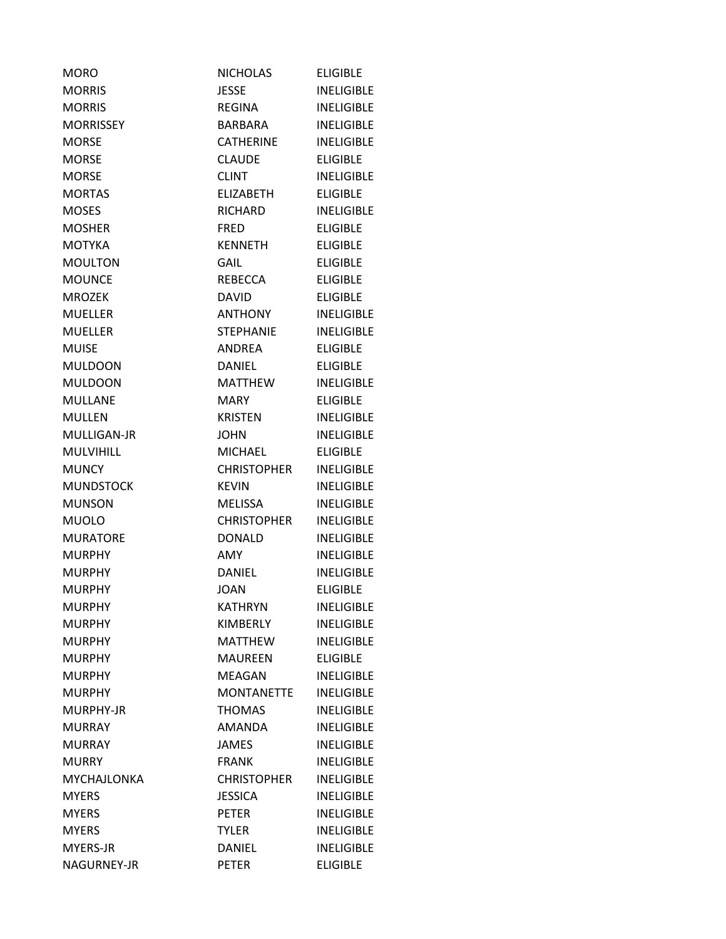| <b>MORO</b>      | NICHOLAS           | <b>ELIGIBLE</b>   |
|------------------|--------------------|-------------------|
| <b>MORRIS</b>    | <b>JESSE</b>       | <b>INELIGIBLE</b> |
| <b>MORRIS</b>    | REGINA             | <b>INELIGIBLE</b> |
| <b>MORRISSEY</b> | <b>BARBARA</b>     | <b>INELIGIBLE</b> |
| <b>MORSE</b>     | <b>CATHERINE</b>   | <b>INELIGIBLE</b> |
| <b>MORSE</b>     | <b>CLAUDE</b>      | <b>ELIGIBLE</b>   |
| <b>MORSE</b>     | <b>CLINT</b>       | <b>INELIGIBLE</b> |
| <b>MORTAS</b>    | <b>ELIZABETH</b>   | <b>ELIGIBLE</b>   |
| <b>MOSES</b>     | RICHARD            | <b>INELIGIBLE</b> |
| <b>MOSHER</b>    | <b>FRED</b>        | <b>ELIGIBLE</b>   |
| <b>MOTYKA</b>    | <b>KENNETH</b>     | <b>ELIGIBLE</b>   |
| <b>MOULTON</b>   | GAIL               | <b>ELIGIBLE</b>   |
| <b>MOUNCE</b>    | REBECCA            | <b>ELIGIBLE</b>   |
| <b>MROZEK</b>    | <b>DAVID</b>       | <b>ELIGIBLE</b>   |
| <b>MUELLER</b>   | <b>ANTHONY</b>     | <b>INELIGIBLE</b> |
| <b>MUELLER</b>   | <b>STEPHANIE</b>   | <b>INELIGIBLE</b> |
| <b>MUISE</b>     | <b>ANDREA</b>      | <b>ELIGIBLE</b>   |
| <b>MULDOON</b>   | DANIEL             | <b>ELIGIBLE</b>   |
| <b>MULDOON</b>   | <b>MATTHEW</b>     | <b>INELIGIBLE</b> |
| <b>MULLANE</b>   | <b>MARY</b>        | <b>ELIGIBLE</b>   |
| <b>MULLEN</b>    | <b>KRISTEN</b>     | <b>INELIGIBLE</b> |
| MULLIGAN-JR      | <b>JOHN</b>        | <b>INELIGIBLE</b> |
| <b>MULVIHILL</b> | <b>MICHAEL</b>     | <b>ELIGIBLE</b>   |
| <b>MUNCY</b>     | <b>CHRISTOPHER</b> | <b>INELIGIBLE</b> |
| <b>MUNDSTOCK</b> | <b>KEVIN</b>       | <b>INELIGIBLE</b> |
| <b>MUNSON</b>    | <b>MELISSA</b>     | <b>INELIGIBLE</b> |
| <b>MUOLO</b>     | <b>CHRISTOPHER</b> | <b>INELIGIBLE</b> |
| <b>MURATORE</b>  | <b>DONALD</b>      | <b>INELIGIBLE</b> |
| <b>MURPHY</b>    | AMY                | <b>INELIGIBLE</b> |
| <b>MURPHY</b>    | <b>DANIEL</b>      | <b>INELIGIBLE</b> |
| <b>MURPHY</b>    | <b>JOAN</b>        | <b>ELIGIBLE</b>   |
| <b>MURPHY</b>    | <b>KATHRYN</b>     | <b>INELIGIBLE</b> |
| <b>MURPHY</b>    | <b>KIMBERLY</b>    | <b>INELIGIBLE</b> |
| <b>MURPHY</b>    | <b>MATTHEW</b>     | <b>INELIGIBLE</b> |
| <b>MURPHY</b>    | <b>MAUREEN</b>     | <b>ELIGIBLE</b>   |
| <b>MURPHY</b>    | <b>MEAGAN</b>      | <b>INELIGIBLE</b> |
| <b>MURPHY</b>    | <b>MONTANETTE</b>  | <b>INELIGIBLE</b> |
| MURPHY-JR        | <b>THOMAS</b>      | <b>INELIGIBLE</b> |
| <b>MURRAY</b>    | AMANDA             | <b>INELIGIBLE</b> |
| <b>MURRAY</b>    | <b>JAMES</b>       | <b>INELIGIBLE</b> |
| <b>MURRY</b>     | <b>FRANK</b>       | <b>INELIGIBLE</b> |
| MYCHAJLONKA      | <b>CHRISTOPHER</b> | <b>INELIGIBLE</b> |
| <b>MYERS</b>     | <b>JESSICA</b>     | <b>INELIGIBLE</b> |
| <b>MYERS</b>     | <b>PETER</b>       | <b>INELIGIBLE</b> |
| <b>MYERS</b>     | <b>TYLER</b>       | <b>INELIGIBLE</b> |
| MYERS-JR         | <b>DANIEL</b>      | <b>INELIGIBLE</b> |
| NAGURNEY-JR      | <b>PETER</b>       | <b>ELIGIBLE</b>   |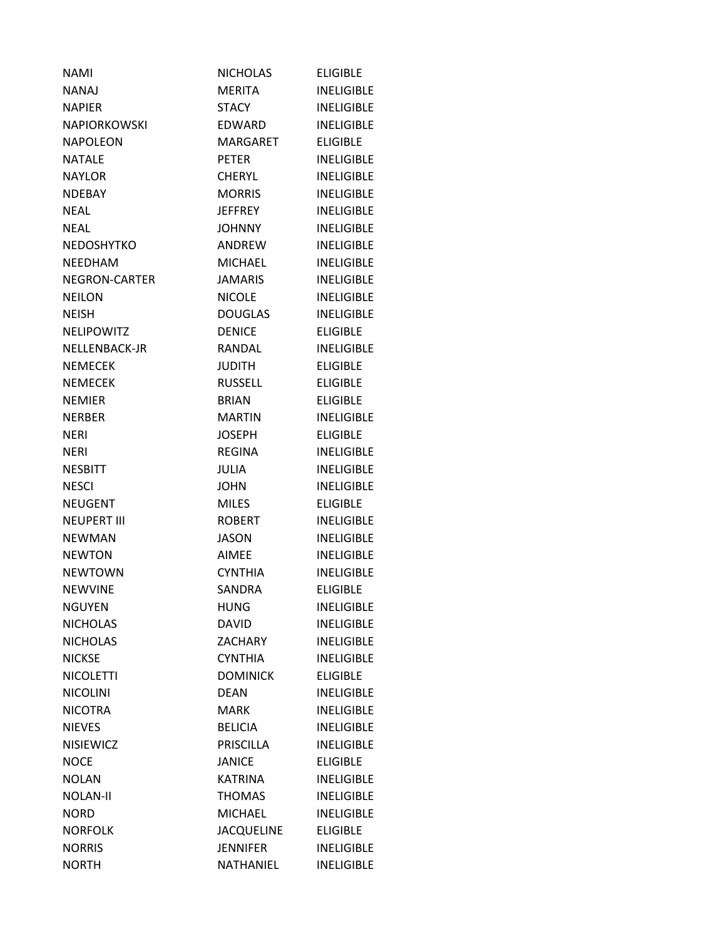| <b>NAMI</b>         | <b>NICHOLAS</b>   | <b>ELIGIBLE</b>   |
|---------------------|-------------------|-------------------|
| <b>NANAJ</b>        | <b>MERITA</b>     | <b>INELIGIBLE</b> |
| <b>NAPIER</b>       | STACY             | <b>INELIGIBLE</b> |
| <b>NAPIORKOWSKI</b> | EDWARD            | <b>INELIGIBLE</b> |
| NAPOLEON            | MARGARET          | <b>ELIGIBLE</b>   |
| NATALE              | <b>PETER</b>      | <b>INELIGIBLE</b> |
| <b>NAYLOR</b>       | <b>CHERYL</b>     | <b>INELIGIBLE</b> |
| <b>NDEBAY</b>       | <b>MORRIS</b>     | <b>INELIGIBLE</b> |
| <b>NEAL</b>         | <b>JEFFREY</b>    | <b>INELIGIBLE</b> |
| <b>NEAL</b>         | <b>JOHNNY</b>     | <b>INELIGIBLE</b> |
| <b>NEDOSHYTKO</b>   | ANDREW            | <b>INELIGIBLE</b> |
| <b>NEEDHAM</b>      | <b>MICHAEL</b>    | <b>INELIGIBLE</b> |
| NEGRON-CARTER       | <b>JAMARIS</b>    | <b>INELIGIBLE</b> |
| <b>NEILON</b>       | <b>NICOLE</b>     | <b>INELIGIBLE</b> |
| <b>NEISH</b>        | <b>DOUGLAS</b>    | <b>INELIGIBLE</b> |
| <b>NELIPOWITZ</b>   | <b>DENICE</b>     | <b>ELIGIBLE</b>   |
| NELLENBACK-JR       | RANDAL            | <b>INELIGIBLE</b> |
| <b>NEMECEK</b>      | <b>JUDITH</b>     | <b>ELIGIBLE</b>   |
| <b>NEMECEK</b>      | <b>RUSSELL</b>    | <b>ELIGIBLE</b>   |
| <b>NEMIER</b>       | <b>BRIAN</b>      | <b>ELIGIBLE</b>   |
| <b>NERBER</b>       | <b>MARTIN</b>     | <b>INELIGIBLE</b> |
| <b>NERI</b>         | <b>JOSEPH</b>     | <b>ELIGIBLE</b>   |
| <b>NERI</b>         | <b>REGINA</b>     | <b>INELIGIBLE</b> |
| <b>NESBITT</b>      | <b>JULIA</b>      | <b>INELIGIBLE</b> |
| <b>NESCI</b>        | <b>JOHN</b>       | <b>INELIGIBLE</b> |
| <b>NEUGENT</b>      | <b>MILES</b>      | <b>ELIGIBLE</b>   |
| <b>NEUPERT III</b>  | <b>ROBERT</b>     | <b>INELIGIBLE</b> |
| <b>NEWMAN</b>       | <b>JASON</b>      | <b>INELIGIBLE</b> |
| <b>NEWTON</b>       | <b>AIMEE</b>      | <b>INELIGIBLE</b> |
| <b>NEWTOWN</b>      | <b>CYNTHIA</b>    | <b>INELIGIBLE</b> |
| <b>NEWVINE</b>      | SANDRA            | <b>ELIGIBLE</b>   |
| <b>NGUYEN</b>       | <b>HUNG</b>       | <b>INELIGIBLE</b> |
| <b>NICHOLAS</b>     | <b>DAVID</b>      | <b>INELIGIBLE</b> |
| <b>NICHOLAS</b>     | <b>ZACHARY</b>    | <b>INELIGIBLE</b> |
| <b>NICKSE</b>       | <b>CYNTHIA</b>    | <b>INELIGIBLE</b> |
| <b>NICOLETTI</b>    | <b>DOMINICK</b>   | <b>ELIGIBLE</b>   |
| <b>NICOLINI</b>     | <b>DEAN</b>       | <b>INELIGIBLE</b> |
| <b>NICOTRA</b>      | <b>MARK</b>       | <b>INELIGIBLE</b> |
| <b>NIEVES</b>       | <b>BELICIA</b>    | <b>INELIGIBLE</b> |
| <b>NISIEWICZ</b>    | <b>PRISCILLA</b>  | <b>INELIGIBLE</b> |
| <b>NOCE</b>         | <b>JANICE</b>     | <b>ELIGIBLE</b>   |
| <b>NOLAN</b>        | KATRINA           | <b>INELIGIBLE</b> |
| <b>NOLAN-II</b>     | THOMAS            | <b>INELIGIBLE</b> |
| <b>NORD</b>         | <b>MICHAEL</b>    | <b>INELIGIBLE</b> |
| <b>NORFOLK</b>      | <b>JACQUELINE</b> | <b>ELIGIBLE</b>   |
| <b>NORRIS</b>       | <b>JENNIFER</b>   | <b>INELIGIBLE</b> |
| <b>NORTH</b>        | NATHANIEL         | <b>INELIGIBLE</b> |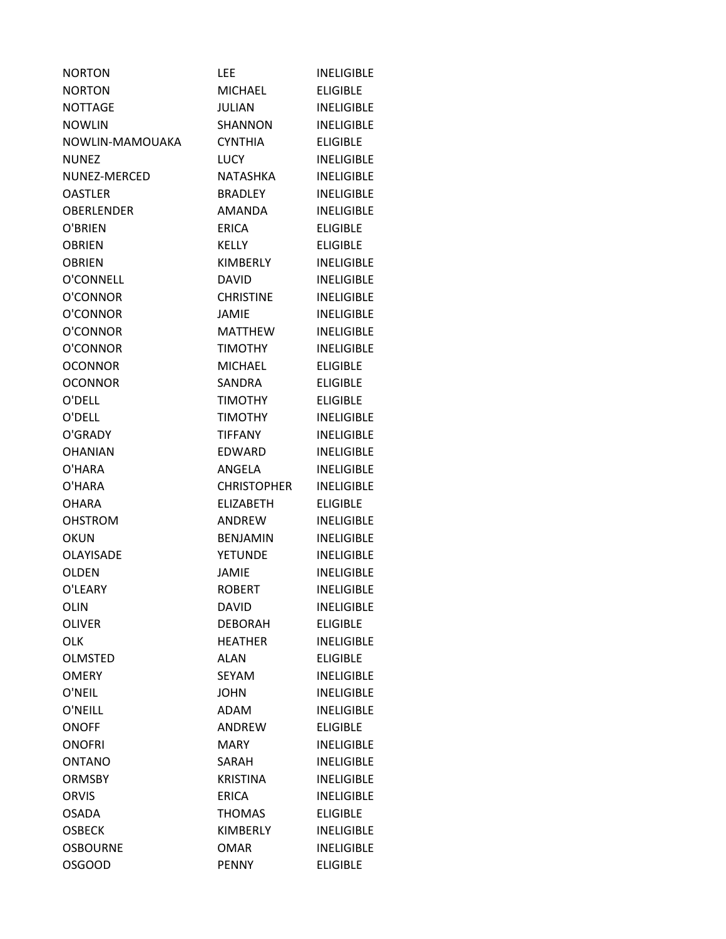| <b>NORTON</b>     | LEE                | <b>INELIGIBLE</b> |
|-------------------|--------------------|-------------------|
| <b>NORTON</b>     | <b>MICHAEL</b>     | <b>ELIGIBLE</b>   |
| <b>NOTTAGE</b>    | JULIAN             | <b>INELIGIBLE</b> |
| <b>NOWLIN</b>     | <b>SHANNON</b>     | <b>INELIGIBLE</b> |
| NOWLIN-MAMOUAKA   | <b>CYNTHIA</b>     | <b>ELIGIBLE</b>   |
| <b>NUNEZ</b>      | <b>LUCY</b>        | <b>INELIGIBLE</b> |
| NUNEZ-MERCED      | NATASHKA           | <b>INELIGIBLE</b> |
| <b>OASTLER</b>    | <b>BRADLEY</b>     | <b>INELIGIBLE</b> |
| <b>OBERLENDER</b> | AMANDA             | <b>INELIGIBLE</b> |
| O'BRIEN           | <b>ERICA</b>       | <b>ELIGIBLE</b>   |
| <b>OBRIEN</b>     | <b>KELLY</b>       | <b>ELIGIBLE</b>   |
| <b>OBRIEN</b>     | KIMBERLY           | <b>INELIGIBLE</b> |
| O'CONNELL         | <b>DAVID</b>       | <b>INELIGIBLE</b> |
| O'CONNOR          | <b>CHRISTINE</b>   | <b>INELIGIBLE</b> |
| O'CONNOR          | <b>JAMIE</b>       | <b>INELIGIBLE</b> |
| O'CONNOR          | MATTHEW            | <b>INELIGIBLE</b> |
| O'CONNOR          | <b>TIMOTHY</b>     | <b>INELIGIBLE</b> |
| <b>OCONNOR</b>    | <b>MICHAEL</b>     | <b>ELIGIBLE</b>   |
| <b>OCONNOR</b>    | SANDRA             | <b>ELIGIBLE</b>   |
| O'DELL            | <b>TIMOTHY</b>     | <b>ELIGIBLE</b>   |
| O'DELL            | <b>TIMOTHY</b>     | <b>INELIGIBLE</b> |
| O'GRADY           | <b>TIFFANY</b>     | <b>INELIGIBLE</b> |
| <b>OHANIAN</b>    | EDWARD             | <b>INELIGIBLE</b> |
| O'HARA            | ANGELA             | <b>INELIGIBLE</b> |
| O'HARA            | <b>CHRISTOPHER</b> | <b>INELIGIBLE</b> |
| <b>OHARA</b>      | <b>ELIZABETH</b>   | <b>ELIGIBLE</b>   |
| <b>OHSTROM</b>    | ANDREW             | <b>INELIGIBLE</b> |
| <b>OKUN</b>       | <b>BENJAMIN</b>    | <b>INELIGIBLE</b> |
| <b>OLAYISADE</b>  | <b>YETUNDE</b>     | <b>INELIGIBLE</b> |
| <b>OLDEN</b>      | <b>JAMIE</b>       | <b>INELIGIBLE</b> |
| O'LEARY           | <b>ROBERT</b>      | <b>INELIGIBLE</b> |
| <b>OLIN</b>       | <b>DAVID</b>       | <b>INELIGIBLE</b> |
| <b>OLIVER</b>     | <b>DEBORAH</b>     | <b>ELIGIBLE</b>   |
| <b>OLK</b>        | <b>HEATHER</b>     | <b>INELIGIBLE</b> |
| <b>OLMSTED</b>    | <b>ALAN</b>        | <b>ELIGIBLE</b>   |
| <b>OMERY</b>      | <b>SEYAM</b>       | <b>INELIGIBLE</b> |
| O'NEIL            | <b>JOHN</b>        | <b>INELIGIBLE</b> |
| O'NEILL           | <b>ADAM</b>        | <b>INELIGIBLE</b> |
| <b>ONOFF</b>      | ANDREW             | <b>ELIGIBLE</b>   |
| <b>ONOFRI</b>     | <b>MARY</b>        | <b>INELIGIBLE</b> |
| <b>ONTANO</b>     | SARAH              | <b>INELIGIBLE</b> |
| <b>ORMSBY</b>     | <b>KRISTINA</b>    | <b>INELIGIBLE</b> |
| <b>ORVIS</b>      | <b>ERICA</b>       | <b>INELIGIBLE</b> |
| <b>OSADA</b>      | <b>THOMAS</b>      | <b>ELIGIBLE</b>   |
| <b>OSBECK</b>     | <b>KIMBERLY</b>    | <b>INELIGIBLE</b> |
| <b>OSBOURNE</b>   | <b>OMAR</b>        | <b>INELIGIBLE</b> |
| <b>OSGOOD</b>     | <b>PENNY</b>       | <b>ELIGIBLE</b>   |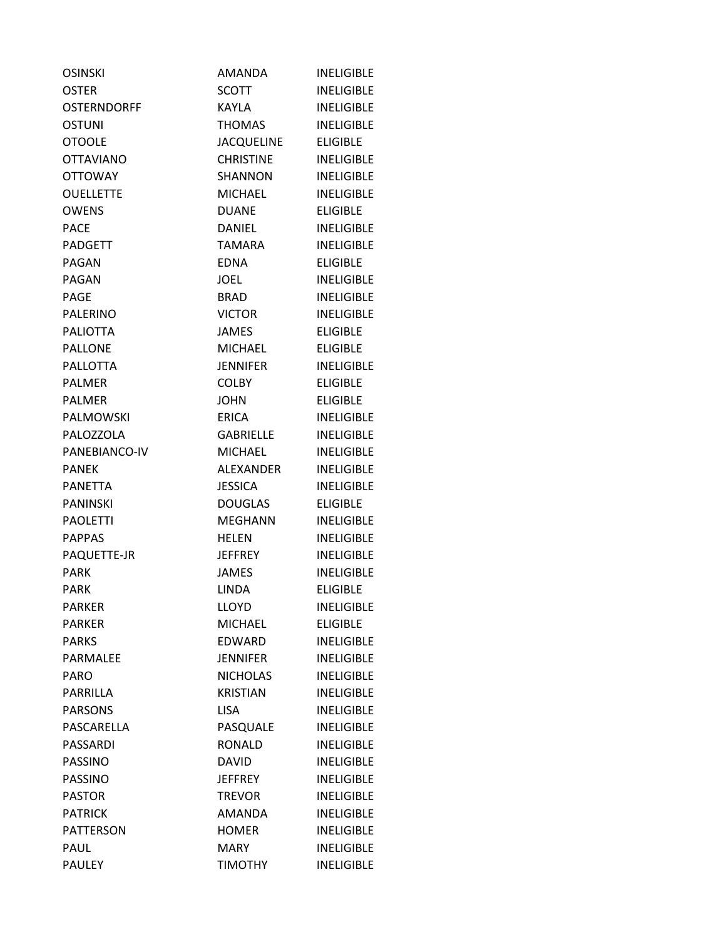| <b>OSINSKI</b>     | AMANDA            | <b>INELIGIBLE</b> |
|--------------------|-------------------|-------------------|
| <b>OSTER</b>       | <b>SCOTT</b>      | <b>INELIGIBLE</b> |
| <b>OSTERNDORFF</b> | <b>KAYLA</b>      | <b>INELIGIBLE</b> |
| <b>OSTUNI</b>      | <b>THOMAS</b>     | <b>INELIGIBLE</b> |
| <b>OTOOLE</b>      | <b>JACQUELINE</b> | <b>ELIGIBLE</b>   |
| <b>OTTAVIANO</b>   | <b>CHRISTINE</b>  | <b>INELIGIBLE</b> |
| <b>OTTOWAY</b>     | <b>SHANNON</b>    | <b>INELIGIBLE</b> |
| <b>OUELLETTE</b>   | <b>MICHAEL</b>    | <b>INELIGIBLE</b> |
| <b>OWENS</b>       | <b>DUANE</b>      | <b>ELIGIBLE</b>   |
| <b>PACE</b>        | <b>DANIEL</b>     | <b>INELIGIBLE</b> |
| <b>PADGETT</b>     | <b>TAMARA</b>     | <b>INELIGIBLE</b> |
| <b>PAGAN</b>       | <b>EDNA</b>       | <b>ELIGIBLE</b>   |
| <b>PAGAN</b>       | <b>JOEL</b>       | <b>INELIGIBLE</b> |
| <b>PAGE</b>        | <b>BRAD</b>       | <b>INELIGIBLE</b> |
| <b>PALERINO</b>    | <b>VICTOR</b>     | <b>INELIGIBLE</b> |
| <b>PALIOTTA</b>    | <b>JAMES</b>      | <b>ELIGIBLE</b>   |
| <b>PALLONE</b>     | <b>MICHAEL</b>    | <b>ELIGIBLE</b>   |
| <b>PALLOTTA</b>    | <b>JENNIFER</b>   | <b>INELIGIBLE</b> |
| <b>PALMER</b>      | <b>COLBY</b>      | <b>ELIGIBLE</b>   |
| <b>PALMER</b>      | <b>JOHN</b>       | <b>ELIGIBLE</b>   |
| <b>PALMOWSKI</b>   | <b>ERICA</b>      | <b>INELIGIBLE</b> |
| PALOZZOLA          | <b>GABRIELLE</b>  | <b>INELIGIBLE</b> |
| PANEBIANCO-IV      | <b>MICHAEL</b>    | <b>INELIGIBLE</b> |
| <b>PANEK</b>       | <b>ALEXANDER</b>  | <b>INELIGIBLE</b> |
| <b>PANETTA</b>     | <b>JESSICA</b>    | <b>INELIGIBLE</b> |
| <b>PANINSKI</b>    | <b>DOUGLAS</b>    | <b>ELIGIBLE</b>   |
| <b>PAOLETTI</b>    | <b>MEGHANN</b>    | <b>INELIGIBLE</b> |
| <b>PAPPAS</b>      | <b>HELEN</b>      | <b>INELIGIBLE</b> |
| PAQUETTE-JR        | <b>JEFFREY</b>    | <b>INELIGIBLE</b> |
| <b>PARK</b>        | <b>JAMES</b>      | <b>INELIGIBLE</b> |
| PARK               | LINDA             | <b>ELIGIBLE</b>   |
| <b>PARKER</b>      | LLOYD             | <b>INELIGIBLE</b> |
| <b>PARKER</b>      | MICHAEL           | <b>ELIGIBLE</b>   |
| <b>PARKS</b>       | EDWARD            | <b>INELIGIBLE</b> |
| PARMALEE           | <b>JENNIFER</b>   | <b>INELIGIBLE</b> |
| <b>PARO</b>        | <b>NICHOLAS</b>   | <b>INELIGIBLE</b> |
| PARRILLA           | <b>KRISTIAN</b>   | <b>INELIGIBLE</b> |
| <b>PARSONS</b>     | <b>LISA</b>       | <b>INELIGIBLE</b> |
| PASCARELLA         | PASQUALE          | <b>INELIGIBLE</b> |
| <b>PASSARDI</b>    | RONALD            | <b>INELIGIBLE</b> |
| PASSINO            | <b>DAVID</b>      | <b>INELIGIBLE</b> |
| PASSINO            | <b>JEFFREY</b>    | <b>INELIGIBLE</b> |
| <b>PASTOR</b>      | <b>TREVOR</b>     | <b>INELIGIBLE</b> |
| <b>PATRICK</b>     | <b>AMANDA</b>     | <b>INELIGIBLE</b> |
| <b>PATTERSON</b>   | <b>HOMER</b>      | <b>INELIGIBLE</b> |
| PAUL               | <b>MARY</b>       | <b>INELIGIBLE</b> |
| <b>PAULEY</b>      | <b>TIMOTHY</b>    | <b>INELIGIBLE</b> |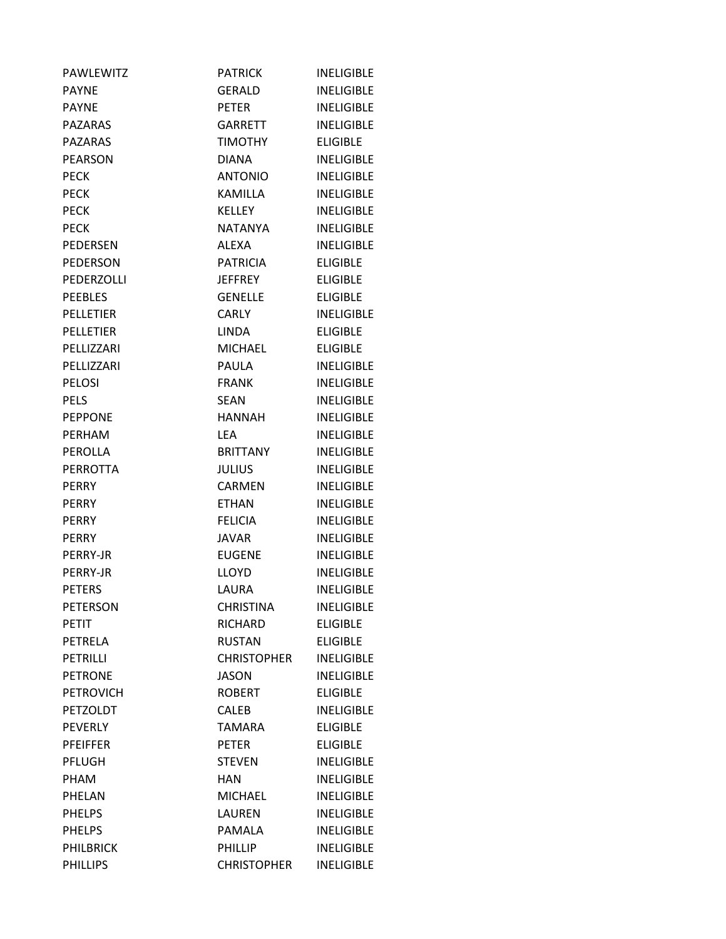| <b>PAWLEWITZ</b> | <b>PATRICK</b>     | <b>INELIGIBLE</b> |
|------------------|--------------------|-------------------|
| <b>PAYNE</b>     | GERALD             | <b>INELIGIBLE</b> |
| <b>PAYNE</b>     | <b>PETER</b>       | <b>INELIGIBLE</b> |
| <b>PAZARAS</b>   | <b>GARRETT</b>     | <b>INELIGIBLE</b> |
| <b>PAZARAS</b>   | <b>TIMOTHY</b>     | <b>ELIGIBLE</b>   |
| <b>PEARSON</b>   | <b>DIANA</b>       | <b>INELIGIBLE</b> |
| <b>PECK</b>      | <b>ANTONIO</b>     | <b>INELIGIBLE</b> |
| <b>PECK</b>      | KAMILLA            | <b>INELIGIBLE</b> |
| <b>PECK</b>      | <b>KELLEY</b>      | <b>INELIGIBLE</b> |
| <b>PECK</b>      | <b>NATANYA</b>     | <b>INELIGIBLE</b> |
| <b>PEDERSEN</b>  | ALEXA              | <b>INELIGIBLE</b> |
| <b>PEDERSON</b>  | <b>PATRICIA</b>    | <b>ELIGIBLE</b>   |
| PEDERZOLLI       | JEFFREY            | <b>ELIGIBLE</b>   |
| <b>PEEBLES</b>   | <b>GENELLE</b>     | <b>ELIGIBLE</b>   |
| <b>PELLETIER</b> | <b>CARLY</b>       | <b>INELIGIBLE</b> |
| <b>PELLETIER</b> | <b>LINDA</b>       | <b>ELIGIBLE</b>   |
| PELLIZZARI       | <b>MICHAEL</b>     | <b>ELIGIBLE</b>   |
| PELLIZZARI       | <b>PAULA</b>       | <b>INELIGIBLE</b> |
| <b>PELOSI</b>    | <b>FRANK</b>       | <b>INELIGIBLE</b> |
| <b>PELS</b>      | SEAN               | <b>INELIGIBLE</b> |
| <b>PEPPONE</b>   | HANNAH             | <b>INELIGIBLE</b> |
| <b>PERHAM</b>    | <b>LEA</b>         | <b>INELIGIBLE</b> |
| PEROLLA          | <b>BRITTANY</b>    | <b>INELIGIBLE</b> |
| <b>PERROTTA</b>  | <b>JULIUS</b>      | <b>INELIGIBLE</b> |
| <b>PERRY</b>     | CARMEN             | <b>INELIGIBLE</b> |
| <b>PERRY</b>     | <b>ETHAN</b>       | <b>INELIGIBLE</b> |
| <b>PERRY</b>     | <b>FELICIA</b>     | <b>INELIGIBLE</b> |
| <b>PERRY</b>     | JAVAR              | <b>INELIGIBLE</b> |
| PERRY-JR         | <b>EUGENE</b>      | <b>INELIGIBLE</b> |
| <b>PERRY-JR</b>  | LLOYD              | <b>INELIGIBLE</b> |
| <b>PETERS</b>    | LAURA              | <b>INELIGIBLE</b> |
| PETERSON         | <b>CHRISTINA</b>   | <b>INELIGIBLE</b> |
| <b>PETIT</b>     | RICHARD            | <b>ELIGIBLE</b>   |
| <b>PETRELA</b>   | <b>RUSTAN</b>      | <b>ELIGIBLE</b>   |
| PETRILLI         | <b>CHRISTOPHER</b> | <b>INELIGIBLE</b> |
| <b>PETRONE</b>   | <b>JASON</b>       | <b>INELIGIBLE</b> |
| <b>PETROVICH</b> | <b>ROBERT</b>      | <b>ELIGIBLE</b>   |
| <b>PETZOLDT</b>  | <b>CALEB</b>       | <b>INELIGIBLE</b> |
| <b>PEVERLY</b>   | <b>TAMARA</b>      | <b>ELIGIBLE</b>   |
| <b>PFEIFFER</b>  | <b>PETER</b>       | <b>ELIGIBLE</b>   |
| PFLUGH           | <b>STEVEN</b>      | <b>INELIGIBLE</b> |
| <b>PHAM</b>      | <b>HAN</b>         | <b>INELIGIBLE</b> |
| PHELAN           | <b>MICHAEL</b>     | <b>INELIGIBLE</b> |
| <b>PHELPS</b>    | LAUREN             | <b>INELIGIBLE</b> |
| <b>PHELPS</b>    | PAMALA             | <b>INELIGIBLE</b> |
| <b>PHILBRICK</b> | <b>PHILLIP</b>     | <b>INELIGIBLE</b> |
| <b>PHILLIPS</b>  | <b>CHRISTOPHER</b> | <b>INELIGIBLE</b> |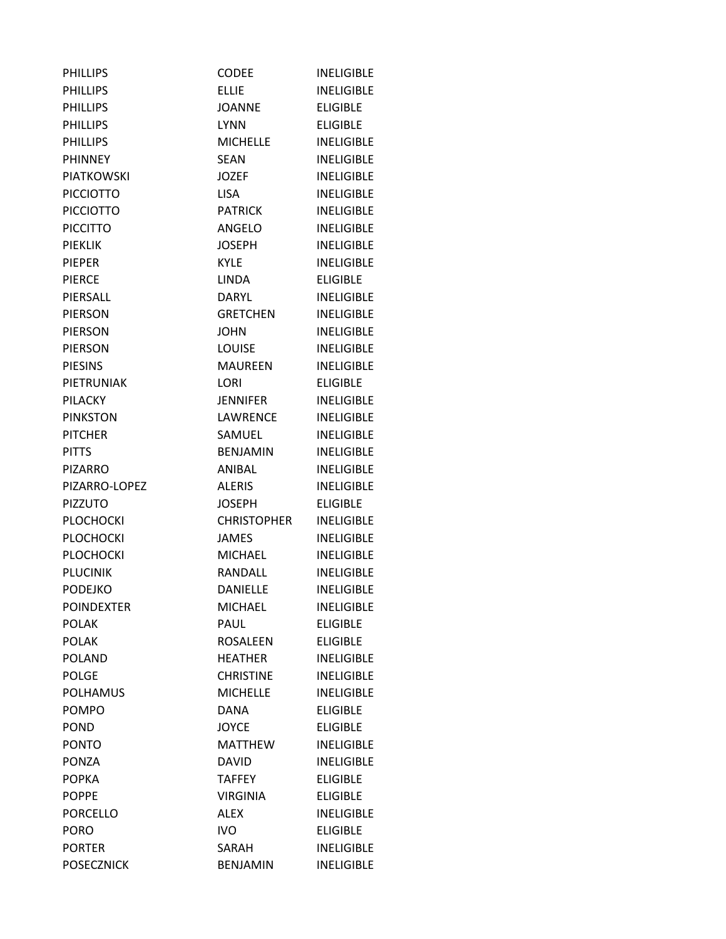| <b>PHILLIPS</b>   | <b>CODEE</b>       | <b>INELIGIBLE</b> |
|-------------------|--------------------|-------------------|
| <b>PHILLIPS</b>   | <b>ELLIE</b>       | <b>INELIGIBLE</b> |
| <b>PHILLIPS</b>   | <b>JOANNE</b>      | <b>ELIGIBLE</b>   |
| <b>PHILLIPS</b>   | <b>LYNN</b>        | <b>ELIGIBLE</b>   |
| <b>PHILLIPS</b>   | <b>MICHELLE</b>    | <b>INELIGIBLE</b> |
| <b>PHINNEY</b>    | <b>SEAN</b>        | <b>INELIGIBLE</b> |
| <b>PIATKOWSKI</b> | JOZEF              | <b>INELIGIBLE</b> |
| <b>PICCIOTTO</b>  | <b>LISA</b>        | <b>INELIGIBLE</b> |
| <b>PICCIOTTO</b>  | <b>PATRICK</b>     | <b>INELIGIBLE</b> |
| <b>PICCITTO</b>   | ANGELO             | <b>INELIGIBLE</b> |
| PIEKLIK           | <b>JOSEPH</b>      | <b>INELIGIBLE</b> |
| <b>PIEPER</b>     | <b>KYLE</b>        | <b>INELIGIBLE</b> |
| <b>PIERCE</b>     | LINDA -            | <b>ELIGIBLE</b>   |
| PIERSALL          | DARYL              | <b>INELIGIBLE</b> |
| <b>PIERSON</b>    | <b>GRETCHEN</b>    | <b>INELIGIBLE</b> |
| <b>PIERSON</b>    | <b>JOHN</b>        | <b>INELIGIBLE</b> |
| <b>PIERSON</b>    | <b>LOUISE</b>      | <b>INELIGIBLE</b> |
| <b>PIESINS</b>    | MAUREEN            | <b>INELIGIBLE</b> |
| PIETRUNIAK        | LORI               | <b>ELIGIBLE</b>   |
| <b>PILACKY</b>    | <b>JENNIFER</b>    | <b>INELIGIBLE</b> |
| <b>PINKSTON</b>   | LAWRENCE           | <b>INELIGIBLE</b> |
| <b>PITCHER</b>    | SAMUEL             | <b>INELIGIBLE</b> |
| <b>PITTS</b>      | <b>BENJAMIN</b>    | <b>INELIGIBLE</b> |
| <b>PIZARRO</b>    | ANIBAL             | <b>INELIGIBLE</b> |
| PIZARRO-LOPEZ     | <b>ALERIS</b>      | <b>INELIGIBLE</b> |
| <b>PIZZUTO</b>    | <b>JOSEPH</b>      | <b>ELIGIBLE</b>   |
| <b>PLOCHOCKI</b>  | <b>CHRISTOPHER</b> | <b>INELIGIBLE</b> |
| <b>PLOCHOCKI</b>  | <b>JAMES</b>       | <b>INELIGIBLE</b> |
| <b>PLOCHOCKI</b>  | MICHAEL            | <b>INELIGIBLE</b> |
| <b>PLUCINIK</b>   | RANDALL            | <b>INELIGIBLE</b> |
| <b>PODEJKO</b>    | <b>DANIELLE</b>    | <b>INELIGIBLE</b> |
| <b>POINDEXTER</b> | <b>MICHAEL</b>     | <b>INELIGIBLE</b> |
| <b>POLAK</b>      | PAUL               | <b>ELIGIBLE</b>   |
| <b>POLAK</b>      | <b>ROSALEEN</b>    | <b>ELIGIBLE</b>   |
| <b>POLAND</b>     | <b>HEATHER</b>     | <b>INELIGIBLE</b> |
| <b>POLGE</b>      | <b>CHRISTINE</b>   | <b>INELIGIBLE</b> |
| <b>POLHAMUS</b>   | <b>MICHELLE</b>    | <b>INELIGIBLE</b> |
| <b>POMPO</b>      | <b>DANA</b>        | <b>ELIGIBLE</b>   |
| <b>POND</b>       | <b>JOYCE</b>       | <b>ELIGIBLE</b>   |
| <b>PONTO</b>      | <b>MATTHEW</b>     | <b>INELIGIBLE</b> |
| PONZA             | <b>DAVID</b>       | <b>INELIGIBLE</b> |
| <b>POPKA</b>      | <b>TAFFEY</b>      | <b>ELIGIBLE</b>   |
| <b>POPPE</b>      | <b>VIRGINIA</b>    | <b>ELIGIBLE</b>   |
| <b>PORCELLO</b>   | <b>ALEX</b>        | <b>INELIGIBLE</b> |
| <b>PORO</b>       | <b>IVO</b>         | <b>ELIGIBLE</b>   |
| <b>PORTER</b>     | SARAH              | <b>INELIGIBLE</b> |
| <b>POSECZNICK</b> | <b>BENJAMIN</b>    | <b>INELIGIBLE</b> |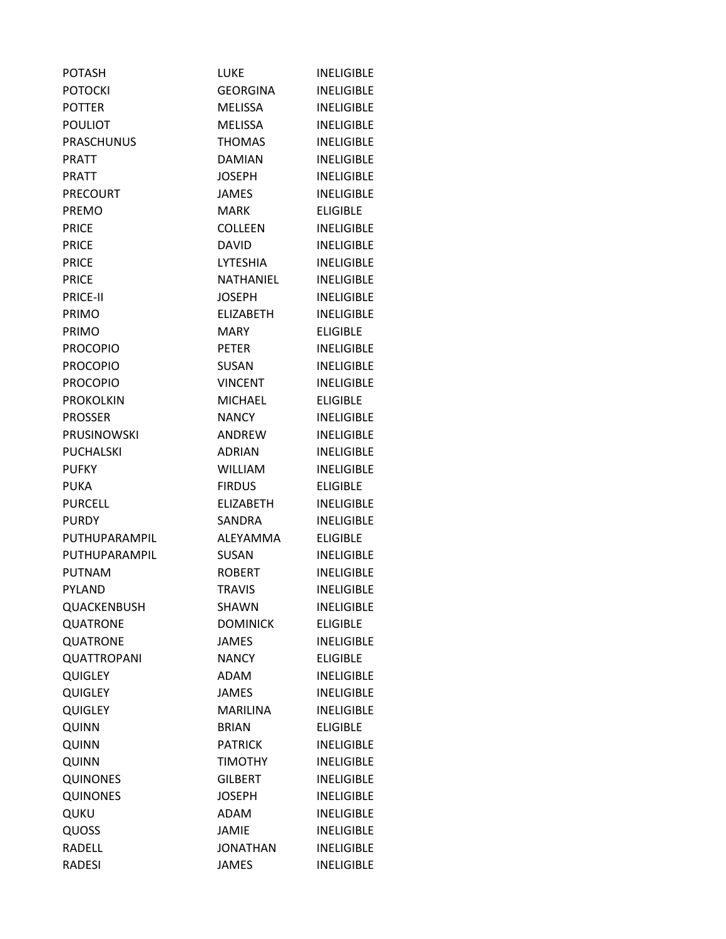| <b>POTASH</b>      | LUKE             | <b>INELIGIBLE</b> |
|--------------------|------------------|-------------------|
| <b>POTOCKI</b>     | <b>GEORGINA</b>  | <b>INELIGIBLE</b> |
| <b>POTTER</b>      | <b>MELISSA</b>   | <b>INELIGIBLE</b> |
| <b>POULIOT</b>     | MELISSA          | <b>INELIGIBLE</b> |
| <b>PRASCHUNUS</b>  | <b>THOMAS</b>    | <b>INELIGIBLE</b> |
| <b>PRATT</b>       | <b>DAMIAN</b>    | <b>INELIGIBLE</b> |
| <b>PRATT</b>       | <b>JOSEPH</b>    | <b>INELIGIBLE</b> |
| <b>PRECOURT</b>    | <b>JAMES</b>     | <b>INELIGIBLE</b> |
| <b>PREMO</b>       | <b>MARK</b>      | <b>ELIGIBLE</b>   |
| <b>PRICE</b>       | <b>COLLEEN</b>   | <b>INELIGIBLE</b> |
| <b>PRICE</b>       | <b>DAVID</b>     | <b>INELIGIBLE</b> |
| <b>PRICE</b>       | LYTESHIA         | <b>INELIGIBLE</b> |
| <b>PRICE</b>       | NATHANIEL        | <b>INELIGIBLE</b> |
| <b>PRICE-II</b>    | <b>JOSEPH</b>    | <b>INELIGIBLE</b> |
| <b>PRIMO</b>       | <b>ELIZABETH</b> | <b>INELIGIBLE</b> |
| PRIMO              | MARY             | <b>ELIGIBLE</b>   |
| <b>PROCOPIO</b>    | <b>PETER</b>     | <b>INELIGIBLE</b> |
| <b>PROCOPIO</b>    | <b>SUSAN</b>     | <b>INELIGIBLE</b> |
| <b>PROCOPIO</b>    | <b>VINCENT</b>   | <b>INELIGIBLE</b> |
| <b>PROKOLKIN</b>   | MICHAEL          | <b>ELIGIBLE</b>   |
| <b>PROSSER</b>     | <b>NANCY</b>     | <b>INELIGIBLE</b> |
| <b>PRUSINOWSKI</b> | <b>ANDREW</b>    | <b>INELIGIBLE</b> |
| <b>PUCHALSKI</b>   | <b>ADRIAN</b>    | <b>INELIGIBLE</b> |
| <b>PUFKY</b>       | <b>WILLIAM</b>   | <b>INELIGIBLE</b> |
| <b>PUKA</b>        | <b>FIRDUS</b>    | <b>ELIGIBLE</b>   |
| <b>PURCELL</b>     | <b>ELIZABETH</b> | <b>INELIGIBLE</b> |
| <b>PURDY</b>       | SANDRA           | <b>INELIGIBLE</b> |
| PUTHUPARAMPIL      | <b>ALEYAMMA</b>  | <b>ELIGIBLE</b>   |
| PUTHUPARAMPIL      | <b>SUSAN</b>     | <b>INELIGIBLE</b> |
| PUTNAM             | <b>ROBERT</b>    | <b>INELIGIBLE</b> |
| PYLAND             | <b>TRAVIS</b>    | <b>INELIGIBLE</b> |
| QUACKENBUSH        | SHAWN            | <b>INELIGIBLE</b> |
| QUATRONE           | <b>DOMINICK</b>  | <b>ELIGIBLE</b>   |
| QUATRONE           | <b>JAMES</b>     | <b>INELIGIBLE</b> |
| <b>QUATTROPANI</b> | <b>NANCY</b>     | <b>ELIGIBLE</b>   |
| <b>QUIGLEY</b>     | ADAM             | <b>INELIGIBLE</b> |
| <b>QUIGLEY</b>     | <b>JAMES</b>     | <b>INELIGIBLE</b> |
| <b>QUIGLEY</b>     | <b>MARILINA</b>  | <b>INELIGIBLE</b> |
| <b>QUINN</b>       | <b>BRIAN</b>     | <b>ELIGIBLE</b>   |
| QUINN              | <b>PATRICK</b>   | <b>INELIGIBLE</b> |
| QUINN              | <b>TIMOTHY</b>   | <b>INELIGIBLE</b> |
| <b>QUINONES</b>    | <b>GILBERT</b>   | <b>INELIGIBLE</b> |
| <b>QUINONES</b>    | <b>JOSEPH</b>    | <b>INELIGIBLE</b> |
| QUKU               | ADAM             | <b>INELIGIBLE</b> |
| QUOSS              | <b>JAMIE</b>     | <b>INELIGIBLE</b> |
| RADELL             | <b>JONATHAN</b>  | <b>INELIGIBLE</b> |
| <b>RADESI</b>      | <b>JAMES</b>     | <b>INELIGIBLE</b> |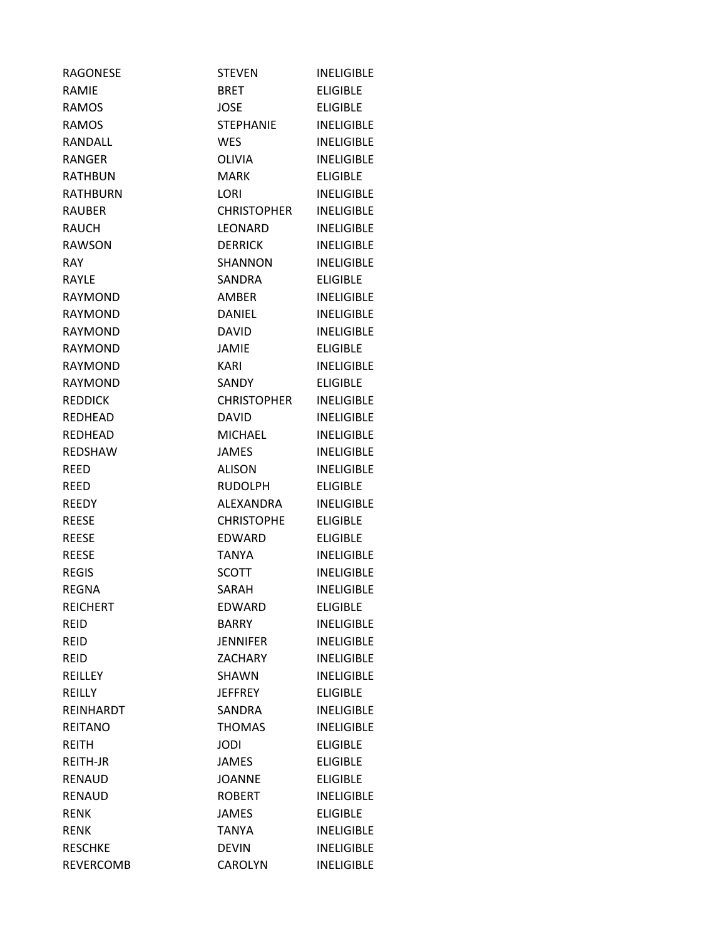| <b>RAGONESE</b>  | <b>STEVEN</b>      | <b>INELIGIBLE</b> |
|------------------|--------------------|-------------------|
| RAMIE            | BRET               | <b>ELIGIBLE</b>   |
| <b>RAMOS</b>     | JOSE               | <b>ELIGIBLE</b>   |
| <b>RAMOS</b>     | <b>STEPHANIE</b>   | <b>INELIGIBLE</b> |
| RANDALL          | <b>WES</b>         | <b>INELIGIBLE</b> |
| <b>RANGER</b>    | OLIVIA             | <b>INELIGIBLE</b> |
| <b>RATHBUN</b>   | MARK               | <b>ELIGIBLE</b>   |
| <b>RATHBURN</b>  | LORI               | <b>INELIGIBLE</b> |
| <b>RAUBER</b>    | <b>CHRISTOPHER</b> | <b>INELIGIBLE</b> |
| <b>RAUCH</b>     | LEONARD            | <b>INELIGIBLE</b> |
| <b>RAWSON</b>    | <b>DERRICK</b>     | <b>INELIGIBLE</b> |
| <b>RAY</b>       | <b>SHANNON</b>     | <b>INELIGIBLE</b> |
| <b>RAYLE</b>     | SANDRA             | <b>ELIGIBLE</b>   |
| <b>RAYMOND</b>   | AMBER              | <b>INELIGIBLE</b> |
| <b>RAYMOND</b>   | <b>DANIEL</b>      | <b>INELIGIBLE</b> |
| <b>RAYMOND</b>   | <b>DAVID</b>       | <b>INELIGIBLE</b> |
| <b>RAYMOND</b>   | <b>JAMIE</b>       | <b>ELIGIBLE</b>   |
| <b>RAYMOND</b>   | <b>KARI</b>        | <b>INELIGIBLE</b> |
| <b>RAYMOND</b>   | SANDY              | <b>ELIGIBLE</b>   |
| <b>REDDICK</b>   | <b>CHRISTOPHER</b> | <b>INELIGIBLE</b> |
| <b>REDHEAD</b>   | <b>DAVID</b>       | <b>INELIGIBLE</b> |
| REDHEAD          | <b>MICHAEL</b>     | <b>INELIGIBLE</b> |
| <b>REDSHAW</b>   | <b>JAMES</b>       | <b>INELIGIBLE</b> |
| <b>REED</b>      | ALISON             | <b>INELIGIBLE</b> |
| REED             | <b>RUDOLPH</b>     | <b>ELIGIBLE</b>   |
| <b>REEDY</b>     | ALEXANDRA          | <b>INELIGIBLE</b> |
| <b>REESE</b>     | <b>CHRISTOPHE</b>  | <b>ELIGIBLE</b>   |
| <b>REESE</b>     | <b>FDWARD</b>      | <b>ELIGIBLE</b>   |
| <b>REESE</b>     | <b>TANYA</b>       | <b>INELIGIBLE</b> |
| <b>REGIS</b>     | <b>SCOTT</b>       | <b>INELIGIBLE</b> |
| <b>REGNA</b>     | SARAH              | <b>INELIGIBLE</b> |
| <b>REICHERT</b>  | EDWARD             | <b>ELIGIBLE</b>   |
| <b>REID</b>      | <b>BARRY</b>       | <b>INELIGIBLE</b> |
| <b>REID</b>      | <b>JENNIFER</b>    | <b>INELIGIBLE</b> |
| <b>REID</b>      | <b>ZACHARY</b>     | <b>INELIGIBLE</b> |
| REILLEY          | SHAWN              | <b>INELIGIBLE</b> |
| REILLY           | <b>JEFFREY</b>     | <b>ELIGIBLE</b>   |
| REINHARDT        | SANDRA             | <b>INELIGIBLE</b> |
| <b>REITANO</b>   | <b>THOMAS</b>      | <b>INELIGIBLE</b> |
| <b>REITH</b>     | <b>JODI</b>        | <b>ELIGIBLE</b>   |
| REITH-JR         | <b>JAMES</b>       | <b>ELIGIBLE</b>   |
| <b>RENAUD</b>    | <b>JOANNE</b>      | <b>ELIGIBLE</b>   |
| <b>RENAUD</b>    | <b>ROBERT</b>      | <b>INELIGIBLE</b> |
| <b>RENK</b>      | <b>JAMES</b>       | <b>ELIGIBLE</b>   |
| <b>RENK</b>      | <b>TANYA</b>       | <b>INELIGIBLE</b> |
| <b>RESCHKE</b>   | <b>DEVIN</b>       | <b>INELIGIBLE</b> |
| <b>REVERCOMB</b> | <b>CAROLYN</b>     | <b>INELIGIBLE</b> |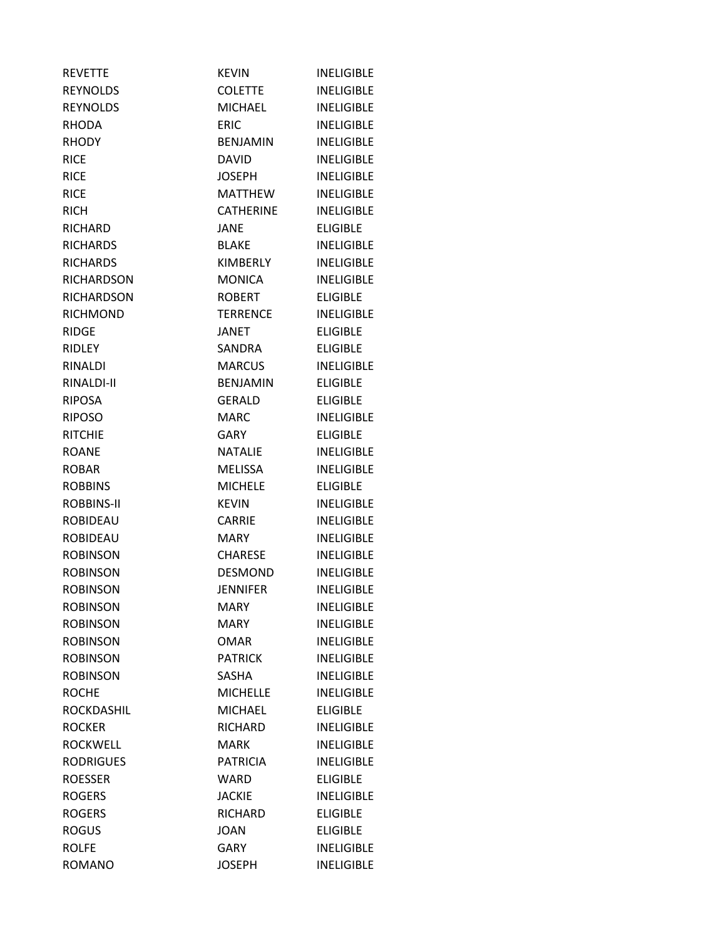| <b>REVETTE</b>    | <b>KEVIN</b>     | <b>INELIGIBLE</b> |
|-------------------|------------------|-------------------|
| <b>REYNOLDS</b>   | <b>COLETTE</b>   | <b>INELIGIBLE</b> |
| <b>REYNOLDS</b>   | <b>MICHAEL</b>   | <b>INELIGIBLE</b> |
| <b>RHODA</b>      | <b>ERIC</b>      | <b>INELIGIBLE</b> |
| <b>RHODY</b>      | <b>BENJAMIN</b>  | <b>INELIGIBLE</b> |
| <b>RICE</b>       | <b>DAVID</b>     | <b>INELIGIBLE</b> |
| <b>RICE</b>       | <b>JOSEPH</b>    | <b>INELIGIBLE</b> |
| <b>RICE</b>       | MATTHEW          | <b>INELIGIBLE</b> |
| <b>RICH</b>       | <b>CATHERINE</b> | <b>INELIGIBLE</b> |
| <b>RICHARD</b>    | <b>JANE</b>      | <b>ELIGIBLE</b>   |
| <b>RICHARDS</b>   | <b>BLAKE</b>     | <b>INELIGIBLE</b> |
| <b>RICHARDS</b>   | KIMBERLY         | <b>INELIGIBLE</b> |
| <b>RICHARDSON</b> | <b>MONICA</b>    | <b>INELIGIBLE</b> |
| <b>RICHARDSON</b> | <b>ROBERT</b>    | <b>ELIGIBLE</b>   |
| <b>RICHMOND</b>   | <b>TERRENCE</b>  | <b>INELIGIBLE</b> |
| <b>RIDGE</b>      | <b>JANET</b>     | <b>ELIGIBLE</b>   |
| <b>RIDLEY</b>     | SANDRA           | <b>ELIGIBLE</b>   |
| <b>RINALDI</b>    | <b>MARCUS</b>    | <b>INELIGIBLE</b> |
| RINALDI-II        | <b>BENJAMIN</b>  | <b>ELIGIBLE</b>   |
| <b>RIPOSA</b>     | <b>GERALD</b>    | <b>ELIGIBLE</b>   |
| <b>RIPOSO</b>     | <b>MARC</b>      | <b>INELIGIBLE</b> |
| <b>RITCHIE</b>    | GARY             | <b>ELIGIBLE</b>   |
| <b>ROANE</b>      | <b>NATALIE</b>   | <b>INELIGIBLE</b> |
| <b>ROBAR</b>      | <b>MELISSA</b>   | <b>INELIGIBLE</b> |
| <b>ROBBINS</b>    | <b>MICHELE</b>   | <b>ELIGIBLE</b>   |
| ROBBINS-II        | <b>KEVIN</b>     | <b>INELIGIBLE</b> |
| <b>ROBIDEAU</b>   | <b>CARRIE</b>    | <b>INELIGIBLE</b> |
| <b>ROBIDEAU</b>   | <b>MARY</b>      | <b>INELIGIBLE</b> |
| <b>ROBINSON</b>   | <b>CHARESE</b>   | <b>INELIGIBLE</b> |
| <b>ROBINSON</b>   | <b>DESMOND</b>   | <b>INELIGIBLE</b> |
| <b>ROBINSON</b>   | <b>JENNIFER</b>  | <b>INELIGIBLE</b> |
| <b>ROBINSON</b>   | MARY             | <b>INELIGIBLE</b> |
| <b>ROBINSON</b>   | <b>MARY</b>      | <b>INELIGIBLE</b> |
| <b>ROBINSON</b>   | <b>OMAR</b>      | <b>INELIGIBLE</b> |
| <b>ROBINSON</b>   | <b>PATRICK</b>   | <b>INELIGIBLE</b> |
| <b>ROBINSON</b>   | <b>SASHA</b>     | <b>INELIGIBLE</b> |
| <b>ROCHE</b>      | <b>MICHELLE</b>  | <b>INELIGIBLE</b> |
| ROCKDASHIL        | <b>MICHAEL</b>   | <b>ELIGIBLE</b>   |
| <b>ROCKER</b>     | RICHARD          | <b>INELIGIBLE</b> |
| <b>ROCKWELL</b>   | <b>MARK</b>      | <b>INELIGIBLE</b> |
| <b>RODRIGUES</b>  | <b>PATRICIA</b>  | <b>INELIGIBLE</b> |
| <b>ROESSER</b>    | WARD             | <b>ELIGIBLE</b>   |
| <b>ROGERS</b>     | <b>JACKIE</b>    | <b>INELIGIBLE</b> |
| <b>ROGERS</b>     | RICHARD          | <b>ELIGIBLE</b>   |
| <b>ROGUS</b>      | <b>JOAN</b>      | <b>ELIGIBLE</b>   |
| <b>ROLFE</b>      | <b>GARY</b>      | <b>INELIGIBLE</b> |
| <b>ROMANO</b>     | <b>JOSEPH</b>    | <b>INELIGIBLE</b> |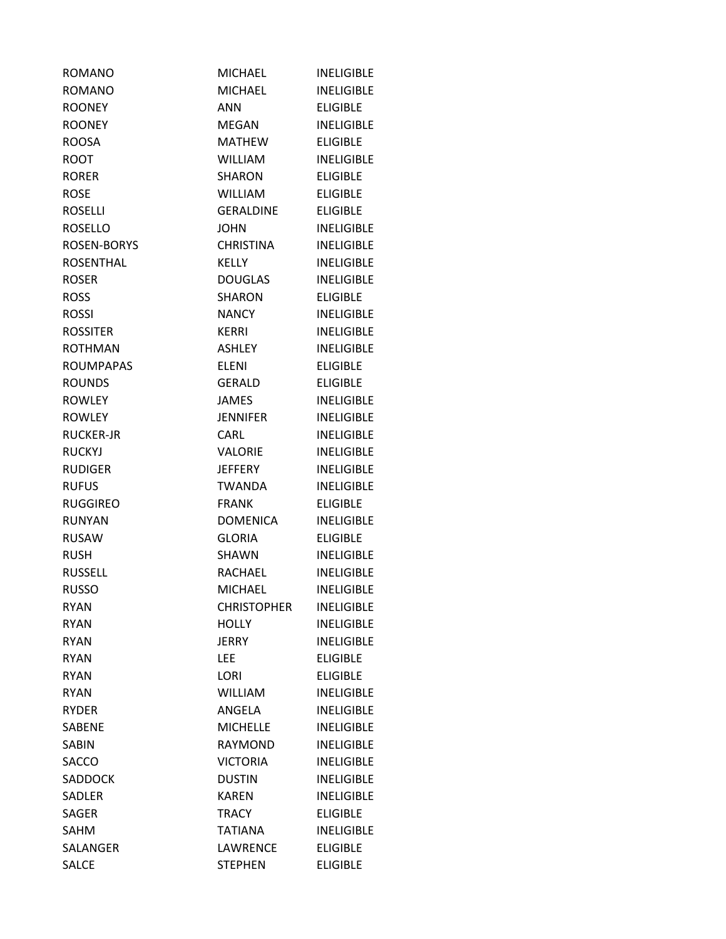| <b>ROMANO</b>    | <b>MICHAEL</b>     | <b>INELIGIBLE</b> |
|------------------|--------------------|-------------------|
| <b>ROMANO</b>    | <b>MICHAEL</b>     | <b>INELIGIBLE</b> |
| <b>ROONEY</b>    | <b>ANN</b>         | <b>ELIGIBLE</b>   |
| <b>ROONEY</b>    | MEGAN              | <b>INELIGIBLE</b> |
| <b>ROOSA</b>     | <b>MATHEW</b>      | <b>ELIGIBLE</b>   |
| <b>ROOT</b>      | WILLIAM            | <b>INELIGIBLE</b> |
| <b>RORER</b>     | <b>SHARON</b>      | <b>ELIGIBLE</b>   |
| <b>ROSE</b>      | WILLIAM            | <b>ELIGIBLE</b>   |
| <b>ROSELLI</b>   | <b>GERALDINE</b>   | <b>ELIGIBLE</b>   |
| <b>ROSELLO</b>   | <b>JOHN</b>        | <b>INELIGIBLE</b> |
| ROSEN-BORYS      | CHRISTINA          | <b>INELIGIBLE</b> |
| <b>ROSENTHAL</b> | <b>KELLY</b>       | <b>INELIGIBLE</b> |
| <b>ROSER</b>     | <b>DOUGLAS</b>     | <b>INELIGIBLE</b> |
| <b>ROSS</b>      | <b>SHARON</b>      | <b>ELIGIBLE</b>   |
| <b>ROSSI</b>     | <b>NANCY</b>       | <b>INELIGIBLE</b> |
| <b>ROSSITER</b>  | <b>KERRI</b>       | <b>INELIGIBLE</b> |
| <b>ROTHMAN</b>   | ASHLEY             | <b>INELIGIBLE</b> |
| <b>ROUMPAPAS</b> | <b>ELENI</b>       | <b>ELIGIBLE</b>   |
| <b>ROUNDS</b>    | <b>GERALD</b>      | <b>ELIGIBLE</b>   |
| <b>ROWLEY</b>    | <b>JAMES</b>       | <b>INELIGIBLE</b> |
| <b>ROWLEY</b>    | JENNIFER           | <b>INELIGIBLE</b> |
| <b>RUCKER-JR</b> | <b>CARL</b>        | <b>INELIGIBLE</b> |
| <b>RUCKYJ</b>    | <b>VALORIE</b>     | <b>INELIGIBLE</b> |
| <b>RUDIGER</b>   | <b>JEFFERY</b>     | <b>INELIGIBLE</b> |
| <b>RUFUS</b>     | <b>TWANDA</b>      | <b>INELIGIBLE</b> |
| <b>RUGGIREO</b>  | <b>FRANK</b>       | <b>ELIGIBLE</b>   |
| <b>RUNYAN</b>    | <b>DOMENICA</b>    | <b>INELIGIBLE</b> |
| <b>RUSAW</b>     | GLORIA             | <b>ELIGIBLE</b>   |
| <b>RUSH</b>      | SHAWN              | <b>INELIGIBLE</b> |
| <b>RUSSELL</b>   | RACHAEL            | <b>INELIGIBLE</b> |
| <b>RUSSO</b>     | MICHAEL            | <b>INELIGIBLE</b> |
| <b>RYAN</b>      | <b>CHRISTOPHER</b> | <b>INELIGIBLE</b> |
| <b>RYAN</b>      | <b>HOLLY</b>       | <b>INELIGIBLE</b> |
| <b>RYAN</b>      | JERRY              | <b>INELIGIBLE</b> |
| <b>RYAN</b>      | <b>LEE</b>         | <b>ELIGIBLE</b>   |
| <b>RYAN</b>      | LORI               | <b>ELIGIBLE</b>   |
| <b>RYAN</b>      | <b>WILLIAM</b>     | <b>INELIGIBLE</b> |
| <b>RYDER</b>     | ANGELA             | <b>INELIGIBLE</b> |
| <b>SABENE</b>    | <b>MICHELLE</b>    | <b>INELIGIBLE</b> |
| <b>SABIN</b>     | <b>RAYMOND</b>     | <b>INELIGIBLE</b> |
| SACCO            | <b>VICTORIA</b>    | <b>INELIGIBLE</b> |
| <b>SADDOCK</b>   | <b>DUSTIN</b>      | <b>INELIGIBLE</b> |
| SADLER           | <b>KAREN</b>       | <b>INELIGIBLE</b> |
| SAGER            | <b>TRACY</b>       | <b>ELIGIBLE</b>   |
| SAHM             | <b>TATIANA</b>     | <b>INELIGIBLE</b> |
| SALANGER         | LAWRENCE           | <b>ELIGIBLE</b>   |
| <b>SALCE</b>     | <b>STEPHEN</b>     | <b>ELIGIBLE</b>   |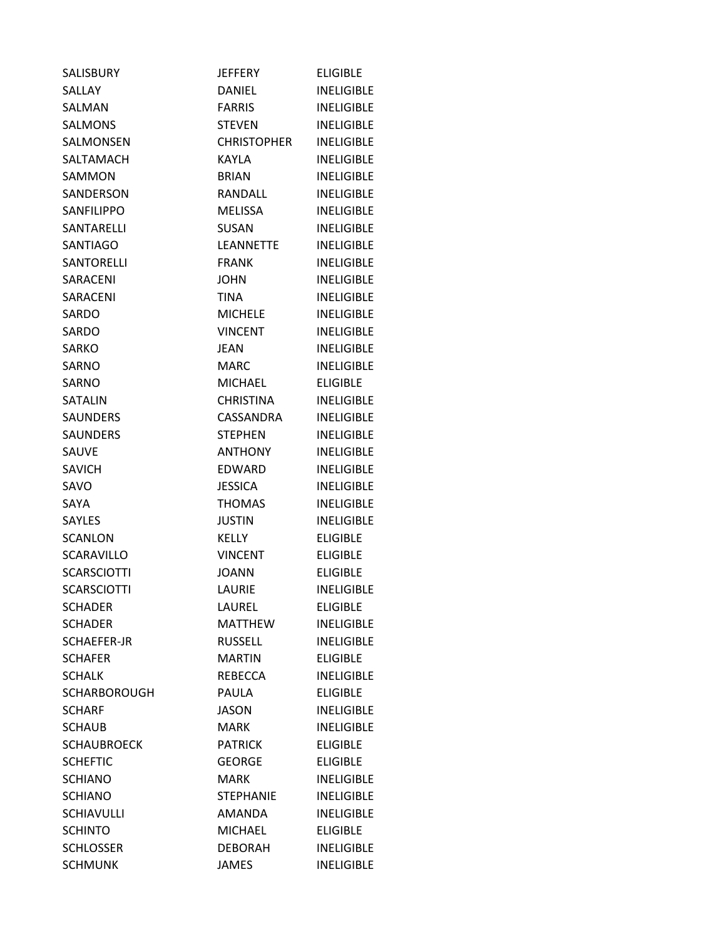| SALISBURY           | <b>JEFFERY</b>     | <b>ELIGIBLE</b>   |
|---------------------|--------------------|-------------------|
| SALLAY              | DANIEL             | <b>INELIGIBLE</b> |
| SALMAN              | <b>FARRIS</b>      | <b>INELIGIBLE</b> |
| <b>SALMONS</b>      | <b>STEVEN</b>      | <b>INELIGIBLE</b> |
| SALMONSEN           | <b>CHRISTOPHER</b> | <b>INELIGIBLE</b> |
| SALTAMACH           | KAYLA              | <b>INELIGIBLE</b> |
| SAMMON              | <b>BRIAN</b>       | <b>INELIGIBLE</b> |
| SANDERSON           | RANDALL            | <b>INELIGIBLE</b> |
| SANFILIPPO          | <b>MELISSA</b>     | <b>INELIGIBLE</b> |
| SANTARELLI          | <b>SUSAN</b>       | <b>INELIGIBLE</b> |
| <b>SANTIAGO</b>     | <b>LEANNETTE</b>   | <b>INELIGIBLE</b> |
| <b>SANTORELLI</b>   | <b>FRANK</b>       | <b>INELIGIBLE</b> |
| SARACENI            | <b>JOHN</b>        | <b>INELIGIBLE</b> |
| SARACENI            | <b>TINA</b>        | <b>INELIGIBLE</b> |
| SARDO               | <b>MICHELE</b>     | <b>INELIGIBLE</b> |
| SARDO               | <b>VINCENT</b>     | <b>INELIGIBLE</b> |
| <b>SARKO</b>        | JEAN               | <b>INELIGIBLE</b> |
| <b>SARNO</b>        | MARC               | INELIGIBLE        |
| SARNO               | <b>MICHAEL</b>     | <b>ELIGIBLE</b>   |
| <b>SATALIN</b>      | <b>CHRISTINA</b>   | <b>INELIGIBLE</b> |
| <b>SAUNDERS</b>     | CASSANDRA          | <b>INELIGIBLE</b> |
| <b>SAUNDERS</b>     | <b>STEPHEN</b>     | <b>INELIGIBLE</b> |
| SAUVE               | <b>ANTHONY</b>     | <b>INELIGIBLE</b> |
| <b>SAVICH</b>       | EDWARD             | <b>INELIGIBLE</b> |
| SAVO                | <b>JESSICA</b>     | <b>INELIGIBLE</b> |
| SAYA                | <b>THOMAS</b>      | <b>INELIGIBLE</b> |
| <b>SAYLES</b>       | <b>JUSTIN</b>      | <b>INELIGIBLE</b> |
| <b>SCANLON</b>      | <b>KELLY</b>       | <b>ELIGIBLE</b>   |
| SCARAVILLO          | <b>VINCENT</b>     | <b>ELIGIBLE</b>   |
| <b>SCARSCIOTTI</b>  | JOANN              | <b>ELIGIBLE</b>   |
| <b>SCARSCIOTTI</b>  | LAURIE             | <b>INELIGIBLE</b> |
| <b>SCHADER</b>      | LAUREL             | <b>ELIGIBLE</b>   |
| <b>SCHADER</b>      | <b>MATTHEW</b>     | <b>INELIGIBLE</b> |
| SCHAEFER-JR         | <b>RUSSELL</b>     | <b>INELIGIBLE</b> |
| <b>SCHAFER</b>      | <b>MARTIN</b>      | <b>ELIGIBLE</b>   |
| <b>SCHALK</b>       | <b>REBECCA</b>     | <b>INELIGIBLE</b> |
| <b>SCHARBOROUGH</b> | <b>PAULA</b>       | <b>ELIGIBLE</b>   |
| <b>SCHARF</b>       | <b>JASON</b>       | <b>INELIGIBLE</b> |
| <b>SCHAUB</b>       | <b>MARK</b>        | <b>INELIGIBLE</b> |
| <b>SCHAUBROECK</b>  | <b>PATRICK</b>     | <b>ELIGIBLE</b>   |
| <b>SCHEFTIC</b>     | <b>GEORGE</b>      | <b>ELIGIBLE</b>   |
| <b>SCHIANO</b>      | <b>MARK</b>        | <b>INELIGIBLE</b> |
| <b>SCHIANO</b>      | <b>STEPHANIE</b>   | <b>INELIGIBLE</b> |
| <b>SCHIAVULLI</b>   | AMANDA             | <b>INELIGIBLE</b> |
| <b>SCHINTO</b>      | <b>MICHAEL</b>     | <b>ELIGIBLE</b>   |
| <b>SCHLOSSER</b>    | <b>DEBORAH</b>     | <b>INELIGIBLE</b> |
| <b>SCHMUNK</b>      | <b>JAMES</b>       | <b>INELIGIBLE</b> |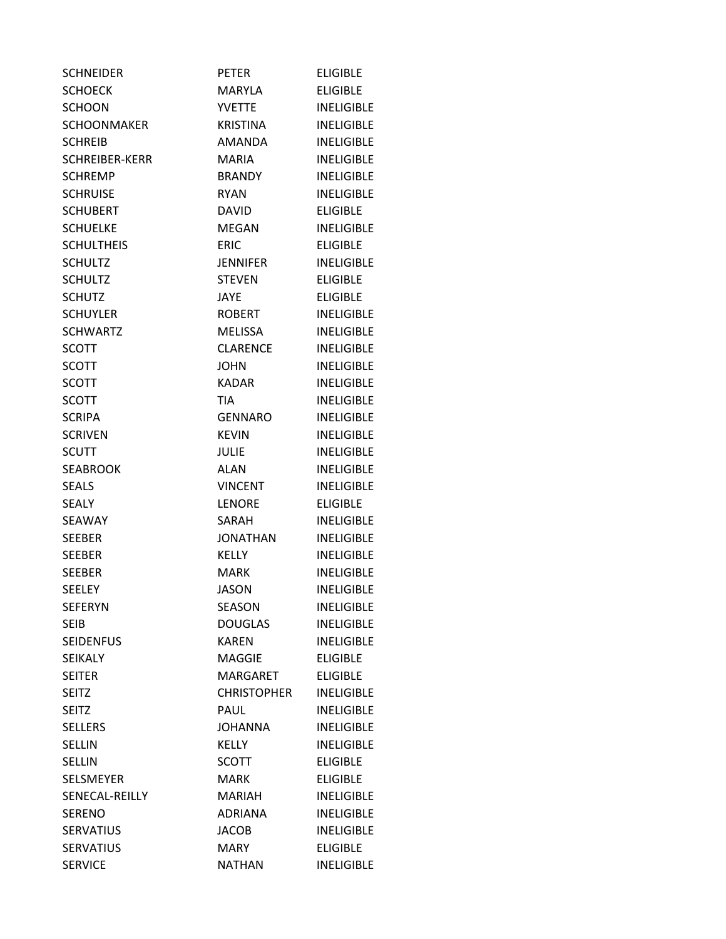| <b>SCHNEIDER</b>      | <b>PETER</b>       | <b>ELIGIBLE</b>   |
|-----------------------|--------------------|-------------------|
| <b>SCHOECK</b>        | <b>MARYLA</b>      | <b>ELIGIBLE</b>   |
| <b>SCHOON</b>         | <b>YVETTE</b>      | <b>INELIGIBLE</b> |
| <b>SCHOONMAKER</b>    | <b>KRISTINA</b>    | <b>INELIGIBLE</b> |
| <b>SCHREIB</b>        | AMANDA             | <b>INELIGIBLE</b> |
| <b>SCHREIBER-KERR</b> | <b>MARIA</b>       | <b>INELIGIBLE</b> |
| SCHREMP               | BRANDY             | <b>INELIGIBLE</b> |
| <b>SCHRUISE</b>       | <b>RYAN</b>        | <b>INELIGIBLE</b> |
| <b>SCHUBERT</b>       | <b>DAVID</b>       | <b>ELIGIBLE</b>   |
| <b>SCHUELKE</b>       | MEGAN              | <b>INELIGIBLE</b> |
| <b>SCHULTHEIS</b>     | <b>ERIC</b>        | <b>ELIGIBLE</b>   |
| <b>SCHULTZ</b>        | <b>JENNIFER</b>    | <b>INELIGIBLE</b> |
| <b>SCHULTZ</b>        | <b>STEVEN</b>      | <b>ELIGIBLE</b>   |
| <b>SCHUTZ</b>         | <b>JAYE</b>        | <b>ELIGIBLE</b>   |
| <b>SCHUYLER</b>       | <b>ROBERT</b>      | <b>INELIGIBLE</b> |
| <b>SCHWARTZ</b>       | <b>MELISSA</b>     | <b>INELIGIBLE</b> |
| <b>SCOTT</b>          | <b>CLARENCE</b>    | <b>INELIGIBLE</b> |
| <b>SCOTT</b>          | <b>JOHN</b>        | <b>INELIGIBLE</b> |
| <b>SCOTT</b>          | <b>KADAR</b>       | <b>INELIGIBLE</b> |
| <b>SCOTT</b>          | <b>TIA</b>         | <b>INELIGIBLE</b> |
| <b>SCRIPA</b>         | <b>GENNARO</b>     | <b>INELIGIBLE</b> |
| <b>SCRIVEN</b>        | <b>KEVIN</b>       | <b>INELIGIBLE</b> |
| <b>SCUTT</b>          | <b>JULIE</b>       | <b>INELIGIBLE</b> |
| <b>SEABROOK</b>       | ALAN               | <b>INELIGIBLE</b> |
| <b>SEALS</b>          | <b>VINCENT</b>     | <b>INELIGIBLE</b> |
| <b>SEALY</b>          | <b>LENORE</b>      | <b>ELIGIBLE</b>   |
| SEAWAY                | SARAH              | <b>INELIGIBLE</b> |
| <b>SEEBER</b>         | <b>JONATHAN</b>    | <b>INELIGIBLE</b> |
| <b>SEEBER</b>         | <b>KELLY</b>       | <b>INELIGIBLE</b> |
| <b>SEEBER</b>         | MARK               | <b>INELIGIBLE</b> |
| SEELEY                | JASON              | <b>INELIGIBLE</b> |
| <b>SEFERYN</b>        | <b>SEASON</b>      | <b>INELIGIBLE</b> |
| <b>SEIB</b>           | <b>DOUGLAS</b>     | <b>INELIGIBLE</b> |
| <b>SEIDENFUS</b>      | <b>KAREN</b>       | <b>INELIGIBLE</b> |
| <b>SEIKALY</b>        | <b>MAGGIE</b>      | <b>ELIGIBLE</b>   |
| <b>SEITER</b>         | <b>MARGARET</b>    | <b>ELIGIBLE</b>   |
| <b>SEITZ</b>          | <b>CHRISTOPHER</b> | <b>INELIGIBLE</b> |
| <b>SEITZ</b>          | PAUL               | <b>INELIGIBLE</b> |
| <b>SELLERS</b>        | <b>JOHANNA</b>     | <b>INELIGIBLE</b> |
| <b>SELLIN</b>         | <b>KELLY</b>       | <b>INELIGIBLE</b> |
| <b>SELLIN</b>         | <b>SCOTT</b>       | <b>ELIGIBLE</b>   |
| <b>SELSMEYER</b>      | <b>MARK</b>        | <b>ELIGIBLE</b>   |
| SENECAL-REILLY        | <b>MARIAH</b>      | <b>INELIGIBLE</b> |
| <b>SERENO</b>         | <b>ADRIANA</b>     | <b>INELIGIBLE</b> |
| <b>SERVATIUS</b>      | <b>JACOB</b>       | <b>INELIGIBLE</b> |
| <b>SERVATIUS</b>      | <b>MARY</b>        | <b>ELIGIBLE</b>   |
| <b>SERVICE</b>        | <b>NATHAN</b>      | <b>INELIGIBLE</b> |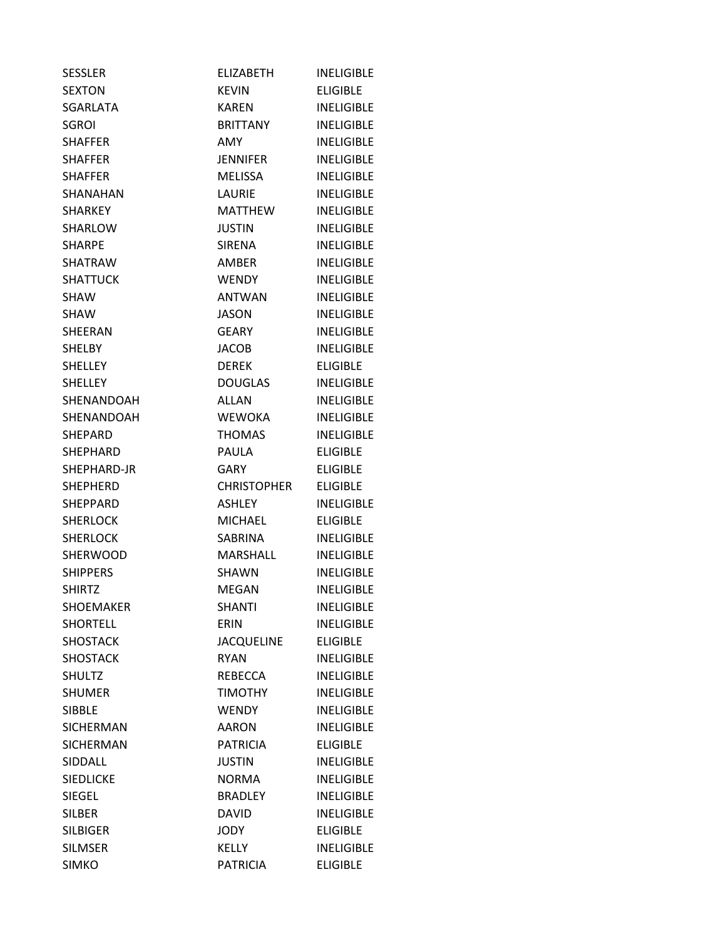| <b>SESSLER</b>   | <b>ELIZABETH</b>   | <b>INELIGIBLE</b> |
|------------------|--------------------|-------------------|
| <b>SEXTON</b>    | <b>KEVIN</b>       | <b>ELIGIBLE</b>   |
| <b>SGARLATA</b>  | KAREN              | <b>INELIGIBLE</b> |
| <b>SGROI</b>     | <b>BRITTANY</b>    | INELIGIBLE        |
| <b>SHAFFER</b>   | <b>AMY</b>         | <b>INELIGIBLE</b> |
| <b>SHAFFER</b>   | JENNIFER           | <b>INELIGIBLE</b> |
| SHAFFER          | MELISSA            | <b>INELIGIBLE</b> |
| SHANAHAN         | <b>LAURIE</b>      | <b>INELIGIBLE</b> |
| SHARKEY          | <b>MATTHEW</b>     | <b>INELIGIBLE</b> |
| SHARLOW          | <b>JUSTIN</b>      | <b>INELIGIBLE</b> |
| <b>SHARPE</b>    | SIRENA             | INELIGIBLE        |
| <b>SHATRAW</b>   | <b>AMBER</b>       | <b>INELIGIBLE</b> |
| <b>SHATTUCK</b>  | <b>WENDY</b>       | <b>INELIGIBLE</b> |
| <b>SHAW</b>      | <b>ANTWAN</b>      | <b>INELIGIBLE</b> |
| <b>SHAW</b>      | <b>JASON</b>       | <b>INELIGIBLE</b> |
| <b>SHEERAN</b>   | <b>GEARY</b>       | <b>INELIGIBLE</b> |
| SHELBY           | <b>JACOB</b>       | <b>INELIGIBLE</b> |
| <b>SHELLEY</b>   | <b>DEREK</b>       | <b>ELIGIBLE</b>   |
| <b>SHELLEY</b>   | <b>DOUGLAS</b>     | <b>INELIGIBLE</b> |
| SHENANDOAH       | <b>ALLAN</b>       | <b>INELIGIBLE</b> |
| SHENANDOAH       | WEWOKA             | <b>INELIGIBLE</b> |
| SHEPARD          | <b>THOMAS</b>      | <b>INELIGIBLE</b> |
| SHEPHARD         | <b>PAULA</b>       | <b>ELIGIBLE</b>   |
| SHEPHARD-JR      | GARY               | <b>ELIGIBLE</b>   |
| SHEPHERD         | <b>CHRISTOPHER</b> | <b>ELIGIBLE</b>   |
| SHEPPARD         | <b>ASHLEY</b>      | <b>INELIGIBLE</b> |
| <b>SHERLOCK</b>  | <b>MICHAEL</b>     | <b>ELIGIBLE</b>   |
| <b>SHERLOCK</b>  | SABRINA            | <b>INELIGIBLE</b> |
| <b>SHERWOOD</b>  | MARSHALL           | <b>INELIGIBLE</b> |
| <b>SHIPPERS</b>  | SHAWN              | <b>INELIGIBLE</b> |
| <b>SHIRTZ</b>    | <b>MEGAN</b>       | <b>INELIGIBLE</b> |
| SHOEMAKER        | <b>SHANTI</b>      | <b>INELIGIBLE</b> |
| <b>SHORTELL</b>  | <b>ERIN</b>        | <b>INELIGIBLE</b> |
| <b>SHOSTACK</b>  | <b>JACQUELINE</b>  | <b>ELIGIBLE</b>   |
| <b>SHOSTACK</b>  | <b>RYAN</b>        | <b>INELIGIBLE</b> |
| <b>SHULTZ</b>    | REBECCA            | <b>INELIGIBLE</b> |
| <b>SHUMER</b>    | <b>TIMOTHY</b>     | <b>INELIGIBLE</b> |
| <b>SIBBLE</b>    | <b>WENDY</b>       | <b>INELIGIBLE</b> |
| <b>SICHERMAN</b> | AARON              | <b>INELIGIBLE</b> |
| <b>SICHERMAN</b> | <b>PATRICIA</b>    | <b>ELIGIBLE</b>   |
| SIDDALL          | <b>JUSTIN</b>      | <b>INELIGIBLE</b> |
| <b>SIEDLICKE</b> | <b>NORMA</b>       | <b>INELIGIBLE</b> |
| <b>SIEGEL</b>    | <b>BRADLEY</b>     | <b>INELIGIBLE</b> |
| <b>SILBER</b>    | <b>DAVID</b>       | <b>INELIGIBLE</b> |
| <b>SILBIGER</b>  | <b>JODY</b>        | <b>ELIGIBLE</b>   |
| <b>SILMSER</b>   | <b>KELLY</b>       | <b>INELIGIBLE</b> |
| <b>SIMKO</b>     | <b>PATRICIA</b>    | <b>ELIGIBLE</b>   |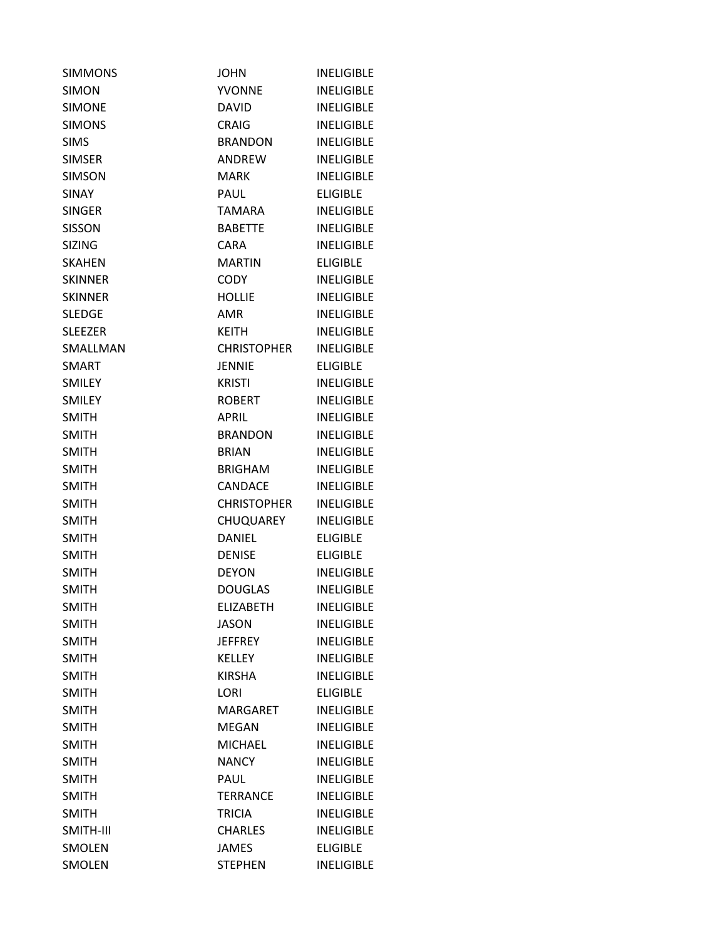| <b>SIMMONS</b> | <b>JOHN</b>        | <b>INELIGIBLE</b> |
|----------------|--------------------|-------------------|
| <b>SIMON</b>   | <b>YVONNE</b>      | <b>INELIGIBLE</b> |
| <b>SIMONE</b>  | <b>DAVID</b>       | <b>INELIGIBLE</b> |
| <b>SIMONS</b>  | <b>CRAIG</b>       | <b>INELIGIBLE</b> |
| <b>SIMS</b>    | <b>BRANDON</b>     | <b>INELIGIBLE</b> |
| <b>SIMSER</b>  | <b>ANDREW</b>      | <b>INELIGIBLE</b> |
| <b>SIMSON</b>  | <b>MARK</b>        | <b>INELIGIBLE</b> |
| <b>SINAY</b>   | PAUL               | <b>ELIGIBLE</b>   |
| <b>SINGER</b>  | <b>TAMARA</b>      | <b>INELIGIBLE</b> |
| <b>SISSON</b>  | <b>BABETTE</b>     | <b>INELIGIBLE</b> |
| <b>SIZING</b>  | <b>CARA</b>        | <b>INELIGIBLE</b> |
| <b>SKAHEN</b>  | <b>MARTIN</b>      | <b>ELIGIBLE</b>   |
| <b>SKINNER</b> | <b>CODY</b>        | <b>INELIGIBLE</b> |
| <b>SKINNER</b> | <b>HOLLIE</b>      | <b>INELIGIBLE</b> |
| <b>SLEDGE</b>  | <b>AMR</b>         | <b>INELIGIBLE</b> |
| <b>SLEEZER</b> | <b>KEITH</b>       | <b>INELIGIBLE</b> |
| SMALLMAN       | <b>CHRISTOPHER</b> | <b>INELIGIBLE</b> |
| <b>SMART</b>   | JENNIE             | <b>ELIGIBLE</b>   |
| <b>SMILEY</b>  | <b>KRISTI</b>      | <b>INELIGIBLE</b> |
| <b>SMILEY</b>  | <b>ROBERT</b>      | <b>INELIGIBLE</b> |
| <b>SMITH</b>   | APRIL              | <b>INELIGIBLE</b> |
| <b>SMITH</b>   | <b>BRANDON</b>     | <b>INELIGIBLE</b> |
| <b>SMITH</b>   | <b>BRIAN</b>       | <b>INELIGIBLE</b> |
| <b>SMITH</b>   | <b>BRIGHAM</b>     | <b>INELIGIBLE</b> |
| <b>SMITH</b>   | CANDACE            | <b>INELIGIBLE</b> |
| <b>SMITH</b>   | <b>CHRISTOPHER</b> | <b>INELIGIBLE</b> |
| <b>SMITH</b>   | CHUQUAREY          | <b>INELIGIBLE</b> |
| <b>SMITH</b>   | DANIEL             | <b>ELIGIBLE</b>   |
| <b>SMITH</b>   | <b>DENISE</b>      | <b>ELIGIBLE</b>   |
| <b>SMITH</b>   | <b>DEYON</b>       | <b>INELIGIBLE</b> |
| <b>SMITH</b>   | <b>DOUGLAS</b>     | <b>INELIGIBLE</b> |
| <b>SMITH</b>   | <b>ELIZABETH</b>   | <b>INELIGIBLE</b> |
| <b>SMITH</b>   | <b>JASON</b>       | <b>INELIGIBLE</b> |
| <b>SMITH</b>   | <b>JEFFREY</b>     | <b>INELIGIBLE</b> |
| <b>SMITH</b>   | <b>KELLEY</b>      | <b>INELIGIBLE</b> |
| <b>SMITH</b>   | <b>KIRSHA</b>      | <b>INELIGIBLE</b> |
| <b>SMITH</b>   | LORI               | <b>ELIGIBLE</b>   |
| <b>SMITH</b>   | MARGARET           | <b>INELIGIBLE</b> |
| <b>SMITH</b>   | <b>MEGAN</b>       | <b>INELIGIBLE</b> |
| <b>SMITH</b>   | MICHAEL            | <b>INELIGIBLE</b> |
| <b>SMITH</b>   | <b>NANCY</b>       | <b>INELIGIBLE</b> |
| <b>SMITH</b>   | PAUL               | <b>INELIGIBLE</b> |
| <b>SMITH</b>   | <b>TERRANCE</b>    | <b>INELIGIBLE</b> |
| <b>SMITH</b>   | TRICIA             | <b>INELIGIBLE</b> |
| SMITH-III      | <b>CHARLES</b>     | <b>INELIGIBLE</b> |
| <b>SMOLEN</b>  | <b>JAMES</b>       | <b>ELIGIBLE</b>   |
| SMOLEN         | <b>STEPHEN</b>     | <b>INELIGIBLE</b> |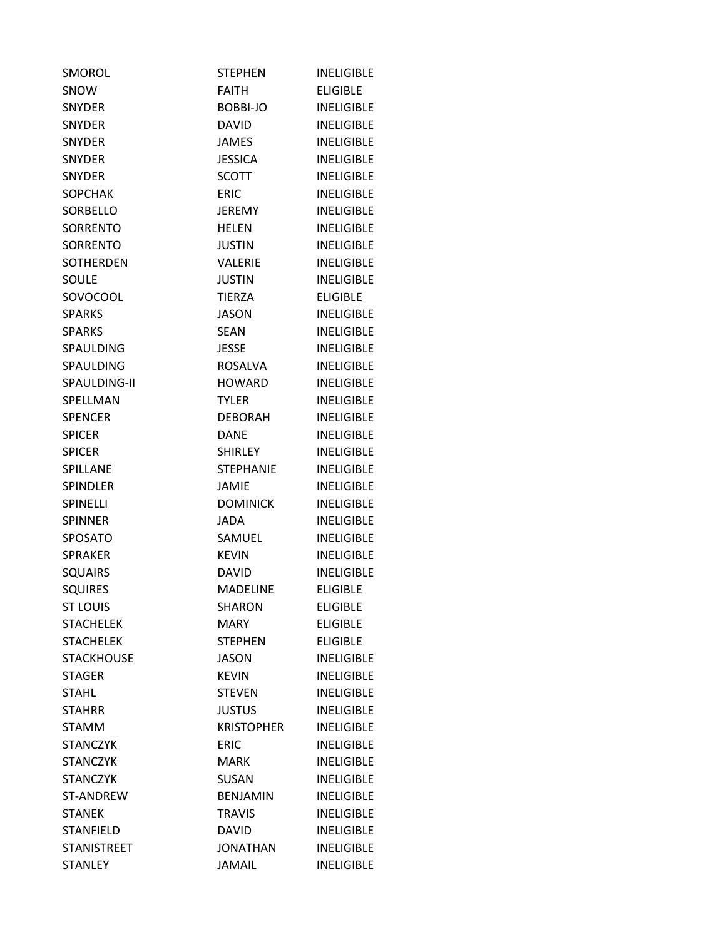| <b>SMOROL</b>      | <b>STEPHEN</b>    | INELIGIBLE        |
|--------------------|-------------------|-------------------|
| <b>SNOW</b>        | <b>FAITH</b>      | <b>ELIGIBLE</b>   |
| <b>SNYDER</b>      | BOBBI-JO          | <b>INELIGIBLE</b> |
| <b>SNYDER</b>      | <b>DAVID</b>      | <b>INELIGIBLE</b> |
| <b>SNYDER</b>      | <b>JAMES</b>      | <b>INELIGIBLE</b> |
| <b>SNYDER</b>      | <b>JESSICA</b>    | <b>INELIGIBLE</b> |
| <b>SNYDER</b>      | <b>SCOTT</b>      | <b>INELIGIBLE</b> |
| <b>SOPCHAK</b>     | <b>ERIC</b>       | <b>INELIGIBLE</b> |
| SORBELLO           | JEREMY            | <b>INELIGIBLE</b> |
| <b>SORRENTO</b>    | <b>HELEN</b>      | <b>INELIGIBLE</b> |
| SORRENTO           | <b>JUSTIN</b>     | <b>INELIGIBLE</b> |
| <b>SOTHERDEN</b>   | <b>VALERIE</b>    | <b>INELIGIBLE</b> |
| SOULE              | <b>JUSTIN</b>     | <b>INELIGIBLE</b> |
| SOVOCOOL           | <b>TIERZA</b>     | <b>ELIGIBLE</b>   |
| <b>SPARKS</b>      | <b>JASON</b>      | <b>INELIGIBLE</b> |
| <b>SPARKS</b>      | <b>SEAN</b>       | <b>INELIGIBLE</b> |
| <b>SPAULDING</b>   | JESSE             | <b>INELIGIBLE</b> |
| <b>SPAULDING</b>   | <b>ROSALVA</b>    | <b>INELIGIBLE</b> |
| SPAULDING-II       | <b>HOWARD</b>     | <b>INELIGIBLE</b> |
| SPELLMAN           | <b>TYLER</b>      | <b>INELIGIBLE</b> |
| <b>SPENCER</b>     | <b>DEBORAH</b>    | <b>INELIGIBLE</b> |
| <b>SPICER</b>      | <b>DANE</b>       | <b>INELIGIBLE</b> |
| <b>SPICER</b>      | SHIRLEY           | <b>INELIGIBLE</b> |
| SPILLANE           | <b>STEPHANIE</b>  | <b>INELIGIBLE</b> |
| <b>SPINDLER</b>    | JAMIE             | <b>INELIGIBLE</b> |
| SPINELLI           | <b>DOMINICK</b>   | <b>INELIGIBLE</b> |
| <b>SPINNER</b>     | <b>JADA</b>       | <b>INELIGIBLE</b> |
| <b>SPOSATO</b>     | <b>SAMUEL</b>     | <b>INELIGIBLE</b> |
| <b>SPRAKER</b>     | <b>KEVIN</b>      | <b>INELIGIBLE</b> |
| <b>SQUAIRS</b>     | <b>DAVID</b>      | <b>INELIGIBLE</b> |
| <b>SQUIRES</b>     | <b>MADELINE</b>   | <b>ELIGIBLE</b>   |
| <b>ST LOUIS</b>    | <b>SHARON</b>     | <b>ELIGIBLE</b>   |
| <b>STACHELEK</b>   | MARY              | <b>ELIGIBLE</b>   |
| <b>STACHELEK</b>   | <b>STEPHEN</b>    | <b>ELIGIBLE</b>   |
| <b>STACKHOUSE</b>  | <b>JASON</b>      | <b>INELIGIBLE</b> |
| <b>STAGER</b>      | <b>KEVIN</b>      | <b>INELIGIBLE</b> |
| <b>STAHL</b>       | <b>STEVEN</b>     | <b>INELIGIBLE</b> |
| <b>STAHRR</b>      | <b>JUSTUS</b>     | <b>INELIGIBLE</b> |
| <b>STAMM</b>       | <b>KRISTOPHER</b> | <b>INELIGIBLE</b> |
| <b>STANCZYK</b>    | <b>ERIC</b>       | <b>INELIGIBLE</b> |
| <b>STANCZYK</b>    | <b>MARK</b>       | <b>INELIGIBLE</b> |
| <b>STANCZYK</b>    | <b>SUSAN</b>      | <b>INELIGIBLE</b> |
| <b>ST-ANDREW</b>   | <b>BENJAMIN</b>   | <b>INELIGIBLE</b> |
| <b>STANEK</b>      | <b>TRAVIS</b>     | <b>INELIGIBLE</b> |
| <b>STANFIELD</b>   | <b>DAVID</b>      | <b>INELIGIBLE</b> |
| <b>STANISTREET</b> | <b>JONATHAN</b>   | <b>INELIGIBLE</b> |
| <b>STANLEY</b>     | <b>JAMAIL</b>     | <b>INELIGIBLE</b> |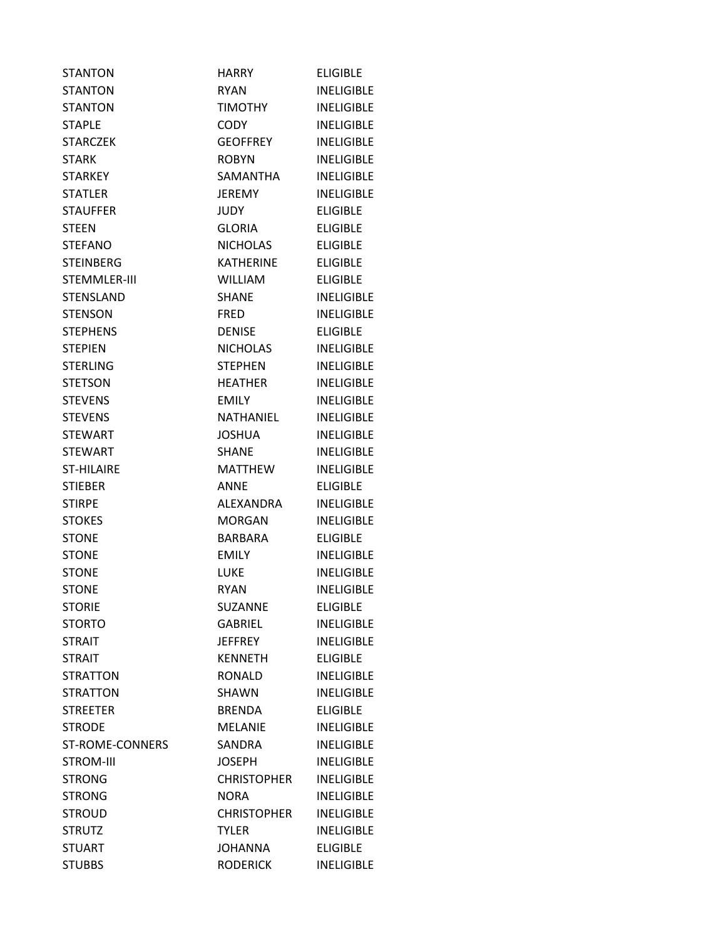| <b>STANTON</b>    | HARRY              | <b>ELIGIBLE</b>   |
|-------------------|--------------------|-------------------|
| <b>STANTON</b>    | <b>RYAN</b>        | <b>INELIGIBLE</b> |
| <b>STANTON</b>    | <b>TIMOTHY</b>     | <b>INELIGIBLE</b> |
| <b>STAPLE</b>     | CODY               | <b>INELIGIBLE</b> |
| <b>STARCZEK</b>   | <b>GEOFFREY</b>    | <b>INELIGIBLE</b> |
| <b>STARK</b>      | <b>ROBYN</b>       | <b>INELIGIBLE</b> |
| <b>STARKEY</b>    | SAMANTHA           | <b>INELIGIBLE</b> |
| <b>STATLER</b>    | <b>JEREMY</b>      | <b>INELIGIBLE</b> |
| <b>STAUFFER</b>   | <b>JUDY</b>        | <b>ELIGIBLE</b>   |
| <b>STEEN</b>      | <b>GLORIA</b>      | <b>ELIGIBLE</b>   |
| <b>STEFANO</b>    | <b>NICHOLAS</b>    | <b>ELIGIBLE</b>   |
| <b>STEINBERG</b>  | <b>KATHERINE</b>   | <b>ELIGIBLE</b>   |
| STEMMLER-III      | <b>WILLIAM</b>     | <b>ELIGIBLE</b>   |
| <b>STENSLAND</b>  | <b>SHANE</b>       | <b>INELIGIBLE</b> |
| <b>STENSON</b>    | <b>FRED</b>        | <b>INELIGIBLE</b> |
| <b>STEPHENS</b>   | <b>DENISE</b>      | <b>ELIGIBLE</b>   |
| <b>STEPIEN</b>    | <b>NICHOLAS</b>    | <b>INELIGIBLE</b> |
| <b>STERLING</b>   | <b>STEPHEN</b>     | <b>INELIGIBLE</b> |
| <b>STETSON</b>    | <b>HEATHER</b>     | <b>INELIGIBLE</b> |
| <b>STEVENS</b>    | <b>EMILY</b>       | <b>INELIGIBLE</b> |
| <b>STEVENS</b>    | NATHANIEL          | <b>INELIGIBLE</b> |
| <b>STEWART</b>    | <b>JOSHUA</b>      | <b>INELIGIBLE</b> |
| <b>STEWART</b>    | <b>SHANE</b>       | <b>INELIGIBLE</b> |
| <b>ST-HILAIRE</b> | <b>MATTHEW</b>     | <b>INELIGIBLE</b> |
| <b>STIEBER</b>    | <b>ANNE</b>        | <b>ELIGIBLE</b>   |
| <b>STIRPE</b>     | ALEXANDRA          | <b>INELIGIBLE</b> |
| <b>STOKES</b>     | <b>MORGAN</b>      | <b>INELIGIBLE</b> |
| <b>STONE</b>      | <b>BARBARA</b>     | <b>ELIGIBLE</b>   |
| <b>STONE</b>      | <b>EMILY</b>       | <b>INELIGIBLE</b> |
| STONE             | LUKE               | <b>INELIGIBLE</b> |
| <b>STONE</b>      | <b>RYAN</b>        | <b>INELIGIBLE</b> |
| <b>STORIE</b>     | <b>SUZANNE</b>     | <b>ELIGIBLE</b>   |
| <b>STORTO</b>     | <b>GABRIEL</b>     | <b>INELIGIBLE</b> |
| <b>STRAIT</b>     | <b>JEFFREY</b>     | <b>INELIGIBLE</b> |
| <b>STRAIT</b>     | <b>KENNETH</b>     | <b>ELIGIBLE</b>   |
| <b>STRATTON</b>   | <b>RONALD</b>      | <b>INELIGIBLE</b> |
| <b>STRATTON</b>   | SHAWN              | <b>INELIGIBLE</b> |
| <b>STREETER</b>   | <b>BRENDA</b>      | <b>ELIGIBLE</b>   |
| <b>STRODE</b>     | <b>MELANIE</b>     | <b>INELIGIBLE</b> |
| ST-ROME-CONNERS   | SANDRA             | <b>INELIGIBLE</b> |
| <b>STROM-III</b>  | <b>JOSEPH</b>      | <b>INELIGIBLE</b> |
| <b>STRONG</b>     | <b>CHRISTOPHER</b> | <b>INELIGIBLE</b> |
| <b>STRONG</b>     | <b>NORA</b>        | <b>INELIGIBLE</b> |
| <b>STROUD</b>     | <b>CHRISTOPHER</b> | <b>INELIGIBLE</b> |
| <b>STRUTZ</b>     | <b>TYLER</b>       | <b>INELIGIBLE</b> |
| <b>STUART</b>     | <b>JOHANNA</b>     | <b>ELIGIBLE</b>   |
| <b>STUBBS</b>     | <b>RODERICK</b>    | <b>INELIGIBLE</b> |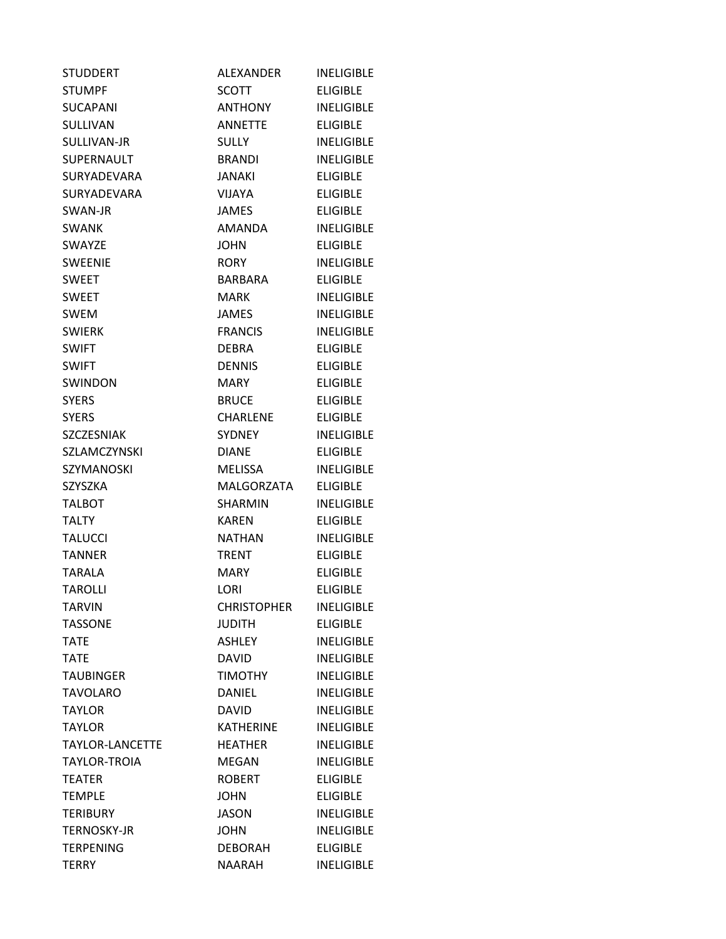| <b>STUDDERT</b>        | ALEXANDER          | <b>INELIGIBLE</b> |
|------------------------|--------------------|-------------------|
| <b>STUMPF</b>          | <b>SCOTT</b>       | <b>FLIGIBLE</b>   |
| <b>SUCAPANI</b>        | ANTHONY            | <b>INELIGIBLE</b> |
| <b>SULLIVAN</b>        | <b>ANNETTE</b>     | <b>ELIGIBLE</b>   |
| SULLIVAN-JR            | <b>SULLY</b>       | <b>INELIGIBLE</b> |
| SUPERNAULT             | <b>BRANDI</b>      | <b>INELIGIBLE</b> |
| <b>SURYADEVARA</b>     | JANAKI             | <b>ELIGIBLE</b>   |
| <b>SURYADEVARA</b>     | VIJAYA             | <b>ELIGIBLE</b>   |
| SWAN-JR                | <b>JAMES</b>       | <b>ELIGIBLE</b>   |
| <b>SWANK</b>           | <b>AMANDA</b>      | <b>INELIGIBLE</b> |
| <b>SWAYZE</b>          | <b>JOHN</b>        | <b>ELIGIBLE</b>   |
| <b>SWEENIE</b>         | <b>RORY</b>        | <b>INELIGIBLE</b> |
| <b>SWEET</b>           | BARBARA            | <b>ELIGIBLE</b>   |
| <b>SWEET</b>           | MARK               | <b>INELIGIBLE</b> |
| <b>SWEM</b>            | <b>JAMES</b>       | <b>INELIGIBLE</b> |
| <b>SWIERK</b>          | <b>FRANCIS</b>     | <b>INELIGIBLE</b> |
| <b>SWIFT</b>           | <b>DEBRA</b>       | <b>ELIGIBLE</b>   |
| <b>SWIFT</b>           | <b>DENNIS</b>      | <b>ELIGIBLE</b>   |
| <b>SWINDON</b>         | MARY               | <b>ELIGIBLE</b>   |
| <b>SYERS</b>           | <b>BRUCE</b>       | <b>ELIGIBLE</b>   |
| <b>SYERS</b>           | <b>CHARLENE</b>    | <b>ELIGIBLE</b>   |
| SZCZESNIAK             | SYDNEY             | <b>INELIGIBLE</b> |
| SZLAMCZYNSKI           | <b>DIANE</b>       | <b>ELIGIBLE</b>   |
| <b>SZYMANOSKI</b>      | <b>MELISSA</b>     | <b>INELIGIBLE</b> |
| SZYSZKA                | MALGORZATA         | ELIGIBLE          |
| <b>TALBOT</b>          | SHARMIN            | <b>INELIGIBLE</b> |
| <b>TALTY</b>           | <b>KAREN</b>       | <b>ELIGIBLE</b>   |
| <b>TALUCCI</b>         | NATHAN             | <b>INELIGIBLE</b> |
| <b>TANNER</b>          | <b>TRENT</b>       | <b>ELIGIBLE</b>   |
| TARALA                 | MARY.              | <b>ELIGIBLE</b>   |
| <b>TAROLLI</b>         | LORI               | <b>ELIGIBLE</b>   |
| TARVIN                 | <b>CHRISTOPHER</b> | <b>INELIGIBLE</b> |
| <b>TASSONE</b>         | <b>JUDITH</b>      | <b>ELIGIBLE</b>   |
| <b>TATE</b>            | ASHLEY             | <b>INELIGIBLE</b> |
| <b>TATE</b>            | <b>DAVID</b>       | <b>INELIGIBLE</b> |
| <b>TAUBINGER</b>       | <b>TIMOTHY</b>     | <b>INELIGIBLE</b> |
| <b>TAVOLARO</b>        | <b>DANIEL</b>      | <b>INELIGIBLE</b> |
| <b>TAYLOR</b>          | <b>DAVID</b>       | <b>INELIGIBLE</b> |
| <b>TAYLOR</b>          | <b>KATHERINE</b>   | <b>INELIGIBLE</b> |
| <b>TAYLOR-LANCETTE</b> | <b>HEATHER</b>     | <b>INELIGIBLE</b> |
| TAYLOR-TROIA           | MEGAN              | <b>INELIGIBLE</b> |
| <b>TEATER</b>          | <b>ROBERT</b>      | <b>ELIGIBLE</b>   |
| <b>TEMPLE</b>          | <b>JOHN</b>        | <b>ELIGIBLE</b>   |
| <b>TERIBURY</b>        | <b>JASON</b>       | <b>INELIGIBLE</b> |
| <b>TERNOSKY-JR</b>     | <b>JOHN</b>        | <b>INELIGIBLE</b> |
| <b>TERPENING</b>       | <b>DEBORAH</b>     | <b>ELIGIBLE</b>   |
| <b>TERRY</b>           | NAARAH             | <b>INELIGIBLE</b> |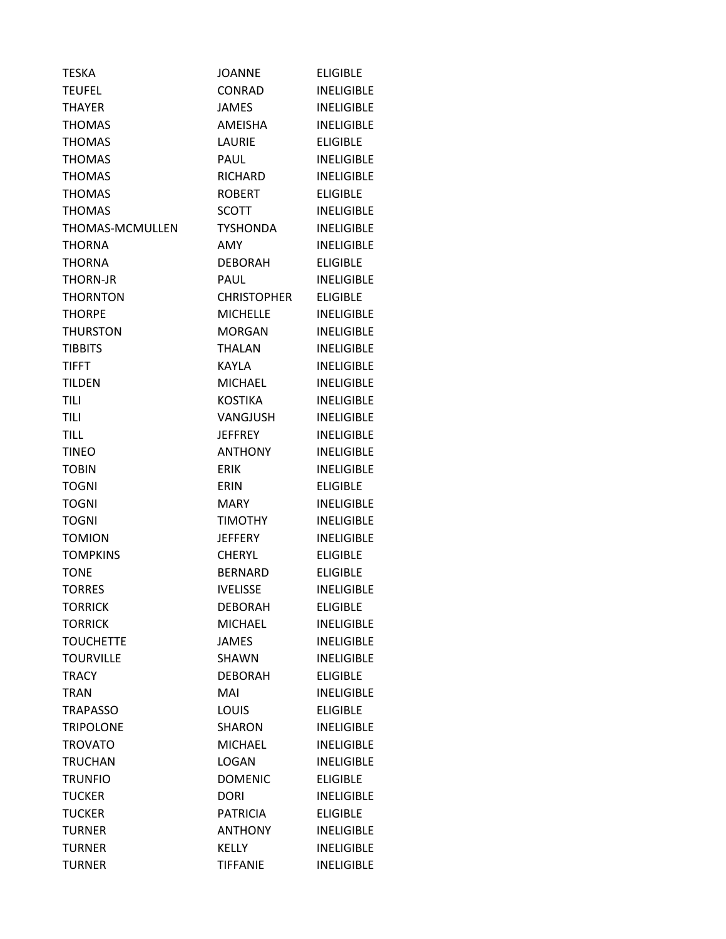| <b>TESKA</b>     | <b>JOANNE</b>      | <b>ELIGIBLE</b>   |
|------------------|--------------------|-------------------|
| <b>TEUFEL</b>    | CONRAD             | <b>INELIGIBLE</b> |
| <b>THAYER</b>    | <b>JAMES</b>       | <b>INELIGIBLE</b> |
| <b>THOMAS</b>    | <b>AMEISHA</b>     | <b>INELIGIBLE</b> |
| <b>THOMAS</b>    | LAURIE             | <b>ELIGIBLE</b>   |
| <b>THOMAS</b>    | PAUL               | <b>INELIGIBLE</b> |
| <b>THOMAS</b>    | RICHARD            | <b>INELIGIBLE</b> |
| <b>THOMAS</b>    | <b>ROBERT</b>      | <b>ELIGIBLE</b>   |
| <b>THOMAS</b>    | <b>SCOTT</b>       | <b>INELIGIBLE</b> |
| THOMAS-MCMULLEN  | <b>TYSHONDA</b>    | <b>INELIGIBLE</b> |
| <b>THORNA</b>    | AMY                | <b>INELIGIBLE</b> |
| <b>THORNA</b>    | DEBORAH            | <b>ELIGIBLE</b>   |
| <b>THORN-JR</b>  | <b>PAUL</b>        | <b>INELIGIBLE</b> |
| <b>THORNTON</b>  | <b>CHRISTOPHER</b> | <b>ELIGIBLE</b>   |
| <b>THORPE</b>    | <b>MICHELLE</b>    | <b>INELIGIBLE</b> |
| <b>THURSTON</b>  | <b>MORGAN</b>      | <b>INELIGIBLE</b> |
| <b>TIBBITS</b>   | <b>THALAN</b>      | <b>INELIGIBLE</b> |
| <b>TIFFT</b>     | KAYLA              | <b>INELIGIBLE</b> |
| <b>TILDEN</b>    | <b>MICHAEL</b>     | <b>INELIGIBLE</b> |
| TILI             | <b>KOSTIKA</b>     | <b>INELIGIBLE</b> |
| TILI             | VANGJUSH           | <b>INELIGIBLE</b> |
| <b>TILL</b>      | <b>JEFFREY</b>     | <b>INELIGIBLE</b> |
| <b>TINEO</b>     | <b>ANTHONY</b>     | <b>INELIGIBLE</b> |
| <b>TOBIN</b>     | <b>ERIK</b>        | <b>INELIGIBLE</b> |
| <b>TOGNI</b>     | ERIN               | <b>ELIGIBLE</b>   |
| <b>TOGNI</b>     | MARY               | <b>INELIGIBLE</b> |
| <b>TOGNI</b>     | <b>TIMOTHY</b>     | <b>INELIGIBLE</b> |
| <b>TOMION</b>    | <b>JEFFERY</b>     | <b>INELIGIBLE</b> |
| <b>TOMPKINS</b>  | <b>CHERYL</b>      | <b>ELIGIBLE</b>   |
| <b>TONE</b>      | <b>BERNARD</b>     | <b>ELIGIBLE</b>   |
| <b>TORRES</b>    | <b>IVELISSE</b>    | <b>INELIGIBLE</b> |
| <b>TORRICK</b>   | <b>DEBORAH</b>     | <b>ELIGIBLE</b>   |
| <b>TORRICK</b>   | <b>MICHAEL</b>     | <b>INELIGIBLE</b> |
| <b>TOUCHETTE</b> | <b>JAMES</b>       | <b>INELIGIBLE</b> |
| <b>TOURVILLE</b> | <b>SHAWN</b>       | <b>INELIGIBLE</b> |
| <b>TRACY</b>     | <b>DEBORAH</b>     | <b>ELIGIBLE</b>   |
| <b>TRAN</b>      | MAI                | <b>INELIGIBLE</b> |
| <b>TRAPASSO</b>  | <b>LOUIS</b>       | <b>ELIGIBLE</b>   |
| <b>TRIPOLONE</b> | <b>SHARON</b>      | <b>INELIGIBLE</b> |
| <b>TROVATO</b>   | <b>MICHAEL</b>     | <b>INELIGIBLE</b> |
| <b>TRUCHAN</b>   | <b>LOGAN</b>       | <b>INELIGIBLE</b> |
| <b>TRUNFIO</b>   | <b>DOMENIC</b>     | <b>ELIGIBLE</b>   |
| <b>TUCKER</b>    | <b>DORI</b>        | <b>INELIGIBLE</b> |
| <b>TUCKER</b>    | <b>PATRICIA</b>    | <b>ELIGIBLE</b>   |
| <b>TURNER</b>    | <b>ANTHONY</b>     | <b>INELIGIBLE</b> |
| <b>TURNER</b>    | <b>KELLY</b>       | <b>INELIGIBLE</b> |
| <b>TURNER</b>    | <b>TIFFANIE</b>    | <b>INELIGIBLE</b> |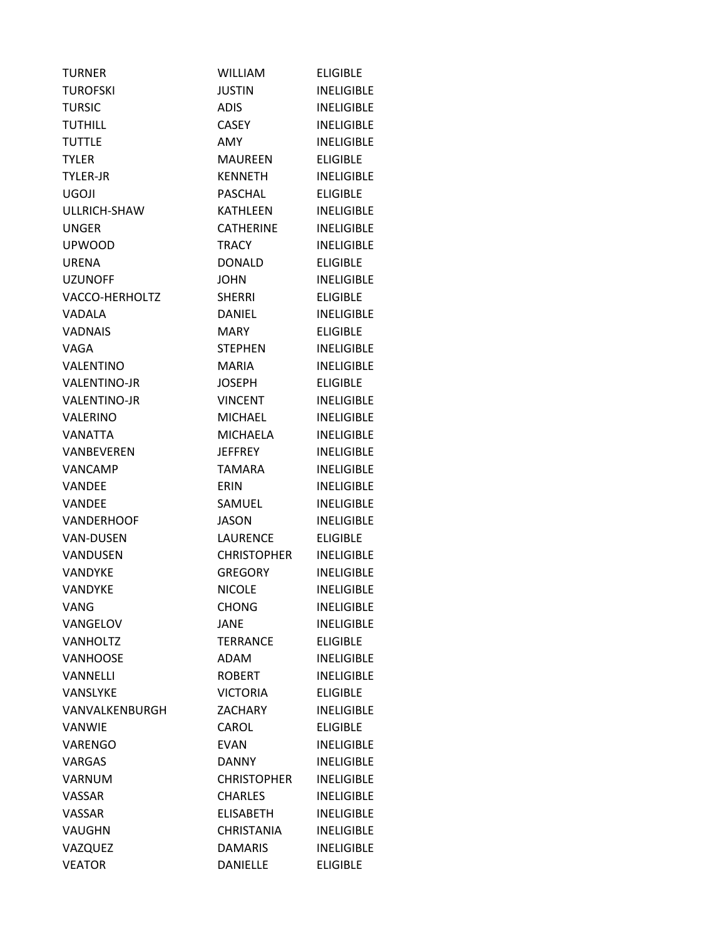| <b>TURNER</b>       | <b>WILLIAM</b>     | <b>ELIGIBLE</b>   |
|---------------------|--------------------|-------------------|
| <b>TUROFSKI</b>     | <b>JUSTIN</b>      | <b>INELIGIBLE</b> |
| <b>TURSIC</b>       | <b>ADIS</b>        | <b>INELIGIBLE</b> |
| <b>TUTHILL</b>      | <b>CASEY</b>       | <b>INELIGIBLE</b> |
| <b>TUTTLE</b>       | <b>AMY</b>         | <b>INELIGIBLE</b> |
| <b>TYLER</b>        | <b>MAUREEN</b>     | <b>ELIGIBLE</b>   |
| <b>TYLER-JR</b>     | <b>KENNETH</b>     | <b>INELIGIBLE</b> |
| <b>UGOJI</b>        | <b>PASCHAL</b>     | <b>ELIGIBLE</b>   |
| ULLRICH-SHAW        | <b>KATHLEEN</b>    | <b>INELIGIBLE</b> |
| <b>UNGER</b>        | <b>CATHERINE</b>   | <b>INELIGIBLE</b> |
| <b>UPWOOD</b>       | <b>TRACY</b>       | <b>INELIGIBLE</b> |
| <b>URENA</b>        | <b>DONALD</b>      | <b>ELIGIBLE</b>   |
| <b>UZUNOFF</b>      | <b>JOHN</b>        | <b>INELIGIBLE</b> |
| VACCO-HERHOLTZ      | <b>SHERRI</b>      | <b>ELIGIBLE</b>   |
| VADALA              | <b>DANIEL</b>      | <b>INELIGIBLE</b> |
| <b>VADNAIS</b>      | <b>MARY</b>        | <b>ELIGIBLE</b>   |
| VAGA                | <b>STEPHEN</b>     | <b>INELIGIBLE</b> |
| VALENTINO           | <b>MARIA</b>       | <b>INELIGIBLE</b> |
| <b>VALENTINO-JR</b> | <b>JOSEPH</b>      | <b>ELIGIBLE</b>   |
| <b>VALENTINO-JR</b> | <b>VINCENT</b>     | <b>INELIGIBLE</b> |
| <b>VALERINO</b>     | <b>MICHAEL</b>     | <b>INELIGIBLE</b> |
| <b>VANATTA</b>      | <b>MICHAELA</b>    | <b>INELIGIBLE</b> |
| VANBEVEREN          | <b>JEFFREY</b>     | <b>INELIGIBLE</b> |
| VANCAMP             | <b>TAMARA</b>      | <b>INELIGIBLE</b> |
| <b>VANDEE</b>       | <b>ERIN</b>        | <b>INELIGIBLE</b> |
| <b>VANDEE</b>       | SAMUEL             | <b>INELIGIBLE</b> |
| <b>VANDERHOOF</b>   | <b>JASON</b>       | <b>INELIGIBLE</b> |
| <b>VAN-DUSEN</b>    | <b>LAURENCE</b>    | <b>ELIGIBLE</b>   |
| VANDUSEN            | <b>CHRISTOPHER</b> | <b>INELIGIBLE</b> |
| <b>VANDYKE</b>      | <b>GREGORY</b>     | <b>INELIGIBLE</b> |
| <b>VANDYKE</b>      | <b>NICOLE</b>      | <b>INELIGIBLE</b> |
| VANG                | <b>CHONG</b>       | <b>INELIGIBLE</b> |
| VANGELOV            | <b>JANE</b>        | <b>INELIGIBLE</b> |
| VANHOLTZ            | <b>TERRANCE</b>    | <b>ELIGIBLE</b>   |
| <b>VANHOOSE</b>     | ADAM               | <b>INELIGIBLE</b> |
| <b>VANNELLI</b>     | <b>ROBERT</b>      | <b>INELIGIBLE</b> |
| VANSLYKE            | <b>VICTORIA</b>    | <b>ELIGIBLE</b>   |
| VANVALKENBURGH      | <b>ZACHARY</b>     | <b>INELIGIBLE</b> |
| VANWIE              | CAROL              | <b>ELIGIBLE</b>   |
| <b>VARENGO</b>      | <b>EVAN</b>        | <b>INELIGIBLE</b> |
| <b>VARGAS</b>       | <b>DANNY</b>       | <b>INELIGIBLE</b> |
| <b>VARNUM</b>       | <b>CHRISTOPHER</b> | <b>INELIGIBLE</b> |
| VASSAR              | <b>CHARLES</b>     | <b>INELIGIBLE</b> |
| <b>VASSAR</b>       | <b>ELISABETH</b>   | <b>INELIGIBLE</b> |
| <b>VAUGHN</b>       | <b>CHRISTANIA</b>  | <b>INELIGIBLE</b> |
| VAZQUEZ             | <b>DAMARIS</b>     | <b>INELIGIBLE</b> |
| <b>VEATOR</b>       | <b>DANIELLE</b>    | <b>ELIGIBLE</b>   |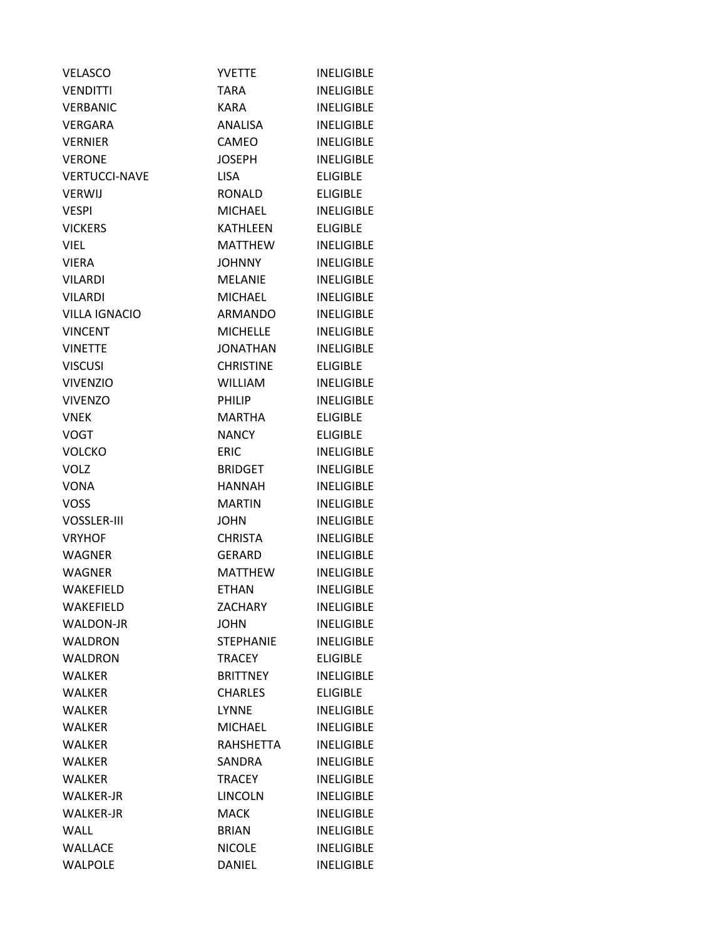| <b>VELASCO</b>       | <b>YVETTE</b>    | <b>INELIGIBLE</b> |
|----------------------|------------------|-------------------|
| <b>VENDITTI</b>      | <b>TARA</b>      | <b>INELIGIBLE</b> |
| <b>VERBANIC</b>      | <b>KARA</b>      | <b>INELIGIBLE</b> |
| VERGARA              | ANALISA          | <b>INELIGIBLE</b> |
| <b>VERNIER</b>       | CAMEO            | <b>INELIGIBLE</b> |
| <b>VERONE</b>        | <b>JOSEPH</b>    | <b>INELIGIBLE</b> |
| <b>VERTUCCI-NAVE</b> | <b>LISA</b>      | <b>ELIGIBLE</b>   |
| <b>VERWIJ</b>        | RONALD           | <b>ELIGIBLE</b>   |
| <b>VESPI</b>         | <b>MICHAEL</b>   | <b>INELIGIBLE</b> |
| <b>VICKERS</b>       | <b>KATHLEEN</b>  | <b>ELIGIBLE</b>   |
| <b>VIEL</b>          | MATTHEW          | <b>INELIGIBLE</b> |
| <b>VIERA</b>         | <b>JOHNNY</b>    | <b>INELIGIBLE</b> |
| <b>VILARDI</b>       | <b>MELANIE</b>   | <b>INELIGIBLE</b> |
| <b>VILARDI</b>       | <b>MICHAEL</b>   | <b>INELIGIBLE</b> |
| <b>VILLA IGNACIO</b> | <b>ARMANDO</b>   | <b>INELIGIBLE</b> |
| <b>VINCENT</b>       | <b>MICHELLE</b>  | <b>INELIGIBLE</b> |
| <b>VINETTE</b>       | JONATHAN         | <b>INELIGIBLE</b> |
| <b>VISCUSI</b>       | <b>CHRISTINE</b> | <b>ELIGIBLE</b>   |
| <b>VIVENZIO</b>      | <b>WILLIAM</b>   | <b>INELIGIBLE</b> |
| <b>VIVENZO</b>       | PHILIP           | <b>INELIGIBLE</b> |
| <b>VNEK</b>          | MARTHA           | <b>ELIGIBLE</b>   |
| <b>VOGT</b>          | <b>NANCY</b>     | <b>ELIGIBLE</b>   |
| <b>VOLCKO</b>        | <b>ERIC</b>      | <b>INELIGIBLE</b> |
| <b>VOLZ</b>          | <b>BRIDGET</b>   | <b>INELIGIBLE</b> |
| VONA                 | <b>HANNAH</b>    | <b>INELIGIBLE</b> |
| <b>VOSS</b>          | <b>MARTIN</b>    | <b>INELIGIBLE</b> |
| <b>VOSSLER-III</b>   | <b>JOHN</b>      | <b>INELIGIBLE</b> |
| <b>VRYHOF</b>        | <b>CHRISTA</b>   | <b>INELIGIBLE</b> |
| <b>WAGNER</b>        | GERARD           | <b>INELIGIBLE</b> |
| <b>WAGNER</b>        | MATTHEW          | <b>INELIGIBLE</b> |
| <b>WAKEFIELD</b>     | <b>ETHAN</b>     | <b>INELIGIBLE</b> |
| WAKEFIELD            | <b>ZACHARY</b>   | <b>INELIGIBLE</b> |
| <b>WALDON-JR</b>     | <b>JOHN</b>      | <b>INELIGIBLE</b> |
| WALDRON              | <b>STEPHANIE</b> | <b>INELIGIBLE</b> |
| WALDRON              | <b>TRACEY</b>    | <b>ELIGIBLE</b>   |
| WALKER               | <b>BRITTNEY</b>  | <b>INELIGIBLE</b> |
| <b>WALKER</b>        | <b>CHARLES</b>   | <b>ELIGIBLE</b>   |
| <b>WALKER</b>        | <b>LYNNE</b>     | <b>INELIGIBLE</b> |
| <b>WALKER</b>        | <b>MICHAEL</b>   | <b>INELIGIBLE</b> |
| WALKER               | <b>RAHSHETTA</b> | <b>INELIGIBLE</b> |
| WALKER               | SANDRA           | <b>INELIGIBLE</b> |
| <b>WALKER</b>        | <b>TRACEY</b>    | <b>INELIGIBLE</b> |
| <b>WALKER-JR</b>     | <b>LINCOLN</b>   | <b>INELIGIBLE</b> |
| <b>WALKER-JR</b>     | <b>MACK</b>      | <b>INELIGIBLE</b> |
| WALL                 | <b>BRIAN</b>     | <b>INELIGIBLE</b> |
| WALLACE              | <b>NICOLE</b>    | <b>INELIGIBLE</b> |
| <b>WALPOLE</b>       | <b>DANIEL</b>    | <b>INELIGIBLE</b> |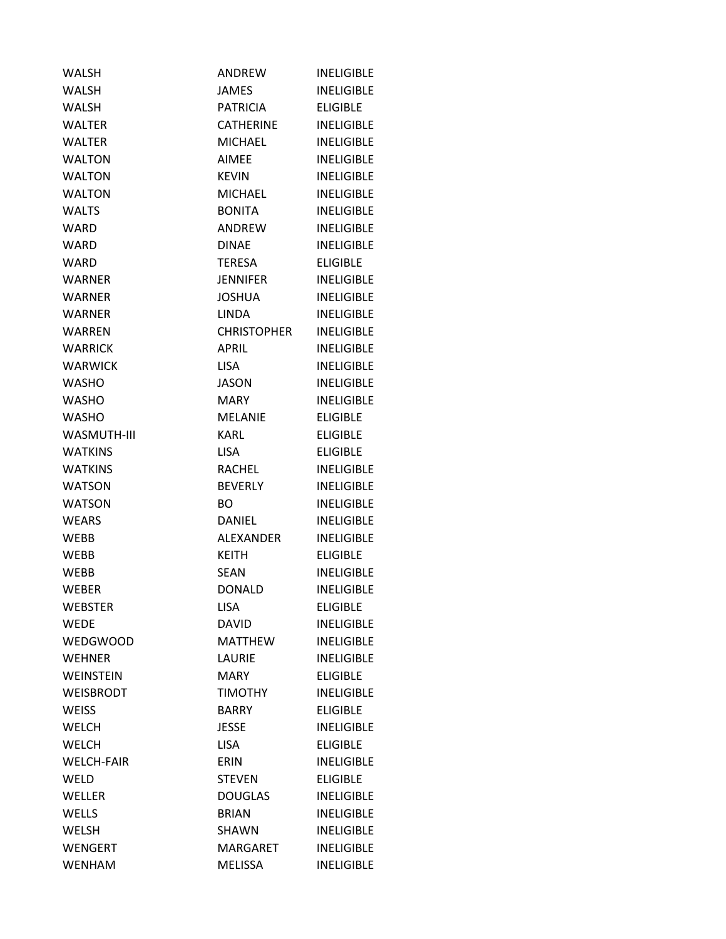| <b>WALSH</b>      | ANDREW             | <b>INELIGIBLE</b> |
|-------------------|--------------------|-------------------|
| <b>WALSH</b>      | <b>JAMES</b>       | <b>INELIGIBLE</b> |
| <b>WALSH</b>      | PATRICIA           | <b>ELIGIBLE</b>   |
| <b>WALTER</b>     | <b>CATHERINE</b>   | <b>INELIGIBLE</b> |
| <b>WALTER</b>     | <b>MICHAEL</b>     | <b>INELIGIBLE</b> |
| <b>WALTON</b>     | <b>AIMEE</b>       | <b>INELIGIBLE</b> |
| <b>WALTON</b>     | <b>KEVIN</b>       | <b>INELIGIBLE</b> |
| <b>WALTON</b>     | <b>MICHAEL</b>     | <b>INELIGIBLE</b> |
| <b>WALTS</b>      | <b>BONITA</b>      | <b>INELIGIBLE</b> |
| <b>WARD</b>       | ANDREW             | <b>INELIGIBLE</b> |
| <b>WARD</b>       | <b>DINAE</b>       | <b>INELIGIBLE</b> |
| <b>WARD</b>       | TERESA             | <b>ELIGIBLE</b>   |
| <b>WARNER</b>     | <b>JENNIFER</b>    | <b>INELIGIBLE</b> |
| <b>WARNER</b>     | <b>JOSHUA</b>      | <b>INELIGIBLE</b> |
| <b>WARNER</b>     | LINDA              | <b>INELIGIBLE</b> |
| <b>WARREN</b>     | <b>CHRISTOPHER</b> | <b>INELIGIBLE</b> |
| <b>WARRICK</b>    | <b>APRIL</b>       | <b>INELIGIBLE</b> |
| <b>WARWICK</b>    | <b>LISA</b>        | <b>INELIGIBLE</b> |
| <b>WASHO</b>      | JASON              | <b>INELIGIBLE</b> |
| <b>WASHO</b>      | <b>MARY</b>        | <b>INELIGIBLE</b> |
| <b>WASHO</b>      | <b>MELANIE</b>     | <b>ELIGIBLE</b>   |
| WASMUTH-III       | KARL               | <b>ELIGIBLE</b>   |
| <b>WATKINS</b>    | <b>LISA</b>        | <b>ELIGIBLE</b>   |
| <b>WATKINS</b>    | RACHEL             | <b>INELIGIBLE</b> |
| <b>WATSON</b>     | <b>BEVERLY</b>     | <b>INELIGIBLE</b> |
| <b>WATSON</b>     | <b>BO</b>          | <b>INELIGIBLE</b> |
| <b>WEARS</b>      | <b>DANIEL</b>      | <b>INELIGIBLE</b> |
| <b>WEBB</b>       | <b>ALEXANDER</b>   | <b>INELIGIBLE</b> |
| <b>WEBB</b>       | <b>KEITH</b>       | <b>ELIGIBLE</b>   |
| <b>WEBB</b>       | SEAN               | <b>INELIGIBLE</b> |
| <b>WEBER</b>      | <b>DONALD</b>      | <b>INELIGIBLE</b> |
| <b>WEBSTER</b>    | <b>LISA</b>        | <b>ELIGIBLE</b>   |
| <b>WEDE</b>       | <b>DAVID</b>       | <b>INELIGIBLE</b> |
| <b>WEDGWOOD</b>   | <b>MATTHEW</b>     | <b>INELIGIBLE</b> |
| <b>WEHNER</b>     | LAURIE             | <b>INELIGIBLE</b> |
| <b>WEINSTEIN</b>  | <b>MARY</b>        | <b>ELIGIBLE</b>   |
| <b>WEISBRODT</b>  | <b>TIMOTHY</b>     | <b>INELIGIBLE</b> |
| <b>WEISS</b>      | <b>BARRY</b>       | <b>ELIGIBLE</b>   |
| <b>WELCH</b>      | <b>JESSE</b>       | <b>INELIGIBLE</b> |
| <b>WELCH</b>      | <b>LISA</b>        | <b>ELIGIBLE</b>   |
| <b>WELCH-FAIR</b> | <b>ERIN</b>        | <b>INELIGIBLE</b> |
| WELD              | <b>STEVEN</b>      | <b>ELIGIBLE</b>   |
| WELLER            | <b>DOUGLAS</b>     | <b>INELIGIBLE</b> |
| WELLS             | <b>BRIAN</b>       | <b>INELIGIBLE</b> |
| <b>WELSH</b>      | <b>SHAWN</b>       | <b>INELIGIBLE</b> |
| <b>WENGERT</b>    | <b>MARGARET</b>    | <b>INELIGIBLE</b> |
| <b>WENHAM</b>     | <b>MELISSA</b>     | <b>INELIGIBLE</b> |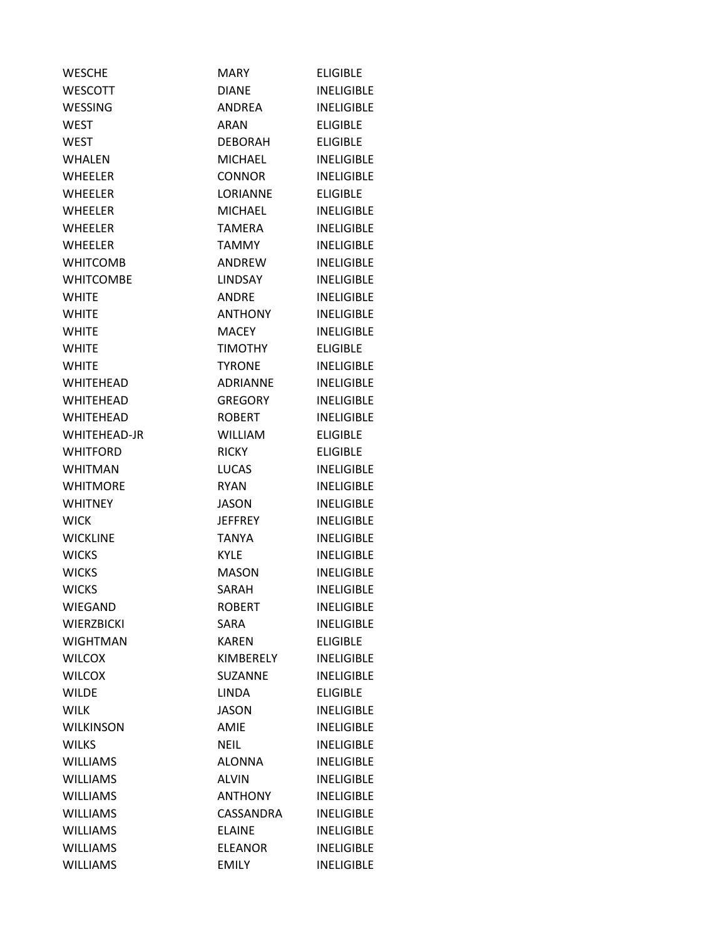| <b>WESCHE</b>     | <b>MARY</b>      | <b>ELIGIBLE</b>   |
|-------------------|------------------|-------------------|
| <b>WESCOTT</b>    | <b>DIANE</b>     | <b>INELIGIBLE</b> |
| <b>WESSING</b>    | <b>ANDREA</b>    | <b>INELIGIBLE</b> |
| WEST              | <b>ARAN</b>      | <b>ELIGIBLE</b>   |
| <b>WEST</b>       | <b>DEBORAH</b>   | <b>ELIGIBLE</b>   |
| <b>WHALEN</b>     | <b>MICHAEL</b>   | <b>INELIGIBLE</b> |
| <b>WHEELER</b>    | <b>CONNOR</b>    | <b>INELIGIBLE</b> |
| <b>WHEELER</b>    | <b>LORIANNE</b>  | <b>ELIGIBLE</b>   |
| <b>WHEELER</b>    | <b>MICHAEL</b>   | <b>INELIGIBLE</b> |
| <b>WHEELER</b>    | <b>TAMERA</b>    | <b>INELIGIBLE</b> |
| <b>WHEELER</b>    | <b>TAMMY</b>     | <b>INELIGIBLE</b> |
| <b>WHITCOMB</b>   | ANDREW           | <b>INELIGIBLE</b> |
| <b>WHITCOMBE</b>  | LINDSAY          | <b>INELIGIBLE</b> |
| <b>WHITE</b>      | <b>ANDRE</b>     | <b>INELIGIBLE</b> |
| <b>WHITE</b>      | <b>ANTHONY</b>   | <b>INELIGIBLE</b> |
| <b>WHITE</b>      | <b>MACEY</b>     | <b>INELIGIBLE</b> |
| <b>WHITE</b>      | <b>TIMOTHY</b>   | <b>ELIGIBLE</b>   |
| <b>WHITE</b>      | <b>TYRONE</b>    | <b>INELIGIBLE</b> |
| WHITEHEAD         | <b>ADRIANNE</b>  | <b>INELIGIBLE</b> |
| WHITEHEAD         | <b>GREGORY</b>   | <b>INELIGIBLE</b> |
| <b>WHITEHEAD</b>  | <b>ROBERT</b>    | <b>INELIGIBLE</b> |
| WHITEHEAD-JR      | <b>WILLIAM</b>   | <b>ELIGIBLE</b>   |
| <b>WHITFORD</b>   | <b>RICKY</b>     | <b>ELIGIBLE</b>   |
| <b>WHITMAN</b>    | <b>LUCAS</b>     | <b>INELIGIBLE</b> |
| <b>WHITMORE</b>   | <b>RYAN</b>      | <b>INELIGIBLE</b> |
| <b>WHITNEY</b>    | <b>JASON</b>     | <b>INELIGIBLE</b> |
| <b>WICK</b>       | <b>JEFFREY</b>   | <b>INELIGIBLE</b> |
| <b>WICKLINE</b>   | <b>TANYA</b>     | <b>INELIGIBLE</b> |
| <b>WICKS</b>      | <b>KYLE</b>      | <b>INELIGIBLE</b> |
| <b>WICKS</b>      | <b>MASON</b>     | <b>INELIGIBLE</b> |
| <b>WICKS</b>      | SARAH            | <b>INELIGIBLE</b> |
| WIEGAND           | <b>ROBERT</b>    | <b>INELIGIBLE</b> |
| <b>WIERZBICKI</b> | SARA             | <b>INELIGIBLE</b> |
| <b>WIGHTMAN</b>   | <b>KAREN</b>     | <b>ELIGIBLE</b>   |
| <b>WILCOX</b>     | <b>KIMBERELY</b> | <b>INELIGIBLE</b> |
| <b>WILCOX</b>     | SUZANNE          | <b>INELIGIBLE</b> |
| WILDE             | <b>LINDA</b>     | <b>ELIGIBLE</b>   |
| <b>WILK</b>       | <b>JASON</b>     | <b>INELIGIBLE</b> |
| <b>WILKINSON</b>  | <b>AMIE</b>      | <b>INELIGIBLE</b> |
| <b>WILKS</b>      | <b>NEIL</b>      | <b>INELIGIBLE</b> |
| <b>WILLIAMS</b>   | <b>ALONNA</b>    | <b>INELIGIBLE</b> |
| <b>WILLIAMS</b>   | <b>ALVIN</b>     | <b>INELIGIBLE</b> |
| <b>WILLIAMS</b>   | <b>ANTHONY</b>   | <b>INELIGIBLE</b> |
| <b>WILLIAMS</b>   | CASSANDRA        | <b>INELIGIBLE</b> |
| <b>WILLIAMS</b>   | <b>ELAINE</b>    | <b>INELIGIBLE</b> |
| <b>WILLIAMS</b>   | <b>ELEANOR</b>   | <b>INELIGIBLE</b> |
| <b>WILLIAMS</b>   | <b>EMILY</b>     | <b>INELIGIBLE</b> |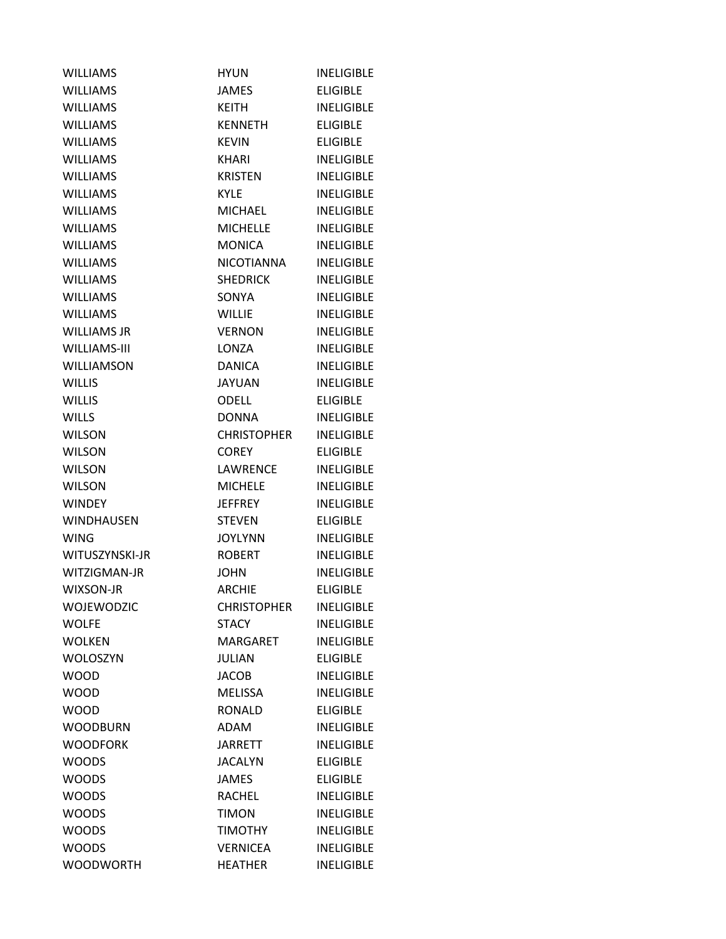| <b>WILLIAMS</b>    | <b>HYUN</b>        | <b>INELIGIBLE</b> |
|--------------------|--------------------|-------------------|
| <b>WILLIAMS</b>    | <b>JAMES</b>       | <b>ELIGIBLE</b>   |
| <b>WILLIAMS</b>    | KEITH              | <b>INELIGIBLE</b> |
| <b>WILLIAMS</b>    | <b>KENNETH</b>     | <b>ELIGIBLE</b>   |
| <b>WILLIAMS</b>    | <b>KEVIN</b>       | <b>ELIGIBLE</b>   |
| <b>WILLIAMS</b>    | KHARI              | <b>INELIGIBLE</b> |
| <b>WILLIAMS</b>    | KRISTEN            | <b>INELIGIBLE</b> |
| <b>WILLIAMS</b>    | <b>KYLE</b>        | <b>INELIGIBLE</b> |
| <b>WILLIAMS</b>    | <b>MICHAEL</b>     | <b>INELIGIBLE</b> |
| <b>WILLIAMS</b>    | <b>MICHELLE</b>    | <b>INELIGIBLE</b> |
| <b>WILLIAMS</b>    | <b>MONICA</b>      | <b>INELIGIBLE</b> |
| <b>WILLIAMS</b>    | NICOTIANNA         | <b>INELIGIBLE</b> |
| <b>WILLIAMS</b>    | <b>SHEDRICK</b>    | <b>INELIGIBLE</b> |
| <b>WILLIAMS</b>    | <b>SONYA</b>       | <b>INELIGIBLE</b> |
| <b>WILLIAMS</b>    | <b>WILLIE</b>      | <b>INELIGIBLE</b> |
| <b>WILLIAMS JR</b> | <b>VERNON</b>      | <b>INELIGIBLE</b> |
| WILLIAMS-III       | LONZA              | <b>INELIGIBLE</b> |
| <b>WILLIAMSON</b>  | <b>DANICA</b>      | <b>INELIGIBLE</b> |
| <b>WILLIS</b>      | <b>JAYUAN</b>      | <b>INELIGIBLE</b> |
| <b>WILLIS</b>      | <b>ODELL</b>       | <b>ELIGIBLE</b>   |
| <b>WILLS</b>       | <b>DONNA</b>       | <b>INELIGIBLE</b> |
| <b>WILSON</b>      | <b>CHRISTOPHER</b> | <b>INELIGIBLE</b> |
| <b>WILSON</b>      | COREY              | <b>ELIGIBLE</b>   |
| <b>WILSON</b>      | LAWRENCE           | <b>INELIGIBLE</b> |
| <b>WILSON</b>      | <b>MICHELE</b>     | <b>INELIGIBLE</b> |
| <b>WINDEY</b>      | <b>JEFFREY</b>     | <b>INELIGIBLE</b> |
| <b>WINDHAUSEN</b>  | <b>STEVEN</b>      | <b>ELIGIBLE</b>   |
| <b>WING</b>        | <b>JOYLYNN</b>     | <b>INELIGIBLE</b> |
| WITUSZYNSKI-JR     | <b>ROBERT</b>      | <b>INELIGIBLE</b> |
| WITZIGMAN-JR       | <b>JOHN</b>        | <b>INELIGIBLE</b> |
| WIXSON-JR          | <b>ARCHIE</b>      | <b>ELIGIBLE</b>   |
| WOJEWODZIC         | <b>CHRISTOPHER</b> | <b>INELIGIBLE</b> |
| <b>WOLFE</b>       | <b>STACY</b>       | <b>INELIGIBLE</b> |
| <b>WOLKEN</b>      | MARGARET           | <b>INELIGIBLE</b> |
| <b>WOLOSZYN</b>    | JULIAN             | <b>ELIGIBLE</b>   |
| <b>WOOD</b>        | <b>JACOB</b>       | <b>INELIGIBLE</b> |
| <b>WOOD</b>        | <b>MELISSA</b>     | <b>INELIGIBLE</b> |
| <b>WOOD</b>        | <b>RONALD</b>      | <b>ELIGIBLE</b>   |
| <b>WOODBURN</b>    | <b>ADAM</b>        | <b>INELIGIBLE</b> |
| <b>WOODFORK</b>    | <b>JARRETT</b>     | <b>INELIGIBLE</b> |
| <b>WOODS</b>       | <b>JACALYN</b>     | <b>ELIGIBLE</b>   |
| <b>WOODS</b>       | <b>JAMES</b>       | <b>ELIGIBLE</b>   |
| <b>WOODS</b>       | <b>RACHEL</b>      | <b>INELIGIBLE</b> |
| <b>WOODS</b>       | <b>TIMON</b>       | <b>INELIGIBLE</b> |
| <b>WOODS</b>       | <b>TIMOTHY</b>     | <b>INELIGIBLE</b> |
| <b>WOODS</b>       | <b>VERNICEA</b>    | <b>INELIGIBLE</b> |
| <b>WOODWORTH</b>   | <b>HEATHER</b>     | <b>INELIGIBLE</b> |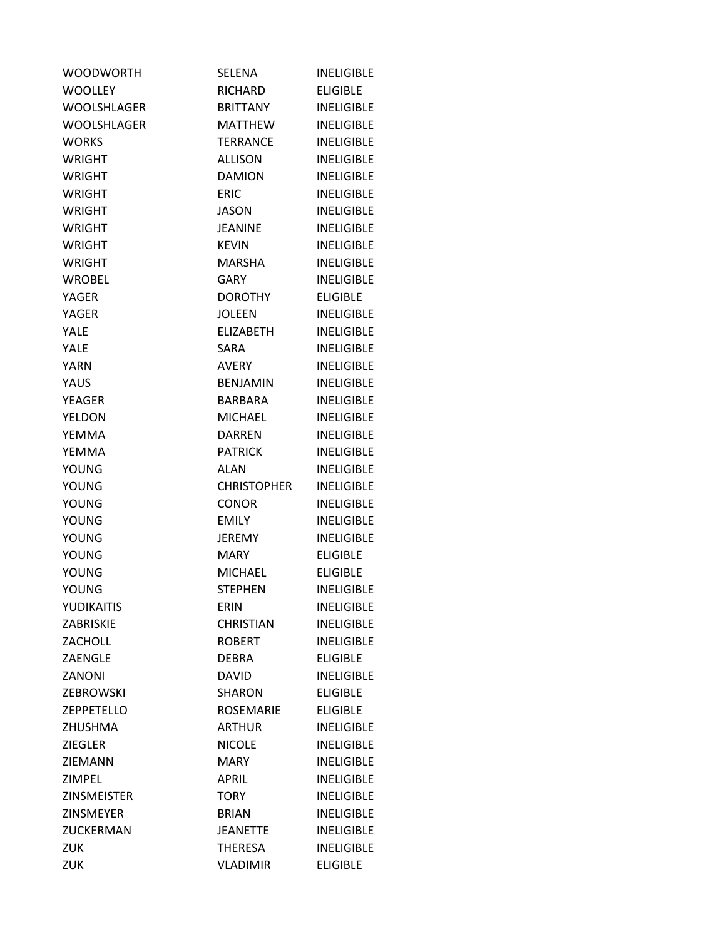| <b>WOODWORTH</b>   | <b>SELENA</b>      | <b>INELIGIBLE</b> |
|--------------------|--------------------|-------------------|
| <b>WOOLLEY</b>     | <b>RICHARD</b>     | <b>ELIGIBLE</b>   |
| WOOLSHLAGER        | <b>BRITTANY</b>    | <b>INELIGIBLE</b> |
| <b>WOOLSHLAGER</b> | MATTHEW            | <b>INELIGIBLE</b> |
| <b>WORKS</b>       | <b>TERRANCE</b>    | <b>INELIGIBLE</b> |
| <b>WRIGHT</b>      | <b>ALLISON</b>     | <b>INELIGIBLE</b> |
| <b>WRIGHT</b>      | DAMION             | <b>INELIGIBLE</b> |
| <b>WRIGHT</b>      | <b>ERIC</b>        | <b>INELIGIBLE</b> |
| <b>WRIGHT</b>      | JASON              | <b>INELIGIBLE</b> |
| <b>WRIGHT</b>      | <b>JEANINE</b>     | <b>INELIGIBLE</b> |
| <b>WRIGHT</b>      | <b>KEVIN</b>       | <b>INELIGIBLE</b> |
| <b>WRIGHT</b>      | MARSHA             | <b>INELIGIBLE</b> |
| <b>WROBEL</b>      | GARY               | <b>INELIGIBLE</b> |
| YAGER              | <b>DOROTHY</b>     | <b>ELIGIBLE</b>   |
| <b>YAGER</b>       | <b>JOLEEN</b>      | <b>INELIGIBLE</b> |
| YALE               | ELIZABETH          | <b>INELIGIBLE</b> |
| YALE               | <b>SARA</b>        | <b>INELIGIBLE</b> |
| <b>YARN</b>        | AVERY              | <b>INELIGIBLE</b> |
| YAUS               | <b>BENJAMIN</b>    | <b>INELIGIBLE</b> |
| <b>YEAGER</b>      | <b>BARBARA</b>     | <b>INELIGIBLE</b> |
| YELDON             | <b>MICHAEL</b>     | <b>INELIGIBLE</b> |
| YEMMA              | <b>DARREN</b>      | <b>INELIGIBLE</b> |
| YEMMA              | <b>PATRICK</b>     | <b>INELIGIBLE</b> |
| YOUNG              | ALAN               | <b>INELIGIBLE</b> |
| YOUNG              | <b>CHRISTOPHER</b> | <b>INELIGIBLE</b> |
| YOUNG              | <b>CONOR</b>       | <b>INELIGIBLE</b> |
| <b>YOUNG</b>       | <b>EMILY</b>       | <b>INELIGIBLE</b> |
| YOUNG              | JEREMY             | <b>INELIGIBLE</b> |
| <b>YOUNG</b>       | <b>MARY</b>        | <b>ELIGIBLE</b>   |
| YOUNG              | <b>MICHAEL</b>     | <b>ELIGIBLE</b>   |
| <b>YOUNG</b>       | <b>STEPHEN</b>     | <b>INELIGIBLE</b> |
| YUDIKAITIS         | ERIN               | <b>INELIGIBLE</b> |
| ZABRISKIE          | <b>CHRISTIAN</b>   | <b>INELIGIBLE</b> |
| ZACHOLL            | <b>ROBERT</b>      | <b>INELIGIBLE</b> |
| <b>ZAENGLE</b>     | <b>DEBRA</b>       | <b>ELIGIBLE</b>   |
| ZANONI             | <b>DAVID</b>       | <b>INELIGIBLE</b> |
| <b>ZEBROWSKI</b>   | <b>SHARON</b>      | <b>ELIGIBLE</b>   |
| <b>ZEPPETELLO</b>  | <b>ROSEMARIE</b>   | <b>ELIGIBLE</b>   |
| <b>ZHUSHMA</b>     | <b>ARTHUR</b>      | <b>INELIGIBLE</b> |
| <b>ZIEGLER</b>     | <b>NICOLE</b>      | <b>INELIGIBLE</b> |
| ZIEMANN            | <b>MARY</b>        | <b>INELIGIBLE</b> |
| <b>ZIMPEL</b>      | <b>APRIL</b>       | <b>INELIGIBLE</b> |
| <b>ZINSMEISTER</b> | <b>TORY</b>        | <b>INELIGIBLE</b> |
| <b>ZINSMEYER</b>   | <b>BRIAN</b>       | <b>INELIGIBLE</b> |
| ZUCKERMAN          | <b>JEANETTE</b>    | <b>INELIGIBLE</b> |
| <b>ZUK</b>         | <b>THERESA</b>     | <b>INELIGIBLE</b> |
| ZUK                | <b>VLADIMIR</b>    | <b>ELIGIBLE</b>   |